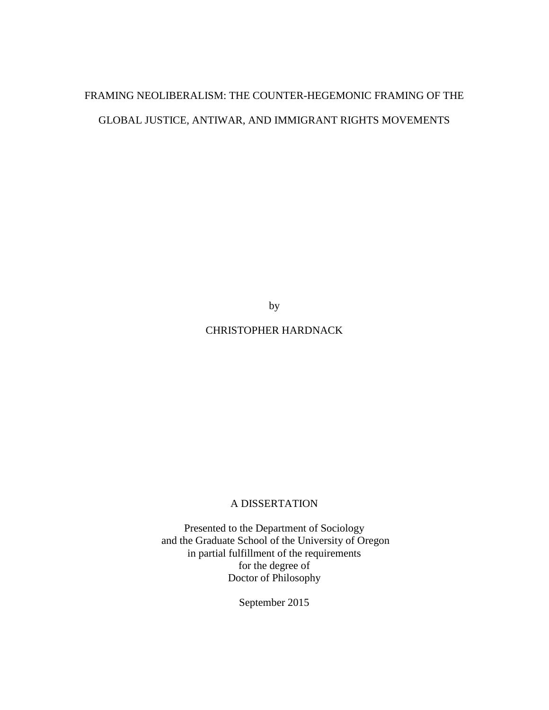# FRAMING NEOLIBERALISM: THE COUNTER-HEGEMONIC FRAMING OF THE GLOBAL JUSTICE, ANTIWAR, AND IMMIGRANT RIGHTS MOVEMENTS

by

## CHRISTOPHER HARDNACK

## A DISSERTATION

Presented to the Department of Sociology and the Graduate School of the University of Oregon in partial fulfillment of the requirements for the degree of Doctor of Philosophy

September 2015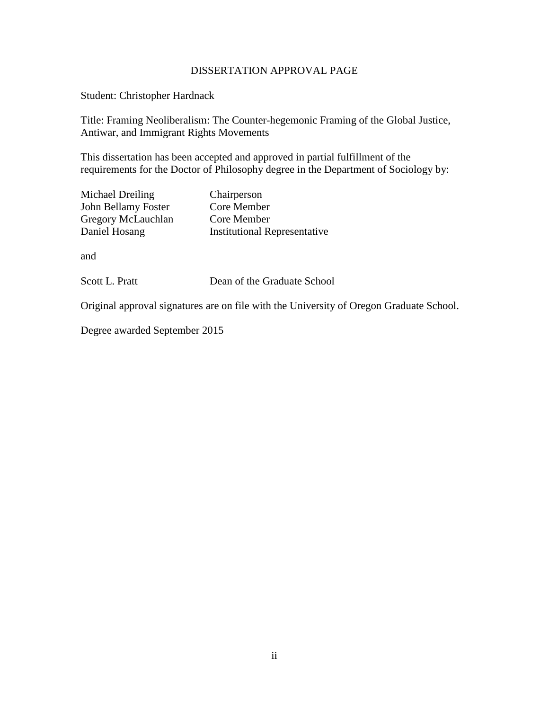## DISSERTATION APPROVAL PAGE

Student: Christopher Hardnack

Title: Framing Neoliberalism: The Counter-hegemonic Framing of the Global Justice, Antiwar, and Immigrant Rights Movements

This dissertation has been accepted and approved in partial fulfillment of the requirements for the Doctor of Philosophy degree in the Department of Sociology by:

| Michael Dreiling    | Chairperson                         |
|---------------------|-------------------------------------|
| John Bellamy Foster | Core Member                         |
| Gregory McLauchlan  | Core Member                         |
| Daniel Hosang       | <b>Institutional Representative</b> |

and

Scott L. Pratt Dean of the Graduate School

Original approval signatures are on file with the University of Oregon Graduate School.

Degree awarded September 2015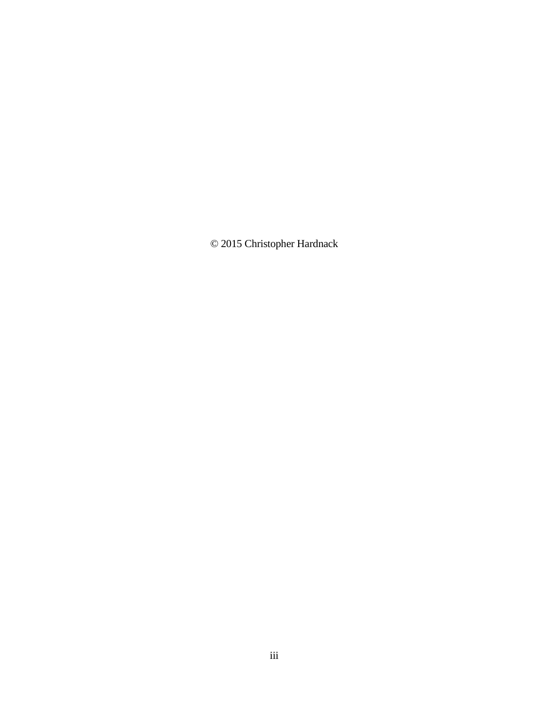© 2015 Christopher Hardnack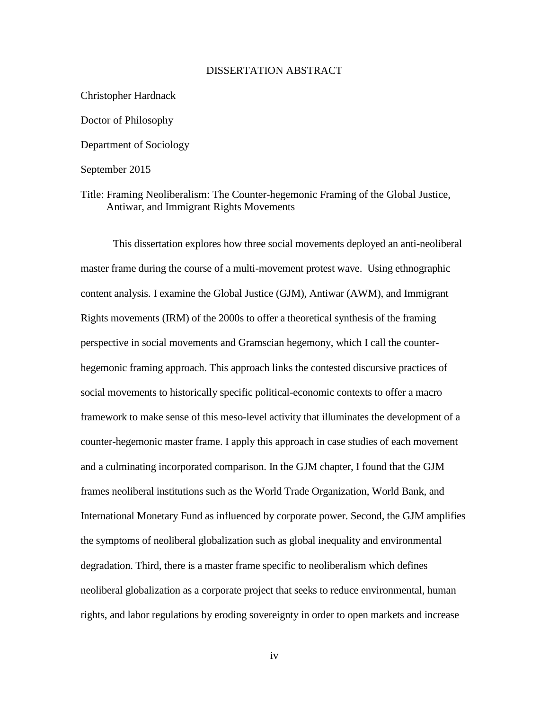## DISSERTATION ABSTRACT

Christopher Hardnack Doctor of Philosophy Department of Sociology September 2015

Title: Framing Neoliberalism: The Counter-hegemonic Framing of the Global Justice, Antiwar, and Immigrant Rights Movements

This dissertation explores how three social movements deployed an anti-neoliberal master frame during the course of a multi-movement protest wave. Using ethnographic content analysis. I examine the Global Justice (GJM), Antiwar (AWM), and Immigrant Rights movements (IRM) of the 2000s to offer a theoretical synthesis of the framing perspective in social movements and Gramscian hegemony, which I call the counterhegemonic framing approach. This approach links the contested discursive practices of social movements to historically specific political-economic contexts to offer a macro framework to make sense of this meso-level activity that illuminates the development of a counter-hegemonic master frame. I apply this approach in case studies of each movement and a culminating incorporated comparison. In the GJM chapter, I found that the GJM frames neoliberal institutions such as the World Trade Organization, World Bank, and International Monetary Fund as influenced by corporate power. Second, the GJM amplifies the symptoms of neoliberal globalization such as global inequality and environmental degradation. Third, there is a master frame specific to neoliberalism which defines neoliberal globalization as a corporate project that seeks to reduce environmental, human rights, and labor regulations by eroding sovereignty in order to open markets and increase

iv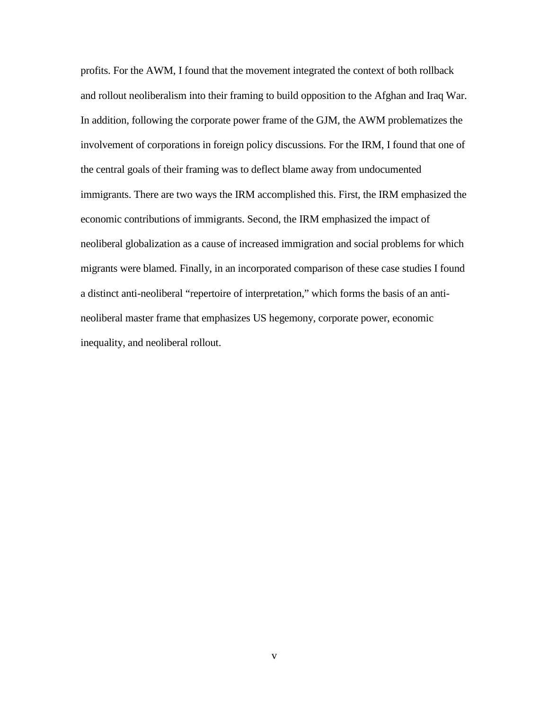profits. For the AWM, I found that the movement integrated the context of both rollback and rollout neoliberalism into their framing to build opposition to the Afghan and Iraq War. In addition, following the corporate power frame of the GJM, the AWM problematizes the involvement of corporations in foreign policy discussions. For the IRM, I found that one of the central goals of their framing was to deflect blame away from undocumented immigrants. There are two ways the IRM accomplished this. First, the IRM emphasized the economic contributions of immigrants. Second, the IRM emphasized the impact of neoliberal globalization as a cause of increased immigration and social problems for which migrants were blamed. Finally, in an incorporated comparison of these case studies I found a distinct anti-neoliberal "repertoire of interpretation," which forms the basis of an antineoliberal master frame that emphasizes US hegemony, corporate power, economic inequality, and neoliberal rollout.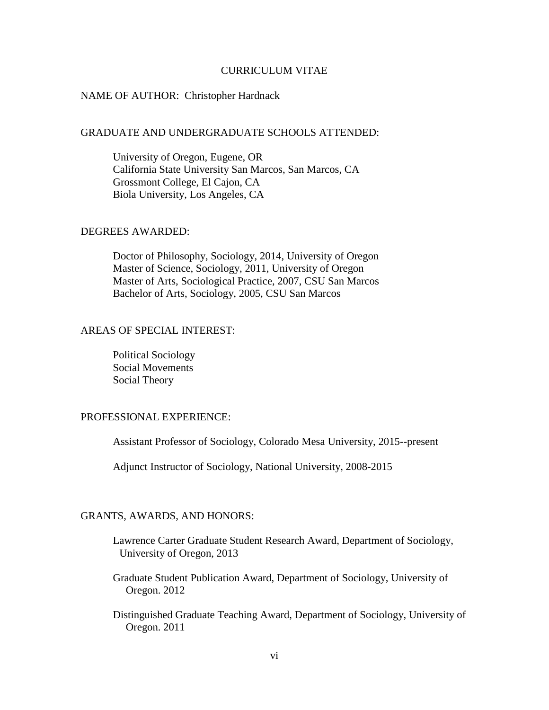## CURRICULUM VITAE

## NAME OF AUTHOR: Christopher Hardnack

### GRADUATE AND UNDERGRADUATE SCHOOLS ATTENDED:

University of Oregon, Eugene, OR California State University San Marcos, San Marcos, CA Grossmont College, El Cajon, CA Biola University, Los Angeles, CA

## DEGREES AWARDED:

Doctor of Philosophy, Sociology, 2014, University of Oregon Master of Science, Sociology, 2011, University of Oregon Master of Arts, Sociological Practice, 2007, CSU San Marcos Bachelor of Arts, Sociology, 2005, CSU San Marcos

## AREAS OF SPECIAL INTEREST:

Political Sociology Social Movements Social Theory

## PROFESSIONAL EXPERIENCE:

Assistant Professor of Sociology, Colorado Mesa University, 2015--present

Adjunct Instructor of Sociology, National University, 2008-2015

## GRANTS, AWARDS, AND HONORS:

- Lawrence Carter Graduate Student Research Award, Department of Sociology, University of Oregon, 2013
- Graduate Student Publication Award, Department of Sociology, University of Oregon. 2012
- Distinguished Graduate Teaching Award, Department of Sociology, University of Oregon. 2011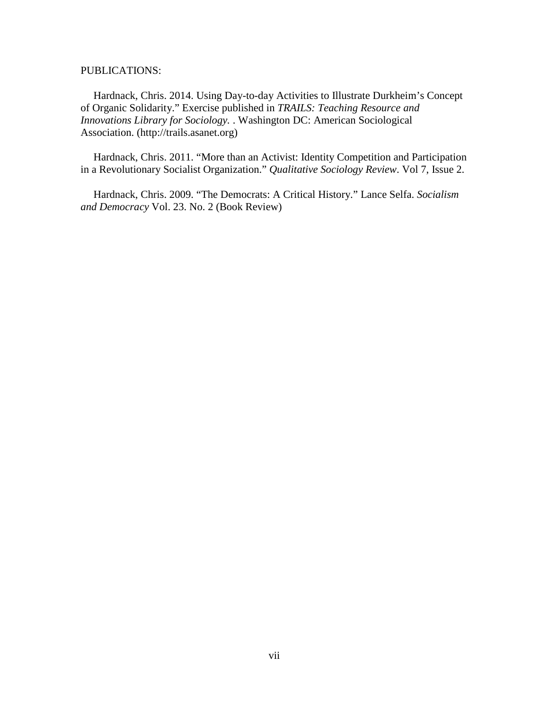PUBLICATIONS:

Hardnack, Chris. 2014. Using Day-to-day Activities to Illustrate Durkheim's Concept of Organic Solidarity." Exercise published in *TRAILS: Teaching Resource and Innovations Library for Sociology.* . Washington DC: American Sociological Association. (http://trails.asanet.org)

Hardnack, Chris. 2011. "More than an Activist: Identity Competition and Participation in a Revolutionary Socialist Organization." *Qualitative Sociology Review*. Vol 7, Issue 2.

Hardnack, Chris. 2009. "The Democrats: A Critical History." Lance Selfa. *Socialism and Democracy* Vol. 23. No. 2 (Book Review)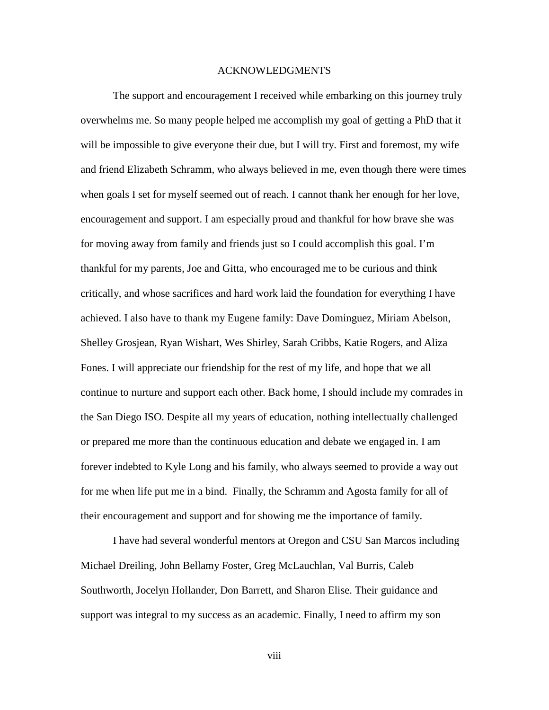### ACKNOWLEDGMENTS

The support and encouragement I received while embarking on this journey truly overwhelms me. So many people helped me accomplish my goal of getting a PhD that it will be impossible to give everyone their due, but I will try. First and foremost, my wife and friend Elizabeth Schramm, who always believed in me, even though there were times when goals I set for myself seemed out of reach. I cannot thank her enough for her love, encouragement and support. I am especially proud and thankful for how brave she was for moving away from family and friends just so I could accomplish this goal. I'm thankful for my parents, Joe and Gitta, who encouraged me to be curious and think critically, and whose sacrifices and hard work laid the foundation for everything I have achieved. I also have to thank my Eugene family: Dave Dominguez, Miriam Abelson, Shelley Grosjean, Ryan Wishart, Wes Shirley, Sarah Cribbs, Katie Rogers, and Aliza Fones. I will appreciate our friendship for the rest of my life, and hope that we all continue to nurture and support each other. Back home, I should include my comrades in the San Diego ISO. Despite all my years of education, nothing intellectually challenged or prepared me more than the continuous education and debate we engaged in. I am forever indebted to Kyle Long and his family, who always seemed to provide a way out for me when life put me in a bind. Finally, the Schramm and Agosta family for all of their encouragement and support and for showing me the importance of family.

I have had several wonderful mentors at Oregon and CSU San Marcos including Michael Dreiling, John Bellamy Foster, Greg McLauchlan, Val Burris, Caleb Southworth, Jocelyn Hollander, Don Barrett, and Sharon Elise. Their guidance and support was integral to my success as an academic. Finally, I need to affirm my son

viii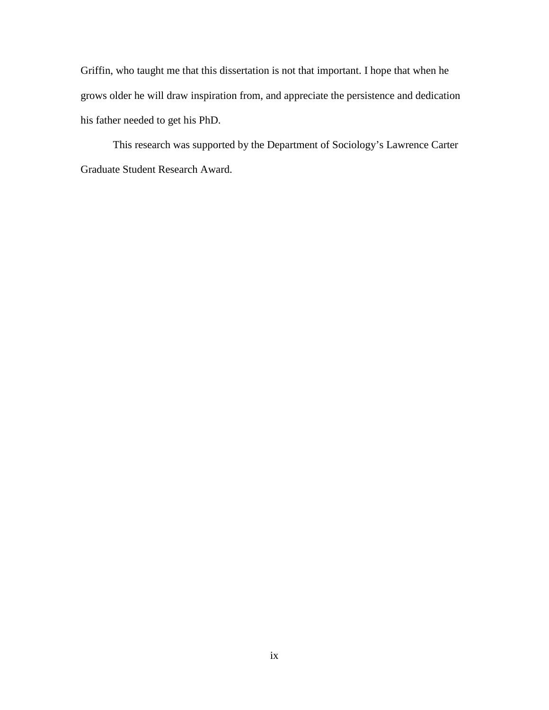Griffin, who taught me that this dissertation is not that important. I hope that when he grows older he will draw inspiration from, and appreciate the persistence and dedication his father needed to get his PhD.

This research was supported by the Department of Sociology's Lawrence Carter Graduate Student Research Award.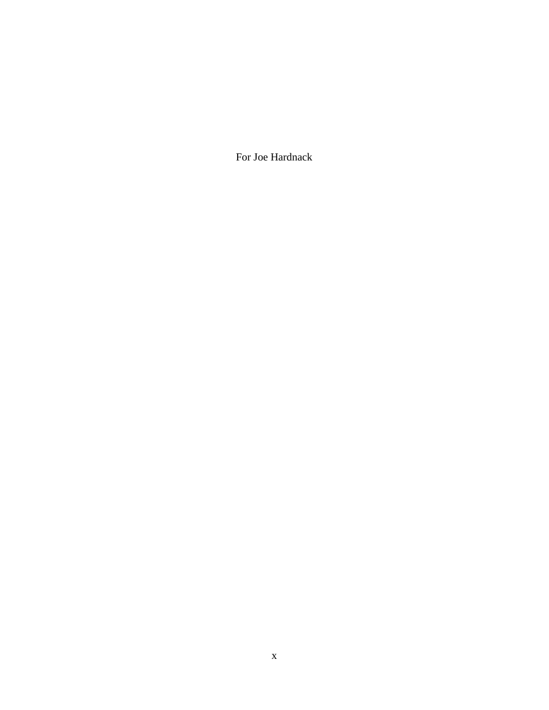For Joe Hardnack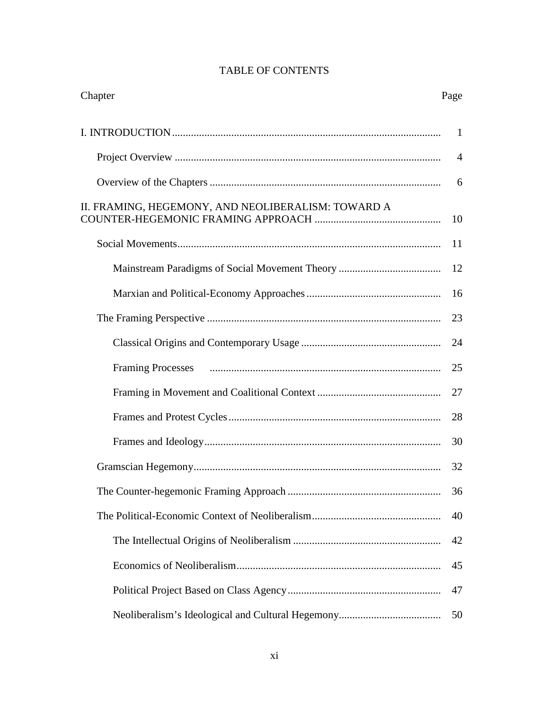| Chapter                                            | Page           |
|----------------------------------------------------|----------------|
|                                                    |                |
|                                                    | $\overline{4}$ |
|                                                    | 6              |
| II. FRAMING, HEGEMONY, AND NEOLIBERALISM: TOWARD A | 10             |
|                                                    | 11             |
|                                                    | 12             |
|                                                    | 16             |
|                                                    | 23             |
|                                                    | 24             |
|                                                    | 25             |
|                                                    | 27             |
|                                                    | 28             |
|                                                    | 30             |
|                                                    | 32             |
|                                                    | 36             |
|                                                    | 40             |
|                                                    | 42             |
|                                                    | 45             |
|                                                    | 47             |
|                                                    | 50             |

## TABLE OF CONTENTS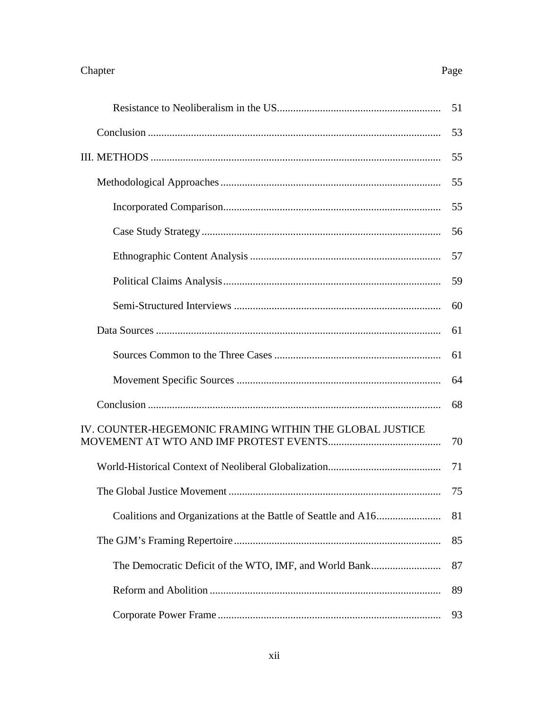# Page

|                                                         | 51 |
|---------------------------------------------------------|----|
|                                                         | 53 |
|                                                         | 55 |
|                                                         | 55 |
|                                                         | 55 |
|                                                         | 56 |
|                                                         | 57 |
|                                                         | 59 |
|                                                         | 60 |
|                                                         | 61 |
|                                                         | 61 |
|                                                         | 64 |
|                                                         | 68 |
| IV. COUNTER-HEGEMONIC FRAMING WITHIN THE GLOBAL JUSTICE | 70 |
|                                                         | 71 |
|                                                         |    |
|                                                         | 81 |
|                                                         | 85 |
| The Democratic Deficit of the WTO, IMF, and World Bank  | 87 |
|                                                         | 89 |
|                                                         | 93 |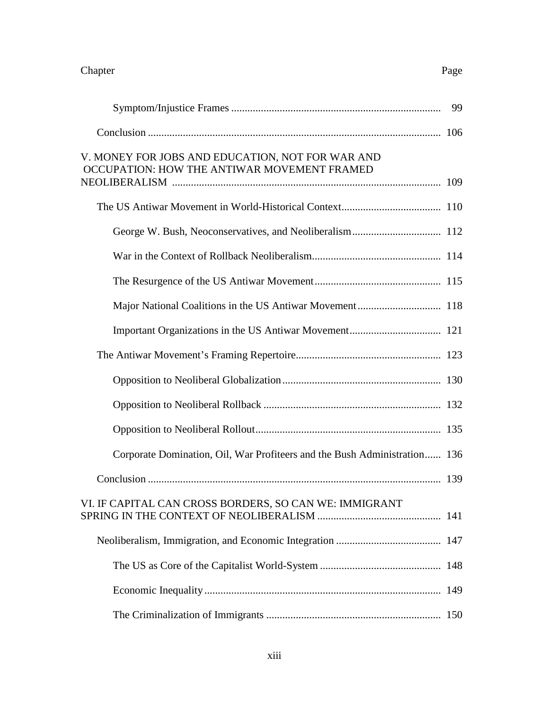## Chapter Page

|                                                                                                 | 99 |
|-------------------------------------------------------------------------------------------------|----|
|                                                                                                 |    |
| V. MONEY FOR JOBS AND EDUCATION, NOT FOR WAR AND<br>OCCUPATION: HOW THE ANTIWAR MOVEMENT FRAMED |    |
|                                                                                                 |    |
|                                                                                                 |    |
|                                                                                                 |    |
|                                                                                                 |    |
|                                                                                                 |    |
|                                                                                                 |    |
|                                                                                                 |    |
|                                                                                                 |    |
|                                                                                                 |    |
|                                                                                                 |    |
| Corporate Domination, Oil, War Profiteers and the Bush Administration 136                       |    |
|                                                                                                 |    |
| VI. IF CAPITAL CAN CROSS BORDERS, SO CAN WE: IMMIGRANT                                          |    |
|                                                                                                 |    |
|                                                                                                 |    |
|                                                                                                 |    |
|                                                                                                 |    |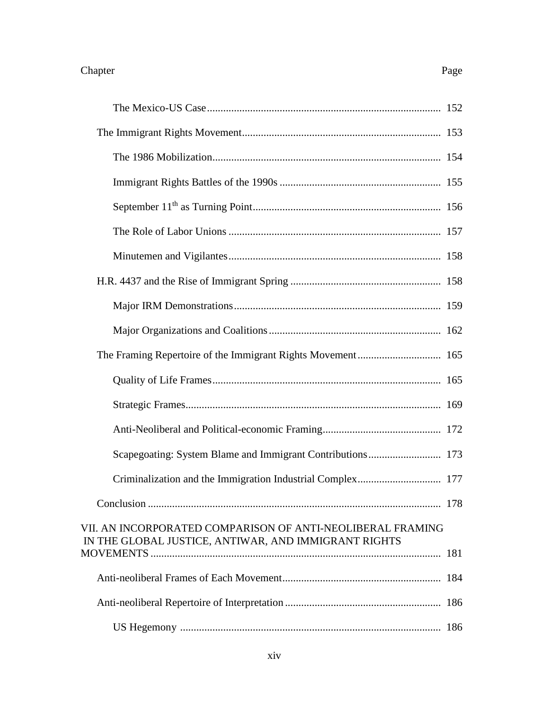| Scapegoating: System Blame and Immigrant Contributions 173                                                         |  |
|--------------------------------------------------------------------------------------------------------------------|--|
| Criminalization and the Immigration Industrial Complex 177                                                         |  |
|                                                                                                                    |  |
| VII. AN INCORPORATED COMPARISON OF ANTI-NEOLIBERAL FRAMING<br>IN THE GLOBAL JUSTICE, ANTIWAR, AND IMMIGRANT RIGHTS |  |
|                                                                                                                    |  |
|                                                                                                                    |  |
|                                                                                                                    |  |

US Hegemony ................................................................................................. 186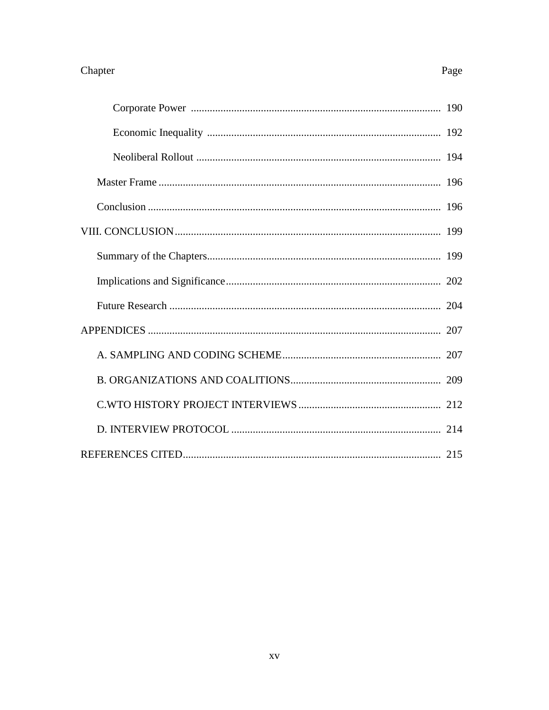## Chapter

## Page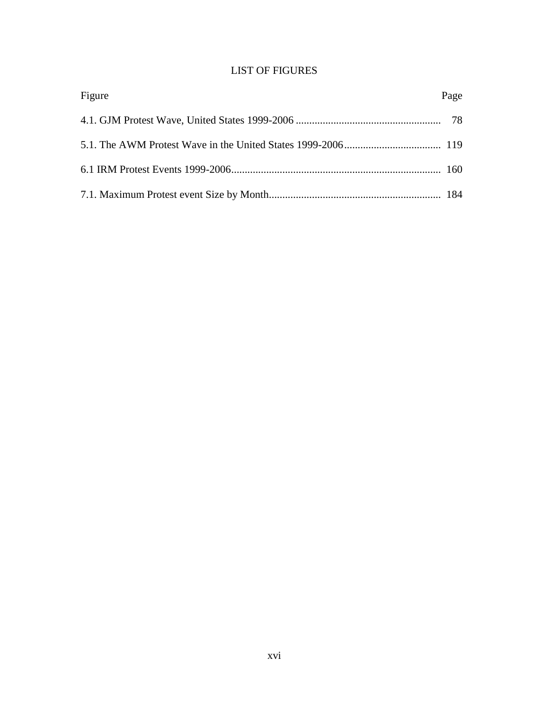## LIST OF FIGURES

| Figure | Page |
|--------|------|
|        |      |
|        |      |
|        |      |
|        |      |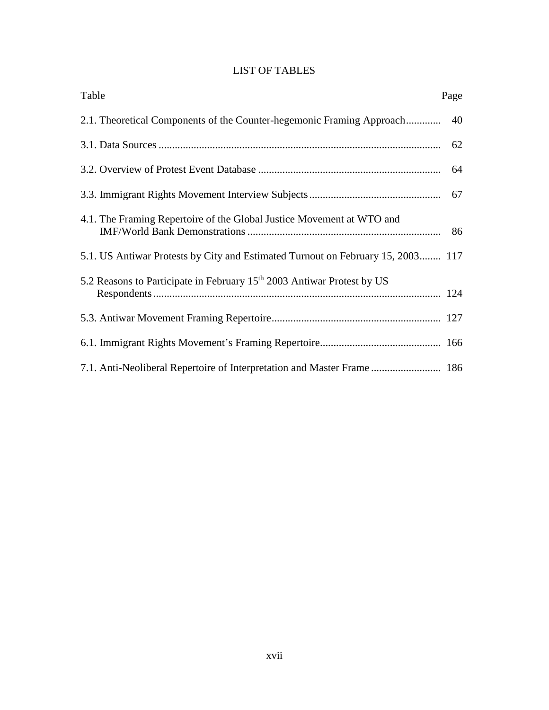## LIST OF TABLES

| Table                                                                              | Page |
|------------------------------------------------------------------------------------|------|
| 2.1. Theoretical Components of the Counter-hegemonic Framing Approach              | 40   |
|                                                                                    |      |
|                                                                                    |      |
|                                                                                    |      |
| 4.1. The Framing Repertoire of the Global Justice Movement at WTO and              |      |
| 5.1. US Antiwar Protests by City and Estimated Turnout on February 15, 2003 117    |      |
| 5.2 Reasons to Participate in February 15 <sup>th</sup> 2003 Antiwar Protest by US |      |
|                                                                                    |      |
|                                                                                    |      |
| 7.1. Anti-Neoliberal Repertoire of Interpretation and Master Frame  186            |      |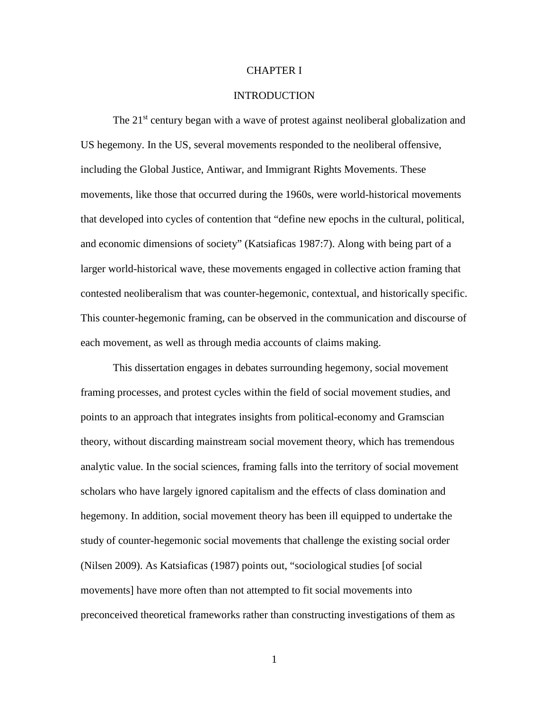## CHAPTER I

## **INTRODUCTION**

The 21<sup>st</sup> century began with a wave of protest against neoliberal globalization and US hegemony. In the US, several movements responded to the neoliberal offensive, including the Global Justice, Antiwar, and Immigrant Rights Movements. These movements, like those that occurred during the 1960s, were world-historical movements that developed into cycles of contention that "define new epochs in the cultural, political, and economic dimensions of society" (Katsiaficas 1987:7). Along with being part of a larger world-historical wave, these movements engaged in collective action framing that contested neoliberalism that was counter-hegemonic, contextual, and historically specific. This counter-hegemonic framing, can be observed in the communication and discourse of each movement, as well as through media accounts of claims making.

This dissertation engages in debates surrounding hegemony, social movement framing processes, and protest cycles within the field of social movement studies, and points to an approach that integrates insights from political-economy and Gramscian theory, without discarding mainstream social movement theory, which has tremendous analytic value. In the social sciences, framing falls into the territory of social movement scholars who have largely ignored capitalism and the effects of class domination and hegemony. In addition, social movement theory has been ill equipped to undertake the study of counter-hegemonic social movements that challenge the existing social order (Nilsen 2009). As Katsiaficas (1987) points out, "sociological studies [of social movements] have more often than not attempted to fit social movements into preconceived theoretical frameworks rather than constructing investigations of them as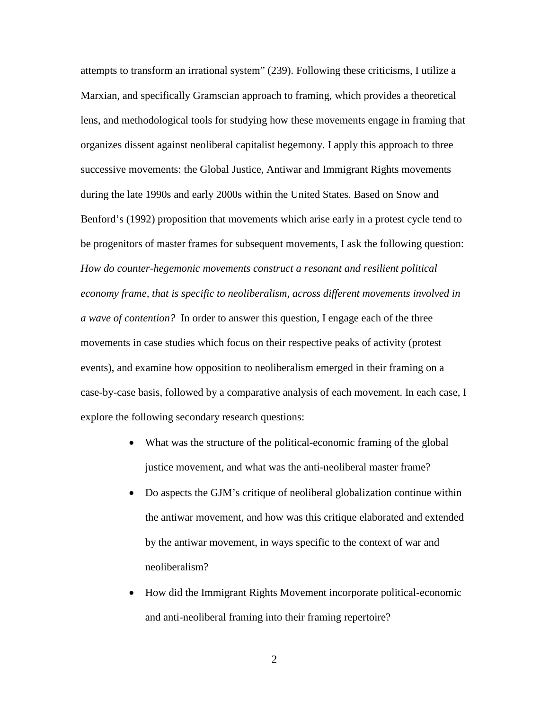attempts to transform an irrational system" (239). Following these criticisms, I utilize a Marxian, and specifically Gramscian approach to framing, which provides a theoretical lens, and methodological tools for studying how these movements engage in framing that organizes dissent against neoliberal capitalist hegemony. I apply this approach to three successive movements: the Global Justice, Antiwar and Immigrant Rights movements during the late 1990s and early 2000s within the United States. Based on Snow and Benford's (1992) proposition that movements which arise early in a protest cycle tend to be progenitors of master frames for subsequent movements, I ask the following question: *How do counter-hegemonic movements construct a resonant and resilient political economy frame, that is specific to neoliberalism, across different movements involved in a wave of contention?* In order to answer this question, I engage each of the three movements in case studies which focus on their respective peaks of activity (protest events), and examine how opposition to neoliberalism emerged in their framing on a case-by-case basis, followed by a comparative analysis of each movement. In each case, I explore the following secondary research questions:

- What was the structure of the political-economic framing of the global justice movement, and what was the anti-neoliberal master frame?
- Do aspects the GJM's critique of neoliberal globalization continue within the antiwar movement, and how was this critique elaborated and extended by the antiwar movement, in ways specific to the context of war and neoliberalism?
- How did the Immigrant Rights Movement incorporate political-economic and anti-neoliberal framing into their framing repertoire?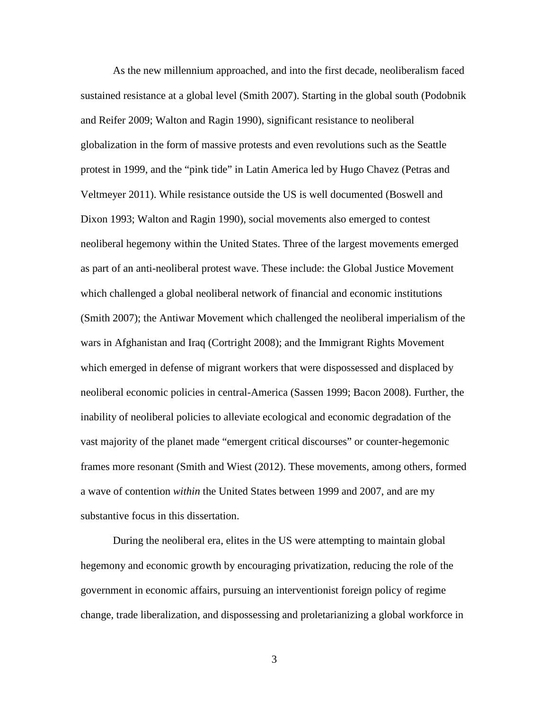As the new millennium approached, and into the first decade, neoliberalism faced sustained resistance at a global level (Smith 2007). Starting in the global south (Podobnik and Reifer 2009; Walton and Ragin 1990), significant resistance to neoliberal globalization in the form of massive protests and even revolutions such as the Seattle protest in 1999, and the "pink tide" in Latin America led by Hugo Chavez (Petras and Veltmeyer 2011). While resistance outside the US is well documented (Boswell and Dixon 1993; Walton and Ragin 1990), social movements also emerged to contest neoliberal hegemony within the United States. Three of the largest movements emerged as part of an anti-neoliberal protest wave. These include: the Global Justice Movement which challenged a global neoliberal network of financial and economic institutions (Smith 2007); the Antiwar Movement which challenged the neoliberal imperialism of the wars in Afghanistan and Iraq (Cortright 2008); and the Immigrant Rights Movement which emerged in defense of migrant workers that were dispossessed and displaced by neoliberal economic policies in central-America (Sassen 1999; Bacon 2008). Further, the inability of neoliberal policies to alleviate ecological and economic degradation of the vast majority of the planet made "emergent critical discourses" or counter-hegemonic frames more resonant (Smith and Wiest (2012). These movements, among others, formed a wave of contention *within* the United States between 1999 and 2007, and are my substantive focus in this dissertation.

During the neoliberal era, elites in the US were attempting to maintain global hegemony and economic growth by encouraging privatization, reducing the role of the government in economic affairs, pursuing an interventionist foreign policy of regime change, trade liberalization, and dispossessing and proletarianizing a global workforce in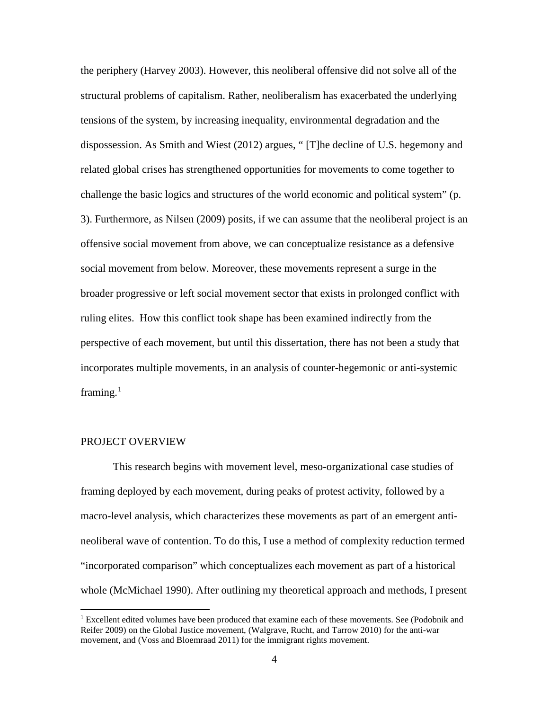the periphery (Harvey 2003). However, this neoliberal offensive did not solve all of the structural problems of capitalism. Rather, neoliberalism has exacerbated the underlying tensions of the system, by increasing inequality, environmental degradation and the dispossession. As Smith and Wiest (2012) argues, " [T]he decline of U.S. hegemony and related global crises has strengthened opportunities for movements to come together to challenge the basic logics and structures of the world economic and political system" (p. 3). Furthermore, as Nilsen (2009) posits, if we can assume that the neoliberal project is an offensive social movement from above, we can conceptualize resistance as a defensive social movement from below. Moreover, these movements represent a surge in the broader progressive or left social movement sector that exists in prolonged conflict with ruling elites. How this conflict took shape has been examined indirectly from the perspective of each movement, but until this dissertation, there has not been a study that incorporates multiple movements, in an analysis of counter-hegemonic or anti-systemic framing.<sup>[1](#page-20-0)</sup>

## PROJECT OVERVIEW

 $\overline{\phantom{a}}$ 

This research begins with movement level, meso-organizational case studies of framing deployed by each movement, during peaks of protest activity, followed by a macro-level analysis, which characterizes these movements as part of an emergent antineoliberal wave of contention. To do this, I use a method of complexity reduction termed "incorporated comparison" which conceptualizes each movement as part of a historical whole (McMichael 1990). After outlining my theoretical approach and methods, I present

<span id="page-20-0"></span><sup>&</sup>lt;sup>1</sup> Excellent edited volumes have been produced that examine each of these movements. See (Podobnik and Reifer 2009) on the Global Justice movement, (Walgrave, Rucht, and Tarrow 2010) for the anti-war movement, and (Voss and Bloemraad 2011) for the immigrant rights movement.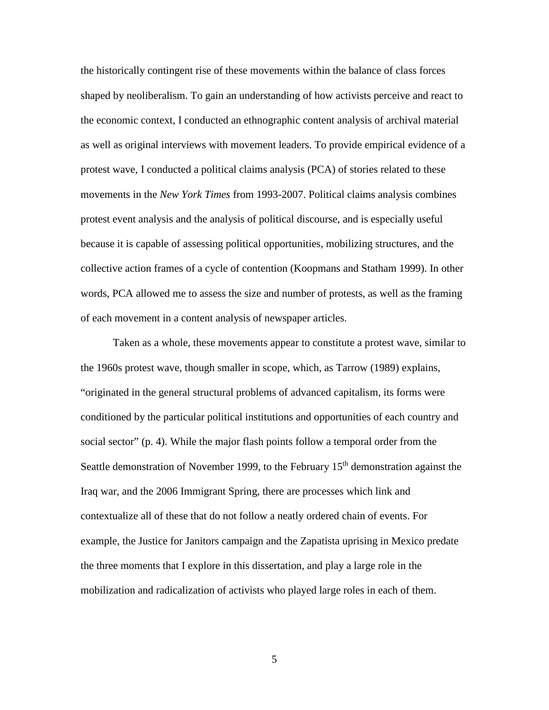the historically contingent rise of these movements within the balance of class forces shaped by neoliberalism. To gain an understanding of how activists perceive and react to the economic context, I conducted an ethnographic content analysis of archival material as well as original interviews with movement leaders. To provide empirical evidence of a protest wave, I conducted a political claims analysis (PCA) of stories related to these movements in the *New York Times* from 1993-2007. Political claims analysis combines protest event analysis and the analysis of political discourse, and is especially useful because it is capable of assessing political opportunities, mobilizing structures, and the collective action frames of a cycle of contention (Koopmans and Statham 1999). In other words, PCA allowed me to assess the size and number of protests, as well as the framing of each movement in a content analysis of newspaper articles.

Taken as a whole, these movements appear to constitute a protest wave, similar to the 1960s protest wave, though smaller in scope, which, as Tarrow (1989) explains, "originated in the general structural problems of advanced capitalism, its forms were conditioned by the particular political institutions and opportunities of each country and social sector" (p. 4). While the major flash points follow a temporal order from the Seattle demonstration of November 1999, to the February  $15<sup>th</sup>$  demonstration against the Iraq war, and the 2006 Immigrant Spring, there are processes which link and contextualize all of these that do not follow a neatly ordered chain of events. For example, the Justice for Janitors campaign and the Zapatista uprising in Mexico predate the three moments that I explore in this dissertation, and play a large role in the mobilization and radicalization of activists who played large roles in each of them.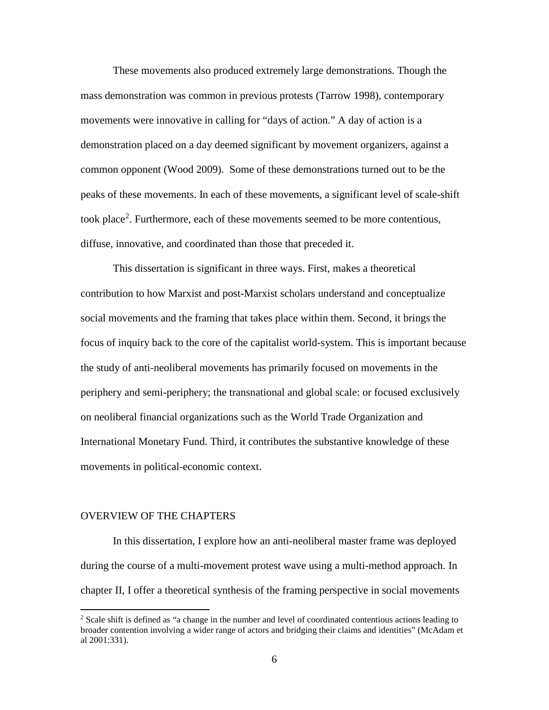These movements also produced extremely large demonstrations. Though the mass demonstration was common in previous protests (Tarrow 1998), contemporary movements were innovative in calling for "days of action." A day of action is a demonstration placed on a day deemed significant by movement organizers, against a common opponent (Wood 2009). Some of these demonstrations turned out to be the peaks of these movements. In each of these movements, a significant level of scale-shift took place<sup>[2](#page-22-0)</sup>. Furthermore, each of these movements seemed to be more contentious, diffuse, innovative, and coordinated than those that preceded it.

This dissertation is significant in three ways. First, makes a theoretical contribution to how Marxist and post-Marxist scholars understand and conceptualize social movements and the framing that takes place within them. Second, it brings the focus of inquiry back to the core of the capitalist world-system. This is important because the study of anti-neoliberal movements has primarily focused on movements in the periphery and semi-periphery; the transnational and global scale: or focused exclusively on neoliberal financial organizations such as the World Trade Organization and International Monetary Fund. Third, it contributes the substantive knowledge of these movements in political-economic context.

### OVERVIEW OF THE CHAPTERS

 $\overline{\phantom{a}}$ 

In this dissertation, I explore how an anti-neoliberal master frame was deployed during the course of a multi-movement protest wave using a multi-method approach. In chapter II, I offer a theoretical synthesis of the framing perspective in social movements

<span id="page-22-0"></span><sup>&</sup>lt;sup>2</sup> Scale shift is defined as "a change in the number and level of coordinated contentious actions leading to broader contention involving a wider range of actors and bridging their claims and identities" (McAdam et al 2001:331).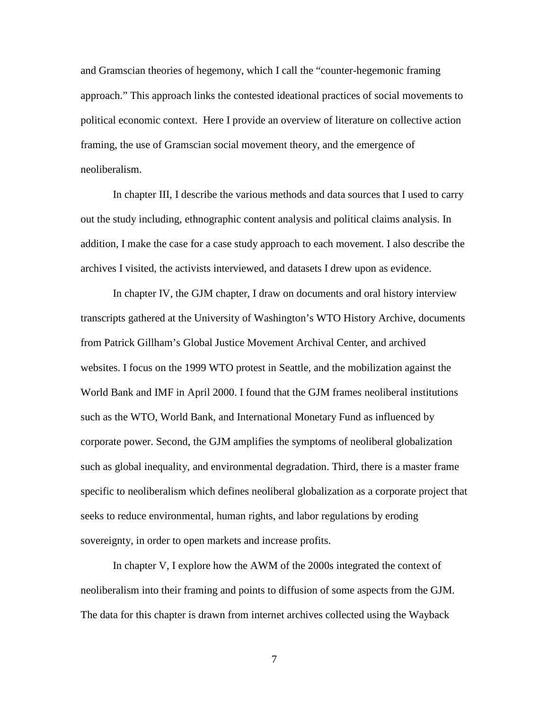and Gramscian theories of hegemony, which I call the "counter-hegemonic framing approach." This approach links the contested ideational practices of social movements to political economic context. Here I provide an overview of literature on collective action framing, the use of Gramscian social movement theory, and the emergence of neoliberalism.

In chapter III, I describe the various methods and data sources that I used to carry out the study including, ethnographic content analysis and political claims analysis. In addition, I make the case for a case study approach to each movement. I also describe the archives I visited, the activists interviewed, and datasets I drew upon as evidence.

In chapter IV, the GJM chapter, I draw on documents and oral history interview transcripts gathered at the University of Washington's WTO History Archive, documents from Patrick Gillham's Global Justice Movement Archival Center, and archived websites. I focus on the 1999 WTO protest in Seattle, and the mobilization against the World Bank and IMF in April 2000. I found that the GJM frames neoliberal institutions such as the WTO, World Bank, and International Monetary Fund as influenced by corporate power. Second, the GJM amplifies the symptoms of neoliberal globalization such as global inequality, and environmental degradation. Third, there is a master frame specific to neoliberalism which defines neoliberal globalization as a corporate project that seeks to reduce environmental, human rights, and labor regulations by eroding sovereignty, in order to open markets and increase profits.

In chapter V, I explore how the AWM of the 2000s integrated the context of neoliberalism into their framing and points to diffusion of some aspects from the GJM. The data for this chapter is drawn from internet archives collected using the Wayback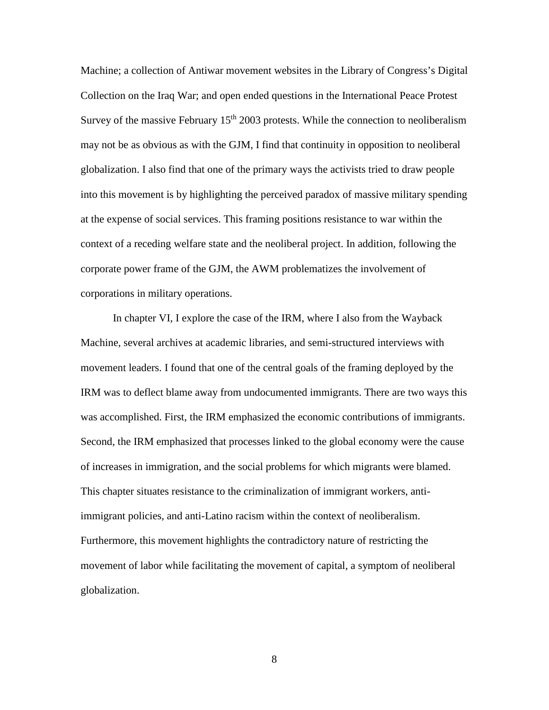Machine; a collection of Antiwar movement websites in the Library of Congress's Digital Collection on the Iraq War; and open ended questions in the International Peace Protest Survey of the massive February  $15<sup>th</sup> 2003$  protests. While the connection to neoliberalism may not be as obvious as with the GJM, I find that continuity in opposition to neoliberal globalization. I also find that one of the primary ways the activists tried to draw people into this movement is by highlighting the perceived paradox of massive military spending at the expense of social services. This framing positions resistance to war within the context of a receding welfare state and the neoliberal project. In addition, following the corporate power frame of the GJM, the AWM problematizes the involvement of corporations in military operations.

In chapter VI, I explore the case of the IRM, where I also from the Wayback Machine, several archives at academic libraries, and semi-structured interviews with movement leaders. I found that one of the central goals of the framing deployed by the IRM was to deflect blame away from undocumented immigrants. There are two ways this was accomplished. First, the IRM emphasized the economic contributions of immigrants. Second, the IRM emphasized that processes linked to the global economy were the cause of increases in immigration, and the social problems for which migrants were blamed. This chapter situates resistance to the criminalization of immigrant workers, antiimmigrant policies, and anti-Latino racism within the context of neoliberalism. Furthermore, this movement highlights the contradictory nature of restricting the movement of labor while facilitating the movement of capital, a symptom of neoliberal globalization.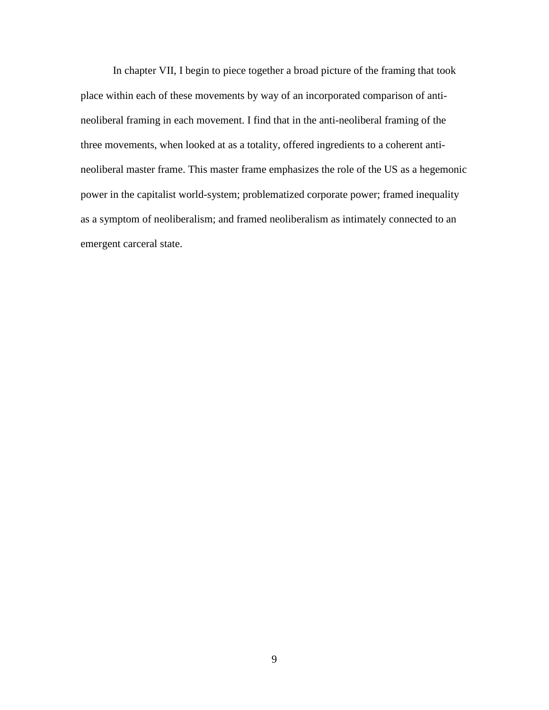In chapter VII, I begin to piece together a broad picture of the framing that took place within each of these movements by way of an incorporated comparison of antineoliberal framing in each movement. I find that in the anti-neoliberal framing of the three movements, when looked at as a totality, offered ingredients to a coherent antineoliberal master frame. This master frame emphasizes the role of the US as a hegemonic power in the capitalist world-system; problematized corporate power; framed inequality as a symptom of neoliberalism; and framed neoliberalism as intimately connected to an emergent carceral state.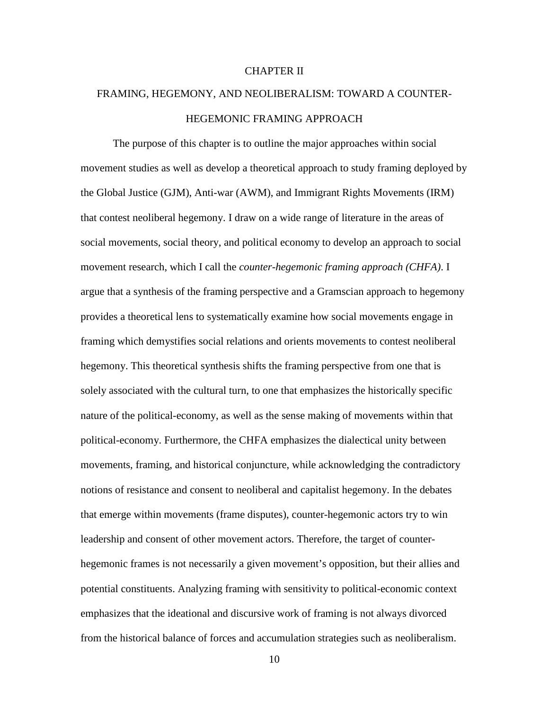## CHAPTER II

# FRAMING, HEGEMONY, AND NEOLIBERALISM: TOWARD A COUNTER-HEGEMONIC FRAMING APPROACH

The purpose of this chapter is to outline the major approaches within social movement studies as well as develop a theoretical approach to study framing deployed by the Global Justice (GJM), Anti-war (AWM), and Immigrant Rights Movements (IRM) that contest neoliberal hegemony. I draw on a wide range of literature in the areas of social movements, social theory, and political economy to develop an approach to social movement research, which I call the *counter-hegemonic framing approach (CHFA)*. I argue that a synthesis of the framing perspective and a Gramscian approach to hegemony provides a theoretical lens to systematically examine how social movements engage in framing which demystifies social relations and orients movements to contest neoliberal hegemony. This theoretical synthesis shifts the framing perspective from one that is solely associated with the cultural turn, to one that emphasizes the historically specific nature of the political-economy, as well as the sense making of movements within that political-economy. Furthermore, the CHFA emphasizes the dialectical unity between movements, framing, and historical conjuncture, while acknowledging the contradictory notions of resistance and consent to neoliberal and capitalist hegemony. In the debates that emerge within movements (frame disputes), counter-hegemonic actors try to win leadership and consent of other movement actors. Therefore, the target of counterhegemonic frames is not necessarily a given movement's opposition, but their allies and potential constituents. Analyzing framing with sensitivity to political-economic context emphasizes that the ideational and discursive work of framing is not always divorced from the historical balance of forces and accumulation strategies such as neoliberalism.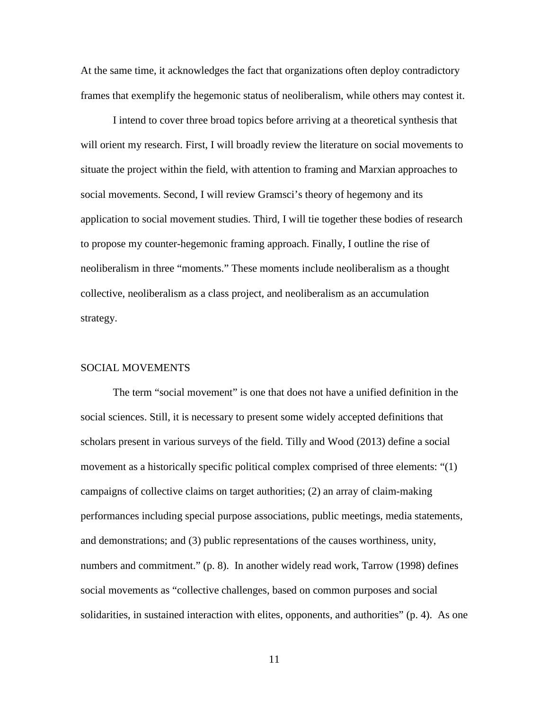At the same time, it acknowledges the fact that organizations often deploy contradictory frames that exemplify the hegemonic status of neoliberalism, while others may contest it.

I intend to cover three broad topics before arriving at a theoretical synthesis that will orient my research. First, I will broadly review the literature on social movements to situate the project within the field, with attention to framing and Marxian approaches to social movements. Second, I will review Gramsci's theory of hegemony and its application to social movement studies. Third, I will tie together these bodies of research to propose my counter-hegemonic framing approach. Finally, I outline the rise of neoliberalism in three "moments." These moments include neoliberalism as a thought collective, neoliberalism as a class project, and neoliberalism as an accumulation strategy.

## SOCIAL MOVEMENTS

The term "social movement" is one that does not have a unified definition in the social sciences. Still, it is necessary to present some widely accepted definitions that scholars present in various surveys of the field. Tilly and Wood (2013) define a social movement as a historically specific political complex comprised of three elements: "(1) campaigns of collective claims on target authorities; (2) an array of claim-making performances including special purpose associations, public meetings, media statements, and demonstrations; and (3) public representations of the causes worthiness, unity, numbers and commitment." (p. 8). In another widely read work, Tarrow (1998) defines social movements as "collective challenges, based on common purposes and social solidarities, in sustained interaction with elites, opponents, and authorities" (p. 4). As one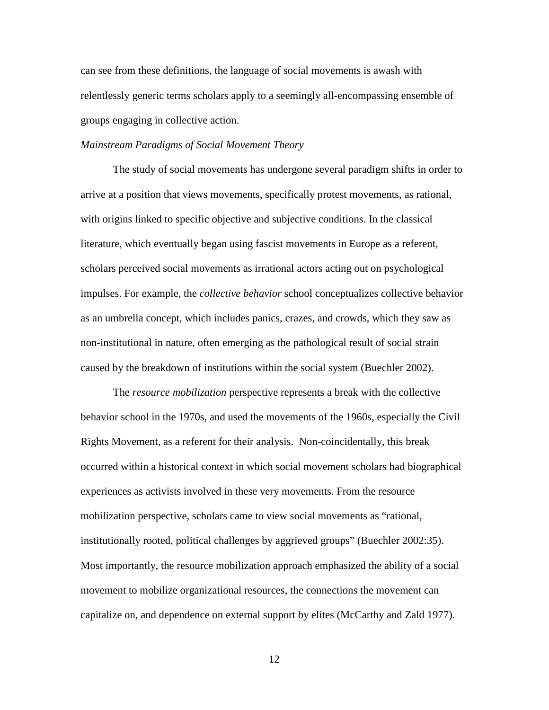can see from these definitions, the language of social movements is awash with relentlessly generic terms scholars apply to a seemingly all-encompassing ensemble of groups engaging in collective action.

## *Mainstream Paradigms of Social Movement Theory*

The study of social movements has undergone several paradigm shifts in order to arrive at a position that views movements, specifically protest movements, as rational, with origins linked to specific objective and subjective conditions. In the classical literature, which eventually began using fascist movements in Europe as a referent, scholars perceived social movements as irrational actors acting out on psychological impulses. For example, the *collective behavior* school conceptualizes collective behavior as an umbrella concept, which includes panics, crazes, and crowds, which they saw as non-institutional in nature, often emerging as the pathological result of social strain caused by the breakdown of institutions within the social system (Buechler 2002).

The *resource mobilization* perspective represents a break with the collective behavior school in the 1970s, and used the movements of the 1960s, especially the Civil Rights Movement, as a referent for their analysis. Non-coincidentally, this break occurred within a historical context in which social movement scholars had biographical experiences as activists involved in these very movements. From the resource mobilization perspective, scholars came to view social movements as "rational, institutionally rooted, political challenges by aggrieved groups" (Buechler 2002:35). Most importantly, the resource mobilization approach emphasized the ability of a social movement to mobilize organizational resources, the connections the movement can capitalize on, and dependence on external support by elites (McCarthy and Zald 1977).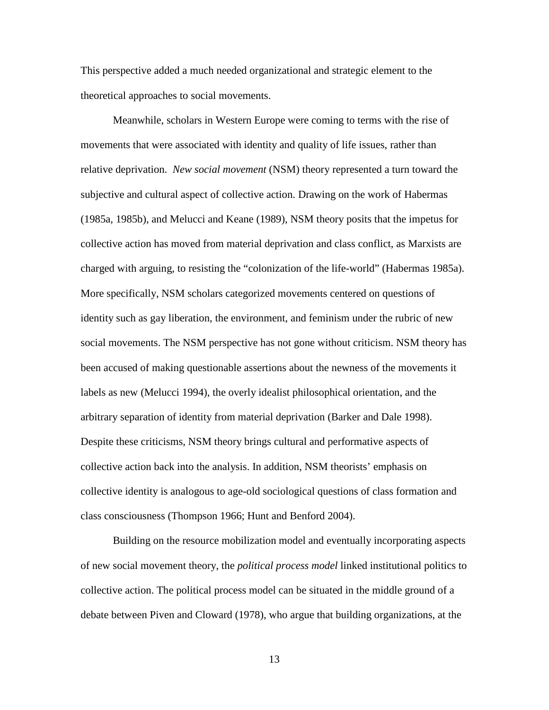This perspective added a much needed organizational and strategic element to the theoretical approaches to social movements.

Meanwhile, scholars in Western Europe were coming to terms with the rise of movements that were associated with identity and quality of life issues, rather than relative deprivation. *New social movement* (NSM) theory represented a turn toward the subjective and cultural aspect of collective action. Drawing on the work of Habermas (1985a, 1985b), and Melucci and Keane (1989), NSM theory posits that the impetus for collective action has moved from material deprivation and class conflict, as Marxists are charged with arguing, to resisting the "colonization of the life-world" (Habermas 1985a). More specifically, NSM scholars categorized movements centered on questions of identity such as gay liberation, the environment, and feminism under the rubric of new social movements. The NSM perspective has not gone without criticism. NSM theory has been accused of making questionable assertions about the newness of the movements it labels as new (Melucci 1994), the overly idealist philosophical orientation, and the arbitrary separation of identity from material deprivation (Barker and Dale 1998). Despite these criticisms, NSM theory brings cultural and performative aspects of collective action back into the analysis. In addition, NSM theorists' emphasis on collective identity is analogous to age-old sociological questions of class formation and class consciousness (Thompson 1966; Hunt and Benford 2004).

Building on the resource mobilization model and eventually incorporating aspects of new social movement theory, the *political process model* linked institutional politics to collective action. The political process model can be situated in the middle ground of a debate between Piven and Cloward (1978), who argue that building organizations, at the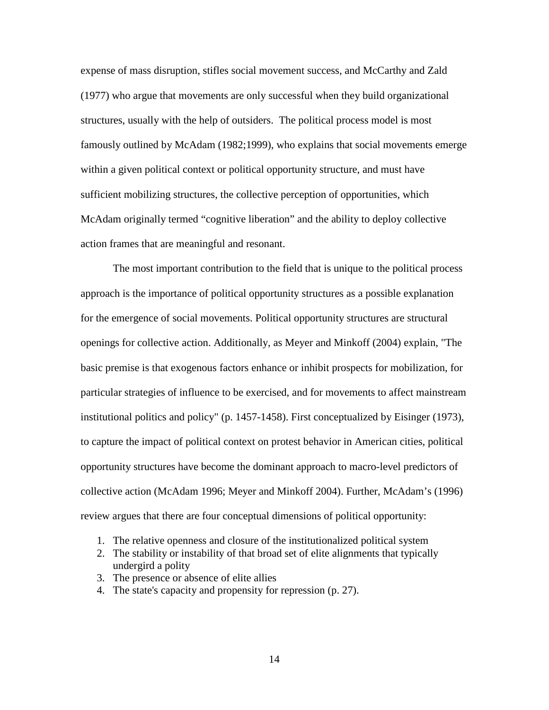expense of mass disruption, stifles social movement success, and McCarthy and Zald (1977) who argue that movements are only successful when they build organizational structures, usually with the help of outsiders. The political process model is most famously outlined by McAdam (1982;1999), who explains that social movements emerge within a given political context or political opportunity structure, and must have sufficient mobilizing structures, the collective perception of opportunities, which McAdam originally termed "cognitive liberation" and the ability to deploy collective action frames that are meaningful and resonant.

The most important contribution to the field that is unique to the political process approach is the importance of political opportunity structures as a possible explanation for the emergence of social movements. Political opportunity structures are structural openings for collective action. Additionally, as Meyer and Minkoff (2004) explain, "The basic premise is that exogenous factors enhance or inhibit prospects for mobilization, for particular strategies of influence to be exercised, and for movements to affect mainstream institutional politics and policy" (p. 1457-1458). First conceptualized by Eisinger (1973), to capture the impact of political context on protest behavior in American cities, political opportunity structures have become the dominant approach to macro-level predictors of collective action (McAdam 1996; Meyer and Minkoff 2004). Further, McAdam's (1996) review argues that there are four conceptual dimensions of political opportunity:

- 1. The relative openness and closure of the institutionalized political system
- 2. The stability or instability of that broad set of elite alignments that typically undergird a polity
- 3. The presence or absence of elite allies
- 4. The state's capacity and propensity for repression (p. 27).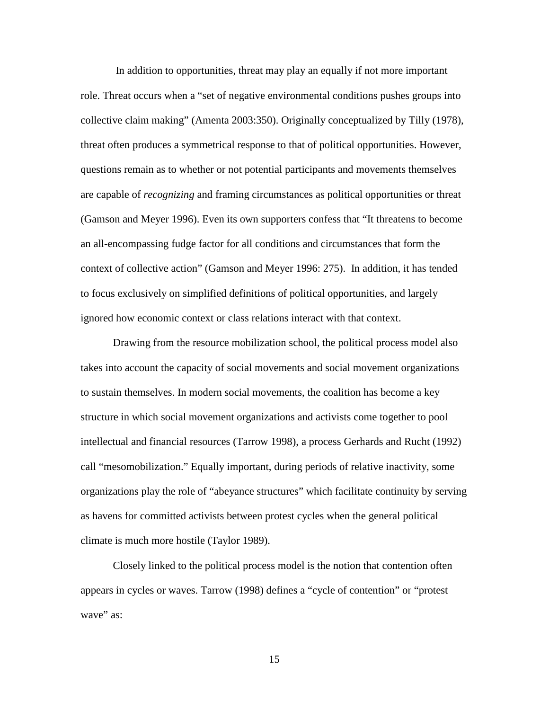In addition to opportunities, threat may play an equally if not more important role. Threat occurs when a "set of negative environmental conditions pushes groups into collective claim making" (Amenta 2003:350). Originally conceptualized by Tilly (1978), threat often produces a symmetrical response to that of political opportunities. However, questions remain as to whether or not potential participants and movements themselves are capable of *recognizing* and framing circumstances as political opportunities or threat (Gamson and Meyer 1996). Even its own supporters confess that "It threatens to become an all-encompassing fudge factor for all conditions and circumstances that form the context of collective action" (Gamson and Meyer 1996: 275). In addition, it has tended to focus exclusively on simplified definitions of political opportunities, and largely ignored how economic context or class relations interact with that context.

Drawing from the resource mobilization school, the political process model also takes into account the capacity of social movements and social movement organizations to sustain themselves. In modern social movements, the coalition has become a key structure in which social movement organizations and activists come together to pool intellectual and financial resources (Tarrow 1998), a process Gerhards and Rucht (1992) call "mesomobilization." Equally important, during periods of relative inactivity, some organizations play the role of "abeyance structures" which facilitate continuity by serving as havens for committed activists between protest cycles when the general political climate is much more hostile (Taylor 1989).

Closely linked to the political process model is the notion that contention often appears in cycles or waves. Tarrow (1998) defines a "cycle of contention" or "protest wave" as: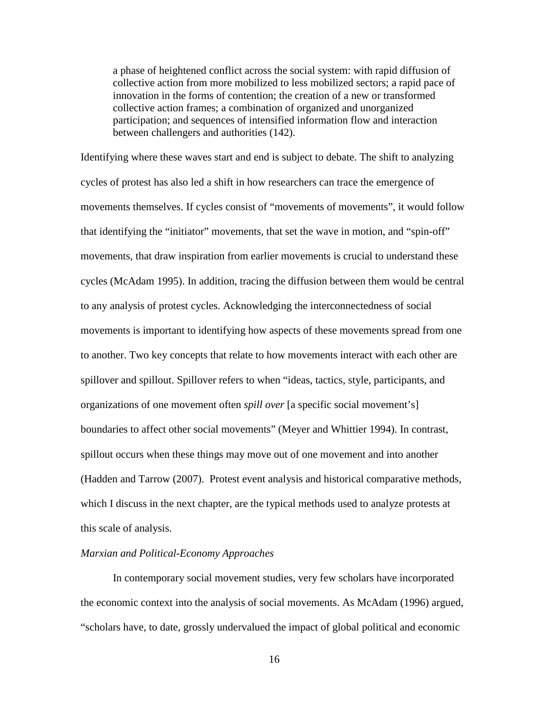a phase of heightened conflict across the social system: with rapid diffusion of collective action from more mobilized to less mobilized sectors; a rapid pace of innovation in the forms of contention; the creation of a new or transformed collective action frames; a combination of organized and unorganized participation; and sequences of intensified information flow and interaction between challengers and authorities (142).

Identifying where these waves start and end is subject to debate. The shift to analyzing cycles of protest has also led a shift in how researchers can trace the emergence of movements themselves. If cycles consist of "movements of movements", it would follow that identifying the "initiator" movements, that set the wave in motion, and "spin-off" movements, that draw inspiration from earlier movements is crucial to understand these cycles (McAdam 1995). In addition, tracing the diffusion between them would be central to any analysis of protest cycles. Acknowledging the interconnectedness of social movements is important to identifying how aspects of these movements spread from one to another. Two key concepts that relate to how movements interact with each other are spillover and spillout. Spillover refers to when "ideas, tactics, style, participants, and organizations of one movement often *spill over* [a specific social movement's] boundaries to affect other social movements" (Meyer and Whittier 1994). In contrast, spillout occurs when these things may move out of one movement and into another (Hadden and Tarrow (2007). Protest event analysis and historical comparative methods, which I discuss in the next chapter, are the typical methods used to analyze protests at this scale of analysis.

## *Marxian and Political-Economy Approaches*

In contemporary social movement studies, very few scholars have incorporated the economic context into the analysis of social movements. As McAdam (1996) argued, "scholars have, to date, grossly undervalued the impact of global political and economic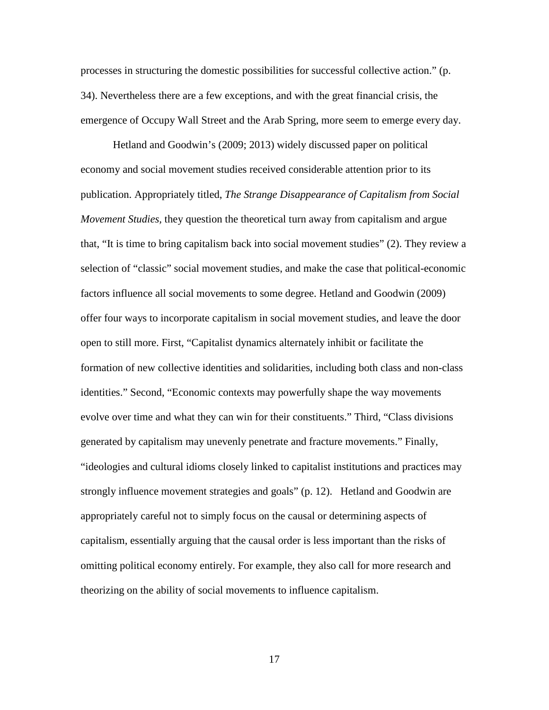processes in structuring the domestic possibilities for successful collective action." (p. 34). Nevertheless there are a few exceptions, and with the great financial crisis, the emergence of Occupy Wall Street and the Arab Spring, more seem to emerge every day.

Hetland and Goodwin's (2009; 2013) widely discussed paper on political economy and social movement studies received considerable attention prior to its publication. Appropriately titled, *The Strange Disappearance of Capitalism from Social Movement Studies,* they question the theoretical turn away from capitalism and argue that, "It is time to bring capitalism back into social movement studies" (2). They review a selection of "classic" social movement studies, and make the case that political-economic factors influence all social movements to some degree. Hetland and Goodwin (2009) offer four ways to incorporate capitalism in social movement studies, and leave the door open to still more. First, "Capitalist dynamics alternately inhibit or facilitate the formation of new collective identities and solidarities, including both class and non-class identities." Second, "Economic contexts may powerfully shape the way movements evolve over time and what they can win for their constituents." Third, "Class divisions generated by capitalism may unevenly penetrate and fracture movements." Finally, "ideologies and cultural idioms closely linked to capitalist institutions and practices may strongly influence movement strategies and goals" (p. 12). Hetland and Goodwin are appropriately careful not to simply focus on the causal or determining aspects of capitalism, essentially arguing that the causal order is less important than the risks of omitting political economy entirely. For example, they also call for more research and theorizing on the ability of social movements to influence capitalism.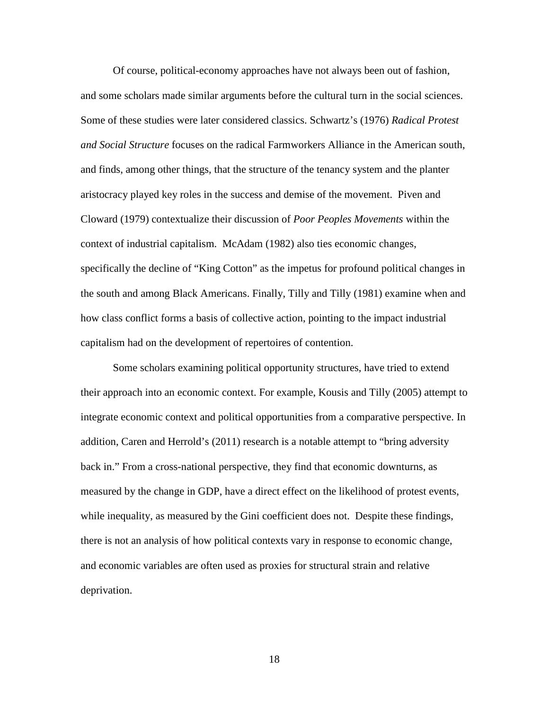Of course, political-economy approaches have not always been out of fashion, and some scholars made similar arguments before the cultural turn in the social sciences. Some of these studies were later considered classics. Schwartz's (1976) *Radical Protest and Social Structure* focuses on the radical Farmworkers Alliance in the American south, and finds, among other things, that the structure of the tenancy system and the planter aristocracy played key roles in the success and demise of the movement. Piven and Cloward (1979) contextualize their discussion of *Poor Peoples Movements* within the context of industrial capitalism. McAdam (1982) also ties economic changes, specifically the decline of "King Cotton" as the impetus for profound political changes in the south and among Black Americans. Finally, Tilly and Tilly (1981) examine when and how class conflict forms a basis of collective action, pointing to the impact industrial capitalism had on the development of repertoires of contention.

Some scholars examining political opportunity structures, have tried to extend their approach into an economic context. For example, Kousis and Tilly (2005) attempt to integrate economic context and political opportunities from a comparative perspective. In addition, Caren and Herrold's (2011) research is a notable attempt to "bring adversity back in." From a cross-national perspective, they find that economic downturns, as measured by the change in GDP, have a direct effect on the likelihood of protest events, while inequality, as measured by the Gini coefficient does not. Despite these findings, there is not an analysis of how political contexts vary in response to economic change, and economic variables are often used as proxies for structural strain and relative deprivation.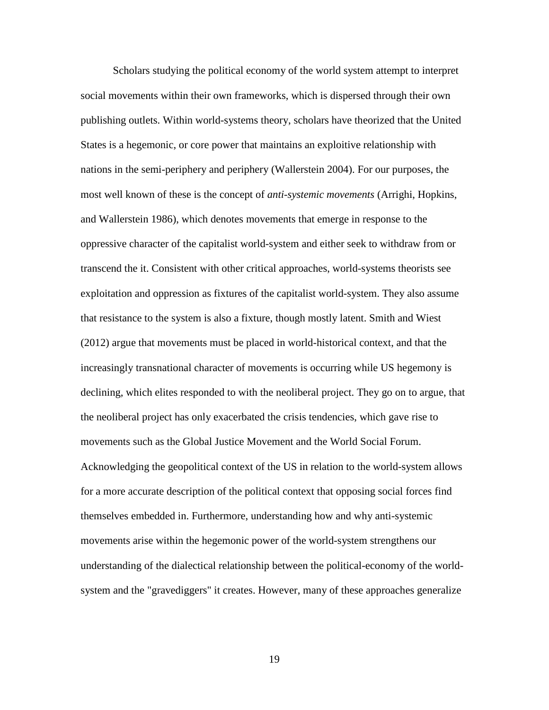Scholars studying the political economy of the world system attempt to interpret social movements within their own frameworks, which is dispersed through their own publishing outlets. Within world-systems theory, scholars have theorized that the United States is a hegemonic, or core power that maintains an exploitive relationship with nations in the semi-periphery and periphery (Wallerstein 2004). For our purposes, the most well known of these is the concept of *anti-systemic movements* (Arrighi, Hopkins, and Wallerstein 1986), which denotes movements that emerge in response to the oppressive character of the capitalist world-system and either seek to withdraw from or transcend the it. Consistent with other critical approaches, world-systems theorists see exploitation and oppression as fixtures of the capitalist world-system. They also assume that resistance to the system is also a fixture, though mostly latent. Smith and Wiest (2012) argue that movements must be placed in world-historical context, and that the increasingly transnational character of movements is occurring while US hegemony is declining, which elites responded to with the neoliberal project. They go on to argue, that the neoliberal project has only exacerbated the crisis tendencies, which gave rise to movements such as the Global Justice Movement and the World Social Forum. Acknowledging the geopolitical context of the US in relation to the world-system allows for a more accurate description of the political context that opposing social forces find themselves embedded in. Furthermore, understanding how and why anti-systemic movements arise within the hegemonic power of the world-system strengthens our understanding of the dialectical relationship between the political-economy of the worldsystem and the "gravediggers" it creates. However, many of these approaches generalize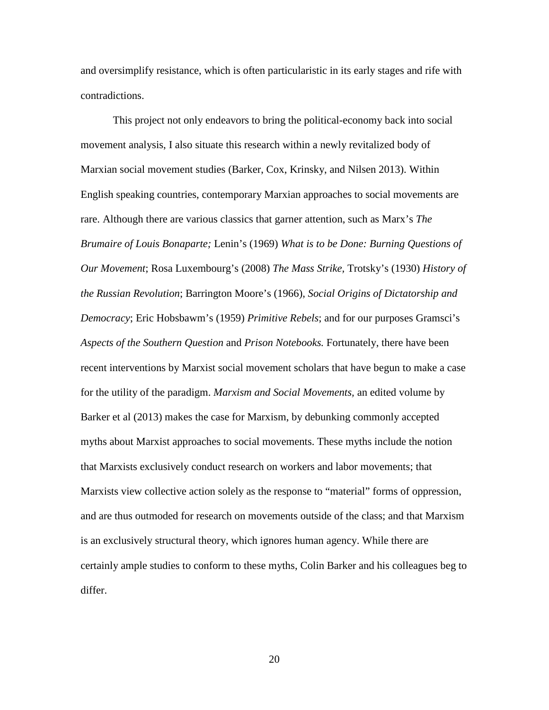and oversimplify resistance, which is often particularistic in its early stages and rife with contradictions.

This project not only endeavors to bring the political-economy back into social movement analysis, I also situate this research within a newly revitalized body of Marxian social movement studies (Barker, Cox, Krinsky, and Nilsen 2013). Within English speaking countries, contemporary Marxian approaches to social movements are rare. Although there are various classics that garner attention, such as Marx's *The Brumaire of Louis Bonaparte;* Lenin's (1969) *What is to be Done: Burning Questions of Our Movement*; Rosa Luxembourg's (2008) *The Mass Strike,* Trotsky's (1930) *History of the Russian Revolution*; Barrington Moore's (1966), *Social Origins of Dictatorship and Democracy*; Eric Hobsbawm's (1959) *Primitive Rebels*; and for our purposes Gramsci's *Aspects of the Southern Question* and *Prison Notebooks.* Fortunately, there have been recent interventions by Marxist social movement scholars that have begun to make a case for the utility of the paradigm. *Marxism and Social Movements,* an edited volume by Barker et al (2013) makes the case for Marxism, by debunking commonly accepted myths about Marxist approaches to social movements. These myths include the notion that Marxists exclusively conduct research on workers and labor movements; that Marxists view collective action solely as the response to "material" forms of oppression, and are thus outmoded for research on movements outside of the class; and that Marxism is an exclusively structural theory, which ignores human agency. While there are certainly ample studies to conform to these myths, Colin Barker and his colleagues beg to differ.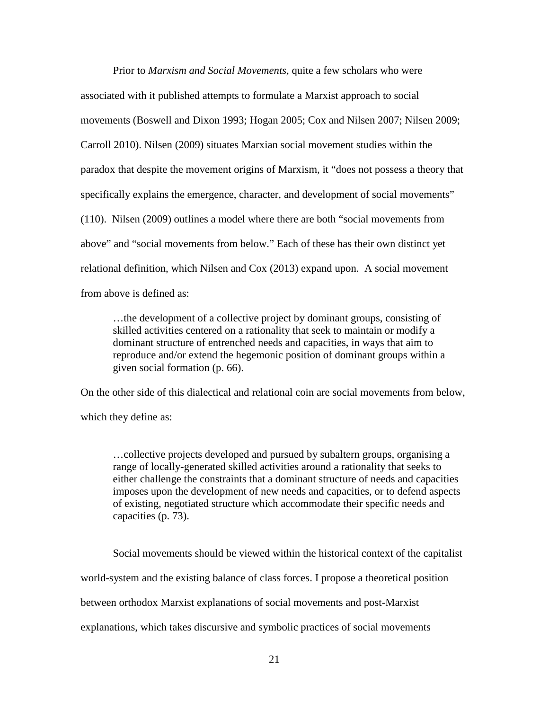Prior to *Marxism and Social Movements,* quite a few scholars who were associated with it published attempts to formulate a Marxist approach to social movements (Boswell and Dixon 1993; Hogan 2005; Cox and Nilsen 2007; Nilsen 2009; Carroll 2010). Nilsen (2009) situates Marxian social movement studies within the paradox that despite the movement origins of Marxism, it "does not possess a theory that specifically explains the emergence, character, and development of social movements" (110). Nilsen (2009) outlines a model where there are both "social movements from above" and "social movements from below." Each of these has their own distinct yet relational definition, which Nilsen and Cox (2013) expand upon. A social movement from above is defined as:

…the development of a collective project by dominant groups, consisting of skilled activities centered on a rationality that seek to maintain or modify a dominant structure of entrenched needs and capacities, in ways that aim to reproduce and/or extend the hegemonic position of dominant groups within a given social formation (p. 66).

On the other side of this dialectical and relational coin are social movements from below, which they define as:

…collective projects developed and pursued by subaltern groups, organising a range of locally-generated skilled activities around a rationality that seeks to either challenge the constraints that a dominant structure of needs and capacities imposes upon the development of new needs and capacities, or to defend aspects of existing, negotiated structure which accommodate their specific needs and capacities (p. 73).

Social movements should be viewed within the historical context of the capitalist world-system and the existing balance of class forces. I propose a theoretical position between orthodox Marxist explanations of social movements and post-Marxist explanations, which takes discursive and symbolic practices of social movements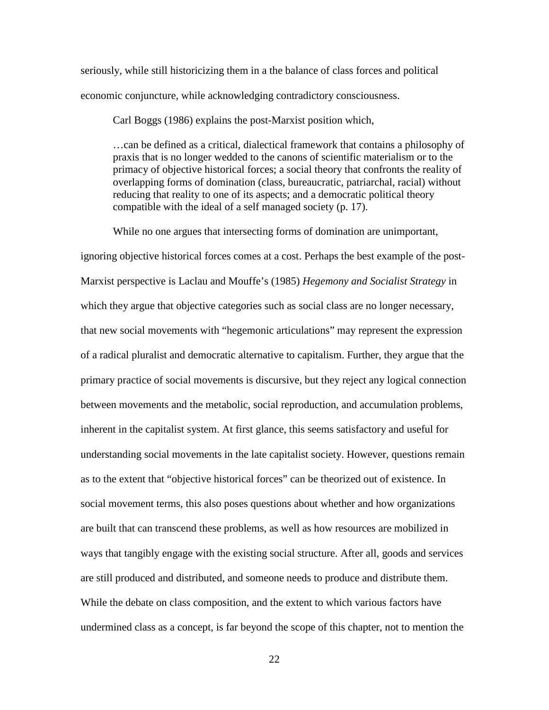seriously, while still historicizing them in a the balance of class forces and political economic conjuncture, while acknowledging contradictory consciousness.

Carl Boggs (1986) explains the post-Marxist position which,

…can be defined as a critical, dialectical framework that contains a philosophy of praxis that is no longer wedded to the canons of scientific materialism or to the primacy of objective historical forces; a social theory that confronts the reality of overlapping forms of domination (class, bureaucratic, patriarchal, racial) without reducing that reality to one of its aspects; and a democratic political theory compatible with the ideal of a self managed society (p. 17).

While no one argues that intersecting forms of domination are unimportant,

ignoring objective historical forces comes at a cost. Perhaps the best example of the post-Marxist perspective is Laclau and Mouffe's (1985) *Hegemony and Socialist Strategy* in which they argue that objective categories such as social class are no longer necessary, that new social movements with "hegemonic articulations" may represent the expression of a radical pluralist and democratic alternative to capitalism. Further, they argue that the primary practice of social movements is discursive, but they reject any logical connection between movements and the metabolic, social reproduction, and accumulation problems, inherent in the capitalist system. At first glance, this seems satisfactory and useful for understanding social movements in the late capitalist society. However, questions remain as to the extent that "objective historical forces" can be theorized out of existence. In social movement terms, this also poses questions about whether and how organizations are built that can transcend these problems, as well as how resources are mobilized in ways that tangibly engage with the existing social structure. After all, goods and services are still produced and distributed, and someone needs to produce and distribute them. While the debate on class composition, and the extent to which various factors have undermined class as a concept, is far beyond the scope of this chapter, not to mention the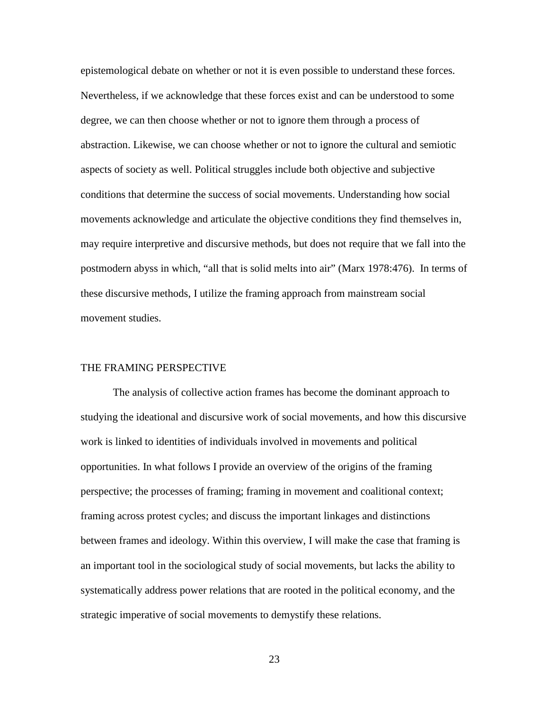epistemological debate on whether or not it is even possible to understand these forces. Nevertheless, if we acknowledge that these forces exist and can be understood to some degree, we can then choose whether or not to ignore them through a process of abstraction. Likewise, we can choose whether or not to ignore the cultural and semiotic aspects of society as well. Political struggles include both objective and subjective conditions that determine the success of social movements. Understanding how social movements acknowledge and articulate the objective conditions they find themselves in, may require interpretive and discursive methods, but does not require that we fall into the postmodern abyss in which, "all that is solid melts into air" (Marx 1978:476). In terms of these discursive methods, I utilize the framing approach from mainstream social movement studies.

### THE FRAMING PERSPECTIVE

The analysis of collective action frames has become the dominant approach to studying the ideational and discursive work of social movements, and how this discursive work is linked to identities of individuals involved in movements and political opportunities. In what follows I provide an overview of the origins of the framing perspective; the processes of framing; framing in movement and coalitional context; framing across protest cycles; and discuss the important linkages and distinctions between frames and ideology. Within this overview, I will make the case that framing is an important tool in the sociological study of social movements, but lacks the ability to systematically address power relations that are rooted in the political economy, and the strategic imperative of social movements to demystify these relations.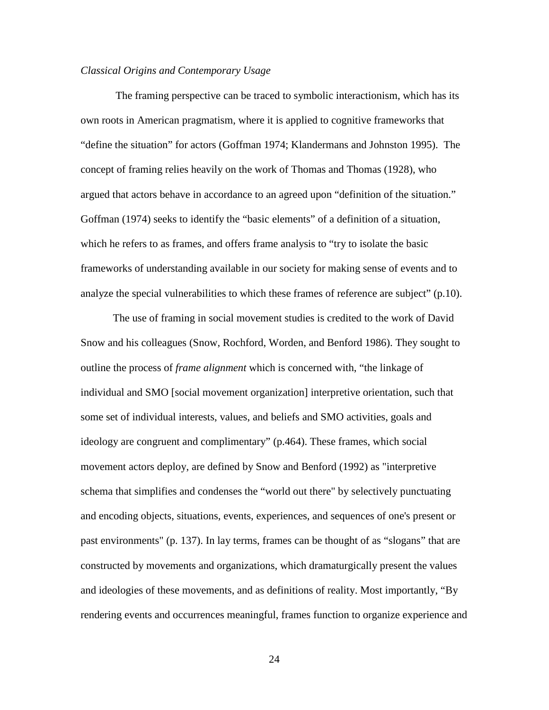#### *Classical Origins and Contemporary Usage*

The framing perspective can be traced to symbolic interactionism, which has its own roots in American pragmatism, where it is applied to cognitive frameworks that "define the situation" for actors (Goffman 1974; Klandermans and Johnston 1995). The concept of framing relies heavily on the work of Thomas and Thomas (1928), who argued that actors behave in accordance to an agreed upon "definition of the situation." Goffman (1974) seeks to identify the "basic elements" of a definition of a situation, which he refers to as frames, and offers frame analysis to "try to isolate the basic frameworks of understanding available in our society for making sense of events and to analyze the special vulnerabilities to which these frames of reference are subject" (p.10).

The use of framing in social movement studies is credited to the work of David Snow and his colleagues (Snow, Rochford, Worden, and Benford 1986). They sought to outline the process of *frame alignment* which is concerned with, "the linkage of individual and SMO [social movement organization] interpretive orientation, such that some set of individual interests, values, and beliefs and SMO activities, goals and ideology are congruent and complimentary" (p.464). These frames, which social movement actors deploy, are defined by Snow and Benford (1992) as "interpretive schema that simplifies and condenses the "world out there" by selectively punctuating and encoding objects, situations, events, experiences, and sequences of one's present or past environments" (p. 137). In lay terms, frames can be thought of as "slogans" that are constructed by movements and organizations, which dramaturgically present the values and ideologies of these movements, and as definitions of reality. Most importantly, "By rendering events and occurrences meaningful, frames function to organize experience and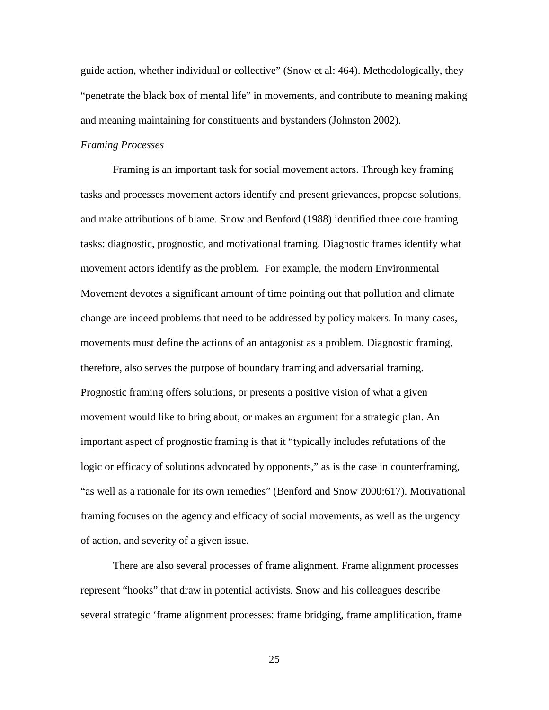guide action, whether individual or collective" (Snow et al: 464). Methodologically, they "penetrate the black box of mental life" in movements, and contribute to meaning making and meaning maintaining for constituents and bystanders (Johnston 2002).

# *Framing Processes*

Framing is an important task for social movement actors. Through key framing tasks and processes movement actors identify and present grievances, propose solutions, and make attributions of blame. Snow and Benford (1988) identified three core framing tasks: diagnostic, prognostic, and motivational framing. Diagnostic frames identify what movement actors identify as the problem. For example, the modern Environmental Movement devotes a significant amount of time pointing out that pollution and climate change are indeed problems that need to be addressed by policy makers. In many cases, movements must define the actions of an antagonist as a problem. Diagnostic framing, therefore, also serves the purpose of boundary framing and adversarial framing. Prognostic framing offers solutions, or presents a positive vision of what a given movement would like to bring about, or makes an argument for a strategic plan. An important aspect of prognostic framing is that it "typically includes refutations of the logic or efficacy of solutions advocated by opponents," as is the case in counterframing, "as well as a rationale for its own remedies" (Benford and Snow 2000:617). Motivational framing focuses on the agency and efficacy of social movements, as well as the urgency of action, and severity of a given issue.

There are also several processes of frame alignment. Frame alignment processes represent "hooks" that draw in potential activists. Snow and his colleagues describe several strategic 'frame alignment processes: frame bridging, frame amplification, frame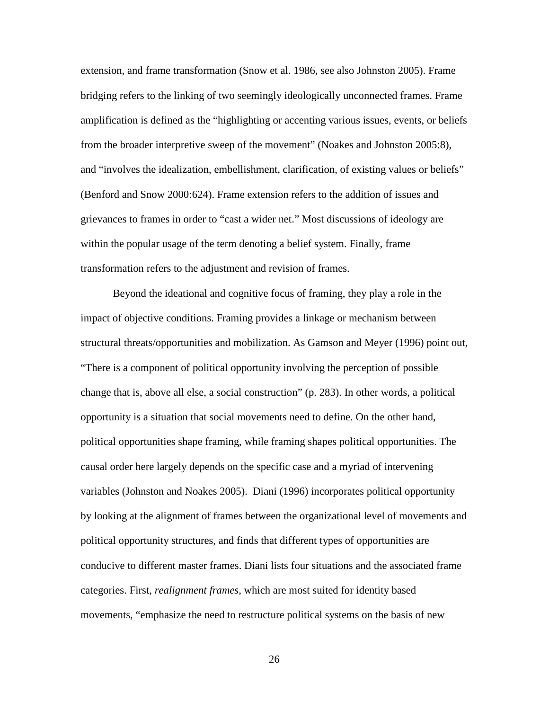extension, and frame transformation (Snow et al. 1986, see also Johnston 2005). Frame bridging refers to the linking of two seemingly ideologically unconnected frames. Frame amplification is defined as the "highlighting or accenting various issues, events, or beliefs from the broader interpretive sweep of the movement" (Noakes and Johnston 2005:8), and "involves the idealization, embellishment, clarification, of existing values or beliefs" (Benford and Snow 2000:624). Frame extension refers to the addition of issues and grievances to frames in order to "cast a wider net." Most discussions of ideology are within the popular usage of the term denoting a belief system. Finally, frame transformation refers to the adjustment and revision of frames.

Beyond the ideational and cognitive focus of framing, they play a role in the impact of objective conditions. Framing provides a linkage or mechanism between structural threats/opportunities and mobilization. As Gamson and Meyer (1996) point out, "There is a component of political opportunity involving the perception of possible change that is, above all else, a social construction" (p. 283). In other words, a political opportunity is a situation that social movements need to define. On the other hand, political opportunities shape framing, while framing shapes political opportunities. The causal order here largely depends on the specific case and a myriad of intervening variables (Johnston and Noakes 2005). Diani (1996) incorporates political opportunity by looking at the alignment of frames between the organizational level of movements and political opportunity structures, and finds that different types of opportunities are conducive to different master frames. Diani lists four situations and the associated frame categories. First, *realignment frames,* which are most suited for identity based movements, "emphasize the need to restructure political systems on the basis of new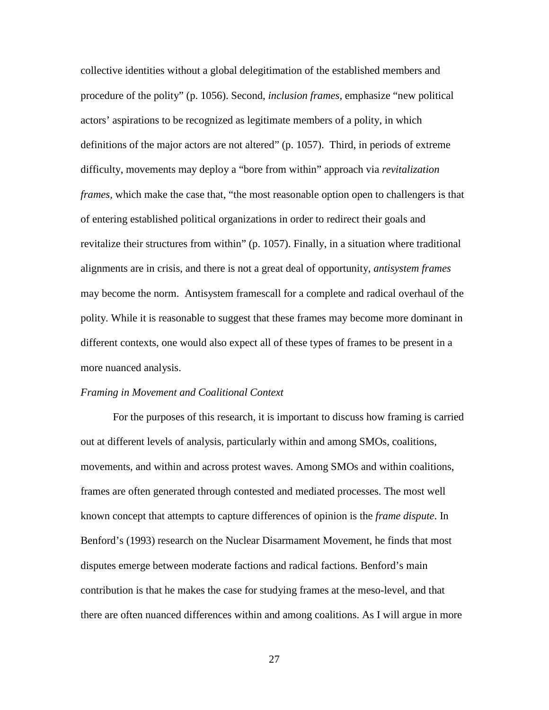collective identities without a global delegitimation of the established members and procedure of the polity" (p. 1056). Second, *inclusion frames,* emphasize "new political actors' aspirations to be recognized as legitimate members of a polity, in which definitions of the major actors are not altered" (p. 1057). Third, in periods of extreme difficulty, movements may deploy a "bore from within" approach via *revitalization frames,* which make the case that, "the most reasonable option open to challengers is that of entering established political organizations in order to redirect their goals and revitalize their structures from within" (p. 1057). Finally, in a situation where traditional alignments are in crisis, and there is not a great deal of opportunity, *antisystem frames* may become the norm. Antisystem framescall for a complete and radical overhaul of the polity. While it is reasonable to suggest that these frames may become more dominant in different contexts, one would also expect all of these types of frames to be present in a more nuanced analysis.

#### *Framing in Movement and Coalitional Context*

For the purposes of this research, it is important to discuss how framing is carried out at different levels of analysis, particularly within and among SMOs, coalitions, movements, and within and across protest waves. Among SMOs and within coalitions, frames are often generated through contested and mediated processes. The most well known concept that attempts to capture differences of opinion is the *frame dispute*. In Benford's (1993) research on the Nuclear Disarmament Movement, he finds that most disputes emerge between moderate factions and radical factions. Benford's main contribution is that he makes the case for studying frames at the meso-level, and that there are often nuanced differences within and among coalitions. As I will argue in more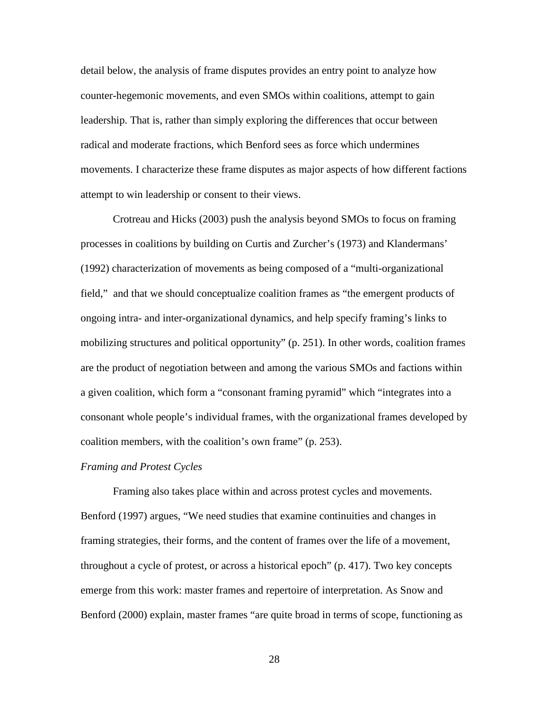detail below, the analysis of frame disputes provides an entry point to analyze how counter-hegemonic movements, and even SMOs within coalitions, attempt to gain leadership. That is, rather than simply exploring the differences that occur between radical and moderate fractions, which Benford sees as force which undermines movements. I characterize these frame disputes as major aspects of how different factions attempt to win leadership or consent to their views.

Crotreau and Hicks (2003) push the analysis beyond SMOs to focus on framing processes in coalitions by building on Curtis and Zurcher's (1973) and Klandermans' (1992) characterization of movements as being composed of a "multi-organizational field," and that we should conceptualize coalition frames as "the emergent products of ongoing intra- and inter-organizational dynamics, and help specify framing's links to mobilizing structures and political opportunity" (p. 251). In other words, coalition frames are the product of negotiation between and among the various SMOs and factions within a given coalition, which form a "consonant framing pyramid" which "integrates into a consonant whole people's individual frames, with the organizational frames developed by coalition members, with the coalition's own frame" (p. 253).

### *Framing and Protest Cycles*

Framing also takes place within and across protest cycles and movements. Benford (1997) argues, "We need studies that examine continuities and changes in framing strategies, their forms, and the content of frames over the life of a movement, throughout a cycle of protest, or across a historical epoch" (p. 417). Two key concepts emerge from this work: master frames and repertoire of interpretation. As Snow and Benford (2000) explain, master frames "are quite broad in terms of scope, functioning as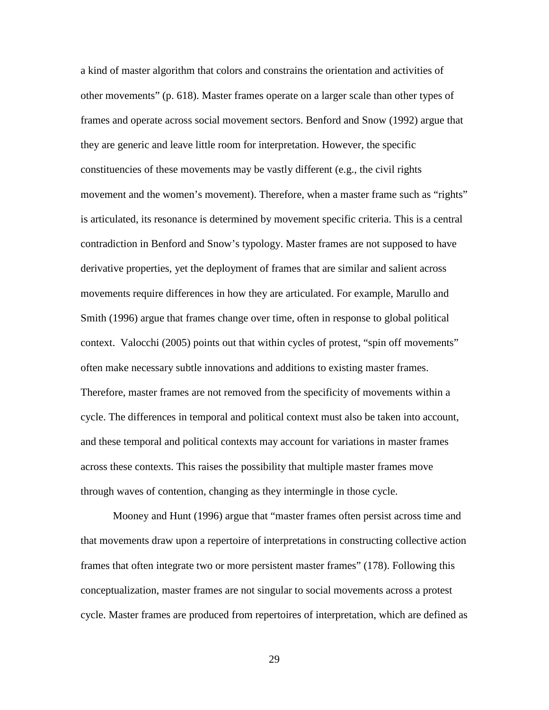a kind of master algorithm that colors and constrains the orientation and activities of other movements" (p. 618). Master frames operate on a larger scale than other types of frames and operate across social movement sectors. Benford and Snow (1992) argue that they are generic and leave little room for interpretation. However, the specific constituencies of these movements may be vastly different (e.g., the civil rights movement and the women's movement). Therefore, when a master frame such as "rights" is articulated, its resonance is determined by movement specific criteria. This is a central contradiction in Benford and Snow's typology. Master frames are not supposed to have derivative properties, yet the deployment of frames that are similar and salient across movements require differences in how they are articulated. For example, Marullo and Smith (1996) argue that frames change over time, often in response to global political context. Valocchi (2005) points out that within cycles of protest, "spin off movements" often make necessary subtle innovations and additions to existing master frames. Therefore, master frames are not removed from the specificity of movements within a cycle. The differences in temporal and political context must also be taken into account, and these temporal and political contexts may account for variations in master frames across these contexts. This raises the possibility that multiple master frames move through waves of contention, changing as they intermingle in those cycle.

Mooney and Hunt (1996) argue that "master frames often persist across time and that movements draw upon a repertoire of interpretations in constructing collective action frames that often integrate two or more persistent master frames" (178). Following this conceptualization, master frames are not singular to social movements across a protest cycle. Master frames are produced from repertoires of interpretation, which are defined as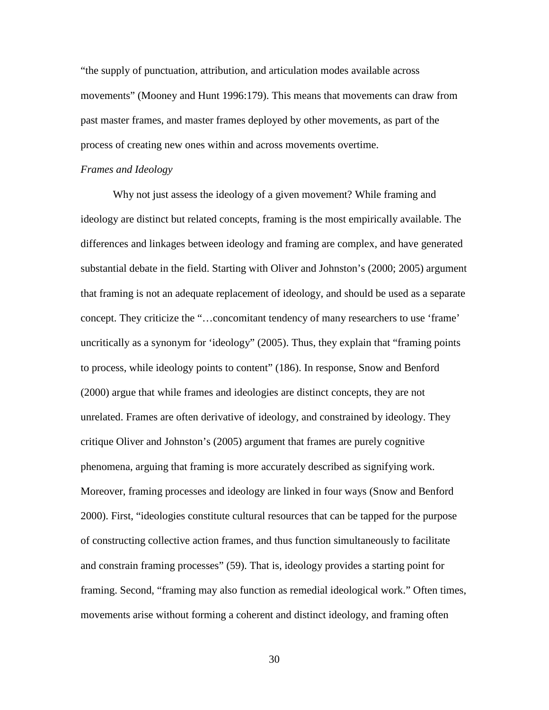"the supply of punctuation, attribution, and articulation modes available across movements" (Mooney and Hunt 1996:179). This means that movements can draw from past master frames, and master frames deployed by other movements, as part of the process of creating new ones within and across movements overtime.

### *Frames and Ideology*

Why not just assess the ideology of a given movement? While framing and ideology are distinct but related concepts, framing is the most empirically available. The differences and linkages between ideology and framing are complex, and have generated substantial debate in the field. Starting with Oliver and Johnston's (2000; 2005) argument that framing is not an adequate replacement of ideology, and should be used as a separate concept. They criticize the "…concomitant tendency of many researchers to use 'frame' uncritically as a synonym for 'ideology" (2005). Thus, they explain that "framing points to process, while ideology points to content" (186). In response, Snow and Benford (2000) argue that while frames and ideologies are distinct concepts, they are not unrelated. Frames are often derivative of ideology, and constrained by ideology. They critique Oliver and Johnston's (2005) argument that frames are purely cognitive phenomena, arguing that framing is more accurately described as signifying work. Moreover, framing processes and ideology are linked in four ways (Snow and Benford 2000). First, "ideologies constitute cultural resources that can be tapped for the purpose of constructing collective action frames, and thus function simultaneously to facilitate and constrain framing processes" (59). That is, ideology provides a starting point for framing. Second, "framing may also function as remedial ideological work." Often times, movements arise without forming a coherent and distinct ideology, and framing often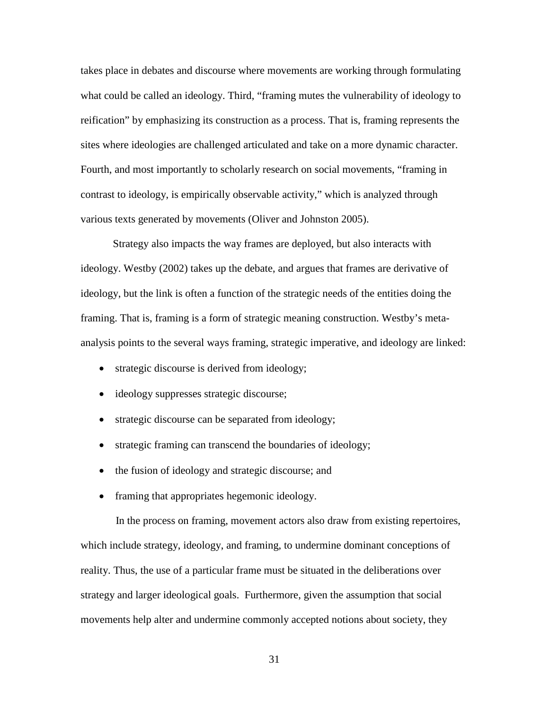takes place in debates and discourse where movements are working through formulating what could be called an ideology. Third, "framing mutes the vulnerability of ideology to reification" by emphasizing its construction as a process. That is, framing represents the sites where ideologies are challenged articulated and take on a more dynamic character. Fourth, and most importantly to scholarly research on social movements, "framing in contrast to ideology, is empirically observable activity," which is analyzed through various texts generated by movements (Oliver and Johnston 2005).

Strategy also impacts the way frames are deployed, but also interacts with ideology. Westby (2002) takes up the debate, and argues that frames are derivative of ideology, but the link is often a function of the strategic needs of the entities doing the framing. That is, framing is a form of strategic meaning construction. Westby's metaanalysis points to the several ways framing, strategic imperative, and ideology are linked:

- strategic discourse is derived from ideology;
- ideology suppresses strategic discourse;
- strategic discourse can be separated from ideology;
- strategic framing can transcend the boundaries of ideology;
- the fusion of ideology and strategic discourse; and
- framing that appropriates hegemonic ideology.

In the process on framing, movement actors also draw from existing repertoires, which include strategy, ideology, and framing, to undermine dominant conceptions of reality. Thus, the use of a particular frame must be situated in the deliberations over strategy and larger ideological goals. Furthermore, given the assumption that social movements help alter and undermine commonly accepted notions about society, they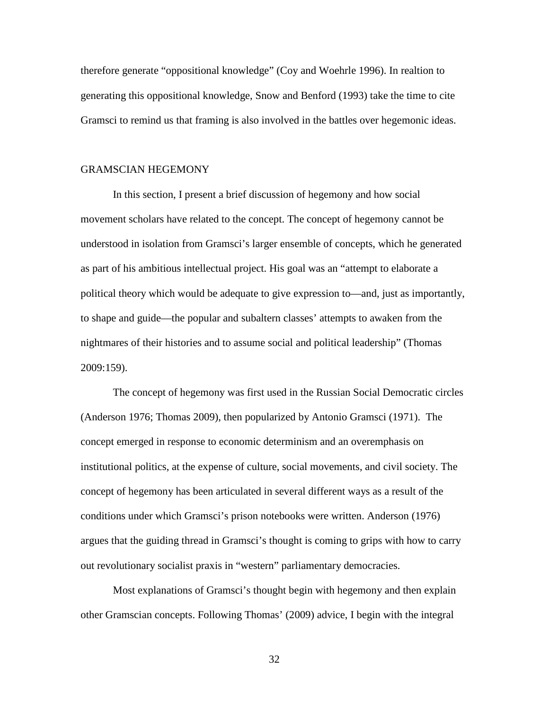therefore generate "oppositional knowledge" (Coy and Woehrle 1996). In realtion to generating this oppositional knowledge, Snow and Benford (1993) take the time to cite Gramsci to remind us that framing is also involved in the battles over hegemonic ideas.

### GRAMSCIAN HEGEMONY

In this section, I present a brief discussion of hegemony and how social movement scholars have related to the concept. The concept of hegemony cannot be understood in isolation from Gramsci's larger ensemble of concepts, which he generated as part of his ambitious intellectual project. His goal was an "attempt to elaborate a political theory which would be adequate to give expression to—and, just as importantly, to shape and guide—the popular and subaltern classes' attempts to awaken from the nightmares of their histories and to assume social and political leadership" (Thomas 2009:159).

The concept of hegemony was first used in the Russian Social Democratic circles (Anderson 1976; Thomas 2009), then popularized by Antonio Gramsci (1971). The concept emerged in response to economic determinism and an overemphasis on institutional politics, at the expense of culture, social movements, and civil society. The concept of hegemony has been articulated in several different ways as a result of the conditions under which Gramsci's prison notebooks were written. Anderson (1976) argues that the guiding thread in Gramsci's thought is coming to grips with how to carry out revolutionary socialist praxis in "western" parliamentary democracies.

Most explanations of Gramsci's thought begin with hegemony and then explain other Gramscian concepts. Following Thomas' (2009) advice, I begin with the integral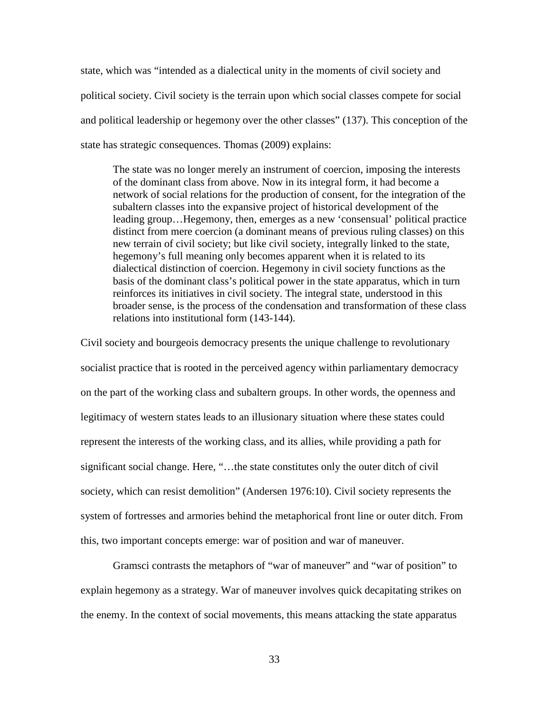state, which was "intended as a dialectical unity in the moments of civil society and political society. Civil society is the terrain upon which social classes compete for social and political leadership or hegemony over the other classes" (137). This conception of the state has strategic consequences. Thomas (2009) explains:

The state was no longer merely an instrument of coercion, imposing the interests of the dominant class from above. Now in its integral form, it had become a network of social relations for the production of consent, for the integration of the subaltern classes into the expansive project of historical development of the leading group…Hegemony, then, emerges as a new 'consensual' political practice distinct from mere coercion (a dominant means of previous ruling classes) on this new terrain of civil society; but like civil society, integrally linked to the state, hegemony's full meaning only becomes apparent when it is related to its dialectical distinction of coercion. Hegemony in civil society functions as the basis of the dominant class's political power in the state apparatus, which in turn reinforces its initiatives in civil society. The integral state, understood in this broader sense, is the process of the condensation and transformation of these class relations into institutional form (143-144).

Civil society and bourgeois democracy presents the unique challenge to revolutionary socialist practice that is rooted in the perceived agency within parliamentary democracy on the part of the working class and subaltern groups. In other words, the openness and legitimacy of western states leads to an illusionary situation where these states could represent the interests of the working class, and its allies, while providing a path for significant social change. Here, "…the state constitutes only the outer ditch of civil society, which can resist demolition" (Andersen 1976:10). Civil society represents the system of fortresses and armories behind the metaphorical front line or outer ditch. From this, two important concepts emerge: war of position and war of maneuver.

Gramsci contrasts the metaphors of "war of maneuver" and "war of position" to explain hegemony as a strategy. War of maneuver involves quick decapitating strikes on the enemy. In the context of social movements, this means attacking the state apparatus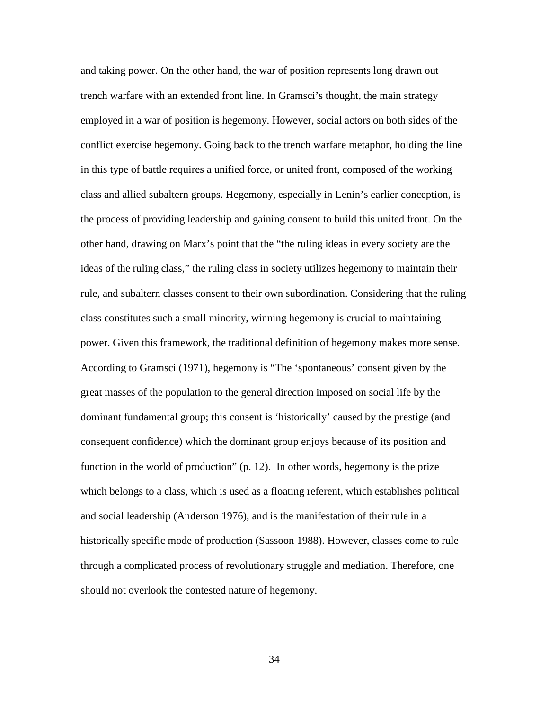and taking power. On the other hand, the war of position represents long drawn out trench warfare with an extended front line. In Gramsci's thought, the main strategy employed in a war of position is hegemony. However, social actors on both sides of the conflict exercise hegemony. Going back to the trench warfare metaphor, holding the line in this type of battle requires a unified force, or united front, composed of the working class and allied subaltern groups. Hegemony, especially in Lenin's earlier conception, is the process of providing leadership and gaining consent to build this united front. On the other hand, drawing on Marx's point that the "the ruling ideas in every society are the ideas of the ruling class," the ruling class in society utilizes hegemony to maintain their rule, and subaltern classes consent to their own subordination. Considering that the ruling class constitutes such a small minority, winning hegemony is crucial to maintaining power. Given this framework, the traditional definition of hegemony makes more sense. According to Gramsci (1971), hegemony is "The 'spontaneous' consent given by the great masses of the population to the general direction imposed on social life by the dominant fundamental group; this consent is 'historically' caused by the prestige (and consequent confidence) which the dominant group enjoys because of its position and function in the world of production" (p. 12). In other words, hegemony is the prize which belongs to a class, which is used as a floating referent, which establishes political and social leadership (Anderson 1976), and is the manifestation of their rule in a historically specific mode of production (Sassoon 1988). However, classes come to rule through a complicated process of revolutionary struggle and mediation. Therefore, one should not overlook the contested nature of hegemony.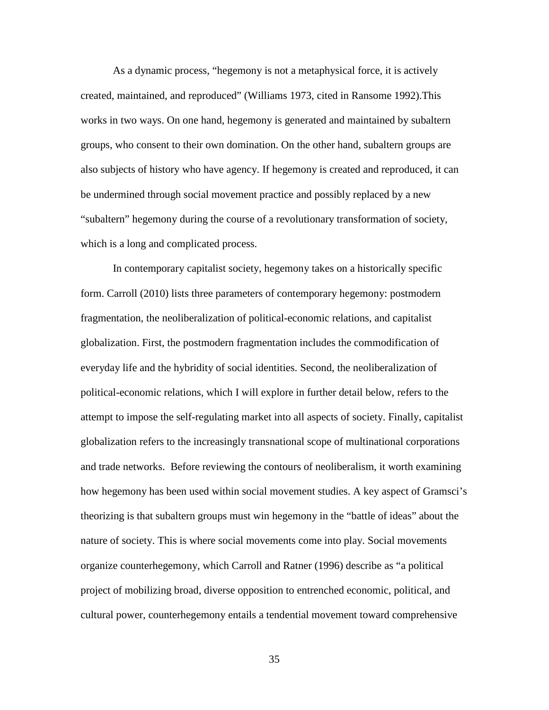As a dynamic process, "hegemony is not a metaphysical force, it is actively created, maintained, and reproduced" (Williams 1973, cited in Ransome 1992).This works in two ways. On one hand, hegemony is generated and maintained by subaltern groups, who consent to their own domination. On the other hand, subaltern groups are also subjects of history who have agency. If hegemony is created and reproduced, it can be undermined through social movement practice and possibly replaced by a new "subaltern" hegemony during the course of a revolutionary transformation of society, which is a long and complicated process.

In contemporary capitalist society, hegemony takes on a historically specific form. Carroll (2010) lists three parameters of contemporary hegemony: postmodern fragmentation, the neoliberalization of political-economic relations, and capitalist globalization. First, the postmodern fragmentation includes the commodification of everyday life and the hybridity of social identities. Second, the neoliberalization of political-economic relations, which I will explore in further detail below, refers to the attempt to impose the self-regulating market into all aspects of society. Finally, capitalist globalization refers to the increasingly transnational scope of multinational corporations and trade networks. Before reviewing the contours of neoliberalism, it worth examining how hegemony has been used within social movement studies. A key aspect of Gramsci's theorizing is that subaltern groups must win hegemony in the "battle of ideas" about the nature of society. This is where social movements come into play. Social movements organize counterhegemony, which Carroll and Ratner (1996) describe as "a political project of mobilizing broad, diverse opposition to entrenched economic, political, and cultural power, counterhegemony entails a tendential movement toward comprehensive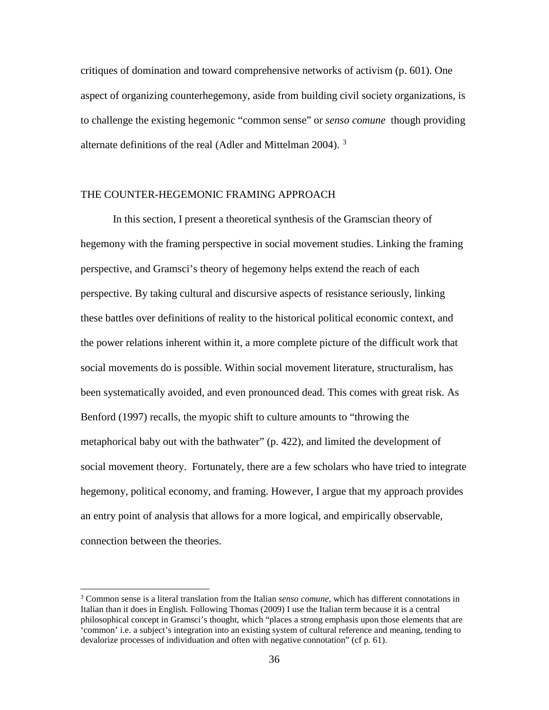critiques of domination and toward comprehensive networks of activism (p. 601). One aspect of organizing counterhegemony, aside from building civil society organizations, is to challenge the existing hegemonic "common sense" or *senso comune* though providing alternate definitions of the real (Adler and Mittelman 2004).<sup>[3](#page-52-0)</sup>

# THE COUNTER-HEGEMONIC FRAMING APPROACH

In this section, I present a theoretical synthesis of the Gramscian theory of hegemony with the framing perspective in social movement studies. Linking the framing perspective, and Gramsci's theory of hegemony helps extend the reach of each perspective. By taking cultural and discursive aspects of resistance seriously, linking these battles over definitions of reality to the historical political economic context, and the power relations inherent within it, a more complete picture of the difficult work that social movements do is possible. Within social movement literature, structuralism, has been systematically avoided, and even pronounced dead. This comes with great risk. As Benford (1997) recalls, the myopic shift to culture amounts to "throwing the metaphorical baby out with the bathwater" (p. 422), and limited the development of social movement theory. Fortunately, there are a few scholars who have tried to integrate hegemony, political economy, and framing. However, I argue that my approach provides an entry point of analysis that allows for a more logical, and empirically observable, connection between the theories.

 $\overline{\phantom{a}}$ 

<span id="page-52-0"></span><sup>3</sup> Common sense is a literal translation from the Italian *senso comune,* which has different connotations in Italian than it does in English. Following Thomas (2009) I use the Italian term because it is a central philosophical concept in Gramsci's thought, which "places a strong emphasis upon those elements that are 'common' i.e. a subject's integration into an existing system of cultural reference and meaning, tending to devalorize processes of individuation and often with negative connotation" (cf p. 61).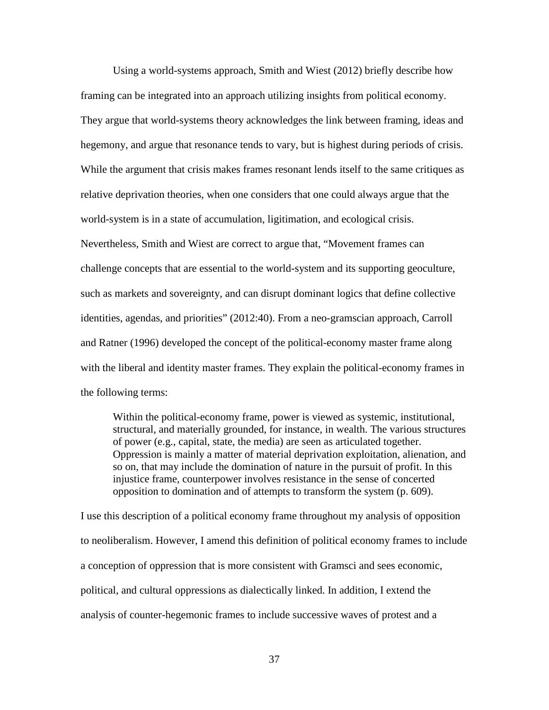Using a world-systems approach, Smith and Wiest (2012) briefly describe how framing can be integrated into an approach utilizing insights from political economy. They argue that world-systems theory acknowledges the link between framing, ideas and hegemony, and argue that resonance tends to vary, but is highest during periods of crisis. While the argument that crisis makes frames resonant lends itself to the same critiques as relative deprivation theories, when one considers that one could always argue that the world-system is in a state of accumulation, ligitimation, and ecological crisis. Nevertheless, Smith and Wiest are correct to argue that, "Movement frames can challenge concepts that are essential to the world-system and its supporting geoculture, such as markets and sovereignty, and can disrupt dominant logics that define collective identities, agendas, and priorities" (2012:40). From a neo-gramscian approach, Carroll and Ratner (1996) developed the concept of the political-economy master frame along with the liberal and identity master frames. They explain the political-economy frames in the following terms:

Within the political-economy frame, power is viewed as systemic, institutional, structural, and materially grounded, for instance, in wealth. The various structures of power (e.g., capital, state, the media) are seen as articulated together. Oppression is mainly a matter of material deprivation exploitation, alienation, and so on, that may include the domination of nature in the pursuit of profit. In this injustice frame, counterpower involves resistance in the sense of concerted opposition to domination and of attempts to transform the system (p. 609).

I use this description of a political economy frame throughout my analysis of opposition to neoliberalism. However, I amend this definition of political economy frames to include a conception of oppression that is more consistent with Gramsci and sees economic, political, and cultural oppressions as dialectically linked. In addition, I extend the analysis of counter-hegemonic frames to include successive waves of protest and a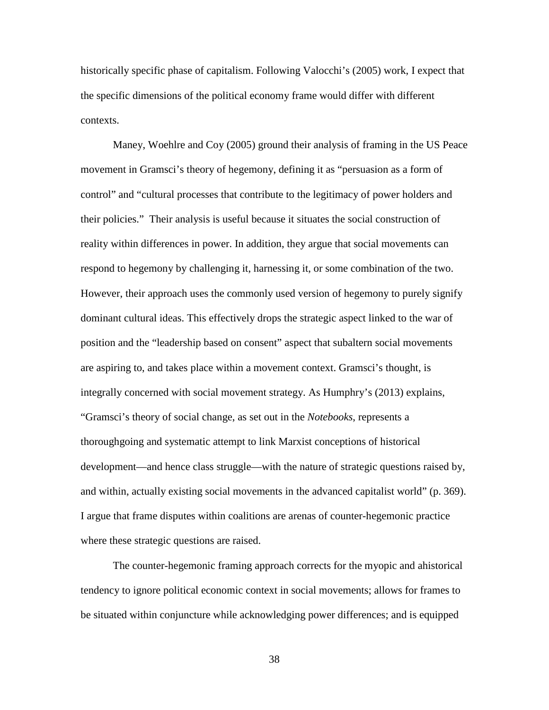historically specific phase of capitalism. Following Valocchi's (2005) work, I expect that the specific dimensions of the political economy frame would differ with different contexts.

Maney, Woehlre and Coy (2005) ground their analysis of framing in the US Peace movement in Gramsci's theory of hegemony, defining it as "persuasion as a form of control" and "cultural processes that contribute to the legitimacy of power holders and their policies." Their analysis is useful because it situates the social construction of reality within differences in power. In addition, they argue that social movements can respond to hegemony by challenging it, harnessing it, or some combination of the two. However, their approach uses the commonly used version of hegemony to purely signify dominant cultural ideas. This effectively drops the strategic aspect linked to the war of position and the "leadership based on consent" aspect that subaltern social movements are aspiring to, and takes place within a movement context. Gramsci's thought, is integrally concerned with social movement strategy. As Humphry's (2013) explains, "Gramsci's theory of social change, as set out in the *Notebooks*, represents a thoroughgoing and systematic attempt to link Marxist conceptions of historical development—and hence class struggle—with the nature of strategic questions raised by, and within, actually existing social movements in the advanced capitalist world" (p. 369). I argue that frame disputes within coalitions are arenas of counter-hegemonic practice where these strategic questions are raised.

The counter-hegemonic framing approach corrects for the myopic and ahistorical tendency to ignore political economic context in social movements; allows for frames to be situated within conjuncture while acknowledging power differences; and is equipped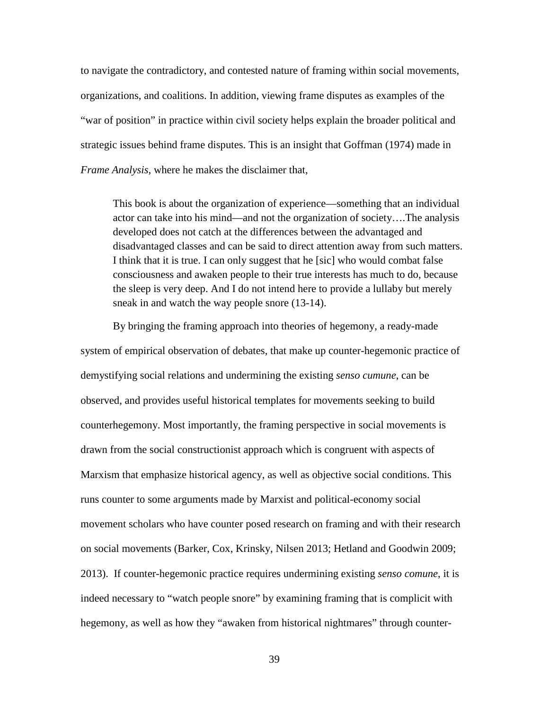to navigate the contradictory, and contested nature of framing within social movements, organizations, and coalitions. In addition, viewing frame disputes as examples of the "war of position" in practice within civil society helps explain the broader political and strategic issues behind frame disputes. This is an insight that Goffman (1974) made in *Frame Analysis,* where he makes the disclaimer that,

This book is about the organization of experience—something that an individual actor can take into his mind—and not the organization of society….The analysis developed does not catch at the differences between the advantaged and disadvantaged classes and can be said to direct attention away from such matters. I think that it is true. I can only suggest that he [sic] who would combat false consciousness and awaken people to their true interests has much to do, because the sleep is very deep. And I do not intend here to provide a lullaby but merely sneak in and watch the way people snore (13-14).

By bringing the framing approach into theories of hegemony, a ready-made system of empirical observation of debates, that make up counter-hegemonic practice of demystifying social relations and undermining the existing *senso cumune*, can be observed, and provides useful historical templates for movements seeking to build counterhegemony. Most importantly, the framing perspective in social movements is drawn from the social constructionist approach which is congruent with aspects of Marxism that emphasize historical agency, as well as objective social conditions. This runs counter to some arguments made by Marxist and political-economy social movement scholars who have counter posed research on framing and with their research on social movements (Barker, Cox, Krinsky, Nilsen 2013; Hetland and Goodwin 2009; 2013). If counter-hegemonic practice requires undermining existing *senso comune*, it is indeed necessary to "watch people snore" by examining framing that is complicit with hegemony, as well as how they "awaken from historical nightmares" through counter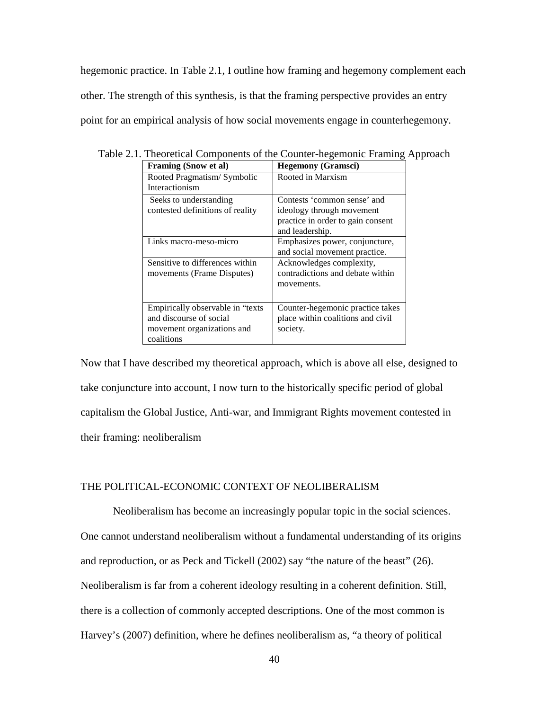hegemonic practice. In Table 2.1, I outline how framing and hegemony complement each other. The strength of this synthesis, is that the framing perspective provides an entry point for an empirical analysis of how social movements engage in counterhegemony.

| <b>Framing (Snow et al)</b>       | <b>Hegemony (Gramsci)</b>         |
|-----------------------------------|-----------------------------------|
| Rooted Pragmatism/Symbolic        | Rooted in Marxism                 |
| Interactionism                    |                                   |
| Seeks to understanding            | Contests 'common sense' and       |
| contested definitions of reality  | ideology through movement         |
|                                   | practice in order to gain consent |
|                                   | and leadership.                   |
| Links macro-meso-micro            | Emphasizes power, conjuncture,    |
|                                   | and social movement practice.     |
| Sensitive to differences within   | Acknowledges complexity,          |
| movements (Frame Disputes)        | contradictions and debate within  |
|                                   | movements.                        |
|                                   |                                   |
| Empirically observable in "texts" | Counter-hegemonic practice takes  |
| and discourse of social           | place within coalitions and civil |
| movement organizations and        | society.                          |
| coalitions                        |                                   |

Table 2.1. Theoretical Components of the Counter-hegemonic Framing Approach

Now that I have described my theoretical approach, which is above all else, designed to take conjuncture into account, I now turn to the historically specific period of global capitalism the Global Justice, Anti-war, and Immigrant Rights movement contested in their framing: neoliberalism

### THE POLITICAL-ECONOMIC CONTEXT OF NEOLIBERALISM

Neoliberalism has become an increasingly popular topic in the social sciences. One cannot understand neoliberalism without a fundamental understanding of its origins and reproduction, or as Peck and Tickell (2002) say "the nature of the beast" (26). Neoliberalism is far from a coherent ideology resulting in a coherent definition. Still, there is a collection of commonly accepted descriptions. One of the most common is Harvey's (2007) definition, where he defines neoliberalism as, "a theory of political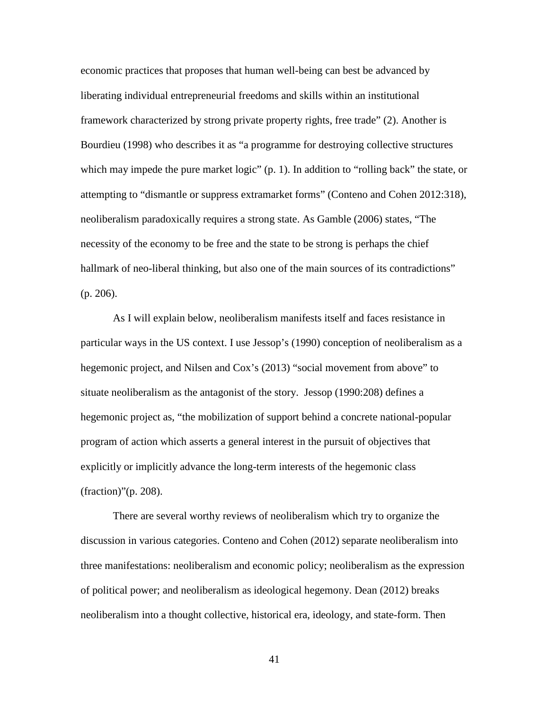economic practices that proposes that human well-being can best be advanced by liberating individual entrepreneurial freedoms and skills within an institutional framework characterized by strong private property rights, free trade" (2). Another is Bourdieu (1998) who describes it as "a programme for destroying collective structures which may impede the pure market logic" (p. 1). In addition to "rolling back" the state, or attempting to "dismantle or suppress extramarket forms" (Conteno and Cohen 2012:318), neoliberalism paradoxically requires a strong state. As Gamble (2006) states, "The necessity of the economy to be free and the state to be strong is perhaps the chief hallmark of neo-liberal thinking, but also one of the main sources of its contradictions" (p. 206).

As I will explain below, neoliberalism manifests itself and faces resistance in particular ways in the US context. I use Jessop's (1990) conception of neoliberalism as a hegemonic project, and Nilsen and Cox's (2013) "social movement from above" to situate neoliberalism as the antagonist of the story. Jessop (1990:208) defines a hegemonic project as, "the mobilization of support behind a concrete national-popular program of action which asserts a general interest in the pursuit of objectives that explicitly or implicitly advance the long-term interests of the hegemonic class (fraction)"(p. 208).

There are several worthy reviews of neoliberalism which try to organize the discussion in various categories. Conteno and Cohen (2012) separate neoliberalism into three manifestations: neoliberalism and economic policy; neoliberalism as the expression of political power; and neoliberalism as ideological hegemony. Dean (2012) breaks neoliberalism into a thought collective, historical era, ideology, and state-form. Then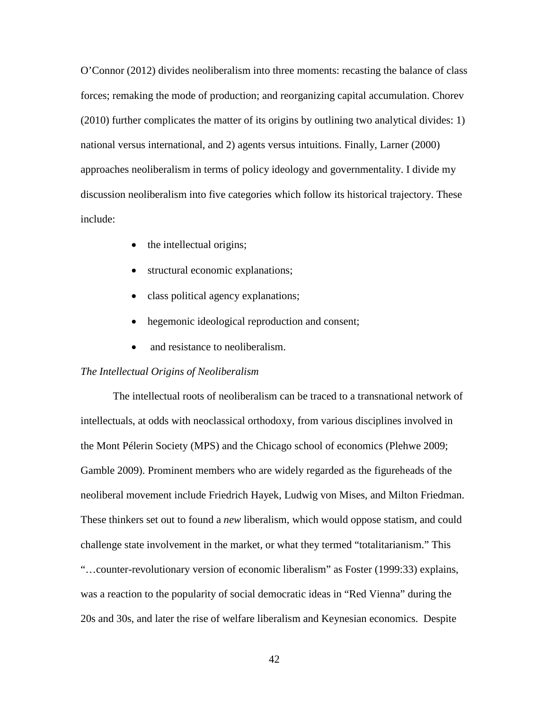O'Connor (2012) divides neoliberalism into three moments: recasting the balance of class forces; remaking the mode of production; and reorganizing capital accumulation. Chorev (2010) further complicates the matter of its origins by outlining two analytical divides: 1) national versus international, and 2) agents versus intuitions. Finally, Larner (2000) approaches neoliberalism in terms of policy ideology and governmentality. I divide my discussion neoliberalism into five categories which follow its historical trajectory. These include:

- the intellectual origins;
- structural economic explanations;
- class political agency explanations;
- hegemonic ideological reproduction and consent;
- and resistance to neoliberalism.

### *The Intellectual Origins of Neoliberalism*

The intellectual roots of neoliberalism can be traced to a transnational network of intellectuals, at odds with neoclassical orthodoxy, from various disciplines involved in the Mont Pélerin Society (MPS) and the Chicago school of economics (Plehwe 2009; Gamble 2009). Prominent members who are widely regarded as the figureheads of the neoliberal movement include Friedrich Hayek, Ludwig von Mises, and Milton Friedman. These thinkers set out to found a *new* liberalism, which would oppose statism, and could challenge state involvement in the market, or what they termed "totalitarianism." This "…counter-revolutionary version of economic liberalism" as Foster (1999:33) explains, was a reaction to the popularity of social democratic ideas in "Red Vienna" during the 20s and 30s, and later the rise of welfare liberalism and Keynesian economics. Despite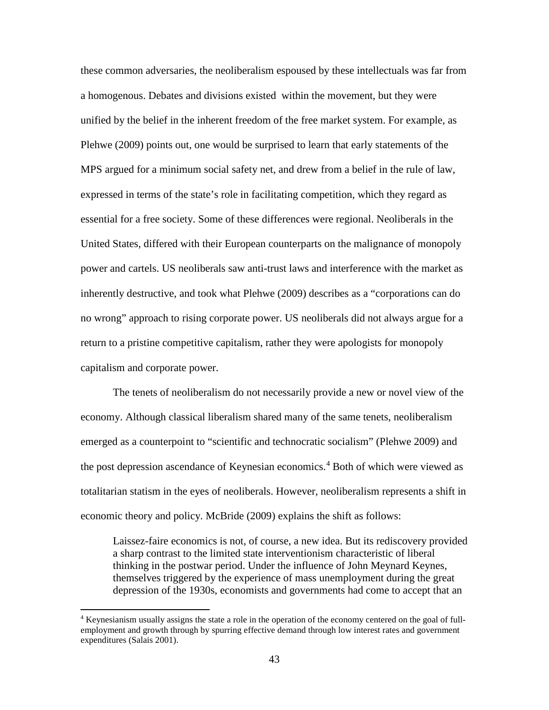these common adversaries, the neoliberalism espoused by these intellectuals was far from a homogenous. Debates and divisions existed within the movement, but they were unified by the belief in the inherent freedom of the free market system. For example, as Plehwe (2009) points out, one would be surprised to learn that early statements of the MPS argued for a minimum social safety net, and drew from a belief in the rule of law, expressed in terms of the state's role in facilitating competition, which they regard as essential for a free society. Some of these differences were regional. Neoliberals in the United States, differed with their European counterparts on the malignance of monopoly power and cartels. US neoliberals saw anti-trust laws and interference with the market as inherently destructive, and took what Plehwe (2009) describes as a "corporations can do no wrong" approach to rising corporate power. US neoliberals did not always argue for a return to a pristine competitive capitalism, rather they were apologists for monopoly capitalism and corporate power.

The tenets of neoliberalism do not necessarily provide a new or novel view of the economy. Although classical liberalism shared many of the same tenets, neoliberalism emerged as a counterpoint to "scientific and technocratic socialism" (Plehwe 2009) and the post depression ascendance of Keynesian economics.<sup>[4](#page-59-0)</sup> Both of which were viewed as totalitarian statism in the eyes of neoliberals. However, neoliberalism represents a shift in economic theory and policy. McBride (2009) explains the shift as follows:

Laissez-faire economics is not, of course, a new idea. But its rediscovery provided a sharp contrast to the limited state interventionism characteristic of liberal thinking in the postwar period. Under the influence of John Meynard Keynes, themselves triggered by the experience of mass unemployment during the great depression of the 1930s, economists and governments had come to accept that an

 $\overline{\phantom{a}}$ 

<span id="page-59-0"></span><sup>4</sup> Keynesianism usually assigns the state a role in the operation of the economy centered on the goal of fullemployment and growth through by spurring effective demand through low interest rates and government expenditures (Salais 2001).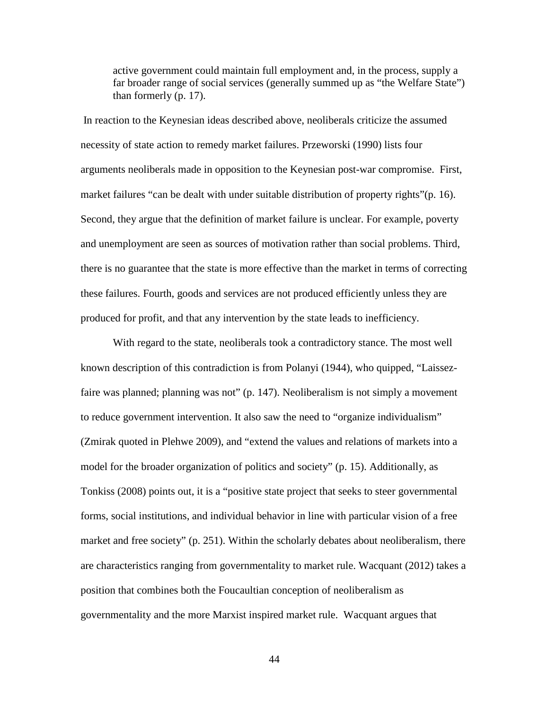active government could maintain full employment and, in the process, supply a far broader range of social services (generally summed up as "the Welfare State") than formerly (p. 17).

In reaction to the Keynesian ideas described above, neoliberals criticize the assumed necessity of state action to remedy market failures. Przeworski (1990) lists four arguments neoliberals made in opposition to the Keynesian post-war compromise. First, market failures "can be dealt with under suitable distribution of property rights"(p. 16). Second, they argue that the definition of market failure is unclear. For example, poverty and unemployment are seen as sources of motivation rather than social problems. Third, there is no guarantee that the state is more effective than the market in terms of correcting these failures. Fourth, goods and services are not produced efficiently unless they are produced for profit, and that any intervention by the state leads to inefficiency.

With regard to the state, neoliberals took a contradictory stance. The most well known description of this contradiction is from Polanyi (1944), who quipped, "Laissezfaire was planned; planning was not" (p. 147). Neoliberalism is not simply a movement to reduce government intervention. It also saw the need to "organize individualism" (Zmirak quoted in Plehwe 2009), and "extend the values and relations of markets into a model for the broader organization of politics and society" (p. 15). Additionally, as Tonkiss (2008) points out, it is a "positive state project that seeks to steer governmental forms, social institutions, and individual behavior in line with particular vision of a free market and free society" (p. 251). Within the scholarly debates about neoliberalism, there are characteristics ranging from governmentality to market rule. Wacquant (2012) takes a position that combines both the Foucaultian conception of neoliberalism as governmentality and the more Marxist inspired market rule. Wacquant argues that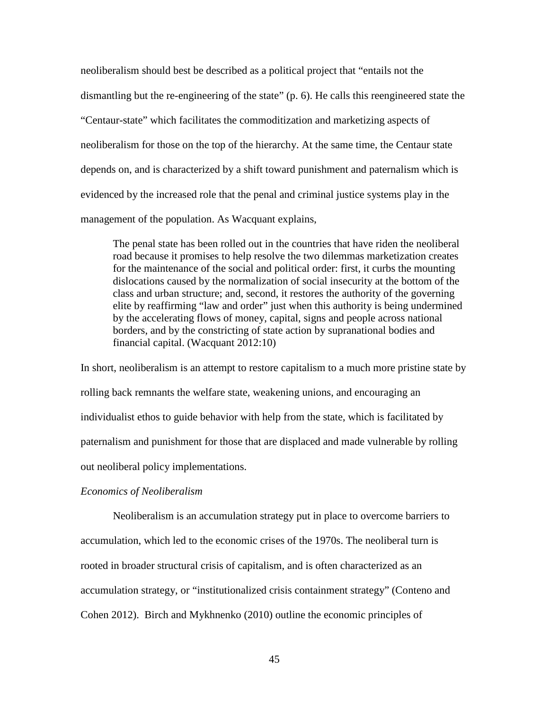neoliberalism should best be described as a political project that "entails not the dismantling but the re-engineering of the state" (p. 6). He calls this reengineered state the "Centaur-state" which facilitates the commoditization and marketizing aspects of neoliberalism for those on the top of the hierarchy. At the same time, the Centaur state depends on, and is characterized by a shift toward punishment and paternalism which is evidenced by the increased role that the penal and criminal justice systems play in the management of the population. As Wacquant explains,

The penal state has been rolled out in the countries that have riden the neoliberal road because it promises to help resolve the two dilemmas marketization creates for the maintenance of the social and political order: first, it curbs the mounting dislocations caused by the normalization of social insecurity at the bottom of the class and urban structure; and, second, it restores the authority of the governing elite by reaffirming "law and order" just when this authority is being undermined by the accelerating flows of money, capital, signs and people across national borders, and by the constricting of state action by supranational bodies and financial capital. (Wacquant 2012:10)

In short, neoliberalism is an attempt to restore capitalism to a much more pristine state by rolling back remnants the welfare state, weakening unions, and encouraging an individualist ethos to guide behavior with help from the state, which is facilitated by paternalism and punishment for those that are displaced and made vulnerable by rolling out neoliberal policy implementations.

### *Economics of Neoliberalism*

Neoliberalism is an accumulation strategy put in place to overcome barriers to accumulation, which led to the economic crises of the 1970s. The neoliberal turn is rooted in broader structural crisis of capitalism, and is often characterized as an accumulation strategy, or "institutionalized crisis containment strategy" (Conteno and Cohen 2012). Birch and Mykhnenko (2010) outline the economic principles of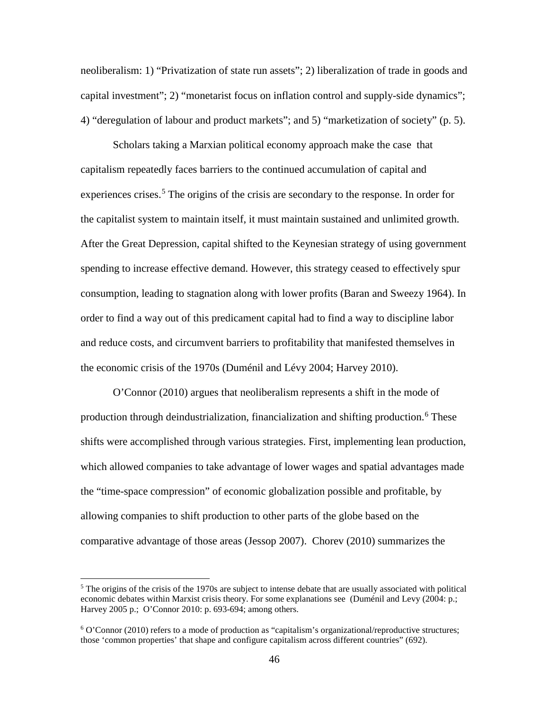neoliberalism: 1) "Privatization of state run assets"; 2) liberalization of trade in goods and capital investment"; 2) "monetarist focus on inflation control and supply-side dynamics"; 4) "deregulation of labour and product markets"; and 5) "marketization of society" (p. 5).

Scholars taking a Marxian political economy approach make the case that capitalism repeatedly faces barriers to the continued accumulation of capital and experiences crises.<sup>[5](#page-62-0)</sup> The origins of the crisis are secondary to the response. In order for the capitalist system to maintain itself, it must maintain sustained and unlimited growth. After the Great Depression, capital shifted to the Keynesian strategy of using government spending to increase effective demand. However, this strategy ceased to effectively spur consumption, leading to stagnation along with lower profits (Baran and Sweezy 1964). In order to find a way out of this predicament capital had to find a way to discipline labor and reduce costs, and circumvent barriers to profitability that manifested themselves in the economic crisis of the 1970s (Duménil and Lévy 2004; Harvey 2010).

O'Connor (2010) argues that neoliberalism represents a shift in the mode of production through deindustrialization, financialization and shifting production. [6](#page-62-1) These shifts were accomplished through various strategies. First, implementing lean production, which allowed companies to take advantage of lower wages and spatial advantages made the "time-space compression" of economic globalization possible and profitable, by allowing companies to shift production to other parts of the globe based on the comparative advantage of those areas (Jessop 2007). Chorev (2010) summarizes the

 $\overline{\phantom{a}}$ 

<span id="page-62-0"></span> $<sup>5</sup>$  The origins of the crisis of the 1970s are subject to intense debate that are usually associated with political</sup> economic debates within Marxist crisis theory. For some explanations see (Duménil and Levy (2004: p.; Harvey 2005 p.; O'Connor 2010: p. 693-694; among others.

<span id="page-62-1"></span> $6$  O'Connor (2010) refers to a mode of production as "capitalism's organizational/reproductive structures; those 'common properties' that shape and configure capitalism across different countries" (692).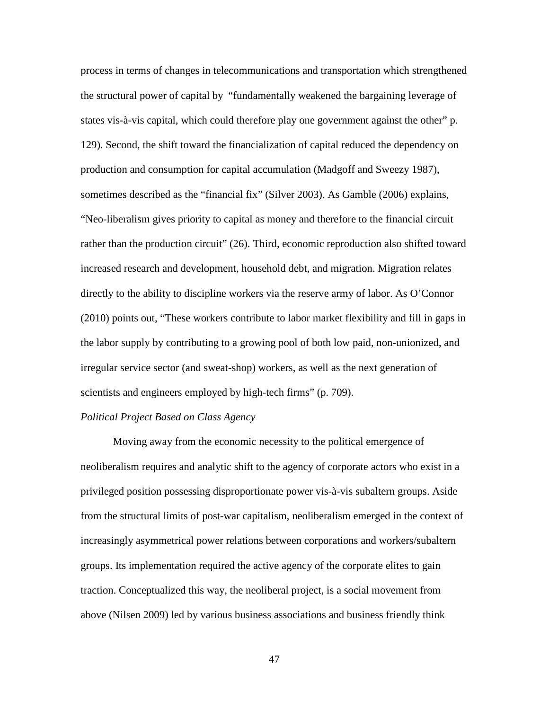process in terms of changes in telecommunications and transportation which strengthened the structural power of capital by "fundamentally weakened the bargaining leverage of states vis-à-vis capital, which could therefore play one government against the other" p. 129). Second, the shift toward the financialization of capital reduced the dependency on production and consumption for capital accumulation (Madgoff and Sweezy 1987), sometimes described as the "financial fix" (Silver 2003). As Gamble (2006) explains, "Neo-liberalism gives priority to capital as money and therefore to the financial circuit rather than the production circuit" (26). Third, economic reproduction also shifted toward increased research and development, household debt, and migration. Migration relates directly to the ability to discipline workers via the reserve army of labor. As O'Connor (2010) points out, "These workers contribute to labor market flexibility and fill in gaps in the labor supply by contributing to a growing pool of both low paid, non-unionized, and irregular service sector (and sweat-shop) workers, as well as the next generation of scientists and engineers employed by high-tech firms" (p. 709).

# *Political Project Based on Class Agency*

Moving away from the economic necessity to the political emergence of neoliberalism requires and analytic shift to the agency of corporate actors who exist in a privileged position possessing disproportionate power vis-à-vis subaltern groups. Aside from the structural limits of post-war capitalism, neoliberalism emerged in the context of increasingly asymmetrical power relations between corporations and workers/subaltern groups. Its implementation required the active agency of the corporate elites to gain traction. Conceptualized this way, the neoliberal project, is a social movement from above (Nilsen 2009) led by various business associations and business friendly think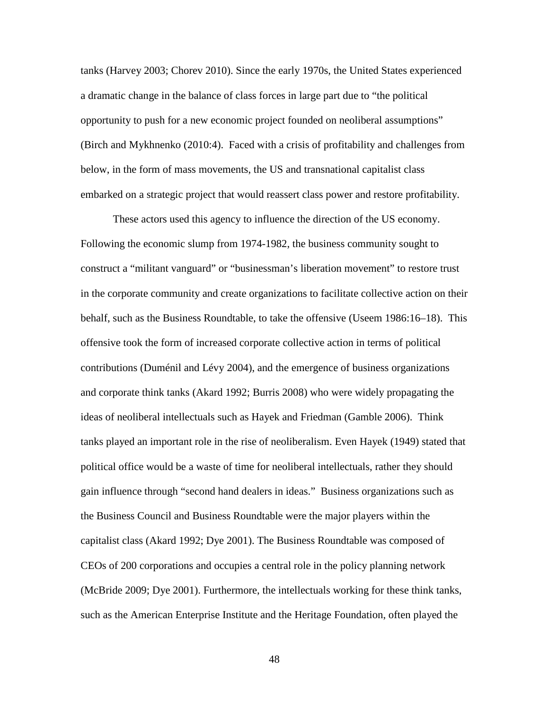tanks (Harvey 2003; Chorev 2010). Since the early 1970s, the United States experienced a dramatic change in the balance of class forces in large part due to "the political opportunity to push for a new economic project founded on neoliberal assumptions" (Birch and Mykhnenko (2010:4). Faced with a crisis of profitability and challenges from below, in the form of mass movements, the US and transnational capitalist class embarked on a strategic project that would reassert class power and restore profitability.

These actors used this agency to influence the direction of the US economy. Following the economic slump from 1974-1982, the business community sought to construct a "militant vanguard" or "businessman's liberation movement" to restore trust in the corporate community and create organizations to facilitate collective action on their behalf, such as the Business Roundtable, to take the offensive (Useem 1986:16–18). This offensive took the form of increased corporate collective action in terms of political contributions (Duménil and Lévy 2004), and the emergence of business organizations and corporate think tanks (Akard 1992; Burris 2008) who were widely propagating the ideas of neoliberal intellectuals such as Hayek and Friedman (Gamble 2006). Think tanks played an important role in the rise of neoliberalism. Even Hayek (1949) stated that political office would be a waste of time for neoliberal intellectuals, rather they should gain influence through "second hand dealers in ideas." Business organizations such as the Business Council and Business Roundtable were the major players within the capitalist class (Akard 1992; Dye 2001). The Business Roundtable was composed of CEOs of 200 corporations and occupies a central role in the policy planning network (McBride 2009; Dye 2001). Furthermore, the intellectuals working for these think tanks, such as the American Enterprise Institute and the Heritage Foundation, often played the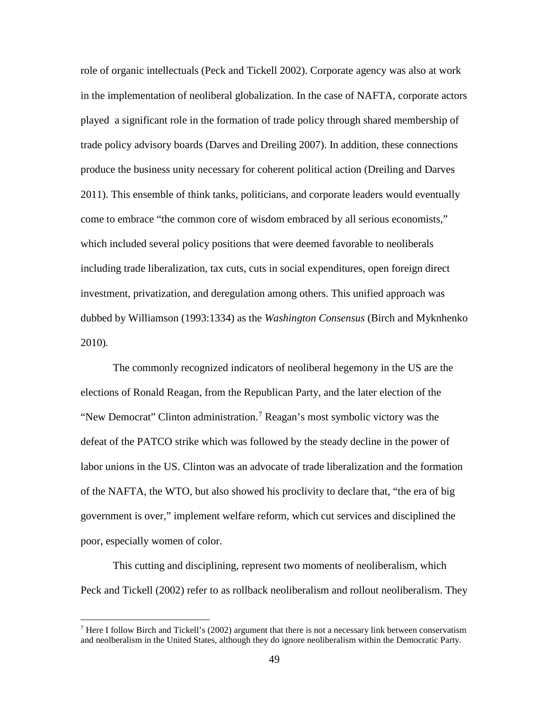role of organic intellectuals (Peck and Tickell 2002). Corporate agency was also at work in the implementation of neoliberal globalization. In the case of NAFTA, corporate actors played a significant role in the formation of trade policy through shared membership of trade policy advisory boards (Darves and Dreiling 2007). In addition, these connections produce the business unity necessary for coherent political action (Dreiling and Darves 2011). This ensemble of think tanks, politicians, and corporate leaders would eventually come to embrace "the common core of wisdom embraced by all serious economists," which included several policy positions that were deemed favorable to neoliberals including trade liberalization, tax cuts, cuts in social expenditures, open foreign direct investment, privatization, and deregulation among others. This unified approach was dubbed by Williamson (1993:1334) as the *Washington Consensus* (Birch and Myknhenko 2010)*.* 

The commonly recognized indicators of neoliberal hegemony in the US are the elections of Ronald Reagan, from the Republican Party, and the later election of the "New Democrat" Clinton administration.<sup>[7](#page-65-0)</sup> Reagan's most symbolic victory was the defeat of the PATCO strike which was followed by the steady decline in the power of labor unions in the US. Clinton was an advocate of trade liberalization and the formation of the NAFTA, the WTO, but also showed his proclivity to declare that, "the era of big government is over," implement welfare reform, which cut services and disciplined the poor, especially women of color.

This cutting and disciplining, represent two moments of neoliberalism, which Peck and Tickell (2002) refer to as rollback neoliberalism and rollout neoliberalism. They

l

<span id="page-65-0"></span><sup>&</sup>lt;sup>7</sup> Here I follow Birch and Tickell's (2002) argument that there is not a necessary link between conservatism and neolberalism in the United States, although they do ignore neoliberalism within the Democratic Party.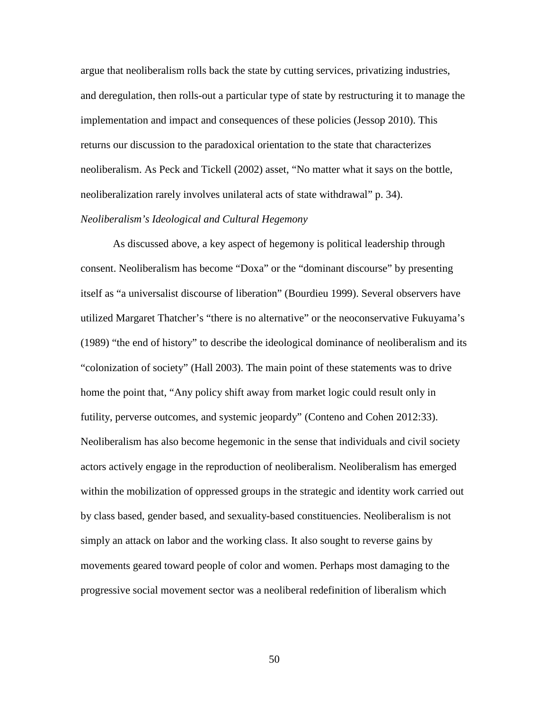argue that neoliberalism rolls back the state by cutting services, privatizing industries, and deregulation, then rolls-out a particular type of state by restructuring it to manage the implementation and impact and consequences of these policies (Jessop 2010). This returns our discussion to the paradoxical orientation to the state that characterizes neoliberalism. As Peck and Tickell (2002) asset, "No matter what it says on the bottle, neoliberalization rarely involves unilateral acts of state withdrawal" p. 34).

#### *Neoliberalism's Ideological and Cultural Hegemony*

As discussed above, a key aspect of hegemony is political leadership through consent. Neoliberalism has become "Doxa" or the "dominant discourse" by presenting itself as "a universalist discourse of liberation" (Bourdieu 1999). Several observers have utilized Margaret Thatcher's "there is no alternative" or the neoconservative Fukuyama's (1989) "the end of history" to describe the ideological dominance of neoliberalism and its "colonization of society" (Hall 2003). The main point of these statements was to drive home the point that, "Any policy shift away from market logic could result only in futility, perverse outcomes, and systemic jeopardy" (Conteno and Cohen 2012:33). Neoliberalism has also become hegemonic in the sense that individuals and civil society actors actively engage in the reproduction of neoliberalism. Neoliberalism has emerged within the mobilization of oppressed groups in the strategic and identity work carried out by class based, gender based, and sexuality-based constituencies. Neoliberalism is not simply an attack on labor and the working class. It also sought to reverse gains by movements geared toward people of color and women. Perhaps most damaging to the progressive social movement sector was a neoliberal redefinition of liberalism which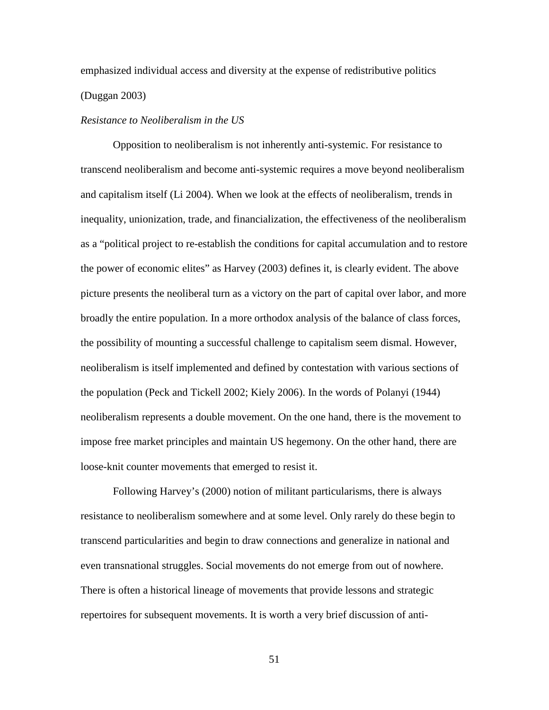emphasized individual access and diversity at the expense of redistributive politics (Duggan 2003)

# *Resistance to Neoliberalism in the US*

Opposition to neoliberalism is not inherently anti-systemic. For resistance to transcend neoliberalism and become anti-systemic requires a move beyond neoliberalism and capitalism itself (Li 2004). When we look at the effects of neoliberalism, trends in inequality, unionization, trade, and financialization, the effectiveness of the neoliberalism as a "political project to re-establish the conditions for capital accumulation and to restore the power of economic elites" as Harvey (2003) defines it, is clearly evident. The above picture presents the neoliberal turn as a victory on the part of capital over labor, and more broadly the entire population. In a more orthodox analysis of the balance of class forces, the possibility of mounting a successful challenge to capitalism seem dismal. However, neoliberalism is itself implemented and defined by contestation with various sections of the population (Peck and Tickell 2002; Kiely 2006). In the words of Polanyi (1944) neoliberalism represents a double movement. On the one hand, there is the movement to impose free market principles and maintain US hegemony. On the other hand, there are loose-knit counter movements that emerged to resist it.

Following Harvey's (2000) notion of militant particularisms, there is always resistance to neoliberalism somewhere and at some level. Only rarely do these begin to transcend particularities and begin to draw connections and generalize in national and even transnational struggles. Social movements do not emerge from out of nowhere. There is often a historical lineage of movements that provide lessons and strategic repertoires for subsequent movements. It is worth a very brief discussion of anti-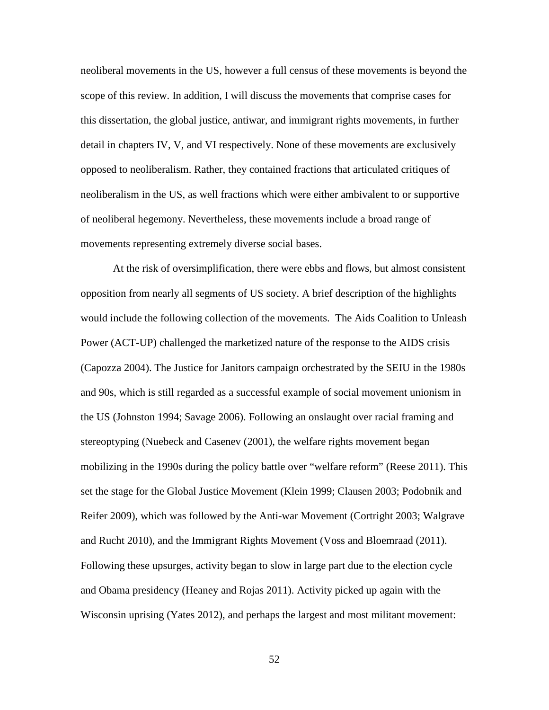neoliberal movements in the US, however a full census of these movements is beyond the scope of this review. In addition, I will discuss the movements that comprise cases for this dissertation, the global justice, antiwar, and immigrant rights movements, in further detail in chapters IV, V, and VI respectively. None of these movements are exclusively opposed to neoliberalism. Rather, they contained fractions that articulated critiques of neoliberalism in the US, as well fractions which were either ambivalent to or supportive of neoliberal hegemony. Nevertheless, these movements include a broad range of movements representing extremely diverse social bases.

At the risk of oversimplification, there were ebbs and flows, but almost consistent opposition from nearly all segments of US society. A brief description of the highlights would include the following collection of the movements. The Aids Coalition to Unleash Power (ACT-UP) challenged the marketized nature of the response to the AIDS crisis (Capozza 2004). The Justice for Janitors campaign orchestrated by the SEIU in the 1980s and 90s, which is still regarded as a successful example of social movement unionism in the US (Johnston 1994; Savage 2006). Following an onslaught over racial framing and stereoptyping (Nuebeck and Casenev (2001), the welfare rights movement began mobilizing in the 1990s during the policy battle over "welfare reform" (Reese 2011). This set the stage for the Global Justice Movement (Klein 1999; Clausen 2003; Podobnik and Reifer 2009), which was followed by the Anti-war Movement (Cortright 2003; Walgrave and Rucht 2010), and the Immigrant Rights Movement (Voss and Bloemraad (2011). Following these upsurges, activity began to slow in large part due to the election cycle and Obama presidency (Heaney and Rojas 2011). Activity picked up again with the Wisconsin uprising (Yates 2012), and perhaps the largest and most militant movement: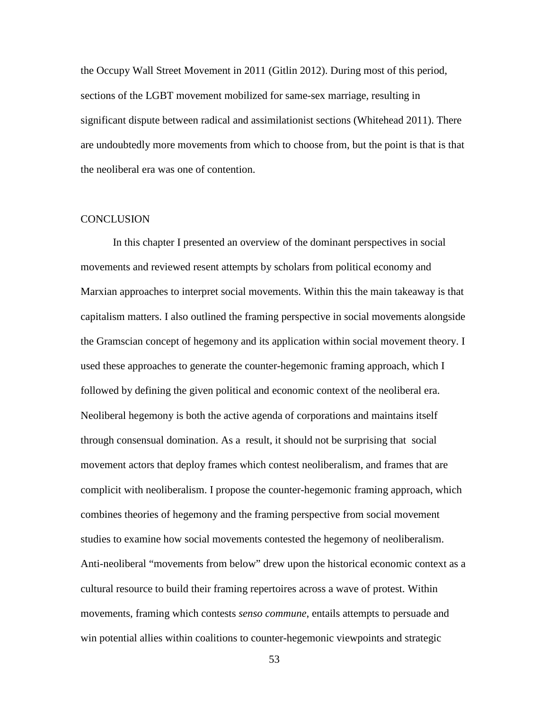the Occupy Wall Street Movement in 2011 (Gitlin 2012). During most of this period, sections of the LGBT movement mobilized for same-sex marriage, resulting in significant dispute between radical and assimilationist sections (Whitehead 2011). There are undoubtedly more movements from which to choose from, but the point is that is that the neoliberal era was one of contention.

## **CONCLUSION**

In this chapter I presented an overview of the dominant perspectives in social movements and reviewed resent attempts by scholars from political economy and Marxian approaches to interpret social movements. Within this the main takeaway is that capitalism matters. I also outlined the framing perspective in social movements alongside the Gramscian concept of hegemony and its application within social movement theory. I used these approaches to generate the counter-hegemonic framing approach, which I followed by defining the given political and economic context of the neoliberal era. Neoliberal hegemony is both the active agenda of corporations and maintains itself through consensual domination. As a result, it should not be surprising that social movement actors that deploy frames which contest neoliberalism, and frames that are complicit with neoliberalism. I propose the counter-hegemonic framing approach, which combines theories of hegemony and the framing perspective from social movement studies to examine how social movements contested the hegemony of neoliberalism. Anti-neoliberal "movements from below" drew upon the historical economic context as a cultural resource to build their framing repertoires across a wave of protest. Within movements, framing which contests *senso commune*, entails attempts to persuade and win potential allies within coalitions to counter-hegemonic viewpoints and strategic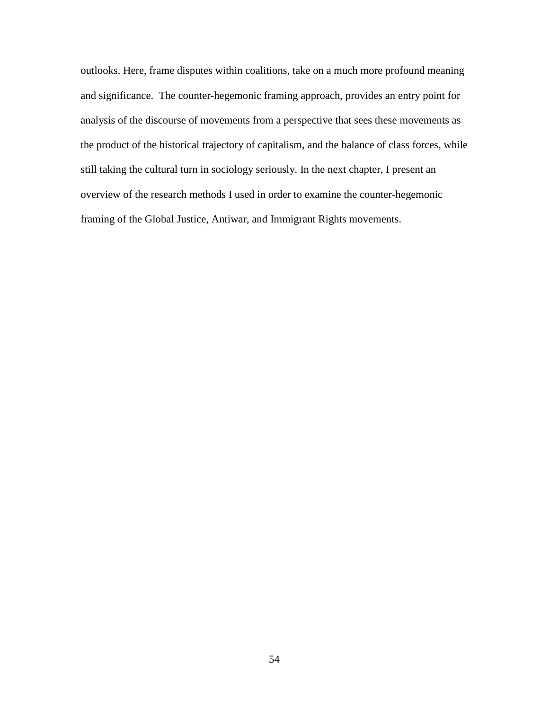outlooks. Here, frame disputes within coalitions, take on a much more profound meaning and significance. The counter-hegemonic framing approach, provides an entry point for analysis of the discourse of movements from a perspective that sees these movements as the product of the historical trajectory of capitalism, and the balance of class forces, while still taking the cultural turn in sociology seriously. In the next chapter, I present an overview of the research methods I used in order to examine the counter-hegemonic framing of the Global Justice, Antiwar, and Immigrant Rights movements.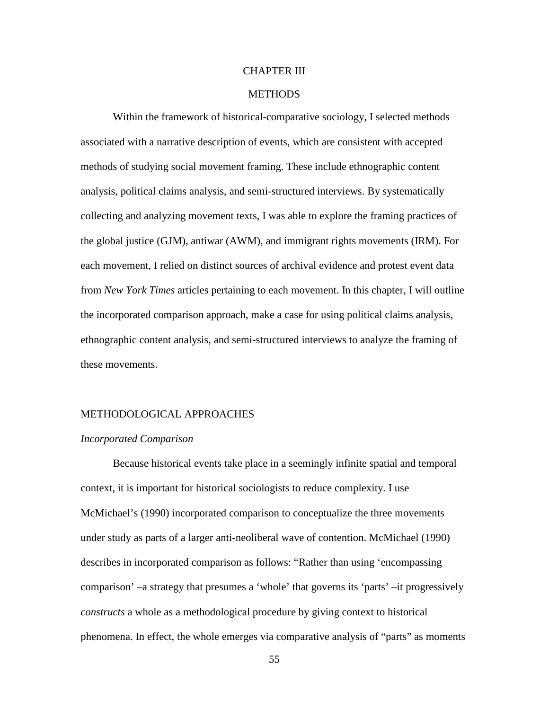### CHAPTER III

# **METHODS**

Within the framework of historical-comparative sociology, I selected methods associated with a narrative description of events, which are consistent with accepted methods of studying social movement framing. These include ethnographic content analysis, political claims analysis, and semi-structured interviews. By systematically collecting and analyzing movement texts, I was able to explore the framing practices of the global justice (GJM), antiwar (AWM), and immigrant rights movements (IRM). For each movement, I relied on distinct sources of archival evidence and protest event data from *New York Times* articles pertaining to each movement. In this chapter, I will outline the incorporated comparison approach, make a case for using political claims analysis, ethnographic content analysis, and semi-structured interviews to analyze the framing of these movements.

### METHODOLOGICAL APPROACHES

#### *Incorporated Comparison*

Because historical events take place in a seemingly infinite spatial and temporal context, it is important for historical sociologists to reduce complexity. I use McMichael's (1990) incorporated comparison to conceptualize the three movements under study as parts of a larger anti-neoliberal wave of contention. McMichael (1990) describes in incorporated comparison as follows: "Rather than using 'encompassing comparison' –a strategy that presumes a 'whole' that governs its 'parts' –it progressively *constructs* a whole as a methodological procedure by giving context to historical phenomena. In effect, the whole emerges via comparative analysis of "parts" as moments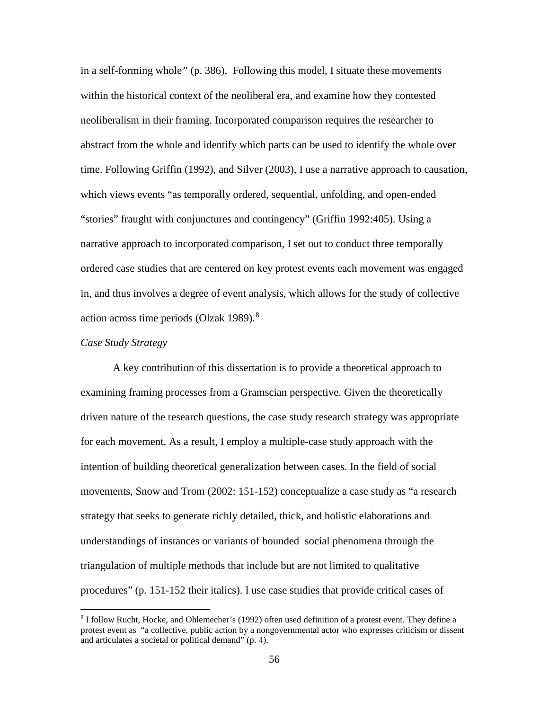in a self-forming whole*"* (p. 386). Following this model, I situate these movements within the historical context of the neoliberal era, and examine how they contested neoliberalism in their framing. Incorporated comparison requires the researcher to abstract from the whole and identify which parts can be used to identify the whole over time. Following Griffin (1992), and Silver (2003), I use a narrative approach to causation, which views events "as temporally ordered, sequential, unfolding, and open-ended "stories" fraught with conjunctures and contingency" (Griffin 1992:405). Using a narrative approach to incorporated comparison, I set out to conduct three temporally ordered case studies that are centered on key protest events each movement was engaged in, and thus involves a degree of event analysis, which allows for the study of collective action across time periods (Olzak 1989).[8](#page-72-0)

# *Case Study Strategy*

 $\overline{\phantom{a}}$ 

A key contribution of this dissertation is to provide a theoretical approach to examining framing processes from a Gramscian perspective. Given the theoretically driven nature of the research questions, the case study research strategy was appropriate for each movement. As a result, I employ a multiple-case study approach with the intention of building theoretical generalization between cases. In the field of social movements, Snow and Trom (2002: 151-152) conceptualize a case study as "a research strategy that seeks to generate richly detailed, thick, and holistic elaborations and understandings of instances or variants of bounded social phenomena through the triangulation of multiple methods that include but are not limited to qualitative procedures" (p. 151-152 their italics). I use case studies that provide critical cases of

<span id="page-72-0"></span><sup>8</sup> I follow Rucht, Hocke, and Ohlemecher's (1992) often used definition of a protest event. They define a protest event as "a collective, public action by a nongovernmental actor who expresses criticism or dissent and articulates a societal or political demand" (p. 4).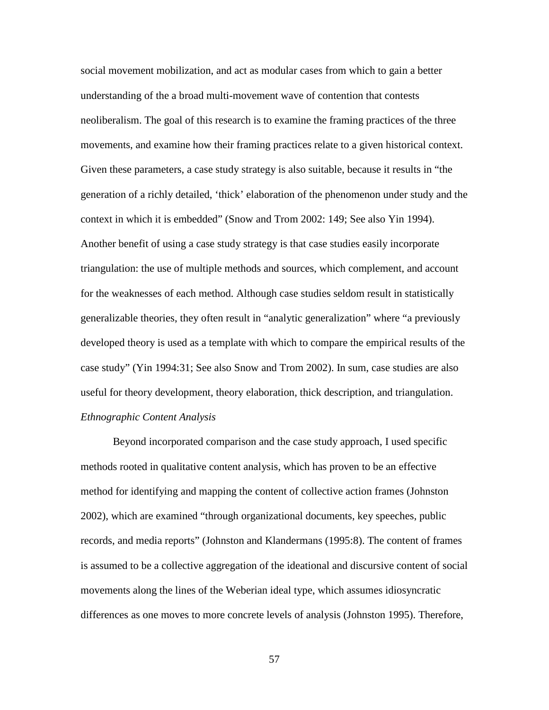social movement mobilization, and act as modular cases from which to gain a better understanding of the a broad multi-movement wave of contention that contests neoliberalism. The goal of this research is to examine the framing practices of the three movements, and examine how their framing practices relate to a given historical context. Given these parameters, a case study strategy is also suitable, because it results in "the generation of a richly detailed, 'thick' elaboration of the phenomenon under study and the context in which it is embedded" (Snow and Trom 2002: 149; See also Yin 1994). Another benefit of using a case study strategy is that case studies easily incorporate triangulation: the use of multiple methods and sources, which complement, and account for the weaknesses of each method. Although case studies seldom result in statistically generalizable theories, they often result in "analytic generalization" where "a previously developed theory is used as a template with which to compare the empirical results of the case study" (Yin 1994:31; See also Snow and Trom 2002). In sum, case studies are also useful for theory development, theory elaboration, thick description, and triangulation. *Ethnographic Content Analysis*

Beyond incorporated comparison and the case study approach, I used specific methods rooted in qualitative content analysis, which has proven to be an effective method for identifying and mapping the content of collective action frames (Johnston 2002), which are examined "through organizational documents, key speeches, public records, and media reports" (Johnston and Klandermans (1995:8). The content of frames is assumed to be a collective aggregation of the ideational and discursive content of social movements along the lines of the Weberian ideal type, which assumes idiosyncratic differences as one moves to more concrete levels of analysis (Johnston 1995). Therefore,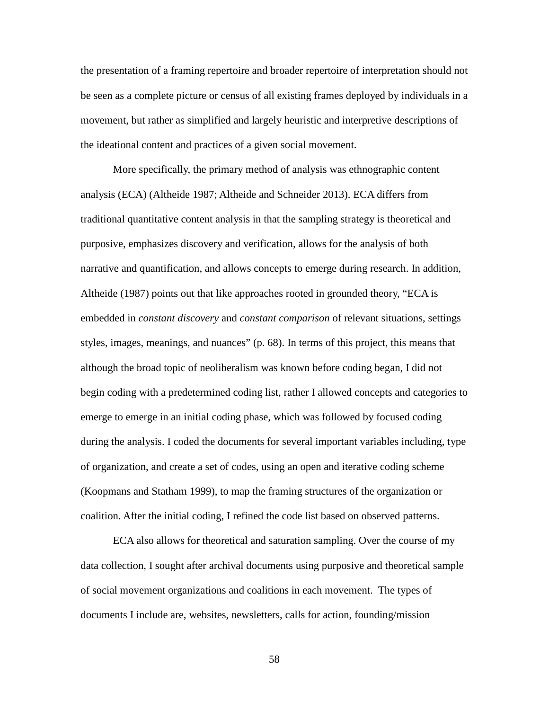the presentation of a framing repertoire and broader repertoire of interpretation should not be seen as a complete picture or census of all existing frames deployed by individuals in a movement, but rather as simplified and largely heuristic and interpretive descriptions of the ideational content and practices of a given social movement.

More specifically, the primary method of analysis was ethnographic content analysis (ECA) (Altheide 1987; Altheide and Schneider 2013). ECA differs from traditional quantitative content analysis in that the sampling strategy is theoretical and purposive, emphasizes discovery and verification, allows for the analysis of both narrative and quantification, and allows concepts to emerge during research. In addition, Altheide (1987) points out that like approaches rooted in grounded theory, "ECA is embedded in *constant discovery* and *constant comparison* of relevant situations, settings styles, images, meanings, and nuances" (p. 68). In terms of this project, this means that although the broad topic of neoliberalism was known before coding began, I did not begin coding with a predetermined coding list, rather I allowed concepts and categories to emerge to emerge in an initial coding phase, which was followed by focused coding during the analysis. I coded the documents for several important variables including, type of organization, and create a set of codes, using an open and iterative coding scheme (Koopmans and Statham 1999), to map the framing structures of the organization or coalition. After the initial coding, I refined the code list based on observed patterns.

ECA also allows for theoretical and saturation sampling. Over the course of my data collection, I sought after archival documents using purposive and theoretical sample of social movement organizations and coalitions in each movement. The types of documents I include are, websites, newsletters, calls for action, founding/mission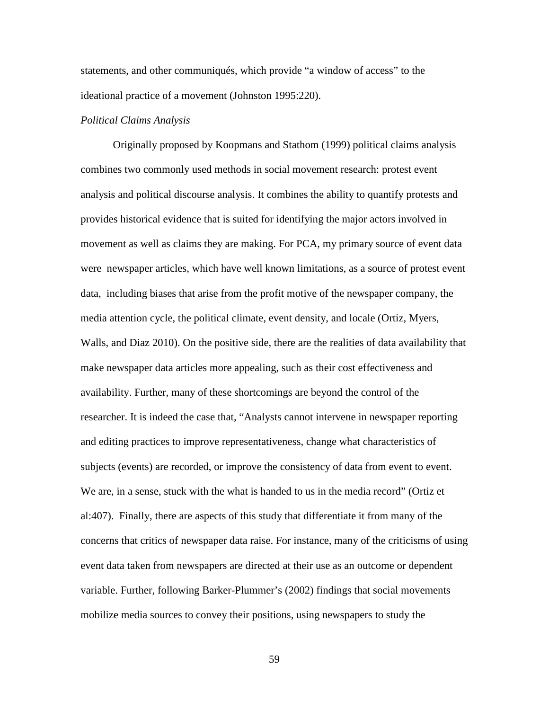statements, and other communiqués, which provide "a window of access" to the ideational practice of a movement (Johnston 1995:220).

# *Political Claims Analysis*

Originally proposed by Koopmans and Stathom (1999) political claims analysis combines two commonly used methods in social movement research: protest event analysis and political discourse analysis. It combines the ability to quantify protests and provides historical evidence that is suited for identifying the major actors involved in movement as well as claims they are making. For PCA, my primary source of event data were newspaper articles, which have well known limitations, as a source of protest event data, including biases that arise from the profit motive of the newspaper company, the media attention cycle, the political climate, event density, and locale (Ortiz, Myers, Walls, and Diaz 2010). On the positive side, there are the realities of data availability that make newspaper data articles more appealing, such as their cost effectiveness and availability. Further, many of these shortcomings are beyond the control of the researcher. It is indeed the case that, "Analysts cannot intervene in newspaper reporting and editing practices to improve representativeness, change what characteristics of subjects (events) are recorded, or improve the consistency of data from event to event. We are, in a sense, stuck with the what is handed to us in the media record" (Ortiz et al:407). Finally, there are aspects of this study that differentiate it from many of the concerns that critics of newspaper data raise. For instance, many of the criticisms of using event data taken from newspapers are directed at their use as an outcome or dependent variable. Further, following Barker-Plummer's (2002) findings that social movements mobilize media sources to convey their positions, using newspapers to study the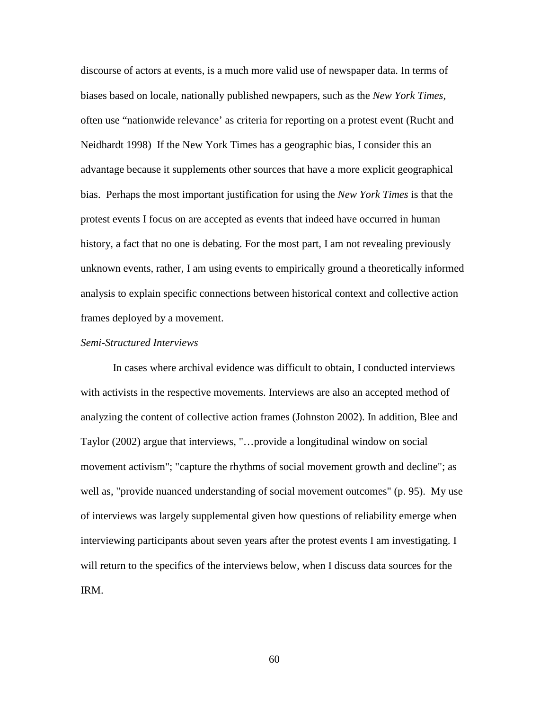discourse of actors at events, is a much more valid use of newspaper data. In terms of biases based on locale, nationally published newpapers, such as the *New York Times,* often use "nationwide relevance' as criteria for reporting on a protest event (Rucht and Neidhardt 1998) If the New York Times has a geographic bias, I consider this an advantage because it supplements other sources that have a more explicit geographical bias. Perhaps the most important justification for using the *New York Times* is that the protest events I focus on are accepted as events that indeed have occurred in human history, a fact that no one is debating. For the most part, I am not revealing previously unknown events, rather, I am using events to empirically ground a theoretically informed analysis to explain specific connections between historical context and collective action frames deployed by a movement.

## *Semi-Structured Interviews*

In cases where archival evidence was difficult to obtain, I conducted interviews with activists in the respective movements. Interviews are also an accepted method of analyzing the content of collective action frames (Johnston 2002). In addition, Blee and Taylor (2002) argue that interviews, "…provide a longitudinal window on social movement activism"; "capture the rhythms of social movement growth and decline"; as well as, "provide nuanced understanding of social movement outcomes" (p. 95). My use of interviews was largely supplemental given how questions of reliability emerge when interviewing participants about seven years after the protest events I am investigating. I will return to the specifics of the interviews below, when I discuss data sources for the IRM.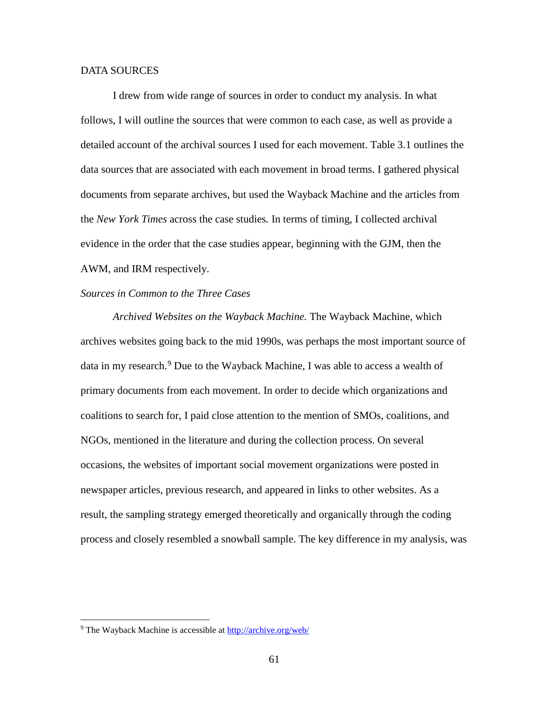## DATA SOURCES

I drew from wide range of sources in order to conduct my analysis. In what follows, I will outline the sources that were common to each case, as well as provide a detailed account of the archival sources I used for each movement. Table 3.1 outlines the data sources that are associated with each movement in broad terms. I gathered physical documents from separate archives, but used the Wayback Machine and the articles from the *New York Times* across the case studies*.* In terms of timing, I collected archival evidence in the order that the case studies appear, beginning with the GJM, then the AWM, and IRM respectively.

# *Sources in Common to the Three Cases*

*Archived Websites on the Wayback Machine.* The Wayback Machine*,* which archives websites going back to the mid 1990s, was perhaps the most important source of data in my research.<sup>[9](#page-77-0)</sup> Due to the Wayback Machine, I was able to access a wealth of primary documents from each movement. In order to decide which organizations and coalitions to search for, I paid close attention to the mention of SMOs, coalitions, and NGOs, mentioned in the literature and during the collection process. On several occasions, the websites of important social movement organizations were posted in newspaper articles, previous research, and appeared in links to other websites. As a result, the sampling strategy emerged theoretically and organically through the coding process and closely resembled a snowball sample. The key difference in my analysis, was

l

<span id="page-77-0"></span><sup>9</sup> The Wayback Machine is accessible at<http://archive.org/web/>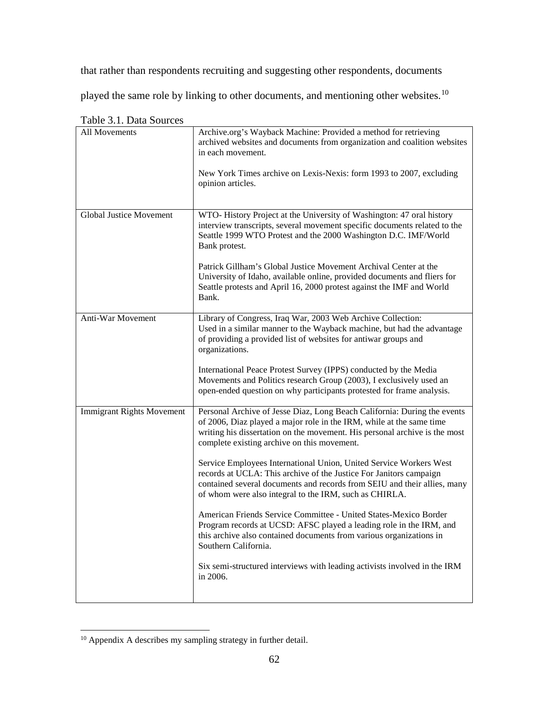that rather than respondents recruiting and suggesting other respondents, documents

played the same role by linking to other documents, and mentioning other websites.[10](#page-78-0)

| All Movements                    | Archive.org's Wayback Machine: Provided a method for retrieving<br>archived websites and documents from organization and coalition websites<br>in each movement.                                                                                                               |  |
|----------------------------------|--------------------------------------------------------------------------------------------------------------------------------------------------------------------------------------------------------------------------------------------------------------------------------|--|
|                                  | New York Times archive on Lexis-Nexis: form 1993 to 2007, excluding<br>opinion articles.                                                                                                                                                                                       |  |
| <b>Global Justice Movement</b>   | WTO-History Project at the University of Washington: 47 oral history<br>interview transcripts, several movement specific documents related to the<br>Seattle 1999 WTO Protest and the 2000 Washington D.C. IMF/World<br>Bank protest.                                          |  |
|                                  | Patrick Gillham's Global Justice Movement Archival Center at the<br>University of Idaho, available online, provided documents and fliers for<br>Seattle protests and April 16, 2000 protest against the IMF and World<br>Bank.                                                 |  |
| Anti-War Movement                | Library of Congress, Iraq War, 2003 Web Archive Collection:<br>Used in a similar manner to the Wayback machine, but had the advantage<br>of providing a provided list of websites for antiwar groups and<br>organizations.                                                     |  |
|                                  | International Peace Protest Survey (IPPS) conducted by the Media<br>Movements and Politics research Group (2003), I exclusively used an<br>open-ended question on why participants protested for frame analysis.                                                               |  |
| <b>Immigrant Rights Movement</b> | Personal Archive of Jesse Diaz, Long Beach California: During the events<br>of 2006, Diaz played a major role in the IRM, while at the same time<br>writing his dissertation on the movement. His personal archive is the most<br>complete existing archive on this movement.  |  |
|                                  | Service Employees International Union, United Service Workers West<br>records at UCLA: This archive of the Justice For Janitors campaign<br>contained several documents and records from SEIU and their allies, many<br>of whom were also integral to the IRM, such as CHIRLA. |  |
|                                  | American Friends Service Committee - United States-Mexico Border<br>Program records at UCSD: AFSC played a leading role in the IRM, and<br>this archive also contained documents from various organizations in<br>Southern California.                                         |  |
|                                  | Six semi-structured interviews with leading activists involved in the IRM<br>in 2006.                                                                                                                                                                                          |  |

Table 3.1. Data Sources

l

<span id="page-78-0"></span><sup>&</sup>lt;sup>10</sup> Appendix A describes my sampling strategy in further detail.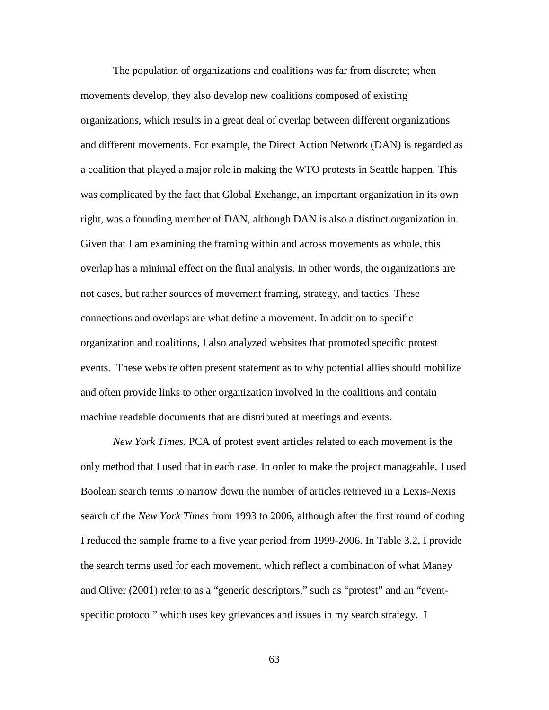The population of organizations and coalitions was far from discrete; when movements develop, they also develop new coalitions composed of existing organizations, which results in a great deal of overlap between different organizations and different movements. For example, the Direct Action Network (DAN) is regarded as a coalition that played a major role in making the WTO protests in Seattle happen. This was complicated by the fact that Global Exchange, an important organization in its own right, was a founding member of DAN, although DAN is also a distinct organization in. Given that I am examining the framing within and across movements as whole, this overlap has a minimal effect on the final analysis. In other words, the organizations are not cases, but rather sources of movement framing, strategy, and tactics. These connections and overlaps are what define a movement. In addition to specific organization and coalitions, I also analyzed websites that promoted specific protest events. These website often present statement as to why potential allies should mobilize and often provide links to other organization involved in the coalitions and contain machine readable documents that are distributed at meetings and events.

*New York Times.* PCA of protest event articles related to each movement is the only method that I used that in each case. In order to make the project manageable, I used Boolean search terms to narrow down the number of articles retrieved in a Lexis-Nexis search of the *New York Times* from 1993 to 2006, although after the first round of coding I reduced the sample frame to a five year period from 1999-2006. In Table 3.2, I provide the search terms used for each movement, which reflect a combination of what Maney and Oliver (2001) refer to as a "generic descriptors," such as "protest" and an "eventspecific protocol" which uses key grievances and issues in my search strategy. I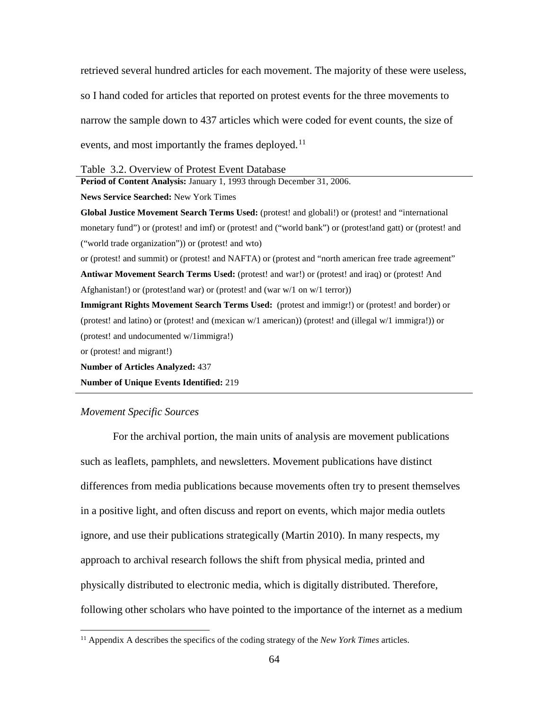retrieved several hundred articles for each movement. The majority of these were useless, so I hand coded for articles that reported on protest events for the three movements to narrow the sample down to 437 articles which were coded for event counts, the size of events, and most importantly the frames deployed.<sup>[11](#page-80-0)</sup>

#### Table 3.2. Overview of Protest Event Database

**Period of Content Analysis:** January 1, 1993 through December 31, 2006.

**News Service Searched:** New York Times

**Global Justice Movement Search Terms Used:** (protest! and globali!) or (protest! and "international monetary fund") or (protest! and imf) or (protest! and ("world bank") or (protest!and gatt) or (protest! and ("world trade organization")) or (protest! and wto)

or (protest! and summit) or (protest! and NAFTA) or (protest and "north american free trade agreement" **Antiwar Movement Search Terms Used:** (protest! and war!) or (protest! and iraq) or (protest! And Afghanistan!) or (protest!and war) or (protest! and (war w/1 on w/1 terror))

**Immigrant Rights Movement Search Terms Used:** (protest and immigr!) or (protest! and border) or (protest! and latino) or (protest! and (mexican w/1 american)) (protest! and (illegal w/1 immigra!)) or (protest! and undocumented w/1immigra!)

or (protest! and migrant!)

l

**Number of Articles Analyzed:** 437

**Number of Unique Events Identified:** 219

#### *Movement Specific Sources*

For the archival portion, the main units of analysis are movement publications such as leaflets, pamphlets, and newsletters. Movement publications have distinct differences from media publications because movements often try to present themselves in a positive light, and often discuss and report on events, which major media outlets ignore, and use their publications strategically (Martin 2010). In many respects, my approach to archival research follows the shift from physical media, printed and physically distributed to electronic media, which is digitally distributed. Therefore, following other scholars who have pointed to the importance of the internet as a medium

<span id="page-80-0"></span><sup>11</sup> Appendix A describes the specifics of the coding strategy of the *New York Times* articles.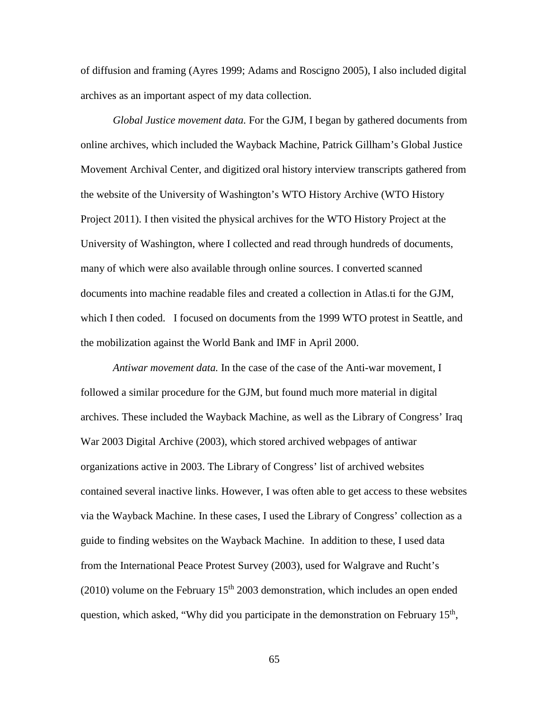of diffusion and framing (Ayres 1999; Adams and Roscigno 2005), I also included digital archives as an important aspect of my data collection.

*Global Justice movement data.* For the GJM, I began by gathered documents from online archives, which included the Wayback Machine, Patrick Gillham's Global Justice Movement Archival Center, and digitized oral history interview transcripts gathered from the website of the University of Washington's WTO History Archive (WTO History Project 2011). I then visited the physical archives for the WTO History Project at the University of Washington, where I collected and read through hundreds of documents, many of which were also available through online sources. I converted scanned documents into machine readable files and created a collection in Atlas.ti for the GJM, which I then coded. I focused on documents from the 1999 WTO protest in Seattle, and the mobilization against the World Bank and IMF in April 2000.

*Antiwar movement data*. In the case of the case of the Anti-war movement, I followed a similar procedure for the GJM, but found much more material in digital archives. These included the Wayback Machine, as well as the Library of Congress' Iraq War 2003 Digital Archive (2003), which stored archived webpages of antiwar organizations active in 2003. The Library of Congress' list of archived websites contained several inactive links. However, I was often able to get access to these websites via the Wayback Machine. In these cases, I used the Library of Congress' collection as a guide to finding websites on the Wayback Machine. In addition to these, I used data from the International Peace Protest Survey (2003), used for Walgrave and Rucht's (2010) volume on the February  $15<sup>th</sup>$  2003 demonstration, which includes an open ended question, which asked, "Why did you participate in the demonstration on February  $15<sup>th</sup>$ ,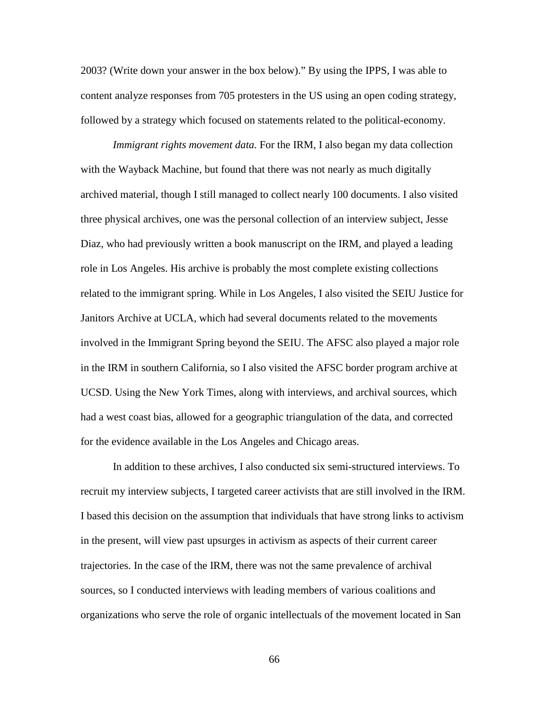2003? (Write down your answer in the box below)." By using the IPPS, I was able to content analyze responses from 705 protesters in the US using an open coding strategy, followed by a strategy which focused on statements related to the political-economy.

*Immigrant rights movement data.* For the IRM, I also began my data collection with the Wayback Machine, but found that there was not nearly as much digitally archived material, though I still managed to collect nearly 100 documents. I also visited three physical archives, one was the personal collection of an interview subject, Jesse Diaz, who had previously written a book manuscript on the IRM, and played a leading role in Los Angeles. His archive is probably the most complete existing collections related to the immigrant spring. While in Los Angeles, I also visited the SEIU Justice for Janitors Archive at UCLA, which had several documents related to the movements involved in the Immigrant Spring beyond the SEIU. The AFSC also played a major role in the IRM in southern California, so I also visited the AFSC border program archive at UCSD. Using the New York Times, along with interviews, and archival sources, which had a west coast bias, allowed for a geographic triangulation of the data, and corrected for the evidence available in the Los Angeles and Chicago areas.

In addition to these archives, I also conducted six semi-structured interviews. To recruit my interview subjects, I targeted career activists that are still involved in the IRM. I based this decision on the assumption that individuals that have strong links to activism in the present, will view past upsurges in activism as aspects of their current career trajectories. In the case of the IRM, there was not the same prevalence of archival sources, so I conducted interviews with leading members of various coalitions and organizations who serve the role of organic intellectuals of the movement located in San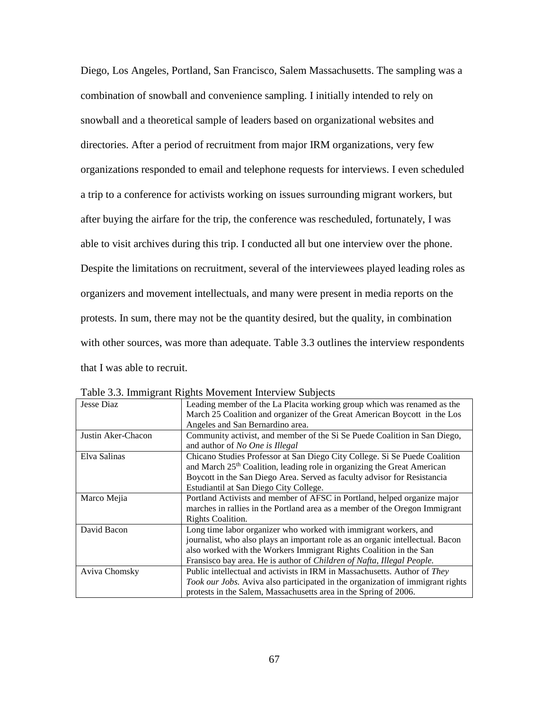Diego, Los Angeles, Portland, San Francisco, Salem Massachusetts. The sampling was a combination of snowball and convenience sampling. I initially intended to rely on snowball and a theoretical sample of leaders based on organizational websites and directories. After a period of recruitment from major IRM organizations, very few organizations responded to email and telephone requests for interviews. I even scheduled a trip to a conference for activists working on issues surrounding migrant workers, but after buying the airfare for the trip, the conference was rescheduled, fortunately, I was able to visit archives during this trip. I conducted all but one interview over the phone. Despite the limitations on recruitment, several of the interviewees played leading roles as organizers and movement intellectuals, and many were present in media reports on the protests. In sum, there may not be the quantity desired, but the quality, in combination with other sources, was more than adequate. Table 3.3 outlines the interview respondents that I was able to recruit.

| Jesse Diaz         | Leading member of the La Placita working group which was renamed as the<br>March 25 Coalition and organizer of the Great American Boycott in the Los |  |
|--------------------|------------------------------------------------------------------------------------------------------------------------------------------------------|--|
|                    | Angeles and San Bernardino area.                                                                                                                     |  |
| Justin Aker-Chacon | Community activist, and member of the Si Se Puede Coalition in San Diego,                                                                            |  |
|                    | and author of <i>No One is Illegal</i>                                                                                                               |  |
| Elva Salinas       | Chicano Studies Professor at San Diego City College. Si Se Puede Coalition                                                                           |  |
|                    | and March 25 <sup>th</sup> Coalition, leading role in organizing the Great American                                                                  |  |
|                    | Boycott in the San Diego Area. Served as faculty advisor for Resistancia                                                                             |  |
|                    | Estudiantil at San Diego City College.                                                                                                               |  |
| Marco Mejia        | Portland Activists and member of AFSC in Portland, helped organize major                                                                             |  |
|                    | marches in rallies in the Portland area as a member of the Oregon Immigrant                                                                          |  |
|                    | Rights Coalition.                                                                                                                                    |  |
| David Bacon        | Long time labor organizer who worked with immigrant workers, and                                                                                     |  |
|                    | journalist, who also plays an important role as an organic intellectual. Bacon                                                                       |  |
|                    | also worked with the Workers Immigrant Rights Coalition in the San                                                                                   |  |
|                    | Fransisco bay area. He is author of Children of Nafta, Illegal People.                                                                               |  |
| Aviva Chomsky      | Public intellectual and activists in IRM in Massachusetts. Author of They                                                                            |  |
|                    | Took our Jobs. Aviva also participated in the organization of immigrant rights                                                                       |  |
|                    | protests in the Salem, Massachusetts area in the Spring of 2006.                                                                                     |  |

Table 3.3. Immigrant Rights Movement Interview Subjects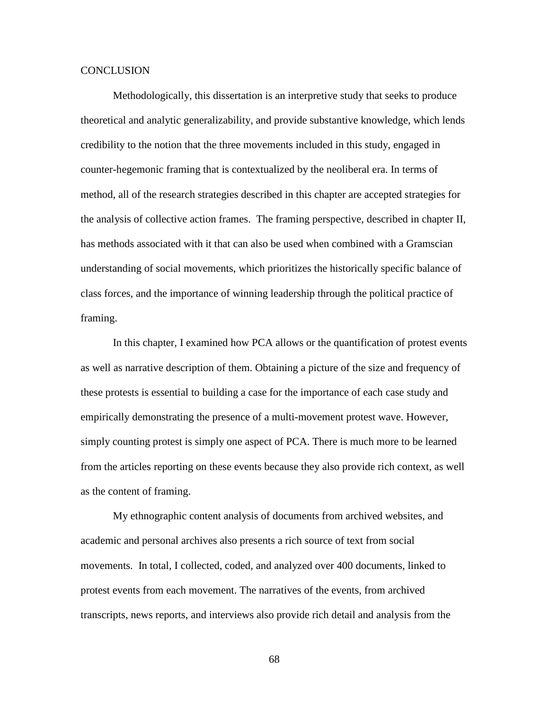## **CONCLUSION**

Methodologically, this dissertation is an interpretive study that seeks to produce theoretical and analytic generalizability, and provide substantive knowledge, which lends credibility to the notion that the three movements included in this study, engaged in counter-hegemonic framing that is contextualized by the neoliberal era. In terms of method, all of the research strategies described in this chapter are accepted strategies for the analysis of collective action frames. The framing perspective, described in chapter II, has methods associated with it that can also be used when combined with a Gramscian understanding of social movements, which prioritizes the historically specific balance of class forces, and the importance of winning leadership through the political practice of framing.

In this chapter, I examined how PCA allows or the quantification of protest events as well as narrative description of them. Obtaining a picture of the size and frequency of these protests is essential to building a case for the importance of each case study and empirically demonstrating the presence of a multi-movement protest wave. However, simply counting protest is simply one aspect of PCA. There is much more to be learned from the articles reporting on these events because they also provide rich context, as well as the content of framing.

My ethnographic content analysis of documents from archived websites, and academic and personal archives also presents a rich source of text from social movements. In total, I collected, coded, and analyzed over 400 documents, linked to protest events from each movement. The narratives of the events, from archived transcripts, news reports, and interviews also provide rich detail and analysis from the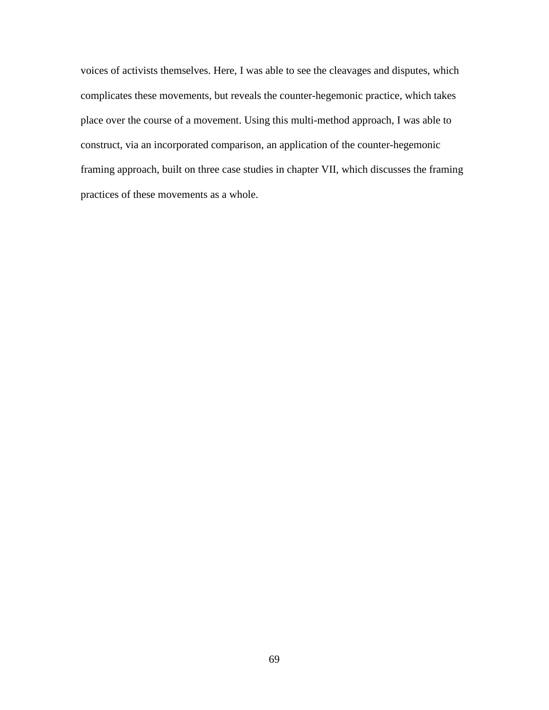voices of activists themselves. Here, I was able to see the cleavages and disputes, which complicates these movements, but reveals the counter-hegemonic practice, which takes place over the course of a movement. Using this multi-method approach, I was able to construct, via an incorporated comparison, an application of the counter-hegemonic framing approach, built on three case studies in chapter VII, which discusses the framing practices of these movements as a whole.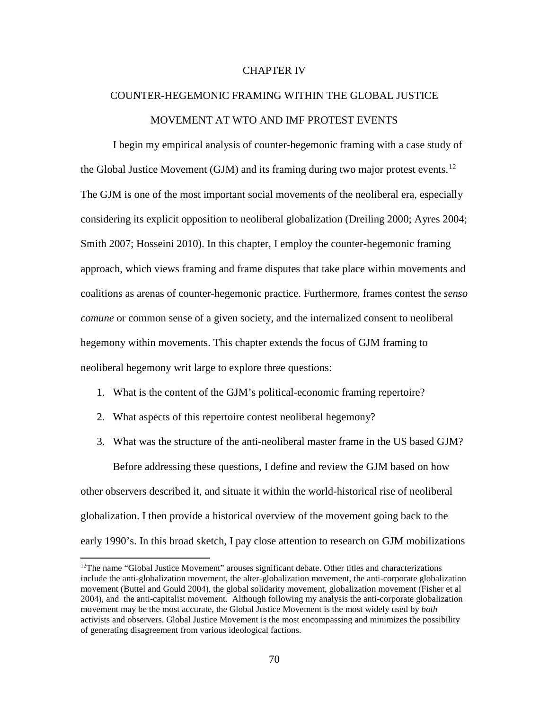# CHAPTER IV

# COUNTER-HEGEMONIC FRAMING WITHIN THE GLOBAL JUSTICE MOVEMENT AT WTO AND IMF PROTEST EVENTS

I begin my empirical analysis of counter-hegemonic framing with a case study of the Global Justice Movement (GJM) and its framing during two major protest events.<sup>[12](#page-86-0)</sup> The GJM is one of the most important social movements of the neoliberal era, especially considering its explicit opposition to neoliberal globalization (Dreiling 2000; Ayres 2004; Smith 2007; Hosseini 2010). In this chapter, I employ the counter-hegemonic framing approach, which views framing and frame disputes that take place within movements and coalitions as arenas of counter-hegemonic practice. Furthermore, frames contest the *senso comune* or common sense of a given society, and the internalized consent to neoliberal hegemony within movements. This chapter extends the focus of GJM framing to neoliberal hegemony writ large to explore three questions:

- 1. What is the content of the GJM's political-economic framing repertoire?
- 2. What aspects of this repertoire contest neoliberal hegemony?

 $\overline{\phantom{a}}$ 

3. What was the structure of the anti-neoliberal master frame in the US based GJM?

Before addressing these questions, I define and review the GJM based on how other observers described it, and situate it within the world-historical rise of neoliberal globalization. I then provide a historical overview of the movement going back to the early 1990's. In this broad sketch, I pay close attention to research on GJM mobilizations

<span id="page-86-0"></span> $12$ The name "Global Justice Movement" arouses significant debate. Other titles and characterizations include the anti-globalization movement, the alter-globalization movement, the anti-corporate globalization movement (Buttel and Gould 2004), the global solidarity movement, globalization movement (Fisher et al 2004), and the anti-capitalist movement. Although following my analysis the anti-corporate globalization movement may be the most accurate, the Global Justice Movement is the most widely used by *both*  activists and observers. Global Justice Movement is the most encompassing and minimizes the possibility of generating disagreement from various ideological factions.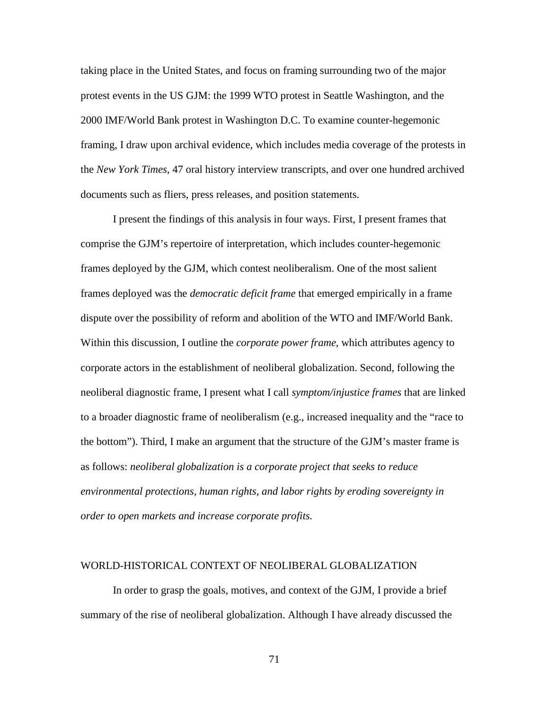taking place in the United States, and focus on framing surrounding two of the major protest events in the US GJM: the 1999 WTO protest in Seattle Washington, and the 2000 IMF/World Bank protest in Washington D.C. To examine counter-hegemonic framing, I draw upon archival evidence, which includes media coverage of the protests in the *New York Times*, 47 oral history interview transcripts, and over one hundred archived documents such as fliers, press releases, and position statements.

I present the findings of this analysis in four ways. First, I present frames that comprise the GJM's repertoire of interpretation, which includes counter-hegemonic frames deployed by the GJM, which contest neoliberalism. One of the most salient frames deployed was the *democratic deficit frame* that emerged empirically in a frame dispute over the possibility of reform and abolition of the WTO and IMF/World Bank. Within this discussion, I outline the *corporate power frame*, which attributes agency to corporate actors in the establishment of neoliberal globalization. Second, following the neoliberal diagnostic frame, I present what I call *symptom/injustice frames* that are linked to a broader diagnostic frame of neoliberalism (e.g., increased inequality and the "race to the bottom"). Third, I make an argument that the structure of the GJM's master frame is as follows: *neoliberal globalization is a corporate project that seeks to reduce environmental protections, human rights, and labor rights by eroding sovereignty in order to open markets and increase corporate profits.*

# WORLD-HISTORICAL CONTEXT OF NEOLIBERAL GLOBALIZATION

In order to grasp the goals, motives, and context of the GJM, I provide a brief summary of the rise of neoliberal globalization. Although I have already discussed the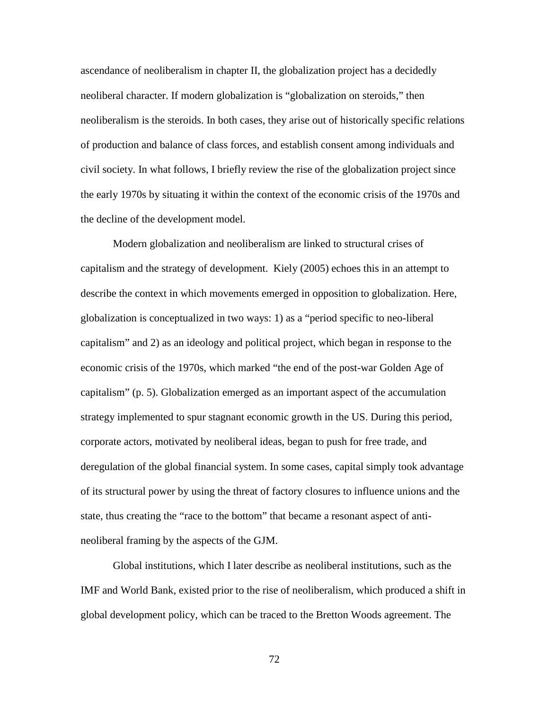ascendance of neoliberalism in chapter II, the globalization project has a decidedly neoliberal character. If modern globalization is "globalization on steroids," then neoliberalism is the steroids. In both cases, they arise out of historically specific relations of production and balance of class forces, and establish consent among individuals and civil society. In what follows, I briefly review the rise of the globalization project since the early 1970s by situating it within the context of the economic crisis of the 1970s and the decline of the development model.

Modern globalization and neoliberalism are linked to structural crises of capitalism and the strategy of development. Kiely (2005) echoes this in an attempt to describe the context in which movements emerged in opposition to globalization. Here, globalization is conceptualized in two ways: 1) as a "period specific to neo-liberal capitalism" and 2) as an ideology and political project, which began in response to the economic crisis of the 1970s, which marked "the end of the post-war Golden Age of capitalism" (p. 5). Globalization emerged as an important aspect of the accumulation strategy implemented to spur stagnant economic growth in the US. During this period, corporate actors, motivated by neoliberal ideas, began to push for free trade, and deregulation of the global financial system. In some cases, capital simply took advantage of its structural power by using the threat of factory closures to influence unions and the state, thus creating the "race to the bottom" that became a resonant aspect of antineoliberal framing by the aspects of the GJM.

Global institutions, which I later describe as neoliberal institutions, such as the IMF and World Bank, existed prior to the rise of neoliberalism, which produced a shift in global development policy, which can be traced to the Bretton Woods agreement. The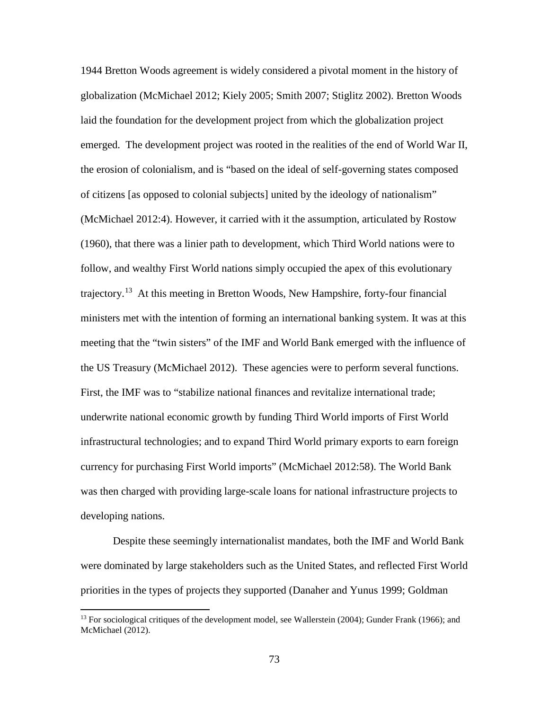1944 Bretton Woods agreement is widely considered a pivotal moment in the history of globalization (McMichael 2012; Kiely 2005; Smith 2007; Stiglitz 2002). Bretton Woods laid the foundation for the development project from which the globalization project emerged. The development project was rooted in the realities of the end of World War II, the erosion of colonialism, and is "based on the ideal of self-governing states composed of citizens [as opposed to colonial subjects] united by the ideology of nationalism" (McMichael 2012:4). However, it carried with it the assumption, articulated by Rostow (1960), that there was a linier path to development, which Third World nations were to follow, and wealthy First World nations simply occupied the apex of this evolutionary trajectory.[13](#page-89-0) At this meeting in Bretton Woods, New Hampshire, forty-four financial ministers met with the intention of forming an international banking system. It was at this meeting that the "twin sisters" of the IMF and World Bank emerged with the influence of the US Treasury (McMichael 2012). These agencies were to perform several functions. First, the IMF was to "stabilize national finances and revitalize international trade; underwrite national economic growth by funding Third World imports of First World infrastructural technologies; and to expand Third World primary exports to earn foreign currency for purchasing First World imports" (McMichael 2012:58). The World Bank was then charged with providing large-scale loans for national infrastructure projects to developing nations.

Despite these seemingly internationalist mandates, both the IMF and World Bank were dominated by large stakeholders such as the United States, and reflected First World priorities in the types of projects they supported (Danaher and Yunus 1999; Goldman

 $\overline{\phantom{a}}$ 

<span id="page-89-0"></span><sup>&</sup>lt;sup>13</sup> For sociological critiques of the development model, see Wallerstein (2004); Gunder Frank (1966); and McMichael (2012).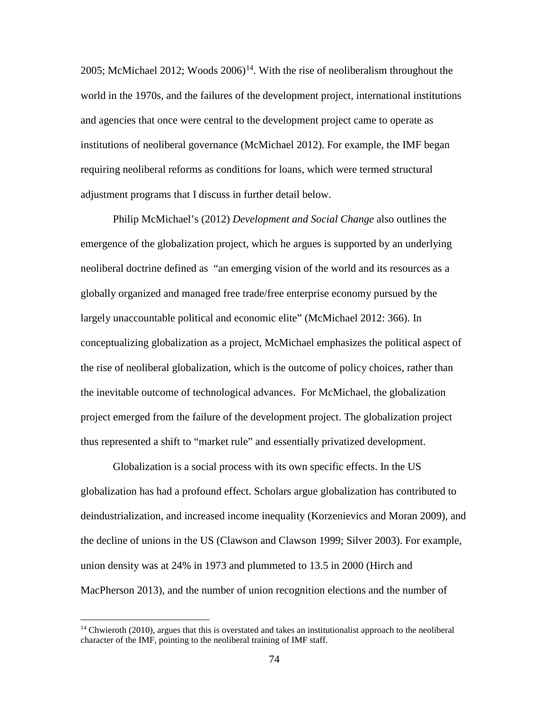2005; McMichael 2012; Woods  $2006$ <sup>14</sup>. With the rise of neoliberalism throughout the world in the 1970s, and the failures of the development project, international institutions and agencies that once were central to the development project came to operate as institutions of neoliberal governance (McMichael 2012). For example, the IMF began requiring neoliberal reforms as conditions for loans, which were termed structural adjustment programs that I discuss in further detail below.

Philip McMichael's (2012) *Development and Social Change* also outlines the emergence of the globalization project, which he argues is supported by an underlying neoliberal doctrine defined as "an emerging vision of the world and its resources as a globally organized and managed free trade/free enterprise economy pursued by the largely unaccountable political and economic elite" (McMichael 2012: 366). In conceptualizing globalization as a project, McMichael emphasizes the political aspect of the rise of neoliberal globalization, which is the outcome of policy choices, rather than the inevitable outcome of technological advances. For McMichael, the globalization project emerged from the failure of the development project. The globalization project thus represented a shift to "market rule" and essentially privatized development.

Globalization is a social process with its own specific effects. In the US globalization has had a profound effect. Scholars argue globalization has contributed to deindustrialization, and increased income inequality (Korzenievics and Moran 2009), and the decline of unions in the US (Clawson and Clawson 1999; Silver 2003). For example, union density was at 24% in 1973 and plummeted to 13.5 in 2000 (Hirch and MacPherson 2013), and the number of union recognition elections and the number of

l

<span id="page-90-0"></span> $14$  Chwieroth (2010), argues that this is overstated and takes an institutionalist approach to the neoliberal character of the IMF, pointing to the neoliberal training of IMF staff.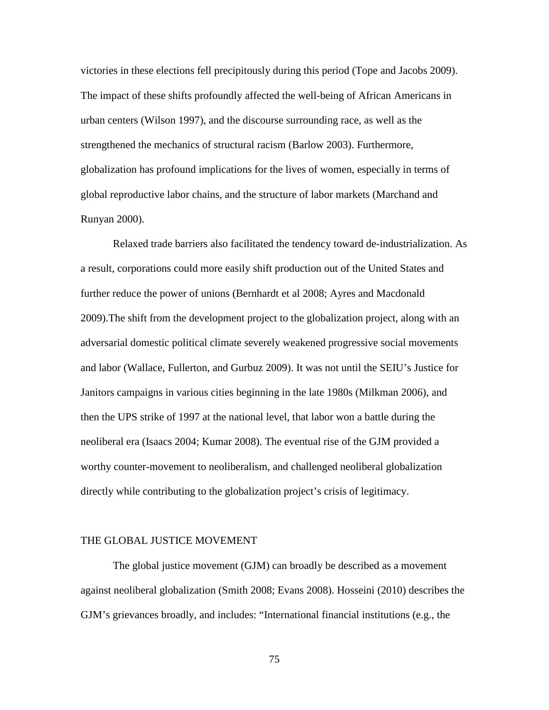victories in these elections fell precipitously during this period (Tope and Jacobs 2009). The impact of these shifts profoundly affected the well-being of African Americans in urban centers (Wilson 1997), and the discourse surrounding race, as well as the strengthened the mechanics of structural racism (Barlow 2003). Furthermore, globalization has profound implications for the lives of women, especially in terms of global reproductive labor chains, and the structure of labor markets (Marchand and Runyan 2000).

Relaxed trade barriers also facilitated the tendency toward de-industrialization. As a result, corporations could more easily shift production out of the United States and further reduce the power of unions (Bernhardt et al 2008; Ayres and Macdonald 2009).The shift from the development project to the globalization project, along with an adversarial domestic political climate severely weakened progressive social movements and labor (Wallace, Fullerton, and Gurbuz 2009). It was not until the SEIU's Justice for Janitors campaigns in various cities beginning in the late 1980s (Milkman 2006), and then the UPS strike of 1997 at the national level, that labor won a battle during the neoliberal era (Isaacs 2004; Kumar 2008). The eventual rise of the GJM provided a worthy counter-movement to neoliberalism, and challenged neoliberal globalization directly while contributing to the globalization project's crisis of legitimacy.

# THE GLOBAL JUSTICE MOVEMENT

The global justice movement (GJM) can broadly be described as a movement against neoliberal globalization (Smith 2008; Evans 2008). Hosseini (2010) describes the GJM's grievances broadly, and includes: "International financial institutions (e.g., the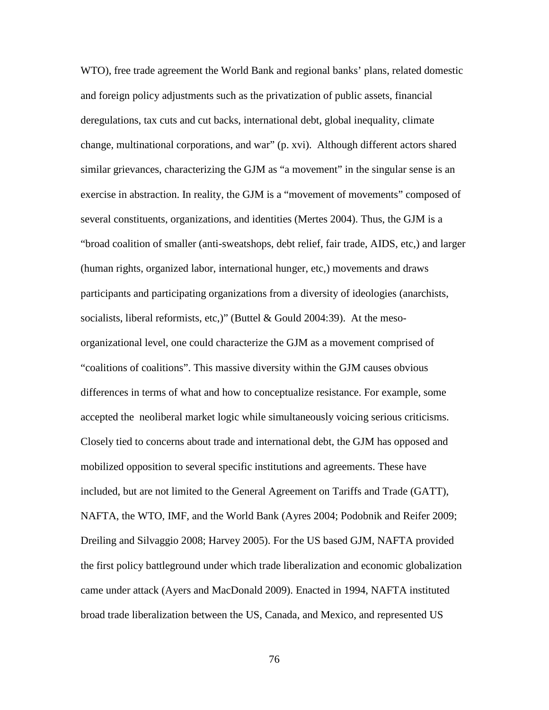WTO), free trade agreement the World Bank and regional banks' plans, related domestic and foreign policy adjustments such as the privatization of public assets, financial deregulations, tax cuts and cut backs, international debt, global inequality, climate change, multinational corporations, and war" (p. xvi). Although different actors shared similar grievances, characterizing the GJM as "a movement" in the singular sense is an exercise in abstraction. In reality, the GJM is a "movement of movements" composed of several constituents, organizations, and identities (Mertes 2004). Thus, the GJM is a "broad coalition of smaller (anti-sweatshops, debt relief, fair trade, AIDS, etc,) and larger (human rights, organized labor, international hunger, etc,) movements and draws participants and participating organizations from a diversity of ideologies (anarchists, socialists, liberal reformists, etc,)" (Buttel & Gould 2004:39). At the mesoorganizational level, one could characterize the GJM as a movement comprised of "coalitions of coalitions". This massive diversity within the GJM causes obvious differences in terms of what and how to conceptualize resistance. For example, some accepted the neoliberal market logic while simultaneously voicing serious criticisms. Closely tied to concerns about trade and international debt, the GJM has opposed and mobilized opposition to several specific institutions and agreements. These have included, but are not limited to the General Agreement on Tariffs and Trade (GATT), NAFTA, the WTO, IMF, and the World Bank (Ayres 2004; Podobnik and Reifer 2009; Dreiling and Silvaggio 2008; Harvey 2005). For the US based GJM, NAFTA provided the first policy battleground under which trade liberalization and economic globalization came under attack (Ayers and MacDonald 2009). Enacted in 1994, NAFTA instituted broad trade liberalization between the US, Canada, and Mexico, and represented US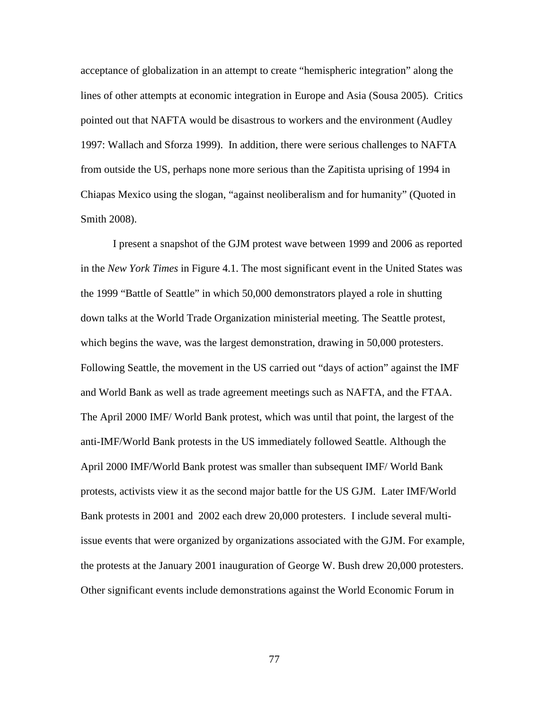acceptance of globalization in an attempt to create "hemispheric integration" along the lines of other attempts at economic integration in Europe and Asia (Sousa 2005). Critics pointed out that NAFTA would be disastrous to workers and the environment (Audley 1997: Wallach and Sforza 1999). In addition, there were serious challenges to NAFTA from outside the US, perhaps none more serious than the Zapitista uprising of 1994 in Chiapas Mexico using the slogan, "against neoliberalism and for humanity" (Quoted in Smith 2008).

I present a snapshot of the GJM protest wave between 1999 and 2006 as reported in the *New York Times* in Figure 4.1. The most significant event in the United States was the 1999 "Battle of Seattle" in which 50,000 demonstrators played a role in shutting down talks at the World Trade Organization ministerial meeting. The Seattle protest, which begins the wave, was the largest demonstration, drawing in 50,000 protesters. Following Seattle, the movement in the US carried out "days of action" against the IMF and World Bank as well as trade agreement meetings such as NAFTA, and the FTAA. The April 2000 IMF/ World Bank protest, which was until that point, the largest of the anti-IMF/World Bank protests in the US immediately followed Seattle. Although the April 2000 IMF/World Bank protest was smaller than subsequent IMF/ World Bank protests, activists view it as the second major battle for the US GJM. Later IMF/World Bank protests in 2001 and 2002 each drew 20,000 protesters. I include several multiissue events that were organized by organizations associated with the GJM. For example, the protests at the January 2001 inauguration of George W. Bush drew 20,000 protesters. Other significant events include demonstrations against the World Economic Forum in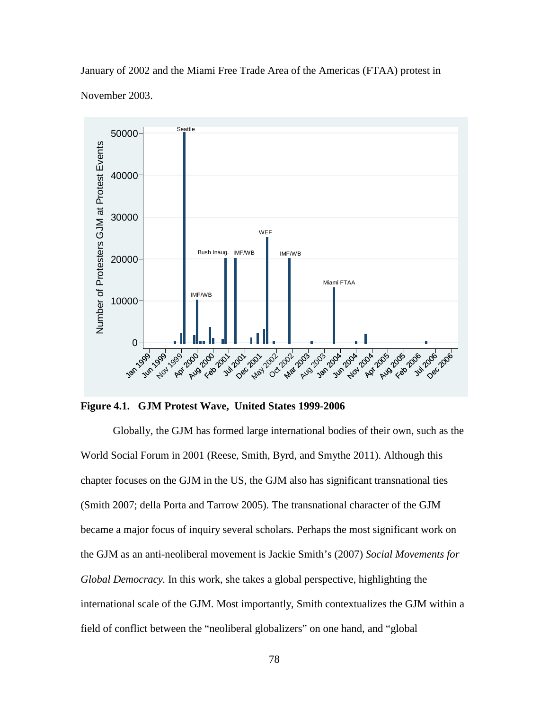January of 2002 and the Miami Free Trade Area of the Americas (FTAA) protest in November 2003.



**Figure 4.1. GJM Protest Wave, United States 1999-2006**

Globally, the GJM has formed large international bodies of their own, such as the World Social Forum in 2001 (Reese, Smith, Byrd, and Smythe 2011). Although this chapter focuses on the GJM in the US, the GJM also has significant transnational ties (Smith 2007; della Porta and Tarrow 2005). The transnational character of the GJM became a major focus of inquiry several scholars. Perhaps the most significant work on the GJM as an anti-neoliberal movement is Jackie Smith's (2007) *Social Movements for Global Democracy.* In this work, she takes a global perspective, highlighting the international scale of the GJM. Most importantly, Smith contextualizes the GJM within a field of conflict between the "neoliberal globalizers" on one hand, and "global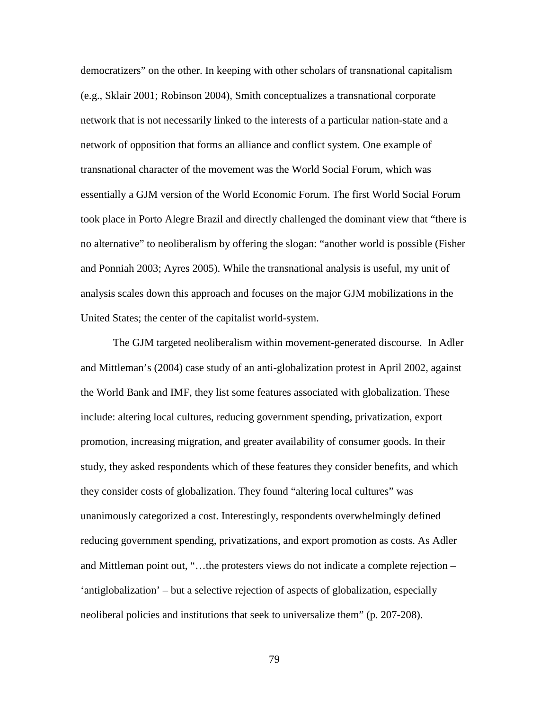democratizers" on the other. In keeping with other scholars of transnational capitalism (e.g., Sklair 2001; Robinson 2004), Smith conceptualizes a transnational corporate network that is not necessarily linked to the interests of a particular nation-state and a network of opposition that forms an alliance and conflict system. One example of transnational character of the movement was the World Social Forum, which was essentially a GJM version of the World Economic Forum. The first World Social Forum took place in Porto Alegre Brazil and directly challenged the dominant view that "there is no alternative" to neoliberalism by offering the slogan: "another world is possible (Fisher and Ponniah 2003; Ayres 2005). While the transnational analysis is useful, my unit of analysis scales down this approach and focuses on the major GJM mobilizations in the United States; the center of the capitalist world-system.

The GJM targeted neoliberalism within movement-generated discourse. In Adler and Mittleman's (2004) case study of an anti-globalization protest in April 2002, against the World Bank and IMF, they list some features associated with globalization. These include: altering local cultures, reducing government spending, privatization, export promotion, increasing migration, and greater availability of consumer goods. In their study, they asked respondents which of these features they consider benefits, and which they consider costs of globalization. They found "altering local cultures" was unanimously categorized a cost. Interestingly, respondents overwhelmingly defined reducing government spending, privatizations, and export promotion as costs. As Adler and Mittleman point out, "…the protesters views do not indicate a complete rejection – 'antiglobalization' – but a selective rejection of aspects of globalization, especially neoliberal policies and institutions that seek to universalize them" (p. 207-208).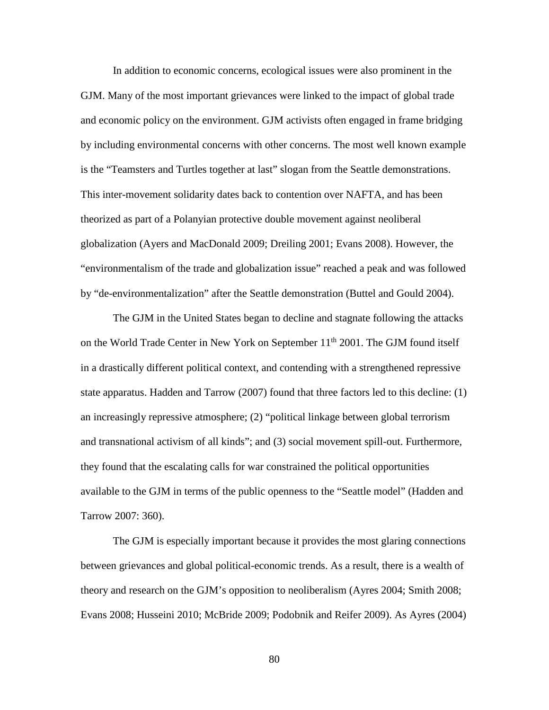In addition to economic concerns, ecological issues were also prominent in the GJM. Many of the most important grievances were linked to the impact of global trade and economic policy on the environment. GJM activists often engaged in frame bridging by including environmental concerns with other concerns. The most well known example is the "Teamsters and Turtles together at last" slogan from the Seattle demonstrations. This inter-movement solidarity dates back to contention over NAFTA, and has been theorized as part of a Polanyian protective double movement against neoliberal globalization (Ayers and MacDonald 2009; Dreiling 2001; Evans 2008). However, the "environmentalism of the trade and globalization issue" reached a peak and was followed by "de-environmentalization" after the Seattle demonstration (Buttel and Gould 2004).

The GJM in the United States began to decline and stagnate following the attacks on the World Trade Center in New York on September 11<sup>th</sup> 2001. The GJM found itself in a drastically different political context, and contending with a strengthened repressive state apparatus. Hadden and Tarrow (2007) found that three factors led to this decline: (1) an increasingly repressive atmosphere; (2) "political linkage between global terrorism and transnational activism of all kinds"; and (3) social movement spill-out. Furthermore, they found that the escalating calls for war constrained the political opportunities available to the GJM in terms of the public openness to the "Seattle model" (Hadden and Tarrow 2007: 360).

The GJM is especially important because it provides the most glaring connections between grievances and global political-economic trends. As a result, there is a wealth of theory and research on the GJM's opposition to neoliberalism (Ayres 2004; Smith 2008; Evans 2008; Husseini 2010; McBride 2009; Podobnik and Reifer 2009). As Ayres (2004)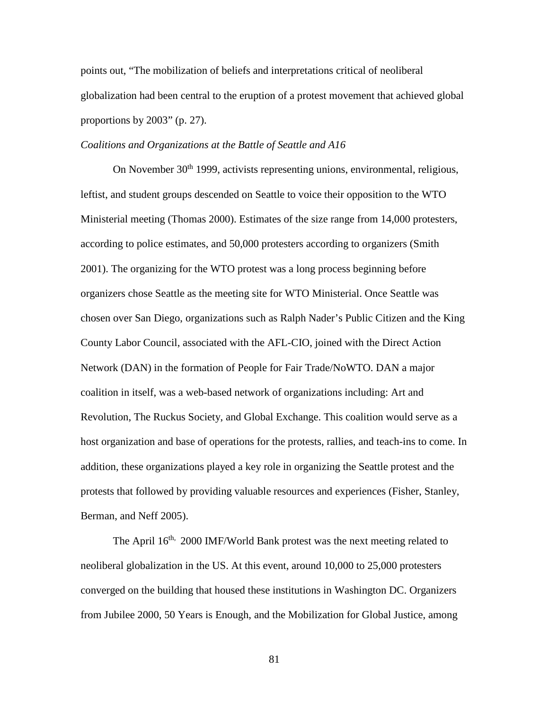points out, "The mobilization of beliefs and interpretations critical of neoliberal globalization had been central to the eruption of a protest movement that achieved global proportions by 2003" (p. 27).

# *Coalitions and Organizations at the Battle of Seattle and A16*

On November 30<sup>th</sup> 1999, activists representing unions, environmental, religious, leftist, and student groups descended on Seattle to voice their opposition to the WTO Ministerial meeting (Thomas 2000). Estimates of the size range from 14,000 protesters, according to police estimates, and 50,000 protesters according to organizers (Smith 2001). The organizing for the WTO protest was a long process beginning before organizers chose Seattle as the meeting site for WTO Ministerial. Once Seattle was chosen over San Diego, organizations such as Ralph Nader's Public Citizen and the King County Labor Council, associated with the AFL-CIO, joined with the Direct Action Network (DAN) in the formation of People for Fair Trade/NoWTO. DAN a major coalition in itself, was a web-based network of organizations including: Art and Revolution, The Ruckus Society, and Global Exchange. This coalition would serve as a host organization and base of operations for the protests, rallies, and teach-ins to come. In addition, these organizations played a key role in organizing the Seattle protest and the protests that followed by providing valuable resources and experiences (Fisher, Stanley, Berman, and Neff 2005).

The April 16<sup>th,</sup> 2000 IMF/World Bank protest was the next meeting related to neoliberal globalization in the US. At this event, around 10,000 to 25,000 protesters converged on the building that housed these institutions in Washington DC. Organizers from Jubilee 2000, 50 Years is Enough, and the Mobilization for Global Justice, among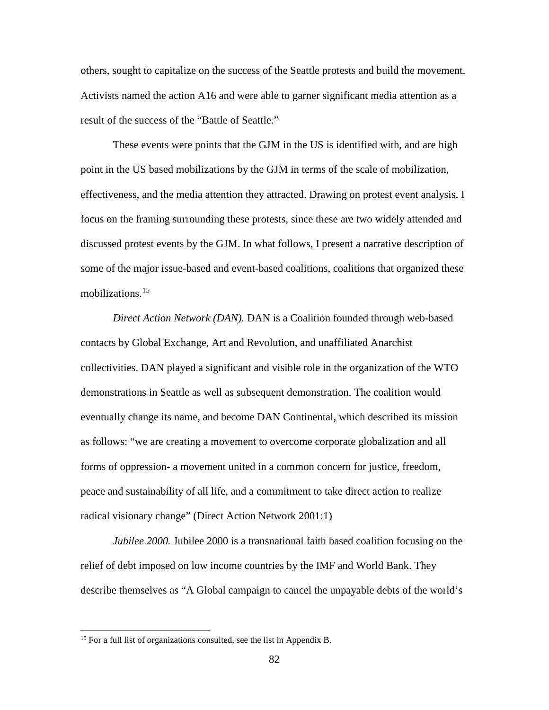others, sought to capitalize on the success of the Seattle protests and build the movement. Activists named the action A16 and were able to garner significant media attention as a result of the success of the "Battle of Seattle."

These events were points that the GJM in the US is identified with, and are high point in the US based mobilizations by the GJM in terms of the scale of mobilization, effectiveness, and the media attention they attracted. Drawing on protest event analysis, I focus on the framing surrounding these protests, since these are two widely attended and discussed protest events by the GJM. In what follows, I present a narrative description of some of the major issue-based and event-based coalitions, coalitions that organized these mobilizations.<sup>[15](#page-98-0)</sup>

*Direct Action Network (DAN).* DAN is a Coalition founded through web-based contacts by Global Exchange, Art and Revolution, and unaffiliated Anarchist collectivities. DAN played a significant and visible role in the organization of the WTO demonstrations in Seattle as well as subsequent demonstration. The coalition would eventually change its name, and become DAN Continental, which described its mission as follows: "we are creating a movement to overcome corporate globalization and all forms of oppression- a movement united in a common concern for justice, freedom, peace and sustainability of all life, and a commitment to take direct action to realize radical visionary change" (Direct Action Network 2001:1)

*Jubilee 2000.* Jubilee 2000 is a transnational faith based coalition focusing on the relief of debt imposed on low income countries by the IMF and World Bank. They describe themselves as "A Global campaign to cancel the unpayable debts of the world's

l

<span id="page-98-0"></span><sup>&</sup>lt;sup>15</sup> For a full list of organizations consulted, see the list in Appendix B.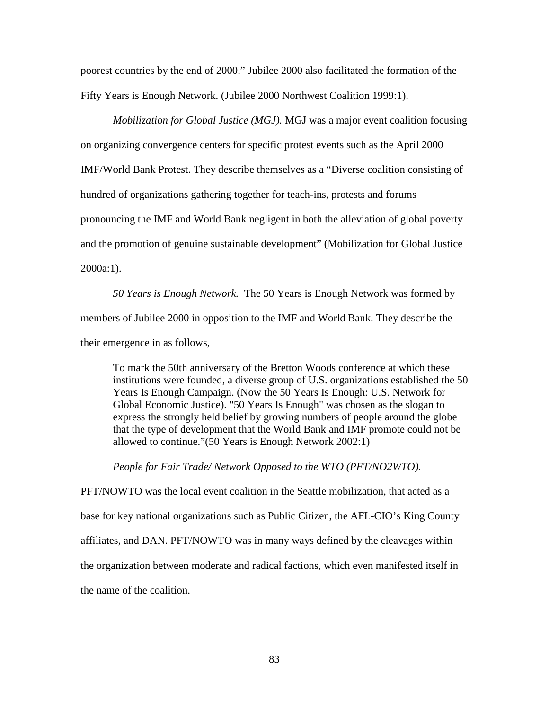poorest countries by the end of 2000." Jubilee 2000 also facilitated the formation of the Fifty Years is Enough Network. (Jubilee 2000 Northwest Coalition 1999:1).

*Mobilization for Global Justice (MGJ).* MGJ was a major event coalition focusing on organizing convergence centers for specific protest events such as the April 2000 IMF/World Bank Protest. They describe themselves as a "Diverse coalition consisting of hundred of organizations gathering together for teach-ins, protests and forums pronouncing the IMF and World Bank negligent in both the alleviation of global poverty and the promotion of genuine sustainable development" (Mobilization for Global Justice 2000a:1).

*50 Years is Enough Network.* The 50 Years is Enough Network was formed by members of Jubilee 2000 in opposition to the IMF and World Bank. They describe the their emergence in as follows,

To mark the 50th anniversary of the Bretton Woods conference at which these institutions were founded, a diverse group of U.S. organizations established the 50 Years Is Enough Campaign. (Now the 50 Years Is Enough: U.S. Network for Global Economic Justice). "50 Years Is Enough" was chosen as the slogan to express the strongly held belief by growing numbers of people around the globe that the type of development that the World Bank and IMF promote could not be allowed to continue."(50 Years is Enough Network 2002:1)

*People for Fair Trade/ Network Opposed to the WTO (PFT/NO2WTO).* 

PFT/NOWTO was the local event coalition in the Seattle mobilization, that acted as a base for key national organizations such as Public Citizen, the AFL-CIO's King County affiliates, and DAN. PFT/NOWTO was in many ways defined by the cleavages within the organization between moderate and radical factions, which even manifested itself in the name of the coalition.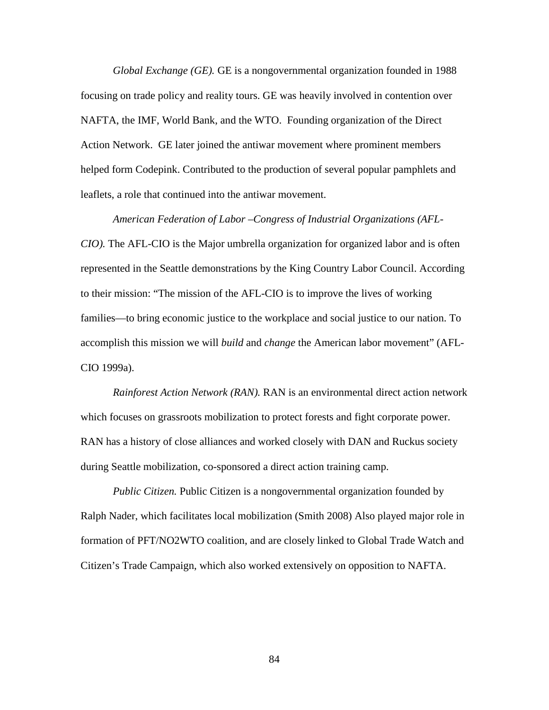*Global Exchange (GE).* GE is a nongovernmental organization founded in 1988 focusing on trade policy and reality tours. GE was heavily involved in contention over NAFTA, the IMF, World Bank, and the WTO. Founding organization of the Direct Action Network. GE later joined the antiwar movement where prominent members helped form Codepink. Contributed to the production of several popular pamphlets and leaflets, a role that continued into the antiwar movement.

*American Federation of Labor –Congress of Industrial Organizations (AFL-CIO).* The AFL-CIO is the Major umbrella organization for organized labor and is often represented in the Seattle demonstrations by the King Country Labor Council. According to their mission: "The mission of the AFL-CIO is to improve the lives of working families—to bring economic justice to the workplace and social justice to our nation. To accomplish this mission we will *build* and *change* the American labor movement" (AFL-CIO 1999a).

*Rainforest Action Network (RAN).* RAN is an environmental direct action network which focuses on grassroots mobilization to protect forests and fight corporate power. RAN has a history of close alliances and worked closely with DAN and Ruckus society during Seattle mobilization, co-sponsored a direct action training camp.

*Public Citizen.* Public Citizen is a nongovernmental organization founded by Ralph Nader, which facilitates local mobilization (Smith 2008) Also played major role in formation of PFT/NO2WTO coalition, and are closely linked to Global Trade Watch and Citizen's Trade Campaign, which also worked extensively on opposition to NAFTA.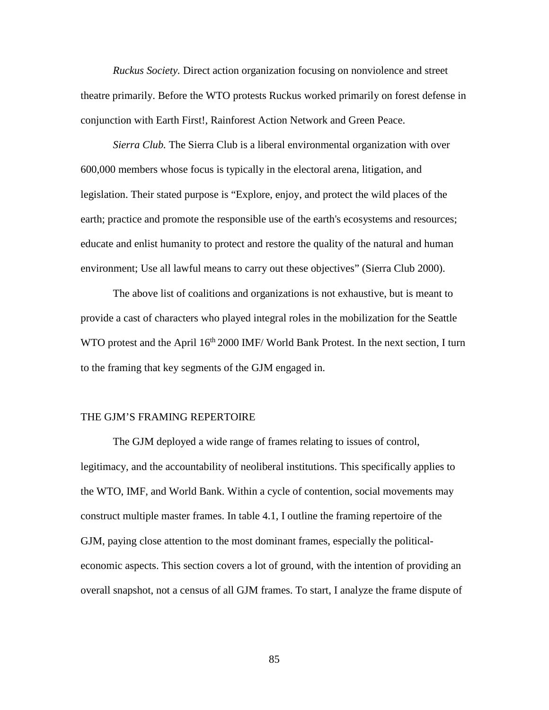*Ruckus Society.* Direct action organization focusing on nonviolence and street theatre primarily. Before the WTO protests Ruckus worked primarily on forest defense in conjunction with Earth First!, Rainforest Action Network and Green Peace.

*Sierra Club.* The Sierra Club is a liberal environmental organization with over 600,000 members whose focus is typically in the electoral arena, litigation, and legislation. Their stated purpose is "Explore, enjoy, and protect the wild places of the earth; practice and promote the responsible use of the earth's ecosystems and resources; educate and enlist humanity to protect and restore the quality of the natural and human environment; Use all lawful means to carry out these objectives" (Sierra Club 2000).

The above list of coalitions and organizations is not exhaustive, but is meant to provide a cast of characters who played integral roles in the mobilization for the Seattle WTO protest and the April  $16<sup>th</sup> 2000$  IMF/World Bank Protest. In the next section, I turn to the framing that key segments of the GJM engaged in.

## THE GJM'S FRAMING REPERTOIRE

The GJM deployed a wide range of frames relating to issues of control, legitimacy, and the accountability of neoliberal institutions. This specifically applies to the WTO, IMF, and World Bank. Within a cycle of contention, social movements may construct multiple master frames. In table 4.1, I outline the framing repertoire of the GJM, paying close attention to the most dominant frames, especially the politicaleconomic aspects. This section covers a lot of ground, with the intention of providing an overall snapshot, not a census of all GJM frames. To start, I analyze the frame dispute of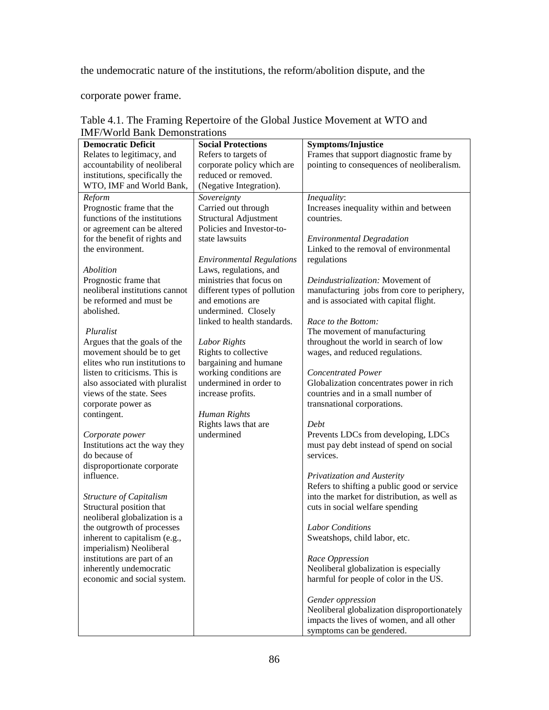the undemocratic nature of the institutions, the reform/abolition dispute, and the

corporate power frame.

| <b>Democratic Deficit</b>                                 | <b>Social Protections</b>        | <b>Symptoms/Injustice</b>                                                                   |
|-----------------------------------------------------------|----------------------------------|---------------------------------------------------------------------------------------------|
| Relates to legitimacy, and                                | Refers to targets of             | Frames that support diagnostic frame by                                                     |
| accountability of neoliberal                              | corporate policy which are       | pointing to consequences of neoliberalism.                                                  |
| institutions, specifically the                            | reduced or removed.              |                                                                                             |
| WTO, IMF and World Bank,                                  | (Negative Integration).          |                                                                                             |
| Reform                                                    | Sovereignty                      | Inequality:                                                                                 |
| Prognostic frame that the                                 | Carried out through              | Increases inequality within and between                                                     |
| functions of the institutions                             | Structural Adjustment            | countries.                                                                                  |
| or agreement can be altered                               | Policies and Investor-to-        |                                                                                             |
| for the benefit of rights and                             | state lawsuits                   | <b>Environmental Degradation</b>                                                            |
| the environment.                                          |                                  | Linked to the removal of environmental                                                      |
|                                                           | <b>Environmental Regulations</b> | regulations                                                                                 |
| Abolition                                                 | Laws, regulations, and           |                                                                                             |
| Prognostic frame that                                     | ministries that focus on         | Deindustrialization: Movement of                                                            |
| neoliberal institutions cannot                            | different types of pollution     | manufacturing jobs from core to periphery,                                                  |
| be reformed and must be                                   | and emotions are                 | and is associated with capital flight.                                                      |
| abolished.                                                | undermined. Closely              |                                                                                             |
|                                                           | linked to health standards.      | Race to the Bottom:                                                                         |
| Pluralist                                                 |                                  | The movement of manufacturing                                                               |
| Argues that the goals of the                              | Labor Rights                     | throughout the world in search of low                                                       |
| movement should be to get                                 | Rights to collective             | wages, and reduced regulations.                                                             |
| elites who run institutions to                            | bargaining and humane            |                                                                                             |
| listen to criticisms. This is                             | working conditions are           | <b>Concentrated Power</b>                                                                   |
| also associated with pluralist                            | undermined in order to           | Globalization concentrates power in rich                                                    |
| views of the state. Sees                                  | increase profits.                | countries and in a small number of                                                          |
| corporate power as                                        |                                  | transnational corporations.                                                                 |
| contingent.                                               | Human Rights                     |                                                                                             |
|                                                           | Rights laws that are             | Debt                                                                                        |
| Corporate power                                           | undermined                       | Prevents LDCs from developing, LDCs                                                         |
| Institutions act the way they                             |                                  | must pay debt instead of spend on social                                                    |
| do because of                                             |                                  | services.                                                                                   |
| disproportionate corporate<br>influence.                  |                                  |                                                                                             |
|                                                           |                                  | Privatization and Austerity                                                                 |
|                                                           |                                  | Refers to shifting a public good or service<br>into the market for distribution, as well as |
| Structure of Capitalism                                   |                                  | cuts in social welfare spending                                                             |
| Structural position that<br>neoliberal globalization is a |                                  |                                                                                             |
| the outgrowth of processes                                |                                  | <b>Labor</b> Conditions                                                                     |
| inherent to capitalism (e.g.                              |                                  |                                                                                             |
| imperialism) Neoliberal                                   |                                  | Sweatshops, child labor, etc.                                                               |
| institutions are part of an                               |                                  | Race Oppression                                                                             |
| inherently undemocratic                                   |                                  | Neoliberal globalization is especially                                                      |
| economic and social system.                               |                                  | harmful for people of color in the US.                                                      |
|                                                           |                                  |                                                                                             |
|                                                           |                                  | Gender oppression                                                                           |
|                                                           |                                  | Neoliberal globalization disproportionately                                                 |
|                                                           |                                  | impacts the lives of women, and all other                                                   |
|                                                           |                                  | symptoms can be gendered.                                                                   |

Table 4.1. The Framing Repertoire of the Global Justice Movement at WTO and IMF/World Bank Demonstrations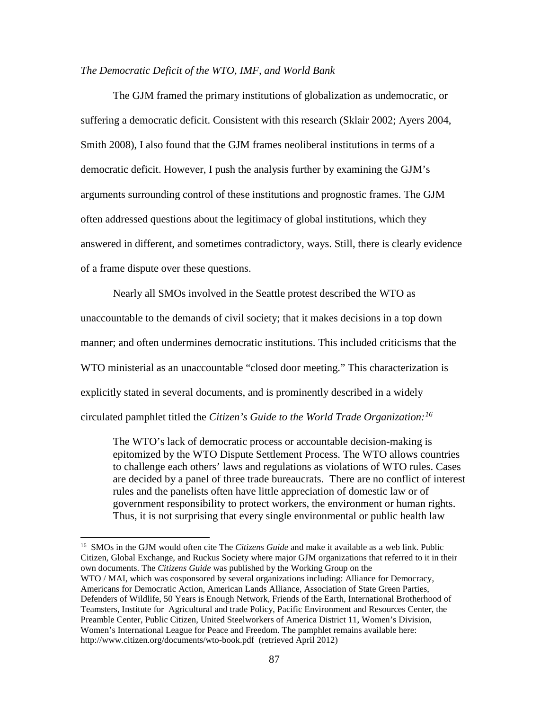## *The Democratic Deficit of the WTO, IMF, and World Bank*

The GJM framed the primary institutions of globalization as undemocratic, or suffering a democratic deficit. Consistent with this research (Sklair 2002; Ayers 2004, Smith 2008), I also found that the GJM frames neoliberal institutions in terms of a democratic deficit. However, I push the analysis further by examining the GJM's arguments surrounding control of these institutions and prognostic frames. The GJM often addressed questions about the legitimacy of global institutions, which they answered in different, and sometimes contradictory, ways. Still, there is clearly evidence of a frame dispute over these questions.

Nearly all SMOs involved in the Seattle protest described the WTO as unaccountable to the demands of civil society; that it makes decisions in a top down manner; and often undermines democratic institutions. This included criticisms that the WTO ministerial as an unaccountable "closed door meeting." This characterization is explicitly stated in several documents, and is prominently described in a widely circulated pamphlet titled the *Citizen's Guide to the World Trade Organization:[16](#page-103-0)*

The WTO's lack of democratic process or accountable decision-making is epitomized by the WTO Dispute Settlement Process. The WTO allows countries to challenge each others' laws and regulations as violations of WTO rules. Cases are decided by a panel of three trade bureaucrats. There are no conflict of interest rules and the panelists often have little appreciation of domestic law or of government responsibility to protect workers, the environment or human rights. Thus, it is not surprising that every single environmental or public health law

l

<span id="page-103-0"></span><sup>16</sup> SMOs in the GJM would often cite The *Citizens Guide* and make it available as a web link. Public Citizen, Global Exchange, and Ruckus Society where major GJM organizations that referred to it in their own documents. The *Citizens Guide* was published by the Working Group on the WTO / MAI, which was cosponsored by several organizations including: Alliance for Democracy, Americans for Democratic Action, American Lands Alliance, Association of State Green Parties, Defenders of Wildlife, 50 Years is Enough Network, Friends of the Earth, International Brotherhood of Teamsters, Institute for Agricultural and trade Policy, Pacific Environment and Resources Center, the Preamble Center, Public Citizen, United Steelworkers of America District 11, Women's Division, Women's International League for Peace and Freedom. The pamphlet remains available here: http://www.citizen.org/documents/wto-book.pdf (retrieved April 2012)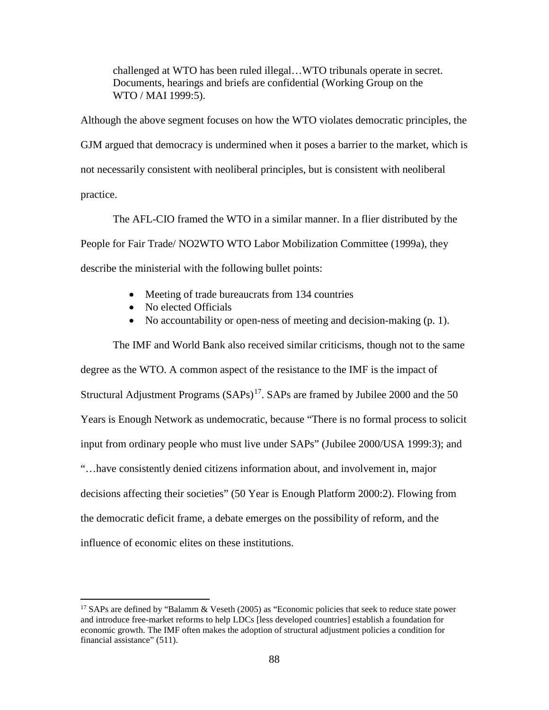challenged at WTO has been ruled illegal…WTO tribunals operate in secret. Documents, hearings and briefs are confidential (Working Group on the WTO / MAI 1999:5).

Although the above segment focuses on how the WTO violates democratic principles, the GJM argued that democracy is undermined when it poses a barrier to the market, which is not necessarily consistent with neoliberal principles, but is consistent with neoliberal practice.

The AFL-CIO framed the WTO in a similar manner. In a flier distributed by the People for Fair Trade/ NO2WTO WTO Labor Mobilization Committee (1999a), they describe the ministerial with the following bullet points:

- Meeting of trade bureaucrats from 134 countries
- No elected Officials

l

• No accountability or open-ness of meeting and decision-making (p. 1).

The IMF and World Bank also received similar criticisms, though not to the same degree as the WTO. A common aspect of the resistance to the IMF is the impact of Structural Adjustment Programs  $(SAPs)^{17}$ . SAPs are framed by Jubilee 2000 and the 50 Years is Enough Network as undemocratic, because "There is no formal process to solicit input from ordinary people who must live under SAPs" (Jubilee 2000/USA 1999:3); and "…have consistently denied citizens information about, and involvement in, major decisions affecting their societies" (50 Year is Enough Platform 2000:2). Flowing from the democratic deficit frame, a debate emerges on the possibility of reform, and the influence of economic elites on these institutions.

<span id="page-104-0"></span><sup>&</sup>lt;sup>17</sup> SAPs are defined by "Balamm & Veseth (2005) as "Economic policies that seek to reduce state power and introduce free-market reforms to help LDCs [less developed countries] establish a foundation for economic growth. The IMF often makes the adoption of structural adjustment policies a condition for financial assistance" (511).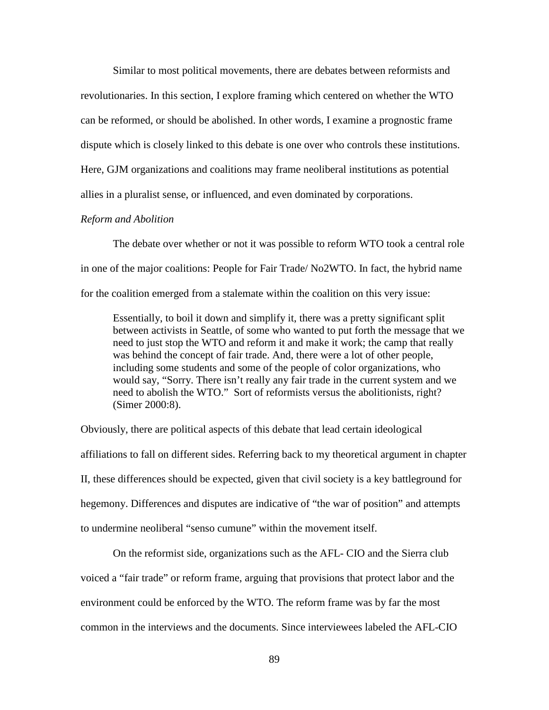Similar to most political movements, there are debates between reformists and revolutionaries. In this section, I explore framing which centered on whether the WTO can be reformed, or should be abolished. In other words, I examine a prognostic frame dispute which is closely linked to this debate is one over who controls these institutions. Here, GJM organizations and coalitions may frame neoliberal institutions as potential allies in a pluralist sense, or influenced, and even dominated by corporations.

# *Reform and Abolition*

The debate over whether or not it was possible to reform WTO took a central role in one of the major coalitions: People for Fair Trade/ No2WTO. In fact, the hybrid name for the coalition emerged from a stalemate within the coalition on this very issue:

Essentially, to boil it down and simplify it, there was a pretty significant split between activists in Seattle, of some who wanted to put forth the message that we need to just stop the WTO and reform it and make it work; the camp that really was behind the concept of fair trade. And, there were a lot of other people, including some students and some of the people of color organizations, who would say, "Sorry. There isn't really any fair trade in the current system and we need to abolish the WTO." Sort of reformists versus the abolitionists, right? (Simer 2000:8).

Obviously, there are political aspects of this debate that lead certain ideological affiliations to fall on different sides. Referring back to my theoretical argument in chapter II, these differences should be expected, given that civil society is a key battleground for hegemony. Differences and disputes are indicative of "the war of position" and attempts to undermine neoliberal "senso cumune" within the movement itself.

On the reformist side, organizations such as the AFL- CIO and the Sierra club voiced a "fair trade" or reform frame, arguing that provisions that protect labor and the environment could be enforced by the WTO. The reform frame was by far the most common in the interviews and the documents. Since interviewees labeled the AFL-CIO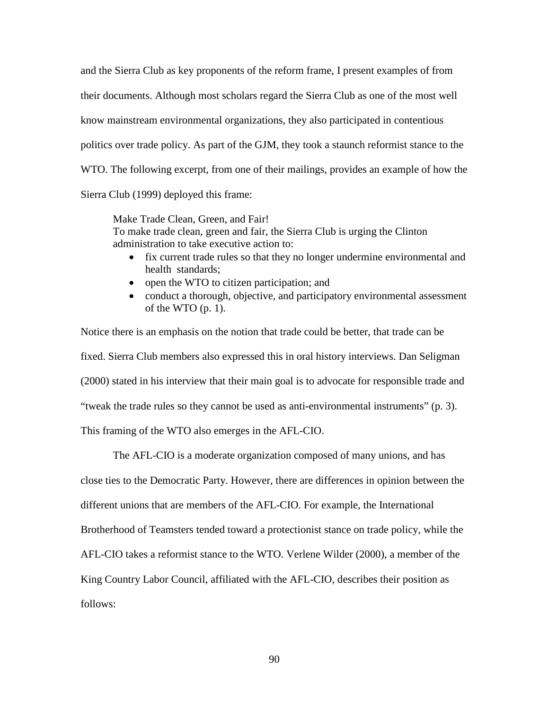and the Sierra Club as key proponents of the reform frame, I present examples of from their documents. Although most scholars regard the Sierra Club as one of the most well know mainstream environmental organizations, they also participated in contentious politics over trade policy. As part of the GJM, they took a staunch reformist stance to the WTO. The following excerpt, from one of their mailings, provides an example of how the Sierra Club (1999) deployed this frame:

Make Trade Clean, Green, and Fair! To make trade clean, green and fair, the Sierra Club is urging the Clinton administration to take executive action to:

- fix current trade rules so that they no longer undermine environmental and health standards;
- open the WTO to citizen participation; and
- conduct a thorough, objective, and participatory environmental assessment of the WTO  $(p. 1)$ .

Notice there is an emphasis on the notion that trade could be better, that trade can be fixed. Sierra Club members also expressed this in oral history interviews. Dan Seligman (2000) stated in his interview that their main goal is to advocate for responsible trade and "tweak the trade rules so they cannot be used as anti-environmental instruments" (p. 3). This framing of the WTO also emerges in the AFL-CIO.

The AFL-CIO is a moderate organization composed of many unions, and has close ties to the Democratic Party. However, there are differences in opinion between the different unions that are members of the AFL-CIO. For example, the International Brotherhood of Teamsters tended toward a protectionist stance on trade policy, while the AFL-CIO takes a reformist stance to the WTO. Verlene Wilder (2000), a member of the King Country Labor Council, affiliated with the AFL-CIO, describes their position as follows: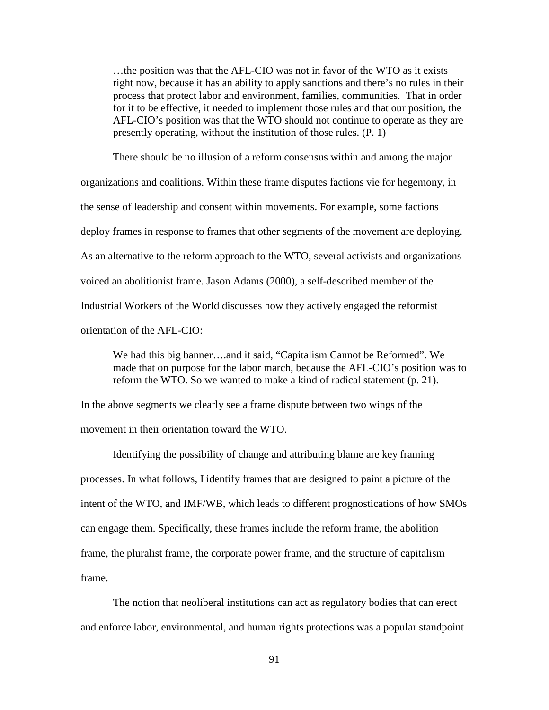…the position was that the AFL-CIO was not in favor of the WTO as it exists right now, because it has an ability to apply sanctions and there's no rules in their process that protect labor and environment, families, communities. That in order for it to be effective, it needed to implement those rules and that our position, the AFL-CIO's position was that the WTO should not continue to operate as they are presently operating, without the institution of those rules. (P. 1)

 There should be no illusion of a reform consensus within and among the major organizations and coalitions. Within these frame disputes factions vie for hegemony, in the sense of leadership and consent within movements. For example, some factions deploy frames in response to frames that other segments of the movement are deploying. As an alternative to the reform approach to the WTO, several activists and organizations voiced an abolitionist frame. Jason Adams (2000), a self-described member of the Industrial Workers of the World discusses how they actively engaged the reformist orientation of the AFL-CIO:

We had this big banner….and it said, "Capitalism Cannot be Reformed". We made that on purpose for the labor march, because the AFL-CIO's position was to reform the WTO. So we wanted to make a kind of radical statement (p. 21).

In the above segments we clearly see a frame dispute between two wings of the movement in their orientation toward the WTO.

Identifying the possibility of change and attributing blame are key framing processes. In what follows, I identify frames that are designed to paint a picture of the intent of the WTO, and IMF/WB, which leads to different prognostications of how SMOs can engage them. Specifically, these frames include the reform frame, the abolition frame, the pluralist frame, the corporate power frame, and the structure of capitalism frame.

The notion that neoliberal institutions can act as regulatory bodies that can erect and enforce labor, environmental, and human rights protections was a popular standpoint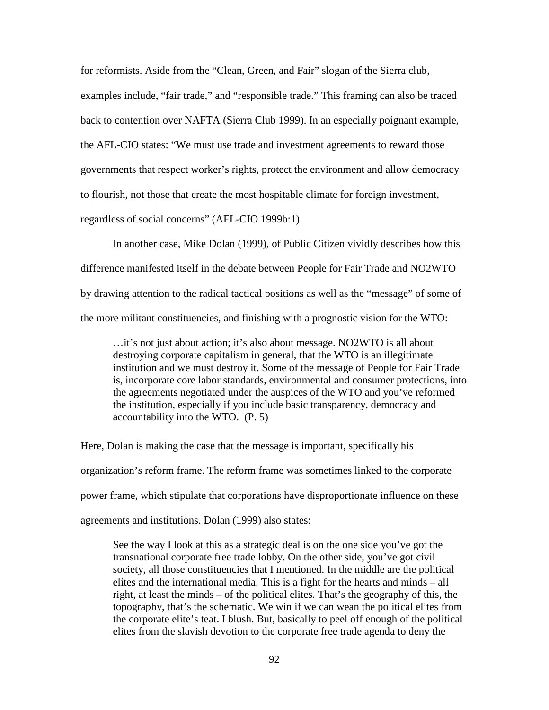for reformists. Aside from the "Clean, Green, and Fair" slogan of the Sierra club, examples include, "fair trade," and "responsible trade." This framing can also be traced back to contention over NAFTA (Sierra Club 1999). In an especially poignant example, the AFL-CIO states: "We must use trade and investment agreements to reward those governments that respect worker's rights, protect the environment and allow democracy to flourish, not those that create the most hospitable climate for foreign investment, regardless of social concerns" (AFL-CIO 1999b:1).

In another case, Mike Dolan (1999), of Public Citizen vividly describes how this difference manifested itself in the debate between People for Fair Trade and NO2WTO by drawing attention to the radical tactical positions as well as the "message" of some of the more militant constituencies, and finishing with a prognostic vision for the WTO:

…it's not just about action; it's also about message. NO2WTO is all about destroying corporate capitalism in general, that the WTO is an illegitimate institution and we must destroy it. Some of the message of People for Fair Trade is, incorporate core labor standards, environmental and consumer protections, into the agreements negotiated under the auspices of the WTO and you've reformed the institution, especially if you include basic transparency, democracy and accountability into the WTO. (P. 5)

Here, Dolan is making the case that the message is important, specifically his organization's reform frame. The reform frame was sometimes linked to the corporate power frame, which stipulate that corporations have disproportionate influence on these agreements and institutions. Dolan (1999) also states:

See the way I look at this as a strategic deal is on the one side you've got the transnational corporate free trade lobby. On the other side, you've got civil society, all those constituencies that I mentioned. In the middle are the political elites and the international media. This is a fight for the hearts and minds – all right, at least the minds – of the political elites. That's the geography of this, the topography, that's the schematic. We win if we can wean the political elites from the corporate elite's teat. I blush. But, basically to peel off enough of the political elites from the slavish devotion to the corporate free trade agenda to deny the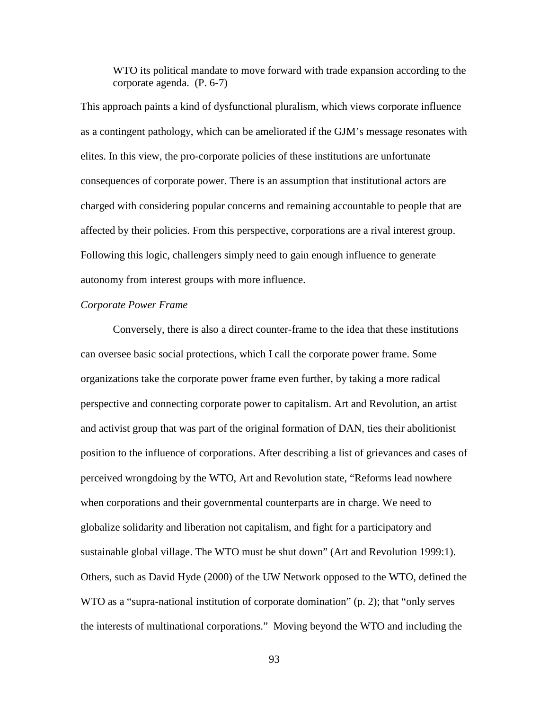WTO its political mandate to move forward with trade expansion according to the corporate agenda. (P. 6-7)

This approach paints a kind of dysfunctional pluralism, which views corporate influence as a contingent pathology, which can be ameliorated if the GJM's message resonates with elites. In this view, the pro-corporate policies of these institutions are unfortunate consequences of corporate power. There is an assumption that institutional actors are charged with considering popular concerns and remaining accountable to people that are affected by their policies. From this perspective, corporations are a rival interest group. Following this logic, challengers simply need to gain enough influence to generate autonomy from interest groups with more influence.

#### *Corporate Power Frame*

Conversely, there is also a direct counter-frame to the idea that these institutions can oversee basic social protections, which I call the corporate power frame. Some organizations take the corporate power frame even further, by taking a more radical perspective and connecting corporate power to capitalism. Art and Revolution, an artist and activist group that was part of the original formation of DAN, ties their abolitionist position to the influence of corporations. After describing a list of grievances and cases of perceived wrongdoing by the WTO, Art and Revolution state, "Reforms lead nowhere when corporations and their governmental counterparts are in charge. We need to globalize solidarity and liberation not capitalism, and fight for a participatory and sustainable global village. The WTO must be shut down" (Art and Revolution 1999:1). Others, such as David Hyde (2000) of the UW Network opposed to the WTO, defined the WTO as a "supra-national institution of corporate domination" (p. 2); that "only serves the interests of multinational corporations." Moving beyond the WTO and including the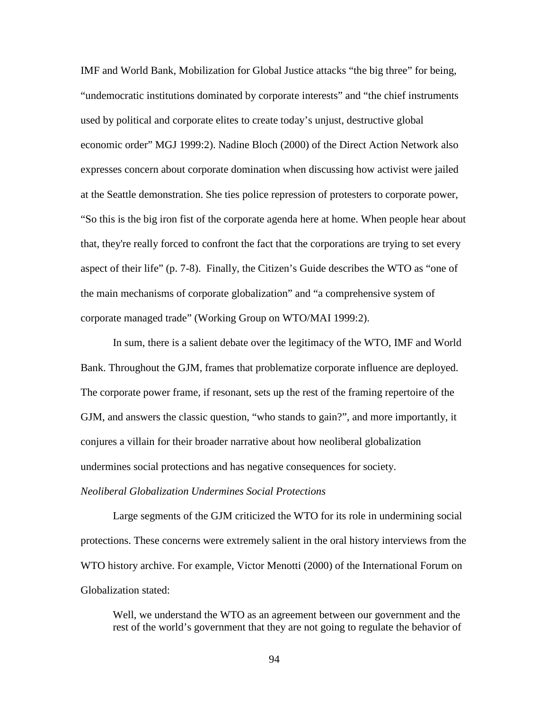IMF and World Bank, Mobilization for Global Justice attacks "the big three" for being, "undemocratic institutions dominated by corporate interests" and "the chief instruments used by political and corporate elites to create today's unjust, destructive global economic order" MGJ 1999:2). Nadine Bloch (2000) of the Direct Action Network also expresses concern about corporate domination when discussing how activist were jailed at the Seattle demonstration. She ties police repression of protesters to corporate power, "So this is the big iron fist of the corporate agenda here at home. When people hear about that, they're really forced to confront the fact that the corporations are trying to set every aspect of their life" (p. 7-8). Finally, the Citizen's Guide describes the WTO as "one of the main mechanisms of corporate globalization" and "a comprehensive system of corporate managed trade" (Working Group on WTO/MAI 1999:2).

In sum, there is a salient debate over the legitimacy of the WTO, IMF and World Bank. Throughout the GJM, frames that problematize corporate influence are deployed. The corporate power frame, if resonant, sets up the rest of the framing repertoire of the GJM, and answers the classic question, "who stands to gain?", and more importantly, it conjures a villain for their broader narrative about how neoliberal globalization undermines social protections and has negative consequences for society.

## *Neoliberal Globalization Undermines Social Protections*

Large segments of the GJM criticized the WTO for its role in undermining social protections. These concerns were extremely salient in the oral history interviews from the WTO history archive. For example, Victor Menotti (2000) of the International Forum on Globalization stated:

Well, we understand the WTO as an agreement between our government and the rest of the world's government that they are not going to regulate the behavior of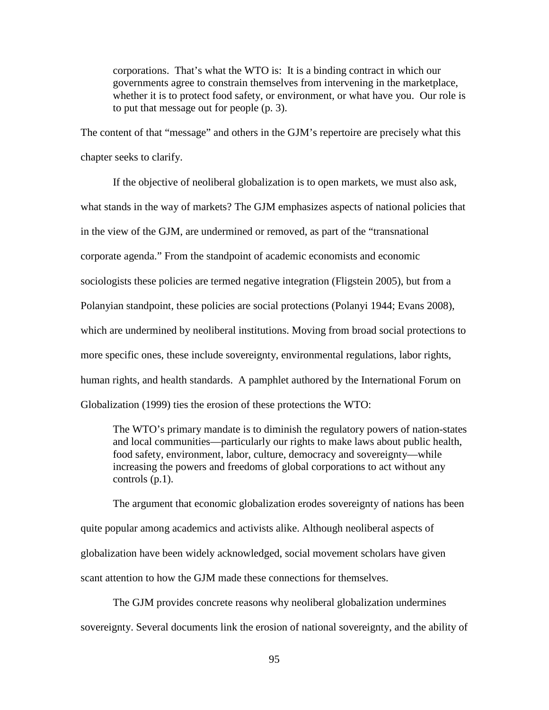corporations. That's what the WTO is: It is a binding contract in which our governments agree to constrain themselves from intervening in the marketplace, whether it is to protect food safety, or environment, or what have you. Our role is to put that message out for people (p. 3).

The content of that "message" and others in the GJM's repertoire are precisely what this chapter seeks to clarify.

If the objective of neoliberal globalization is to open markets, we must also ask, what stands in the way of markets? The GJM emphasizes aspects of national policies that in the view of the GJM, are undermined or removed, as part of the "transnational corporate agenda." From the standpoint of academic economists and economic sociologists these policies are termed negative integration (Fligstein 2005), but from a Polanyian standpoint, these policies are social protections (Polanyi 1944; Evans 2008), which are undermined by neoliberal institutions. Moving from broad social protections to more specific ones, these include sovereignty, environmental regulations, labor rights, human rights, and health standards. A pamphlet authored by the International Forum on Globalization (1999) ties the erosion of these protections the WTO:

The WTO's primary mandate is to diminish the regulatory powers of nation-states and local communities—particularly our rights to make laws about public health, food safety, environment, labor, culture, democracy and sovereignty—while increasing the powers and freedoms of global corporations to act without any controls (p.1).

The argument that economic globalization erodes sovereignty of nations has been quite popular among academics and activists alike. Although neoliberal aspects of globalization have been widely acknowledged, social movement scholars have given scant attention to how the GJM made these connections for themselves.

The GJM provides concrete reasons why neoliberal globalization undermines sovereignty. Several documents link the erosion of national sovereignty, and the ability of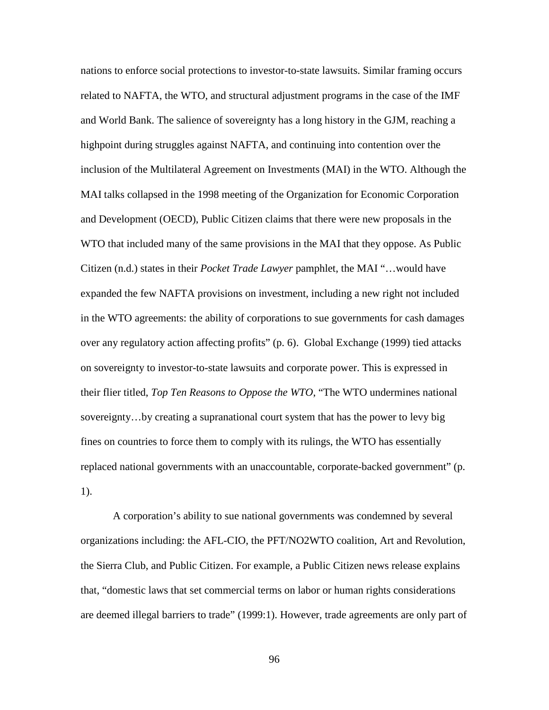nations to enforce social protections to investor-to-state lawsuits. Similar framing occurs related to NAFTA, the WTO, and structural adjustment programs in the case of the IMF and World Bank. The salience of sovereignty has a long history in the GJM, reaching a highpoint during struggles against NAFTA, and continuing into contention over the inclusion of the Multilateral Agreement on Investments (MAI) in the WTO. Although the MAI talks collapsed in the 1998 meeting of the Organization for Economic Corporation and Development (OECD), Public Citizen claims that there were new proposals in the WTO that included many of the same provisions in the MAI that they oppose. As Public Citizen (n.d.) states in their *Pocket Trade Lawyer* pamphlet, the MAI "…would have expanded the few NAFTA provisions on investment, including a new right not included in the WTO agreements: the ability of corporations to sue governments for cash damages over any regulatory action affecting profits" (p. 6). Global Exchange (1999) tied attacks on sovereignty to investor-to-state lawsuits and corporate power. This is expressed in their flier titled, *Top Ten Reasons to Oppose the WTO*, "The WTO undermines national sovereignty…by creating a supranational court system that has the power to levy big fines on countries to force them to comply with its rulings, the WTO has essentially replaced national governments with an unaccountable, corporate-backed government" (p. 1).

A corporation's ability to sue national governments was condemned by several organizations including: the AFL-CIO, the PFT/NO2WTO coalition, Art and Revolution, the Sierra Club, and Public Citizen. For example, a Public Citizen news release explains that, "domestic laws that set commercial terms on labor or human rights considerations are deemed illegal barriers to trade" (1999:1). However, trade agreements are only part of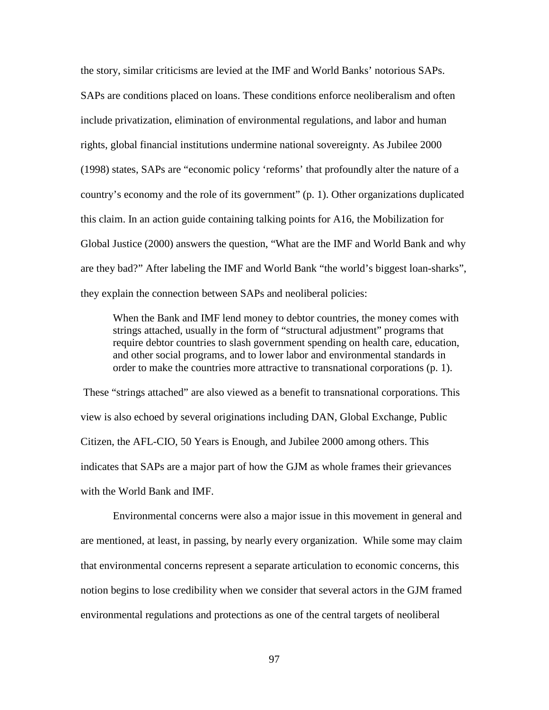the story, similar criticisms are levied at the IMF and World Banks' notorious SAPs. SAPs are conditions placed on loans. These conditions enforce neoliberalism and often include privatization, elimination of environmental regulations, and labor and human rights, global financial institutions undermine national sovereignty. As Jubilee 2000 (1998) states, SAPs are "economic policy 'reforms' that profoundly alter the nature of a country's economy and the role of its government" (p. 1). Other organizations duplicated this claim. In an action guide containing talking points for A16, the Mobilization for Global Justice (2000) answers the question, "What are the IMF and World Bank and why are they bad?" After labeling the IMF and World Bank "the world's biggest loan-sharks", they explain the connection between SAPs and neoliberal policies:

When the Bank and IMF lend money to debtor countries, the money comes with strings attached, usually in the form of "structural adjustment" programs that require debtor countries to slash government spending on health care, education, and other social programs, and to lower labor and environmental standards in order to make the countries more attractive to transnational corporations (p. 1).

These "strings attached" are also viewed as a benefit to transnational corporations. This view is also echoed by several originations including DAN, Global Exchange, Public Citizen, the AFL-CIO, 50 Years is Enough, and Jubilee 2000 among others. This indicates that SAPs are a major part of how the GJM as whole frames their grievances with the World Bank and IMF.

Environmental concerns were also a major issue in this movement in general and are mentioned, at least, in passing, by nearly every organization. While some may claim that environmental concerns represent a separate articulation to economic concerns, this notion begins to lose credibility when we consider that several actors in the GJM framed environmental regulations and protections as one of the central targets of neoliberal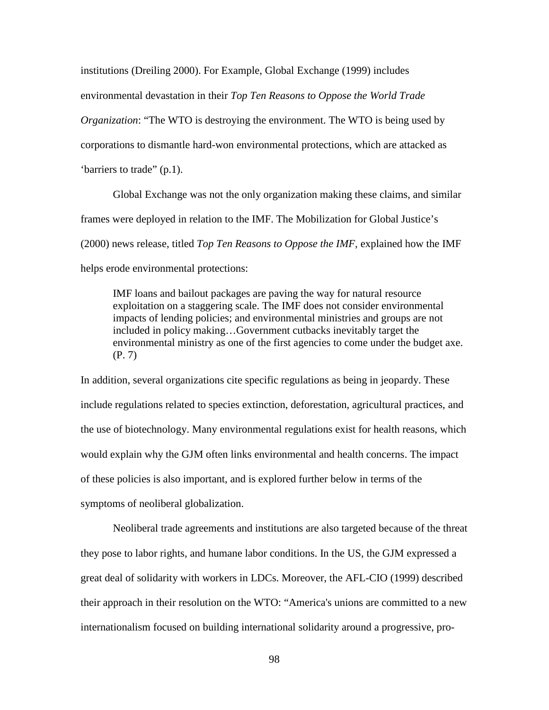institutions (Dreiling 2000). For Example, Global Exchange (1999) includes environmental devastation in their *Top Ten Reasons to Oppose the World Trade Organization*: "The WTO is destroying the environment. The WTO is being used by corporations to dismantle hard-won environmental protections, which are attacked as 'barriers to trade" (p.1).

Global Exchange was not the only organization making these claims, and similar frames were deployed in relation to the IMF. The Mobilization for Global Justice's (2000) news release, titled *Top Ten Reasons to Oppose the IMF,* explained how the IMF helps erode environmental protections:

IMF loans and bailout packages are paving the way for natural resource exploitation on a staggering scale. The IMF does not consider environmental impacts of lending policies; and environmental ministries and groups are not included in policy making…Government cutbacks inevitably target the environmental ministry as one of the first agencies to come under the budget axe. (P. 7)

In addition, several organizations cite specific regulations as being in jeopardy. These include regulations related to species extinction, deforestation, agricultural practices, and the use of biotechnology. Many environmental regulations exist for health reasons, which would explain why the GJM often links environmental and health concerns. The impact of these policies is also important, and is explored further below in terms of the symptoms of neoliberal globalization.

Neoliberal trade agreements and institutions are also targeted because of the threat they pose to labor rights, and humane labor conditions. In the US, the GJM expressed a great deal of solidarity with workers in LDCs. Moreover, the AFL-CIO (1999) described their approach in their resolution on the WTO: "America's unions are committed to a new internationalism focused on building international solidarity around a progressive, pro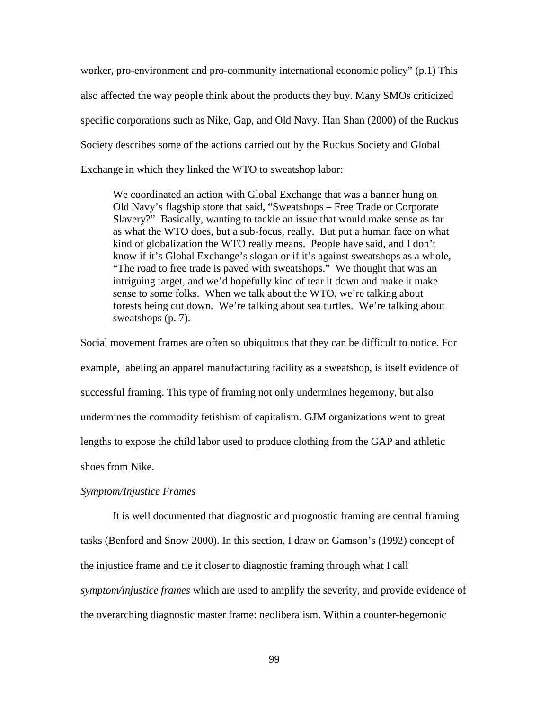worker, pro-environment and pro-community international economic policy" (p.1) This also affected the way people think about the products they buy. Many SMOs criticized specific corporations such as Nike, Gap, and Old Navy. Han Shan (2000) of the Ruckus Society describes some of the actions carried out by the Ruckus Society and Global Exchange in which they linked the WTO to sweatshop labor:

We coordinated an action with Global Exchange that was a banner hung on Old Navy's flagship store that said, "Sweatshops – Free Trade or Corporate Slavery?" Basically, wanting to tackle an issue that would make sense as far as what the WTO does, but a sub-focus, really. But put a human face on what kind of globalization the WTO really means. People have said, and I don't know if it's Global Exchange's slogan or if it's against sweatshops as a whole, "The road to free trade is paved with sweatshops." We thought that was an intriguing target, and we'd hopefully kind of tear it down and make it make sense to some folks. When we talk about the WTO, we're talking about forests being cut down. We're talking about sea turtles. We're talking about sweatshops (p. 7).

Social movement frames are often so ubiquitous that they can be difficult to notice. For example, labeling an apparel manufacturing facility as a sweatshop, is itself evidence of successful framing. This type of framing not only undermines hegemony, but also undermines the commodity fetishism of capitalism. GJM organizations went to great lengths to expose the child labor used to produce clothing from the GAP and athletic shoes from Nike.

#### *Symptom/Injustice Frames*

It is well documented that diagnostic and prognostic framing are central framing tasks (Benford and Snow 2000). In this section, I draw on Gamson's (1992) concept of the injustice frame and tie it closer to diagnostic framing through what I call *symptom/injustice frames* which are used to amplify the severity, and provide evidence of the overarching diagnostic master frame: neoliberalism. Within a counter-hegemonic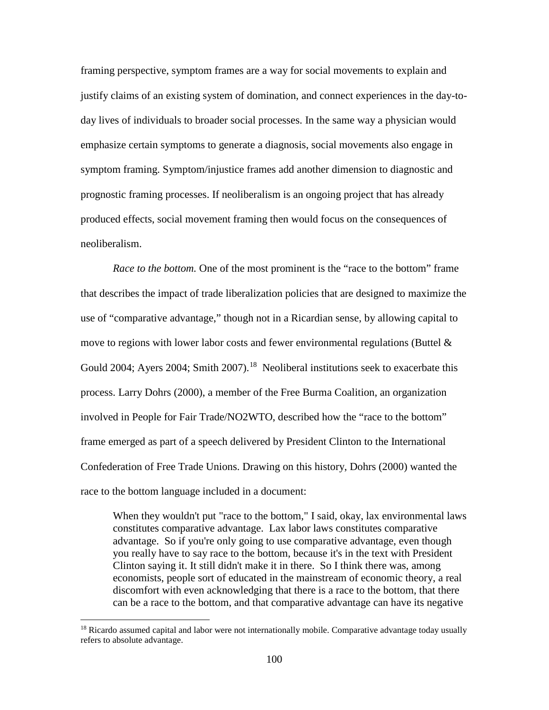framing perspective, symptom frames are a way for social movements to explain and justify claims of an existing system of domination, and connect experiences in the day-today lives of individuals to broader social processes. In the same way a physician would emphasize certain symptoms to generate a diagnosis, social movements also engage in symptom framing. Symptom/injustice frames add another dimension to diagnostic and prognostic framing processes. If neoliberalism is an ongoing project that has already produced effects, social movement framing then would focus on the consequences of neoliberalism.

*Race to the bottom.* One of the most prominent is the "race to the bottom" frame that describes the impact of trade liberalization policies that are designed to maximize the use of "comparative advantage," though not in a Ricardian sense, by allowing capital to move to regions with lower labor costs and fewer environmental regulations (Buttel & Gould 2004; Ayers 2004; Smith 2007).<sup>18</sup> Neoliberal institutions seek to exacerbate this process. Larry Dohrs (2000), a member of the Free Burma Coalition, an organization involved in People for Fair Trade/NO2WTO, described how the "race to the bottom" frame emerged as part of a speech delivered by President Clinton to the International Confederation of Free Trade Unions. Drawing on this history, Dohrs (2000) wanted the race to the bottom language included in a document:

When they wouldn't put "race to the bottom," I said, okay, lax environmental laws constitutes comparative advantage. Lax labor laws constitutes comparative advantage. So if you're only going to use comparative advantage, even though you really have to say race to the bottom, because it's in the text with President Clinton saying it. It still didn't make it in there. So I think there was, among economists, people sort of educated in the mainstream of economic theory, a real discomfort with even acknowledging that there is a race to the bottom, that there can be a race to the bottom, and that comparative advantage can have its negative

l

<span id="page-116-0"></span><sup>&</sup>lt;sup>18</sup> Ricardo assumed capital and labor were not internationally mobile. Comparative advantage today usually refers to absolute advantage.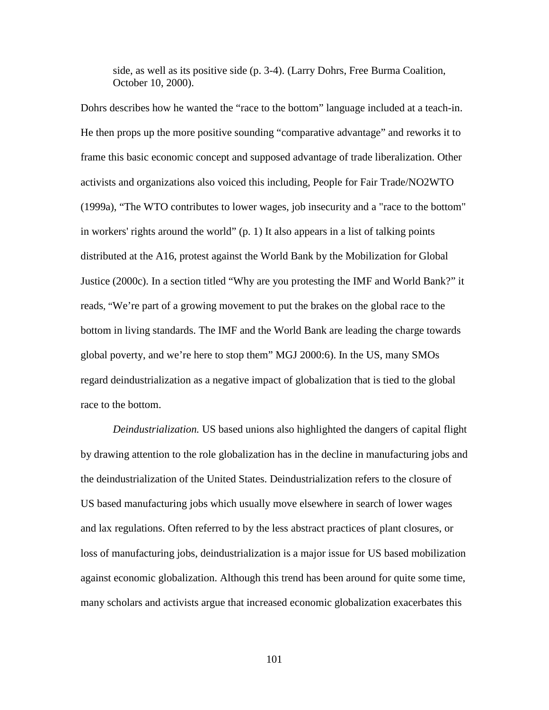side, as well as its positive side (p. 3-4). (Larry Dohrs, Free Burma Coalition, October 10, 2000).

Dohrs describes how he wanted the "race to the bottom" language included at a teach-in. He then props up the more positive sounding "comparative advantage" and reworks it to frame this basic economic concept and supposed advantage of trade liberalization. Other activists and organizations also voiced this including, People for Fair Trade/NO2WTO (1999a), "The WTO contributes to lower wages, job insecurity and a "race to the bottom" in workers' rights around the world" (p. 1) It also appears in a list of talking points distributed at the A16, protest against the World Bank by the Mobilization for Global Justice (2000c). In a section titled "Why are you protesting the IMF and World Bank?" it reads, "We're part of a growing movement to put the brakes on the global race to the bottom in living standards. The IMF and the World Bank are leading the charge towards global poverty, and we're here to stop them" MGJ 2000:6). In the US, many SMOs regard deindustrialization as a negative impact of globalization that is tied to the global race to the bottom.

*Deindustrialization.* US based unions also highlighted the dangers of capital flight by drawing attention to the role globalization has in the decline in manufacturing jobs and the deindustrialization of the United States. Deindustrialization refers to the closure of US based manufacturing jobs which usually move elsewhere in search of lower wages and lax regulations. Often referred to by the less abstract practices of plant closures, or loss of manufacturing jobs, deindustrialization is a major issue for US based mobilization against economic globalization. Although this trend has been around for quite some time, many scholars and activists argue that increased economic globalization exacerbates this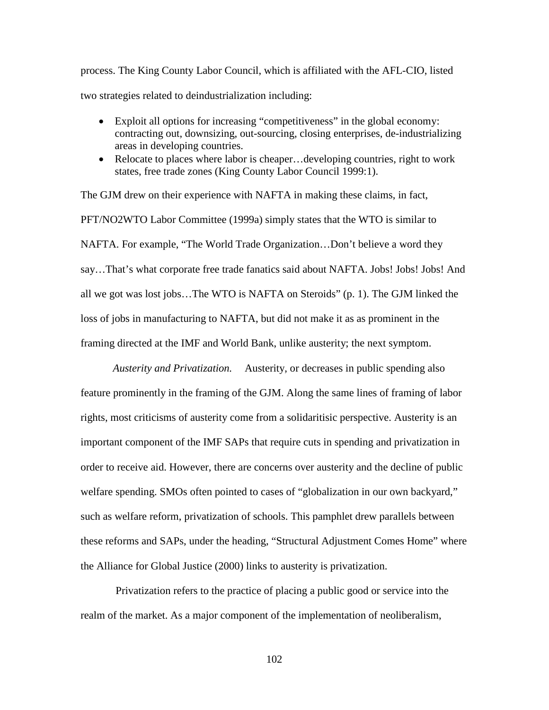process. The King County Labor Council, which is affiliated with the AFL-CIO, listed two strategies related to deindustrialization including:

- Exploit all options for increasing "competitiveness" in the global economy: contracting out, downsizing, out-sourcing, closing enterprises, de-industrializing areas in developing countries.
- Relocate to places where labor is cheaper... developing countries, right to work states, free trade zones (King County Labor Council 1999:1).

The GJM drew on their experience with NAFTA in making these claims, in fact, PFT/NO2WTO Labor Committee (1999a) simply states that the WTO is similar to NAFTA. For example, "The World Trade Organization…Don't believe a word they say…That's what corporate free trade fanatics said about NAFTA. Jobs! Jobs! Jobs! And all we got was lost jobs…The WTO is NAFTA on Steroids" (p. 1). The GJM linked the loss of jobs in manufacturing to NAFTA, but did not make it as as prominent in the framing directed at the IMF and World Bank, unlike austerity; the next symptom.

*Austerity and Privatization.* Austerity, or decreases in public spending also feature prominently in the framing of the GJM. Along the same lines of framing of labor rights, most criticisms of austerity come from a solidaritisic perspective. Austerity is an important component of the IMF SAPs that require cuts in spending and privatization in order to receive aid. However, there are concerns over austerity and the decline of public welfare spending. SMOs often pointed to cases of "globalization in our own backyard," such as welfare reform, privatization of schools. This pamphlet drew parallels between these reforms and SAPs, under the heading, "Structural Adjustment Comes Home" where the Alliance for Global Justice (2000) links to austerity is privatization.

Privatization refers to the practice of placing a public good or service into the realm of the market. As a major component of the implementation of neoliberalism,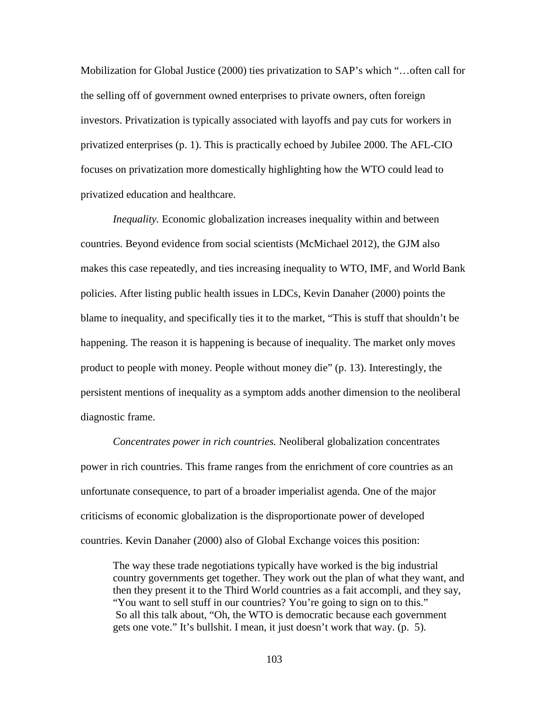Mobilization for Global Justice (2000) ties privatization to SAP's which "…often call for the selling off of government owned enterprises to private owners, often foreign investors. Privatization is typically associated with layoffs and pay cuts for workers in privatized enterprises (p. 1). This is practically echoed by Jubilee 2000. The AFL-CIO focuses on privatization more domestically highlighting how the WTO could lead to privatized education and healthcare.

*Inequality.* Economic globalization increases inequality within and between countries. Beyond evidence from social scientists (McMichael 2012), the GJM also makes this case repeatedly, and ties increasing inequality to WTO, IMF, and World Bank policies. After listing public health issues in LDCs, Kevin Danaher (2000) points the blame to inequality, and specifically ties it to the market, "This is stuff that shouldn't be happening. The reason it is happening is because of inequality. The market only moves product to people with money. People without money die" (p. 13). Interestingly, the persistent mentions of inequality as a symptom adds another dimension to the neoliberal diagnostic frame.

*Concentrates power in rich countries.* Neoliberal globalization concentrates power in rich countries. This frame ranges from the enrichment of core countries as an unfortunate consequence, to part of a broader imperialist agenda. One of the major criticisms of economic globalization is the disproportionate power of developed countries. Kevin Danaher (2000) also of Global Exchange voices this position:

The way these trade negotiations typically have worked is the big industrial country governments get together. They work out the plan of what they want, and then they present it to the Third World countries as a fait accompli, and they say, "You want to sell stuff in our countries? You're going to sign on to this." So all this talk about, "Oh, the WTO is democratic because each government gets one vote." It's bullshit. I mean, it just doesn't work that way. (p. 5).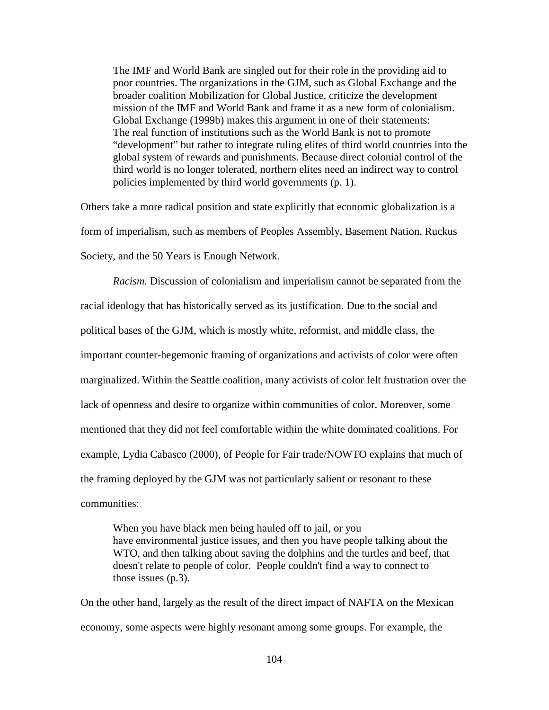The IMF and World Bank are singled out for their role in the providing aid to poor countries. The organizations in the GJM, such as Global Exchange and the broader coalition Mobilization for Global Justice, criticize the development mission of the IMF and World Bank and frame it as a new form of colonialism. Global Exchange (1999b) makes this argument in one of their statements: The real function of institutions such as the World Bank is not to promote "development" but rather to integrate ruling elites of third world countries into the global system of rewards and punishments. Because direct colonial control of the third world is no longer tolerated, northern elites need an indirect way to control policies implemented by third world governments (p. 1).

Others take a more radical position and state explicitly that economic globalization is a form of imperialism, such as members of Peoples Assembly, Basement Nation, Ruckus Society, and the 50 Years is Enough Network.

*Racism.* Discussion of colonialism and imperialism cannot be separated from the racial ideology that has historically served as its justification. Due to the social and political bases of the GJM, which is mostly white, reformist, and middle class, the important counter-hegemonic framing of organizations and activists of color were often marginalized. Within the Seattle coalition, many activists of color felt frustration over the lack of openness and desire to organize within communities of color. Moreover, some mentioned that they did not feel comfortable within the white dominated coalitions. For example, Lydia Cabasco (2000), of People for Fair trade/NOWTO explains that much of the framing deployed by the GJM was not particularly salient or resonant to these communities:

When you have black men being hauled off to jail, or you have environmental justice issues, and then you have people talking about the WTO, and then talking about saving the dolphins and the turtles and beef, that doesn't relate to people of color. People couldn't find a way to connect to those issues (p.3).

On the other hand, largely as the result of the direct impact of NAFTA on the Mexican economy, some aspects were highly resonant among some groups. For example, the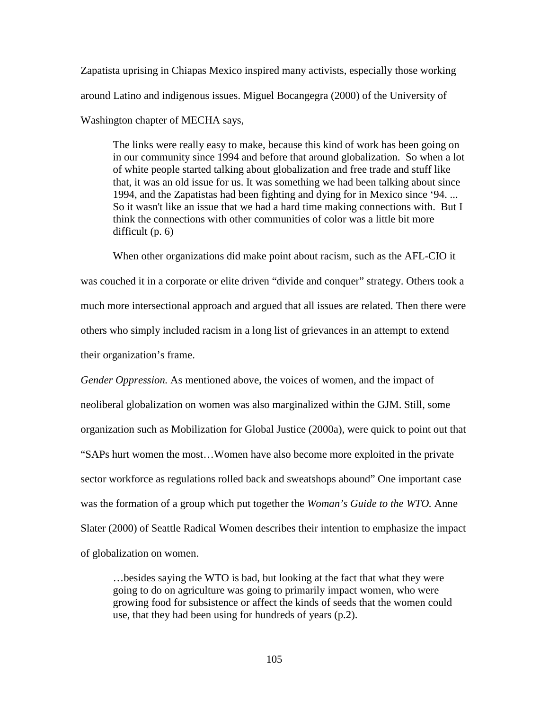Zapatista uprising in Chiapas Mexico inspired many activists, especially those working around Latino and indigenous issues. Miguel Bocangegra (2000) of the University of Washington chapter of MECHA says,

The links were really easy to make, because this kind of work has been going on in our community since 1994 and before that around globalization. So when a lot of white people started talking about globalization and free trade and stuff like that, it was an old issue for us. It was something we had been talking about since 1994, and the Zapatistas had been fighting and dying for in Mexico since '94. ... So it wasn't like an issue that we had a hard time making connections with. But I think the connections with other communities of color was a little bit more difficult (p. 6)

When other organizations did make point about racism, such as the AFL-CIO it was couched it in a corporate or elite driven "divide and conquer" strategy. Others took a much more intersectional approach and argued that all issues are related. Then there were others who simply included racism in a long list of grievances in an attempt to extend their organization's frame.

*Gender Oppression.* As mentioned above, the voices of women, and the impact of neoliberal globalization on women was also marginalized within the GJM. Still, some organization such as Mobilization for Global Justice (2000a), were quick to point out that "SAPs hurt women the most…Women have also become more exploited in the private sector workforce as regulations rolled back and sweatshops abound" One important case was the formation of a group which put together the *Woman's Guide to the WTO.* Anne Slater (2000) of Seattle Radical Women describes their intention to emphasize the impact of globalization on women.

…besides saying the WTO is bad, but looking at the fact that what they were going to do on agriculture was going to primarily impact women, who were growing food for subsistence or affect the kinds of seeds that the women could use, that they had been using for hundreds of years (p.2).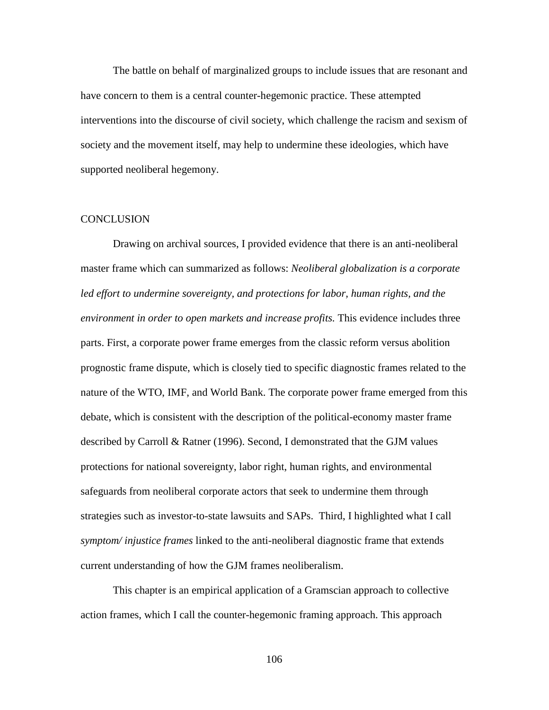The battle on behalf of marginalized groups to include issues that are resonant and have concern to them is a central counter-hegemonic practice. These attempted interventions into the discourse of civil society, which challenge the racism and sexism of society and the movement itself, may help to undermine these ideologies, which have supported neoliberal hegemony.

## **CONCLUSION**

Drawing on archival sources, I provided evidence that there is an anti-neoliberal master frame which can summarized as follows: *Neoliberal globalization is a corporate led effort to undermine sovereignty, and protections for labor, human rights, and the environment in order to open markets and increase profits.* This evidence includes three parts. First, a corporate power frame emerges from the classic reform versus abolition prognostic frame dispute, which is closely tied to specific diagnostic frames related to the nature of the WTO, IMF, and World Bank. The corporate power frame emerged from this debate, which is consistent with the description of the political-economy master frame described by Carroll & Ratner (1996). Second, I demonstrated that the GJM values protections for national sovereignty, labor right, human rights, and environmental safeguards from neoliberal corporate actors that seek to undermine them through strategies such as investor-to-state lawsuits and SAPs. Third, I highlighted what I call *symptom/ injustice frames* linked to the anti-neoliberal diagnostic frame that extends current understanding of how the GJM frames neoliberalism.

This chapter is an empirical application of a Gramscian approach to collective action frames, which I call the counter-hegemonic framing approach. This approach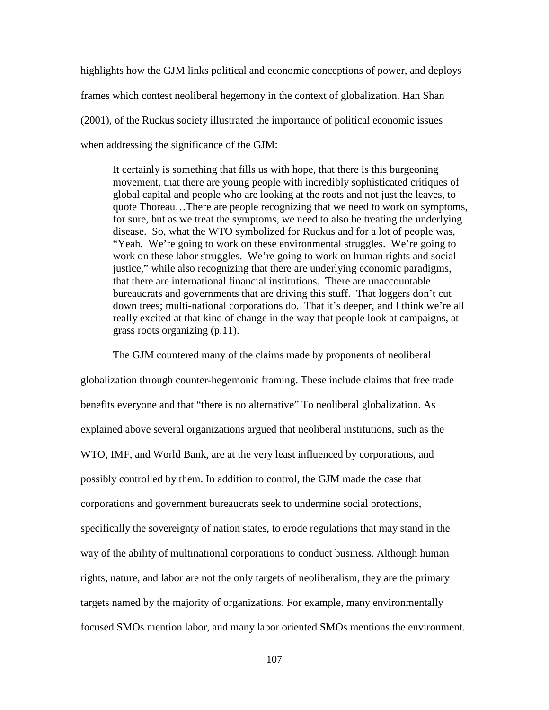highlights how the GJM links political and economic conceptions of power, and deploys frames which contest neoliberal hegemony in the context of globalization. Han Shan (2001), of the Ruckus society illustrated the importance of political economic issues when addressing the significance of the GJM:

It certainly is something that fills us with hope, that there is this burgeoning movement, that there are young people with incredibly sophisticated critiques of global capital and people who are looking at the roots and not just the leaves, to quote Thoreau…There are people recognizing that we need to work on symptoms, for sure, but as we treat the symptoms, we need to also be treating the underlying disease. So, what the WTO symbolized for Ruckus and for a lot of people was, "Yeah. We're going to work on these environmental struggles. We're going to work on these labor struggles. We're going to work on human rights and social justice," while also recognizing that there are underlying economic paradigms, that there are international financial institutions. There are unaccountable bureaucrats and governments that are driving this stuff. That loggers don't cut down trees; multi-national corporations do. That it's deeper, and I think we're all really excited at that kind of change in the way that people look at campaigns, at grass roots organizing (p.11).

The GJM countered many of the claims made by proponents of neoliberal globalization through counter-hegemonic framing. These include claims that free trade benefits everyone and that "there is no alternative" To neoliberal globalization. As explained above several organizations argued that neoliberal institutions, such as the WTO, IMF, and World Bank, are at the very least influenced by corporations, and possibly controlled by them. In addition to control, the GJM made the case that corporations and government bureaucrats seek to undermine social protections, specifically the sovereignty of nation states, to erode regulations that may stand in the way of the ability of multinational corporations to conduct business. Although human rights, nature, and labor are not the only targets of neoliberalism, they are the primary targets named by the majority of organizations. For example, many environmentally focused SMOs mention labor, and many labor oriented SMOs mentions the environment.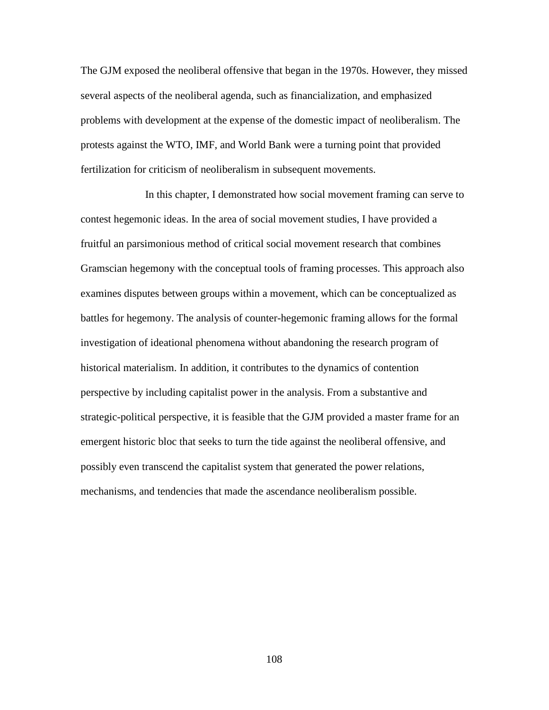The GJM exposed the neoliberal offensive that began in the 1970s. However, they missed several aspects of the neoliberal agenda, such as financialization, and emphasized problems with development at the expense of the domestic impact of neoliberalism. The protests against the WTO, IMF, and World Bank were a turning point that provided fertilization for criticism of neoliberalism in subsequent movements.

In this chapter, I demonstrated how social movement framing can serve to contest hegemonic ideas. In the area of social movement studies, I have provided a fruitful an parsimonious method of critical social movement research that combines Gramscian hegemony with the conceptual tools of framing processes. This approach also examines disputes between groups within a movement, which can be conceptualized as battles for hegemony. The analysis of counter-hegemonic framing allows for the formal investigation of ideational phenomena without abandoning the research program of historical materialism. In addition, it contributes to the dynamics of contention perspective by including capitalist power in the analysis. From a substantive and strategic-political perspective, it is feasible that the GJM provided a master frame for an emergent historic bloc that seeks to turn the tide against the neoliberal offensive, and possibly even transcend the capitalist system that generated the power relations, mechanisms, and tendencies that made the ascendance neoliberalism possible.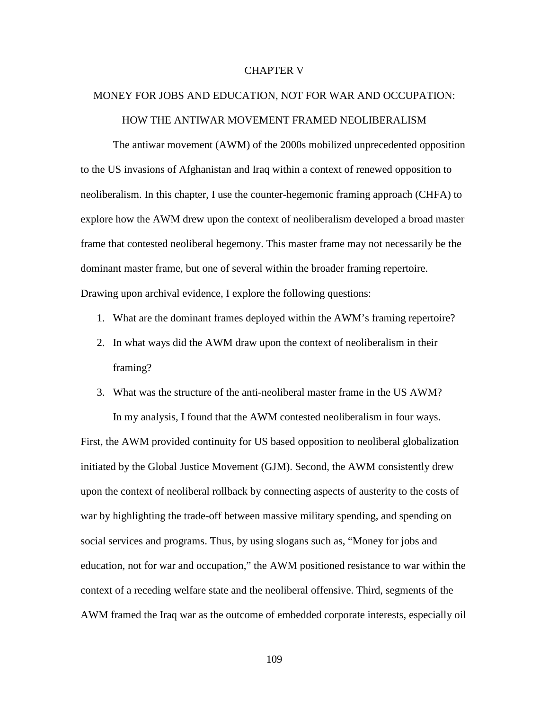#### CHAPTER V

# MONEY FOR JOBS AND EDUCATION, NOT FOR WAR AND OCCUPATION: HOW THE ANTIWAR MOVEMENT FRAMED NEOLIBERALISM

The antiwar movement (AWM) of the 2000s mobilized unprecedented opposition to the US invasions of Afghanistan and Iraq within a context of renewed opposition to neoliberalism. In this chapter, I use the counter-hegemonic framing approach (CHFA) to explore how the AWM drew upon the context of neoliberalism developed a broad master frame that contested neoliberal hegemony. This master frame may not necessarily be the dominant master frame, but one of several within the broader framing repertoire. Drawing upon archival evidence, I explore the following questions:

- 1. What are the dominant frames deployed within the AWM's framing repertoire?
- 2. In what ways did the AWM draw upon the context of neoliberalism in their framing?
- 3. What was the structure of the anti-neoliberal master frame in the US AWM?

In my analysis, I found that the AWM contested neoliberalism in four ways.

First, the AWM provided continuity for US based opposition to neoliberal globalization initiated by the Global Justice Movement (GJM). Second, the AWM consistently drew upon the context of neoliberal rollback by connecting aspects of austerity to the costs of war by highlighting the trade-off between massive military spending, and spending on social services and programs. Thus, by using slogans such as, "Money for jobs and education, not for war and occupation," the AWM positioned resistance to war within the context of a receding welfare state and the neoliberal offensive. Third, segments of the AWM framed the Iraq war as the outcome of embedded corporate interests, especially oil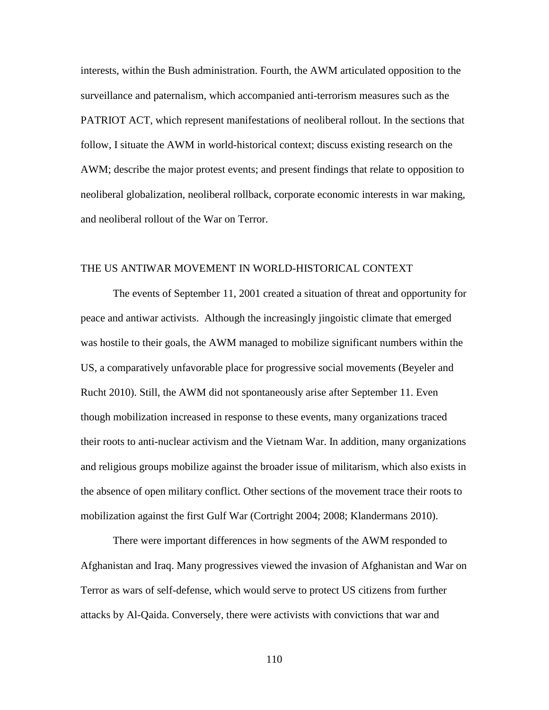interests, within the Bush administration. Fourth, the AWM articulated opposition to the surveillance and paternalism, which accompanied anti-terrorism measures such as the PATRIOT ACT, which represent manifestations of neoliberal rollout. In the sections that follow, I situate the AWM in world-historical context; discuss existing research on the AWM; describe the major protest events; and present findings that relate to opposition to neoliberal globalization, neoliberal rollback, corporate economic interests in war making, and neoliberal rollout of the War on Terror.

## THE US ANTIWAR MOVEMENT IN WORLD-HISTORICAL CONTEXT

The events of September 11, 2001 created a situation of threat and opportunity for peace and antiwar activists. Although the increasingly jingoistic climate that emerged was hostile to their goals, the AWM managed to mobilize significant numbers within the US, a comparatively unfavorable place for progressive social movements (Beyeler and Rucht 2010). Still, the AWM did not spontaneously arise after September 11. Even though mobilization increased in response to these events, many organizations traced their roots to anti-nuclear activism and the Vietnam War. In addition, many organizations and religious groups mobilize against the broader issue of militarism, which also exists in the absence of open military conflict. Other sections of the movement trace their roots to mobilization against the first Gulf War (Cortright 2004; 2008; Klandermans 2010).

There were important differences in how segments of the AWM responded to Afghanistan and Iraq. Many progressives viewed the invasion of Afghanistan and War on Terror as wars of self-defense, which would serve to protect US citizens from further attacks by Al-Qaida. Conversely, there were activists with convictions that war and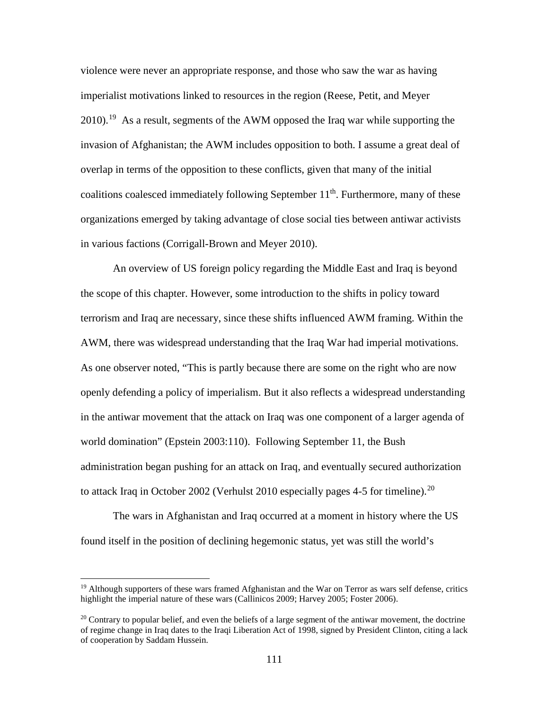violence were never an appropriate response, and those who saw the war as having imperialist motivations linked to resources in the region (Reese, Petit, and Meyer 2010).<sup>19</sup> As a result, segments of the AWM opposed the Iraq war while supporting the invasion of Afghanistan; the AWM includes opposition to both. I assume a great deal of overlap in terms of the opposition to these conflicts, given that many of the initial coalitions coalesced immediately following September 11<sup>th</sup>. Furthermore, many of these organizations emerged by taking advantage of close social ties between antiwar activists in various factions (Corrigall-Brown and Meyer 2010).

An overview of US foreign policy regarding the Middle East and Iraq is beyond the scope of this chapter. However, some introduction to the shifts in policy toward terrorism and Iraq are necessary, since these shifts influenced AWM framing. Within the AWM, there was widespread understanding that the Iraq War had imperial motivations. As one observer noted, "This is partly because there are some on the right who are now openly defending a policy of imperialism. But it also reflects a widespread understanding in the antiwar movement that the attack on Iraq was one component of a larger agenda of world domination" (Epstein 2003:110). Following September 11, the Bush administration began pushing for an attack on Iraq, and eventually secured authorization to attack Iraq in October 2002 (Verhulst 2010 especially pages 4-5 for timeline).<sup>20</sup>

The wars in Afghanistan and Iraq occurred at a moment in history where the US found itself in the position of declining hegemonic status, yet was still the world's

 $\overline{\phantom{a}}$ 

<span id="page-127-0"></span><sup>&</sup>lt;sup>19</sup> Although supporters of these wars framed Afghanistan and the War on Terror as wars self defense, critics highlight the imperial nature of these wars (Callinicos 2009; Harvey 2005; Foster 2006).

<span id="page-127-1"></span> $20$  Contrary to popular belief, and even the beliefs of a large segment of the antiwar movement, the doctrine of regime change in Iraq dates to the Iraqi Liberation Act of 1998, signed by President Clinton, citing a lack of cooperation by Saddam Hussein.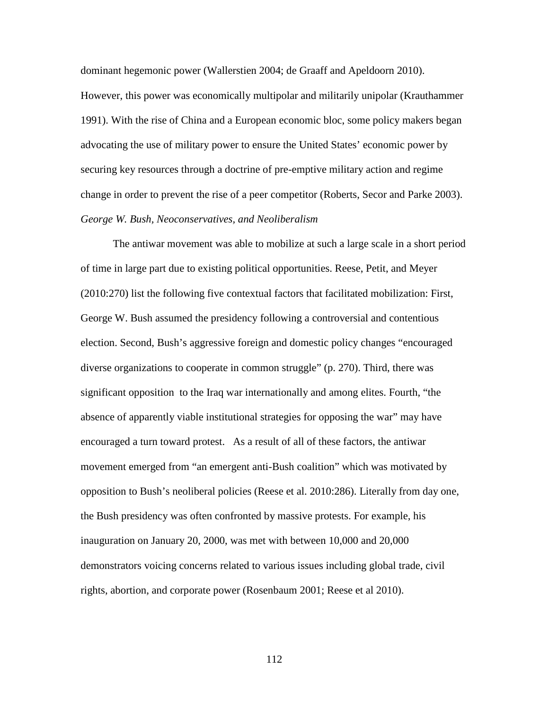dominant hegemonic power (Wallerstien 2004; de Graaff and Apeldoorn 2010). However, this power was economically multipolar and militarily unipolar (Krauthammer 1991). With the rise of China and a European economic bloc, some policy makers began advocating the use of military power to ensure the United States' economic power by securing key resources through a doctrine of pre-emptive military action and regime change in order to prevent the rise of a peer competitor (Roberts, Secor and Parke 2003). *George W. Bush, Neoconservatives, and Neoliberalism*

The antiwar movement was able to mobilize at such a large scale in a short period of time in large part due to existing political opportunities. Reese, Petit, and Meyer (2010:270) list the following five contextual factors that facilitated mobilization: First, George W. Bush assumed the presidency following a controversial and contentious election. Second, Bush's aggressive foreign and domestic policy changes "encouraged diverse organizations to cooperate in common struggle" (p. 270). Third, there was significant opposition to the Iraq war internationally and among elites. Fourth, "the absence of apparently viable institutional strategies for opposing the war" may have encouraged a turn toward protest. As a result of all of these factors, the antiwar movement emerged from "an emergent anti-Bush coalition" which was motivated by opposition to Bush's neoliberal policies (Reese et al. 2010:286). Literally from day one, the Bush presidency was often confronted by massive protests. For example, his inauguration on January 20, 2000, was met with between 10,000 and 20,000 demonstrators voicing concerns related to various issues including global trade, civil rights, abortion, and corporate power (Rosenbaum 2001; Reese et al 2010).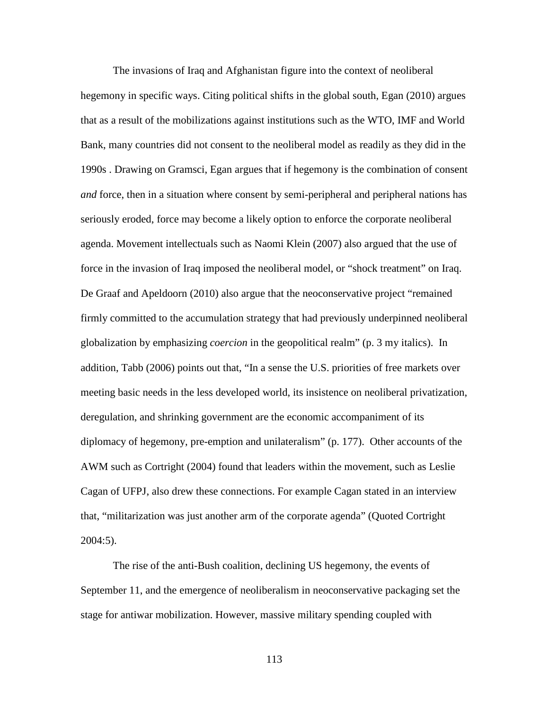The invasions of Iraq and Afghanistan figure into the context of neoliberal hegemony in specific ways. Citing political shifts in the global south, Egan (2010) argues that as a result of the mobilizations against institutions such as the WTO, IMF and World Bank, many countries did not consent to the neoliberal model as readily as they did in the 1990s . Drawing on Gramsci, Egan argues that if hegemony is the combination of consent *and* force, then in a situation where consent by semi-peripheral and peripheral nations has seriously eroded, force may become a likely option to enforce the corporate neoliberal agenda. Movement intellectuals such as Naomi Klein (2007) also argued that the use of force in the invasion of Iraq imposed the neoliberal model, or "shock treatment" on Iraq. De Graaf and Apeldoorn (2010) also argue that the neoconservative project "remained firmly committed to the accumulation strategy that had previously underpinned neoliberal globalization by emphasizing *coercion* in the geopolitical realm" (p. 3 my italics). In addition, Tabb (2006) points out that, "In a sense the U.S. priorities of free markets over meeting basic needs in the less developed world, its insistence on neoliberal privatization, deregulation, and shrinking government are the economic accompaniment of its diplomacy of hegemony, pre-emption and unilateralism" (p. 177). Other accounts of the AWM such as Cortright (2004) found that leaders within the movement, such as Leslie Cagan of UFPJ, also drew these connections. For example Cagan stated in an interview that, "militarization was just another arm of the corporate agenda" (Quoted Cortright 2004:5).

The rise of the anti-Bush coalition, declining US hegemony, the events of September 11, and the emergence of neoliberalism in neoconservative packaging set the stage for antiwar mobilization. However, massive military spending coupled with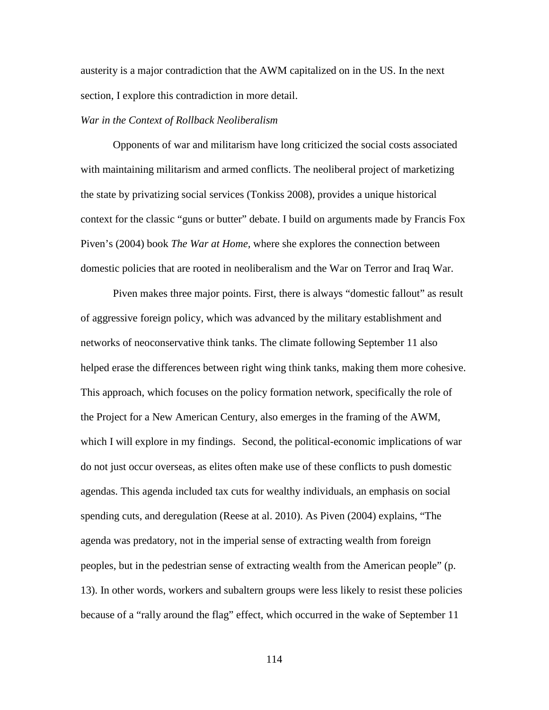austerity is a major contradiction that the AWM capitalized on in the US. In the next section, I explore this contradiction in more detail.

## *War in the Context of Rollback Neoliberalism*

Opponents of war and militarism have long criticized the social costs associated with maintaining militarism and armed conflicts. The neoliberal project of marketizing the state by privatizing social services (Tonkiss 2008), provides a unique historical context for the classic "guns or butter" debate. I build on arguments made by Francis Fox Piven's (2004) book *The War at Home,* where she explores the connection between domestic policies that are rooted in neoliberalism and the War on Terror and Iraq War.

Piven makes three major points. First, there is always "domestic fallout" as result of aggressive foreign policy, which was advanced by the military establishment and networks of neoconservative think tanks. The climate following September 11 also helped erase the differences between right wing think tanks, making them more cohesive. This approach, which focuses on the policy formation network, specifically the role of the Project for a New American Century, also emerges in the framing of the AWM, which I will explore in my findings. Second, the political-economic implications of war do not just occur overseas, as elites often make use of these conflicts to push domestic agendas. This agenda included tax cuts for wealthy individuals, an emphasis on social spending cuts, and deregulation (Reese at al. 2010). As Piven (2004) explains, "The agenda was predatory, not in the imperial sense of extracting wealth from foreign peoples, but in the pedestrian sense of extracting wealth from the American people" (p. 13). In other words, workers and subaltern groups were less likely to resist these policies because of a "rally around the flag" effect, which occurred in the wake of September 11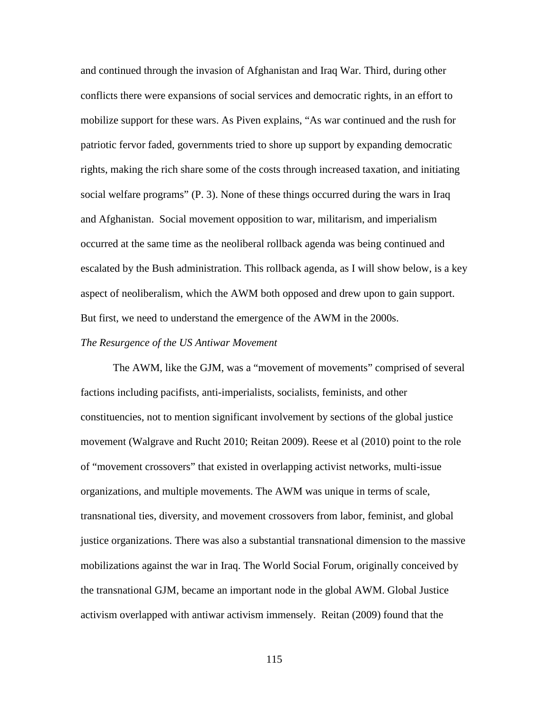and continued through the invasion of Afghanistan and Iraq War. Third, during other conflicts there were expansions of social services and democratic rights, in an effort to mobilize support for these wars. As Piven explains, "As war continued and the rush for patriotic fervor faded, governments tried to shore up support by expanding democratic rights, making the rich share some of the costs through increased taxation, and initiating social welfare programs" (P. 3). None of these things occurred during the wars in Iraq and Afghanistan. Social movement opposition to war, militarism, and imperialism occurred at the same time as the neoliberal rollback agenda was being continued and escalated by the Bush administration. This rollback agenda, as I will show below, is a key aspect of neoliberalism, which the AWM both opposed and drew upon to gain support. But first, we need to understand the emergence of the AWM in the 2000s.

#### *The Resurgence of the US Antiwar Movement*

The AWM, like the GJM, was a "movement of movements" comprised of several factions including pacifists, anti-imperialists, socialists, feminists, and other constituencies, not to mention significant involvement by sections of the global justice movement (Walgrave and Rucht 2010; Reitan 2009). Reese et al (2010) point to the role of "movement crossovers" that existed in overlapping activist networks, multi-issue organizations, and multiple movements. The AWM was unique in terms of scale, transnational ties, diversity, and movement crossovers from labor, feminist, and global justice organizations. There was also a substantial transnational dimension to the massive mobilizations against the war in Iraq. The World Social Forum, originally conceived by the transnational GJM, became an important node in the global AWM. Global Justice activism overlapped with antiwar activism immensely. Reitan (2009) found that the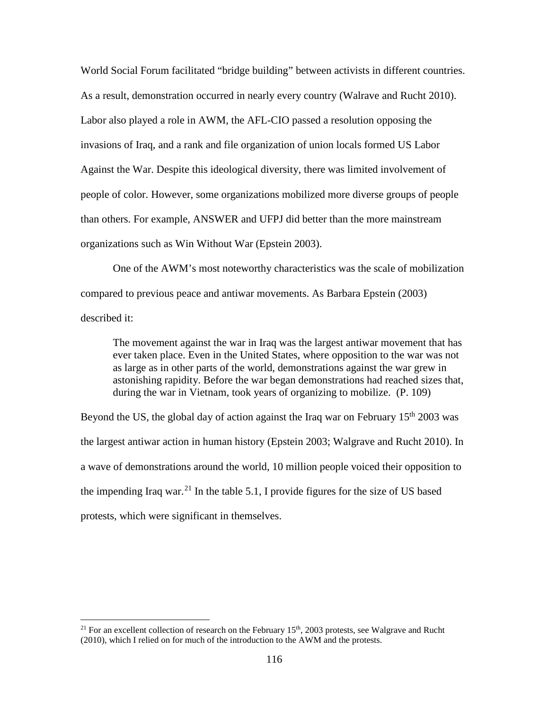World Social Forum facilitated "bridge building" between activists in different countries. As a result, demonstration occurred in nearly every country (Walrave and Rucht 2010). Labor also played a role in AWM, the AFL-CIO passed a resolution opposing the invasions of Iraq, and a rank and file organization of union locals formed US Labor Against the War. Despite this ideological diversity, there was limited involvement of people of color. However, some organizations mobilized more diverse groups of people than others. For example, ANSWER and UFPJ did better than the more mainstream organizations such as Win Without War (Epstein 2003).

One of the AWM's most noteworthy characteristics was the scale of mobilization compared to previous peace and antiwar movements. As Barbara Epstein (2003) described it:

The movement against the war in Iraq was the largest antiwar movement that has ever taken place. Even in the United States, where opposition to the war was not as large as in other parts of the world, demonstrations against the war grew in astonishing rapidity. Before the war began demonstrations had reached sizes that, during the war in Vietnam, took years of organizing to mobilize. (P. 109)

Beyond the US, the global day of action against the Iraq war on February 15<sup>th</sup> 2003 was the largest antiwar action in human history (Epstein 2003; Walgrave and Rucht 2010). In a wave of demonstrations around the world, 10 million people voiced their opposition to the impending Iraq war.<sup>[21](#page-132-0)</sup> In the table 5.1, I provide figures for the size of US based protests, which were significant in themselves.

l

<span id="page-132-0"></span><sup>&</sup>lt;sup>21</sup> For an excellent collection of research on the February  $15<sup>th</sup>$ , 2003 protests, see Walgrave and Rucht (2010), which I relied on for much of the introduction to the AWM and the protests.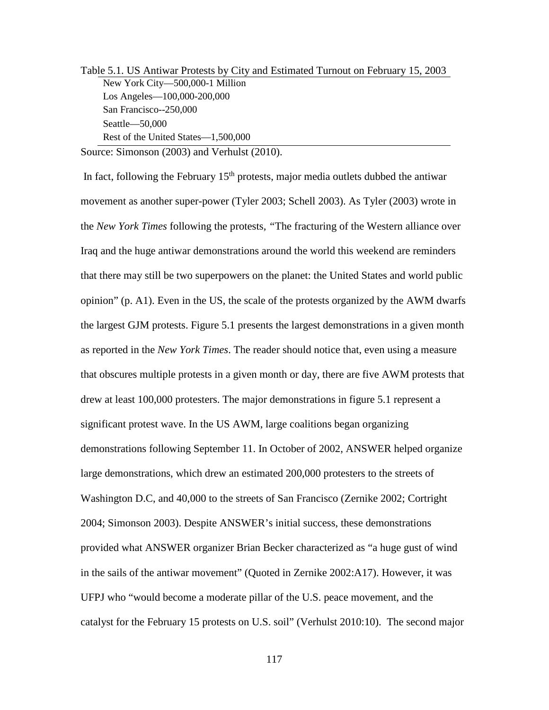| Table 5.1. US Antiwar Protests by City and Estimated Turnout on February 15, 2003 |
|-----------------------------------------------------------------------------------|
| New York City-500,000-1 Million                                                   |
| Los Angeles—100,000-200,000                                                       |
| San Francisco--250,000                                                            |
| $Seattle$ $-50,000$                                                               |
| Rest of the United States—1,500,000                                               |
|                                                                                   |

Source: Simonson (2003) and Verhulst (2010).

In fact, following the February  $15<sup>th</sup>$  protests, major media outlets dubbed the antiwar movement as another super-power (Tyler 2003; Schell 2003). As Tyler (2003) wrote in the *New York Times* following the protests*, "*The fracturing of the Western alliance over Iraq and the huge antiwar demonstrations around the world this weekend are reminders that there may still be two superpowers on the planet: the United States and world public opinion" (p. A1). Even in the US, the scale of the protests organized by the AWM dwarfs the largest GJM protests. Figure 5.1 presents the largest demonstrations in a given month as reported in the *New York Times*. The reader should notice that, even using a measure that obscures multiple protests in a given month or day, there are five AWM protests that drew at least 100,000 protesters. The major demonstrations in figure 5.1 represent a significant protest wave. In the US AWM, large coalitions began organizing demonstrations following September 11. In October of 2002, ANSWER helped organize large demonstrations, which drew an estimated 200,000 protesters to the streets of Washington D.C, and 40,000 to the streets of San Francisco (Zernike 2002; Cortright 2004; Simonson 2003). Despite ANSWER's initial success, these demonstrations provided what ANSWER organizer Brian Becker characterized as "a huge gust of wind in the sails of the antiwar movement" (Quoted in Zernike 2002:A17). However, it was UFPJ who "would become a moderate pillar of the U.S. peace movement, and the catalyst for the February 15 protests on U.S. soil" (Verhulst 2010:10). The second major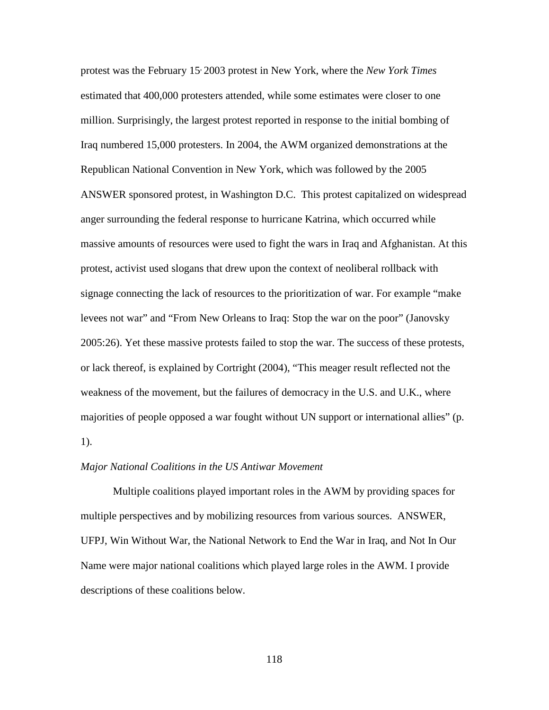protest was the February 15, 2003 protest in New York, where the *New York Times*  estimated that 400,000 protesters attended, while some estimates were closer to one million. Surprisingly, the largest protest reported in response to the initial bombing of Iraq numbered 15,000 protesters. In 2004, the AWM organized demonstrations at the Republican National Convention in New York, which was followed by the 2005 ANSWER sponsored protest, in Washington D.C. This protest capitalized on widespread anger surrounding the federal response to hurricane Katrina, which occurred while massive amounts of resources were used to fight the wars in Iraq and Afghanistan. At this protest, activist used slogans that drew upon the context of neoliberal rollback with signage connecting the lack of resources to the prioritization of war. For example "make levees not war" and "From New Orleans to Iraq: Stop the war on the poor" (Janovsky 2005:26). Yet these massive protests failed to stop the war. The success of these protests, or lack thereof, is explained by Cortright (2004), "This meager result reflected not the weakness of the movement, but the failures of democracy in the U.S. and U.K., where majorities of people opposed a war fought without UN support or international allies" (p. 1).

## *Major National Coalitions in the US Antiwar Movement*

Multiple coalitions played important roles in the AWM by providing spaces for multiple perspectives and by mobilizing resources from various sources. ANSWER, UFPJ, Win Without War, the National Network to End the War in Iraq, and Not In Our Name were major national coalitions which played large roles in the AWM. I provide descriptions of these coalitions below.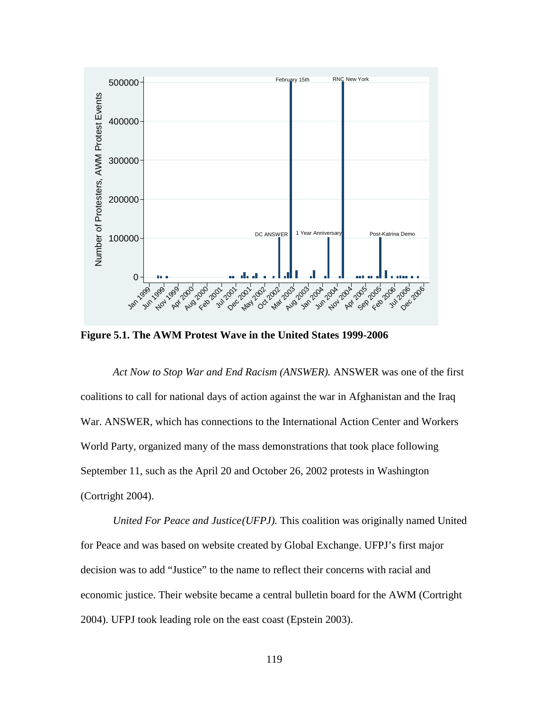

**Figure 5.1. The AWM Protest Wave in the United States 1999-2006**

*Act Now to Stop War and End Racism (ANSWER).* ANSWER was one of the first coalitions to call for national days of action against the war in Afghanistan and the Iraq War. ANSWER, which has connections to the International Action Center and Workers World Party, organized many of the mass demonstrations that took place following September 11, such as the April 20 and October 26, 2002 protests in Washington (Cortright 2004).

*United For Peace and Justice(UFPJ).* This coalition was originally named United for Peace and was based on website created by Global Exchange. UFPJ's first major decision was to add "Justice" to the name to reflect their concerns with racial and economic justice. Their website became a central bulletin board for the AWM (Cortright 2004). UFPJ took leading role on the east coast (Epstein 2003).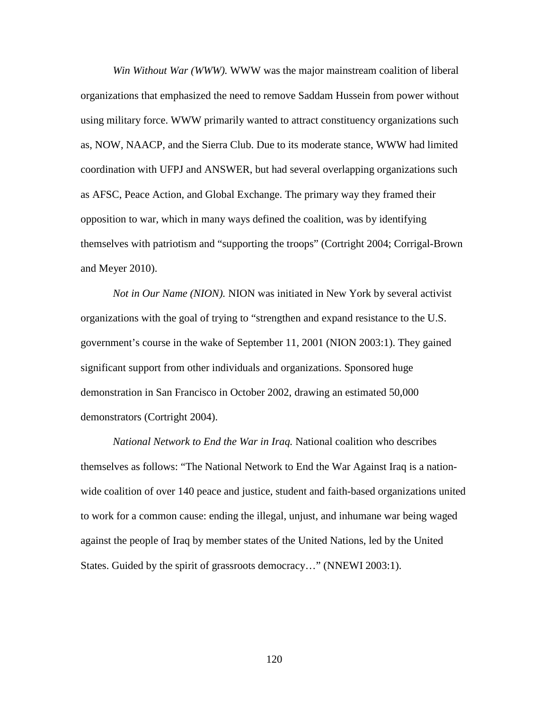*Win Without War (WWW).* WWW was the major mainstream coalition of liberal organizations that emphasized the need to remove Saddam Hussein from power without using military force. WWW primarily wanted to attract constituency organizations such as, NOW, NAACP, and the Sierra Club. Due to its moderate stance, WWW had limited coordination with UFPJ and ANSWER, but had several overlapping organizations such as AFSC, Peace Action, and Global Exchange. The primary way they framed their opposition to war, which in many ways defined the coalition, was by identifying themselves with patriotism and "supporting the troops" (Cortright 2004; Corrigal-Brown and Meyer 2010).

*Not in Our Name (NION).* NION was initiated in New York by several activist organizations with the goal of trying to "strengthen and expand resistance to the U.S. government's course in the wake of September 11, 2001 (NION 2003:1). They gained significant support from other individuals and organizations. Sponsored huge demonstration in San Francisco in October 2002, drawing an estimated 50,000 demonstrators (Cortright 2004).

*National Network to End the War in Iraq.* National coalition who describes themselves as follows: "The National Network to End the War Against Iraq is a nationwide coalition of over 140 peace and justice, student and faith-based organizations united to work for a common cause: ending the illegal, unjust, and inhumane war being waged against the people of Iraq by member states of the United Nations, led by the United States. Guided by the spirit of grassroots democracy…" (NNEWI 2003:1).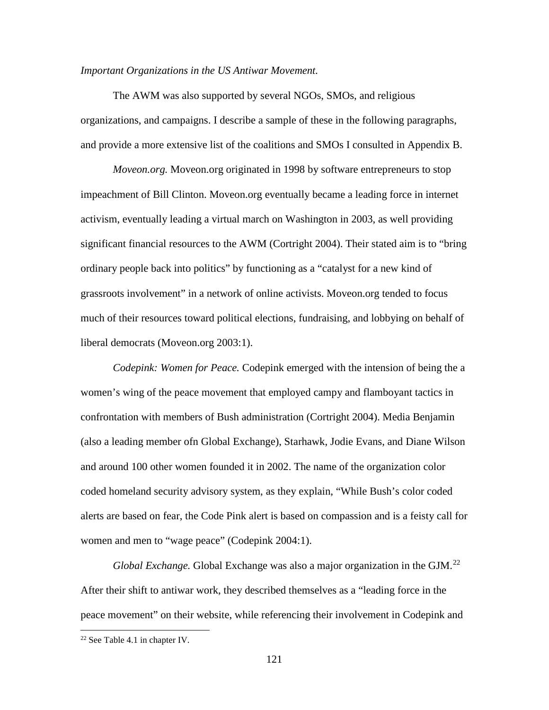#### *Important Organizations in the US Antiwar Movement.*

The AWM was also supported by several NGOs, SMOs, and religious organizations, and campaigns. I describe a sample of these in the following paragraphs, and provide a more extensive list of the coalitions and SMOs I consulted in Appendix B.

*Moveon.org.* Moveon.org originated in 1998 by software entrepreneurs to stop impeachment of Bill Clinton. Moveon.org eventually became a leading force in internet activism, eventually leading a virtual march on Washington in 2003, as well providing significant financial resources to the AWM (Cortright 2004). Their stated aim is to "bring ordinary people back into politics" by functioning as a "catalyst for a new kind of grassroots involvement" in a network of online activists. Moveon.org tended to focus much of their resources toward political elections, fundraising, and lobbying on behalf of liberal democrats (Moveon.org 2003:1).

*Codepink: Women for Peace.* Codepink emerged with the intension of being the a women's wing of the peace movement that employed campy and flamboyant tactics in confrontation with members of Bush administration (Cortright 2004). Media Benjamin (also a leading member ofn Global Exchange), Starhawk, Jodie Evans, and Diane Wilson and around 100 other women founded it in 2002. The name of the organization color coded homeland security advisory system, as they explain, "While Bush's color coded alerts are based on fear, the Code Pink alert is based on compassion and is a feisty call for women and men to "wage peace" (Codepink 2004:1).

*Global Exchange.* Global Exchange was also a major organization in the GJM.<sup>[22](#page-137-0)</sup> After their shift to antiwar work, they described themselves as a "leading force in the peace movement" on their website, while referencing their involvement in Codepink and

l

<span id="page-137-0"></span><sup>22</sup> See Table 4.1 in chapter IV.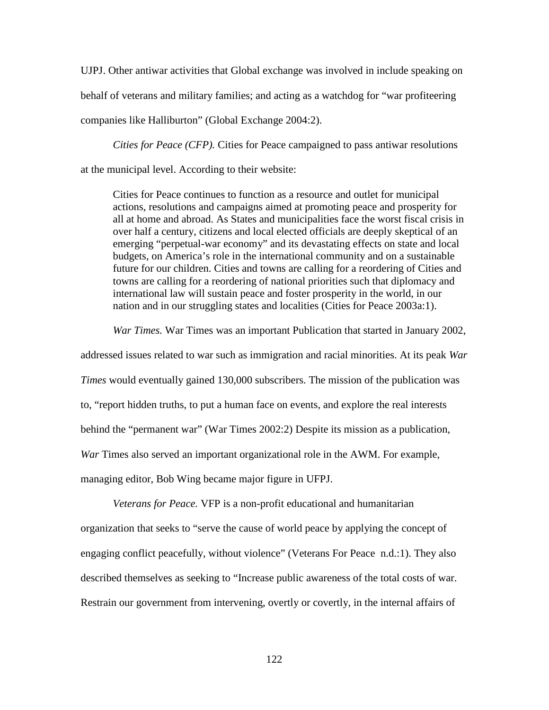UJPJ. Other antiwar activities that Global exchange was involved in include speaking on behalf of veterans and military families; and acting as a watchdog for "war profiteering companies like Halliburton" (Global Exchange 2004:2).

*Cities for Peace (CFP).* Cities for Peace campaigned to pass antiwar resolutions

at the municipal level. According to their website:

Cities for Peace continues to function as a resource and outlet for municipal actions, resolutions and campaigns aimed at promoting peace and prosperity for all at home and abroad. As States and municipalities face the worst fiscal crisis in over half a century, citizens and local elected officials are deeply skeptical of an emerging "perpetual-war economy" and its devastating effects on state and local budgets, on America's role in the international community and on a sustainable future for our children. Cities and towns are calling for a reordering of Cities and towns are calling for a reordering of national priorities such that diplomacy and international law will sustain peace and foster prosperity in the world, in our nation and in our struggling states and localities (Cities for Peace 2003a:1).

*War Times.* War Times was an important Publication that started in January 2002,

addressed issues related to war such as immigration and racial minorities. At its peak *War Times* would eventually gained 130,000 subscribers. The mission of the publication was to, "report hidden truths, to put a human face on events, and explore the real interests behind the "permanent war" (War Times 2002:2) Despite its mission as a publication, *War* Times also served an important organizational role in the AWM. For example, managing editor, Bob Wing became major figure in UFPJ.

*Veterans for Peace.* VFP is a non-profit educational and humanitarian organization that seeks to "serve the cause of world peace by applying the concept of engaging conflict peacefully, without violence" (Veterans For Peace n.d.:1). They also described themselves as seeking to "Increase public awareness of the total costs of war. Restrain our government from intervening, overtly or covertly, in the internal affairs of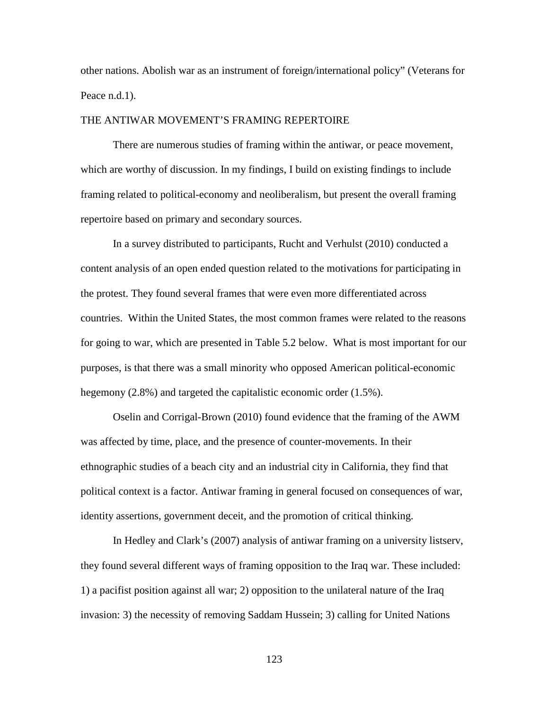other nations. Abolish war as an instrument of foreign/international policy" (Veterans for Peace n.d.1).

## THE ANTIWAR MOVEMENT'S FRAMING REPERTOIRE

There are numerous studies of framing within the antiwar, or peace movement, which are worthy of discussion. In my findings, I build on existing findings to include framing related to political-economy and neoliberalism, but present the overall framing repertoire based on primary and secondary sources.

In a survey distributed to participants, Rucht and Verhulst (2010) conducted a content analysis of an open ended question related to the motivations for participating in the protest. They found several frames that were even more differentiated across countries. Within the United States, the most common frames were related to the reasons for going to war, which are presented in Table 5.2 below. What is most important for our purposes, is that there was a small minority who opposed American political-economic hegemony (2.8%) and targeted the capitalistic economic order (1.5%).

Oselin and Corrigal-Brown (2010) found evidence that the framing of the AWM was affected by time, place, and the presence of counter-movements. In their ethnographic studies of a beach city and an industrial city in California, they find that political context is a factor. Antiwar framing in general focused on consequences of war, identity assertions, government deceit, and the promotion of critical thinking.

In Hedley and Clark's (2007) analysis of antiwar framing on a university listserv, they found several different ways of framing opposition to the Iraq war. These included: 1) a pacifist position against all war; 2) opposition to the unilateral nature of the Iraq invasion: 3) the necessity of removing Saddam Hussein; 3) calling for United Nations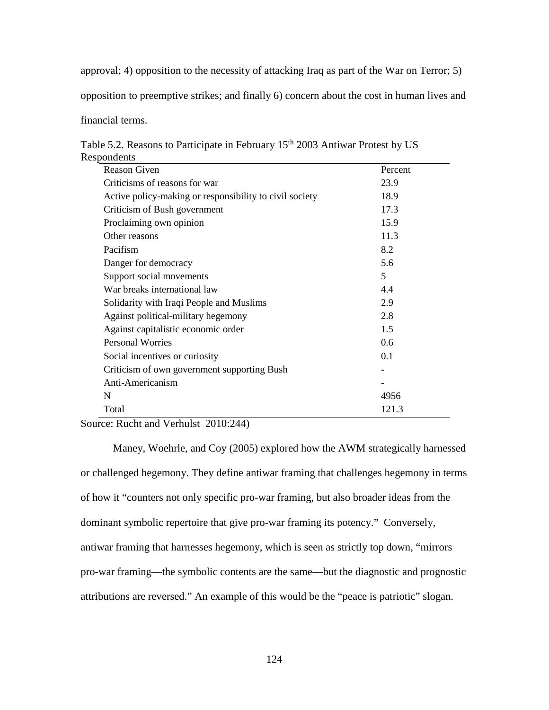approval; 4) opposition to the necessity of attacking Iraq as part of the War on Terror; 5)

opposition to preemptive strikes; and finally 6) concern about the cost in human lives and

financial terms.

|             | Table 5.2. Reasons to Participate in February 15 <sup>th</sup> 2003 Antiwar Protest by US |  |
|-------------|-------------------------------------------------------------------------------------------|--|
| Respondents |                                                                                           |  |
|             |                                                                                           |  |

| <b>Reason Given</b>                                     | Percent |
|---------------------------------------------------------|---------|
| Criticisms of reasons for war                           | 23.9    |
| Active policy-making or responsibility to civil society | 18.9    |
| Criticism of Bush government                            | 17.3    |
| Proclaiming own opinion                                 | 15.9    |
| Other reasons                                           | 11.3    |
| Pacifism                                                | 8.2     |
| Danger for democracy                                    | 5.6     |
| Support social movements                                | 5       |
| War breaks international law                            | 4.4     |
| Solidarity with Iraqi People and Muslims                | 2.9     |
| Against political-military hegemony                     | 2.8     |
| Against capitalistic economic order                     | 1.5     |
| <b>Personal Worries</b>                                 | 0.6     |
| Social incentives or curiosity                          | 0.1     |
| Criticism of own government supporting Bush             |         |
| Anti-Americanism                                        |         |
| N                                                       | 4956    |
| Total                                                   | 121.3   |

Source: Rucht and Verhulst 2010:244)

Maney, Woehrle, and Coy (2005) explored how the AWM strategically harnessed or challenged hegemony. They define antiwar framing that challenges hegemony in terms of how it "counters not only specific pro-war framing, but also broader ideas from the dominant symbolic repertoire that give pro-war framing its potency." Conversely, antiwar framing that harnesses hegemony, which is seen as strictly top down, "mirrors pro-war framing—the symbolic contents are the same—but the diagnostic and prognostic attributions are reversed." An example of this would be the "peace is patriotic" slogan.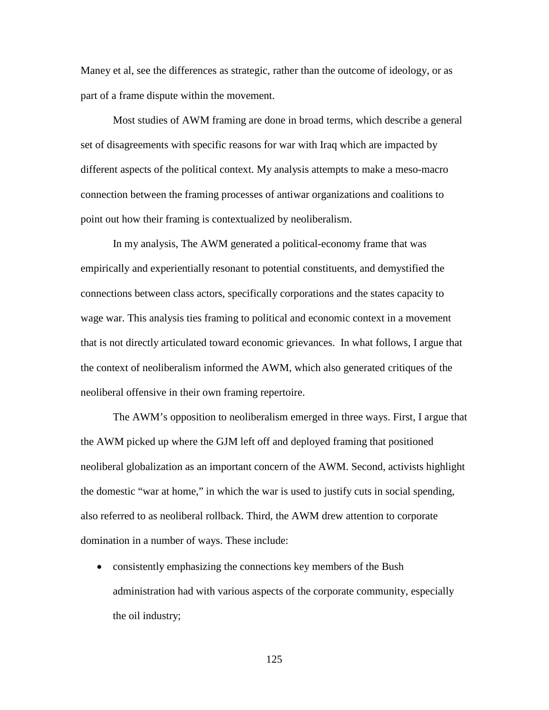Maney et al, see the differences as strategic, rather than the outcome of ideology, or as part of a frame dispute within the movement.

Most studies of AWM framing are done in broad terms, which describe a general set of disagreements with specific reasons for war with Iraq which are impacted by different aspects of the political context. My analysis attempts to make a meso-macro connection between the framing processes of antiwar organizations and coalitions to point out how their framing is contextualized by neoliberalism.

In my analysis, The AWM generated a political-economy frame that was empirically and experientially resonant to potential constituents, and demystified the connections between class actors, specifically corporations and the states capacity to wage war. This analysis ties framing to political and economic context in a movement that is not directly articulated toward economic grievances. In what follows, I argue that the context of neoliberalism informed the AWM, which also generated critiques of the neoliberal offensive in their own framing repertoire.

The AWM's opposition to neoliberalism emerged in three ways. First, I argue that the AWM picked up where the GJM left off and deployed framing that positioned neoliberal globalization as an important concern of the AWM. Second, activists highlight the domestic "war at home," in which the war is used to justify cuts in social spending, also referred to as neoliberal rollback. Third, the AWM drew attention to corporate domination in a number of ways. These include:

• consistently emphasizing the connections key members of the Bush administration had with various aspects of the corporate community, especially the oil industry;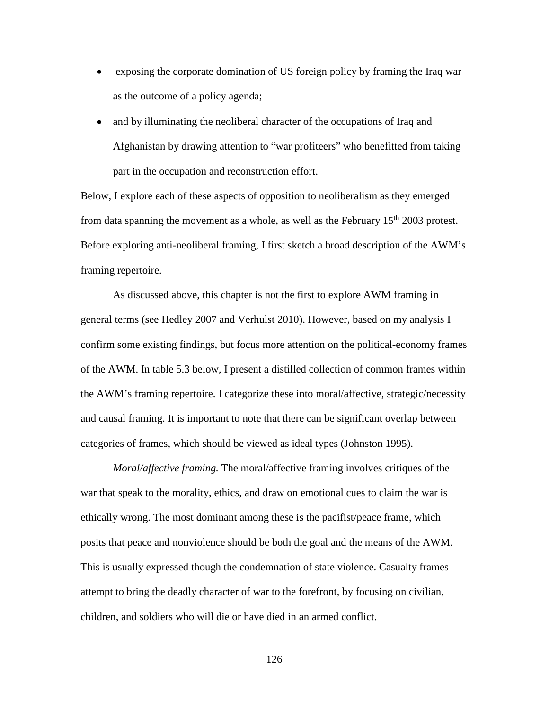- exposing the corporate domination of US foreign policy by framing the Iraq war as the outcome of a policy agenda;
- and by illuminating the neoliberal character of the occupations of Iraq and Afghanistan by drawing attention to "war profiteers" who benefitted from taking part in the occupation and reconstruction effort.

Below, I explore each of these aspects of opposition to neoliberalism as they emerged from data spanning the movement as a whole, as well as the February  $15<sup>th</sup> 2003$  protest. Before exploring anti-neoliberal framing, I first sketch a broad description of the AWM's framing repertoire.

As discussed above, this chapter is not the first to explore AWM framing in general terms (see Hedley 2007 and Verhulst 2010). However, based on my analysis I confirm some existing findings, but focus more attention on the political-economy frames of the AWM. In table 5.3 below, I present a distilled collection of common frames within the AWM's framing repertoire. I categorize these into moral/affective, strategic/necessity and causal framing. It is important to note that there can be significant overlap between categories of frames, which should be viewed as ideal types (Johnston 1995).

*Moral/affective framing.* The moral/affective framing involves critiques of the war that speak to the morality, ethics, and draw on emotional cues to claim the war is ethically wrong. The most dominant among these is the pacifist/peace frame, which posits that peace and nonviolence should be both the goal and the means of the AWM. This is usually expressed though the condemnation of state violence. Casualty frames attempt to bring the deadly character of war to the forefront, by focusing on civilian, children, and soldiers who will die or have died in an armed conflict.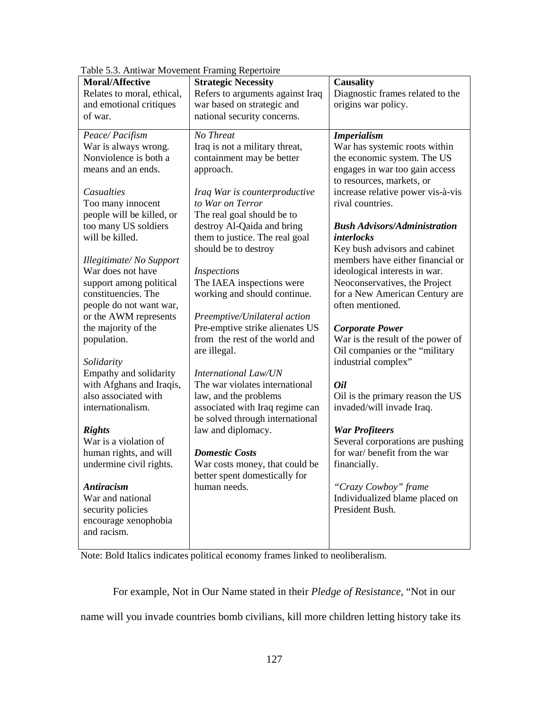| re s.s. I mawar movement I family respections |                                  |                                                           |
|-----------------------------------------------|----------------------------------|-----------------------------------------------------------|
| <b>Moral/Affective</b>                        | <b>Strategic Necessity</b>       | <b>Causality</b>                                          |
| Relates to moral, ethical,                    | Refers to arguments against Iraq | Diagnostic frames related to the                          |
| and emotional critiques                       | war based on strategic and       | origins war policy.                                       |
| of war.                                       | national security concerns.      |                                                           |
|                                               |                                  |                                                           |
| Peace/Pacifism                                | No Threat                        | <b>Imperialism</b>                                        |
| War is always wrong.                          | Iraq is not a military threat,   | War has systemic roots within                             |
| Nonviolence is both a                         | containment may be better        | the economic system. The US                               |
| means and an ends.                            | approach.                        | engages in war too gain access                            |
|                                               |                                  | to resources, markets, or                                 |
| Casualties                                    | Iraq War is counterproductive    | increase relative power vis-à-vis                         |
| Too many innocent                             | to War on Terror                 | rival countries.                                          |
| people will be killed, or                     | The real goal should be to       |                                                           |
| too many US soldiers                          | destroy Al-Qaida and bring       | <b>Bush Advisors/Administration</b>                       |
| will be killed.                               | them to justice. The real goal   | <i>interlocks</i>                                         |
|                                               | should be to destroy             | Key bush advisors and cabinet                             |
| Illegitimate/No Support                       |                                  | members have either financial or                          |
| War does not have                             | Inspections                      | ideological interests in war.                             |
| support among political                       | The IAEA inspections were        | Neoconservatives, the Project                             |
| constituencies. The                           | working and should continue.     | for a New American Century are                            |
| people do not want war,                       |                                  | often mentioned.                                          |
| or the AWM represents                         | Preemptive/Unilateral action     |                                                           |
| the majority of the                           | Pre-emptive strike alienates US  | <b>Corporate Power</b>                                    |
| population.                                   | from the rest of the world and   | War is the result of the power of                         |
|                                               | are illegal.                     | Oil companies or the "military                            |
| Solidarity                                    |                                  | industrial complex"                                       |
| Empathy and solidarity                        | <b>International Law/UN</b>      |                                                           |
| with Afghans and Iraqis,                      | The war violates international   | <b>Oil</b>                                                |
| also associated with                          | law, and the problems            | Oil is the primary reason the US                          |
| internationalism.                             | associated with Iraq regime can  | invaded/will invade Iraq.                                 |
|                                               | be solved through international  |                                                           |
|                                               |                                  |                                                           |
| <b>Rights</b><br>War is a violation of        | law and diplomacy.               | <b>War Profiteers</b><br>Several corporations are pushing |
|                                               | <b>Domestic Costs</b>            | for war/ benefit from the war                             |
| human rights, and will                        |                                  |                                                           |
| undermine civil rights.                       | War costs money, that could be   | financially.                                              |
|                                               | better spent domestically for    |                                                           |
| <b>Antiracism</b>                             | human needs.                     | "Crazy Cowboy" frame                                      |
| War and national                              |                                  | Individualized blame placed on                            |
| security policies                             |                                  | President Bush.                                           |
| encourage xenophobia                          |                                  |                                                           |
| and racism.                                   |                                  |                                                           |
|                                               |                                  |                                                           |

Table 5.3. Antiwar Movement Framing Repertoire

Note: Bold Italics indicates political economy frames linked to neoliberalism.

For example, Not in Our Name stated in their *Pledge of Resistance,* "Not in our name will you invade countries bomb civilians, kill more children letting history take its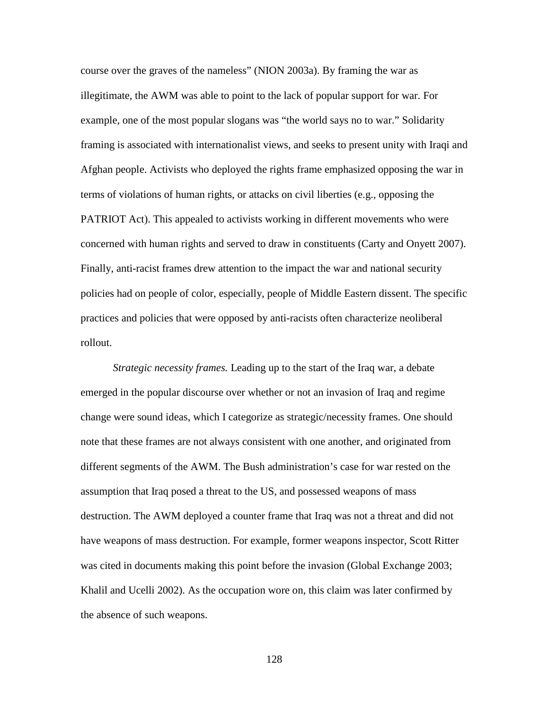course over the graves of the nameless" (NION 2003a). By framing the war as illegitimate, the AWM was able to point to the lack of popular support for war. For example, one of the most popular slogans was "the world says no to war." Solidarity framing is associated with internationalist views, and seeks to present unity with Iraqi and Afghan people. Activists who deployed the rights frame emphasized opposing the war in terms of violations of human rights, or attacks on civil liberties (e.g., opposing the PATRIOT Act). This appealed to activists working in different movements who were concerned with human rights and served to draw in constituents (Carty and Onyett 2007). Finally, anti-racist frames drew attention to the impact the war and national security policies had on people of color, especially, people of Middle Eastern dissent. The specific practices and policies that were opposed by anti-racists often characterize neoliberal rollout.

*Strategic necessity frames.* Leading up to the start of the Iraq war, a debate emerged in the popular discourse over whether or not an invasion of Iraq and regime change were sound ideas, which I categorize as strategic/necessity frames. One should note that these frames are not always consistent with one another, and originated from different segments of the AWM. The Bush administration's case for war rested on the assumption that Iraq posed a threat to the US, and possessed weapons of mass destruction. The AWM deployed a counter frame that Iraq was not a threat and did not have weapons of mass destruction. For example, former weapons inspector, Scott Ritter was cited in documents making this point before the invasion (Global Exchange 2003; Khalil and Ucelli 2002). As the occupation wore on, this claim was later confirmed by the absence of such weapons.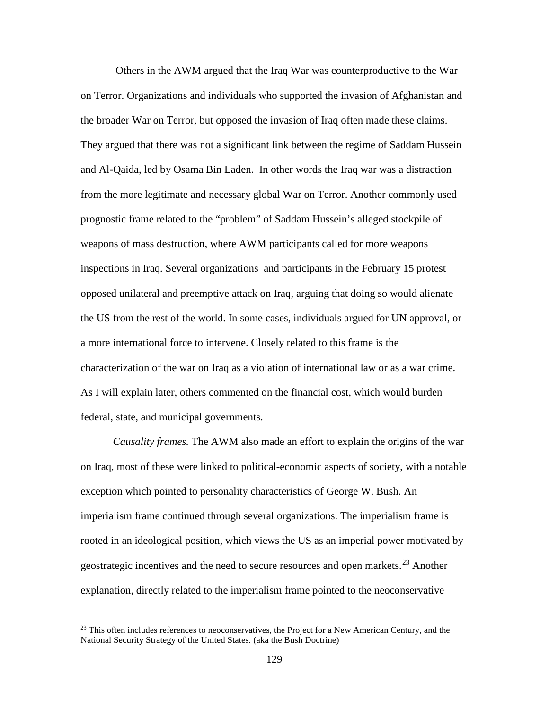Others in the AWM argued that the Iraq War was counterproductive to the War on Terror. Organizations and individuals who supported the invasion of Afghanistan and the broader War on Terror, but opposed the invasion of Iraq often made these claims. They argued that there was not a significant link between the regime of Saddam Hussein and Al-Qaida, led by Osama Bin Laden. In other words the Iraq war was a distraction from the more legitimate and necessary global War on Terror. Another commonly used prognostic frame related to the "problem" of Saddam Hussein's alleged stockpile of weapons of mass destruction, where AWM participants called for more weapons inspections in Iraq. Several organizations and participants in the February 15 protest opposed unilateral and preemptive attack on Iraq, arguing that doing so would alienate the US from the rest of the world. In some cases, individuals argued for UN approval, or a more international force to intervene. Closely related to this frame is the characterization of the war on Iraq as a violation of international law or as a war crime. As I will explain later, others commented on the financial cost, which would burden federal, state, and municipal governments.

*Causality frames.* The AWM also made an effort to explain the origins of the war on Iraq, most of these were linked to political-economic aspects of society, with a notable exception which pointed to personality characteristics of George W. Bush. An imperialism frame continued through several organizations. The imperialism frame is rooted in an ideological position, which views the US as an imperial power motivated by geostrategic incentives and the need to secure resources and open markets.[23](#page-145-0) Another explanation, directly related to the imperialism frame pointed to the neoconservative

l

<span id="page-145-0"></span> $^{23}$  This often includes references to neoconservatives, the Project for a New American Century, and the National Security Strategy of the United States. (aka the Bush Doctrine)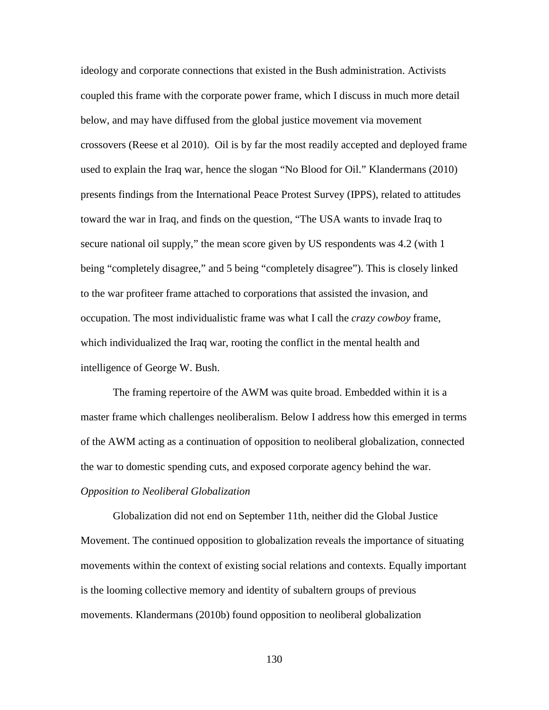ideology and corporate connections that existed in the Bush administration. Activists coupled this frame with the corporate power frame, which I discuss in much more detail below, and may have diffused from the global justice movement via movement crossovers (Reese et al 2010). Oil is by far the most readily accepted and deployed frame used to explain the Iraq war, hence the slogan "No Blood for Oil." Klandermans (2010) presents findings from the International Peace Protest Survey (IPPS), related to attitudes toward the war in Iraq, and finds on the question, "The USA wants to invade Iraq to secure national oil supply," the mean score given by US respondents was 4.2 (with 1 being "completely disagree," and 5 being "completely disagree"). This is closely linked to the war profiteer frame attached to corporations that assisted the invasion, and occupation. The most individualistic frame was what I call the *crazy cowboy* frame, which individualized the Iraq war, rooting the conflict in the mental health and intelligence of George W. Bush.

The framing repertoire of the AWM was quite broad. Embedded within it is a master frame which challenges neoliberalism. Below I address how this emerged in terms of the AWM acting as a continuation of opposition to neoliberal globalization, connected the war to domestic spending cuts, and exposed corporate agency behind the war. *Opposition to Neoliberal Globalization*

Globalization did not end on September 11th, neither did the Global Justice Movement. The continued opposition to globalization reveals the importance of situating movements within the context of existing social relations and contexts. Equally important is the looming collective memory and identity of subaltern groups of previous movements. Klandermans (2010b) found opposition to neoliberal globalization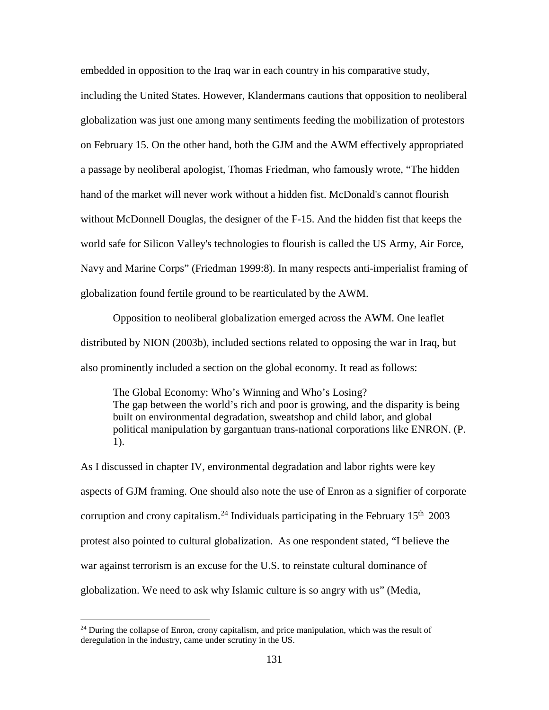embedded in opposition to the Iraq war in each country in his comparative study,

including the United States. However, Klandermans cautions that opposition to neoliberal globalization was just one among many sentiments feeding the mobilization of protestors on February 15. On the other hand, both the GJM and the AWM effectively appropriated a passage by neoliberal apologist, Thomas Friedman, who famously wrote, "The hidden hand of the market will never work without a hidden fist. McDonald's cannot flourish without McDonnell Douglas, the designer of the F-15. And the hidden fist that keeps the world safe for Silicon Valley's technologies to flourish is called the US Army, Air Force, Navy and Marine Corps" (Friedman 1999:8). In many respects anti-imperialist framing of globalization found fertile ground to be rearticulated by the AWM.

Opposition to neoliberal globalization emerged across the AWM. One leaflet distributed by NION (2003b), included sections related to opposing the war in Iraq, but also prominently included a section on the global economy. It read as follows:

The Global Economy: Who's Winning and Who's Losing? The gap between the world's rich and poor is growing, and the disparity is being built on environmental degradation, sweatshop and child labor, and global political manipulation by gargantuan trans-national corporations like ENRON. (P. 1).

As I discussed in chapter IV, environmental degradation and labor rights were key aspects of GJM framing. One should also note the use of Enron as a signifier of corporate corruption and crony capitalism.<sup>[24](#page-147-0)</sup> Individuals participating in the February  $15<sup>th</sup> 2003$ protest also pointed to cultural globalization. As one respondent stated, "I believe the war against terrorism is an excuse for the U.S. to reinstate cultural dominance of globalization. We need to ask why Islamic culture is so angry with us" (Media,

l

<span id="page-147-0"></span> $24$  During the collapse of Enron, crony capitalism, and price manipulation, which was the result of deregulation in the industry, came under scrutiny in the US.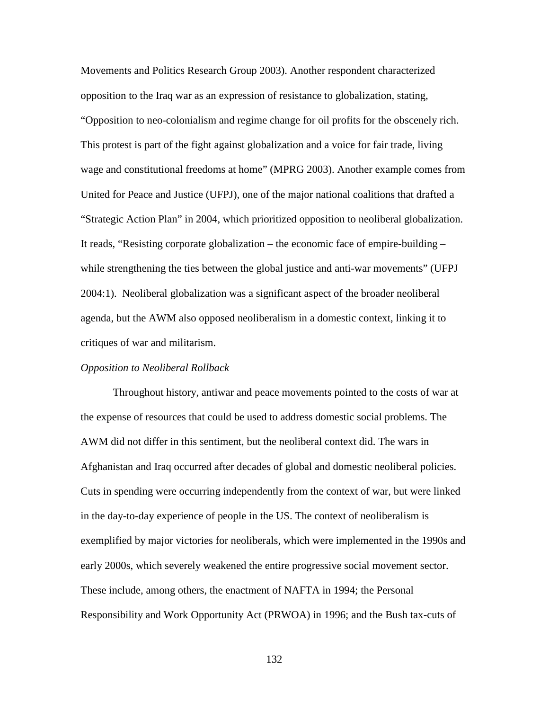Movements and Politics Research Group 2003). Another respondent characterized opposition to the Iraq war as an expression of resistance to globalization, stating, "Opposition to neo-colonialism and regime change for oil profits for the obscenely rich. This protest is part of the fight against globalization and a voice for fair trade, living wage and constitutional freedoms at home" (MPRG 2003). Another example comes from United for Peace and Justice (UFPJ), one of the major national coalitions that drafted a "Strategic Action Plan" in 2004, which prioritized opposition to neoliberal globalization. It reads, "Resisting corporate globalization – the economic face of empire-building – while strengthening the ties between the global justice and anti-war movements" (UFPJ 2004:1). Neoliberal globalization was a significant aspect of the broader neoliberal agenda, but the AWM also opposed neoliberalism in a domestic context, linking it to critiques of war and militarism.

# *Opposition to Neoliberal Rollback*

Throughout history, antiwar and peace movements pointed to the costs of war at the expense of resources that could be used to address domestic social problems. The AWM did not differ in this sentiment, but the neoliberal context did. The wars in Afghanistan and Iraq occurred after decades of global and domestic neoliberal policies. Cuts in spending were occurring independently from the context of war, but were linked in the day-to-day experience of people in the US. The context of neoliberalism is exemplified by major victories for neoliberals, which were implemented in the 1990s and early 2000s, which severely weakened the entire progressive social movement sector. These include, among others, the enactment of NAFTA in 1994; the Personal Responsibility and Work Opportunity Act (PRWOA) in 1996; and the Bush tax-cuts of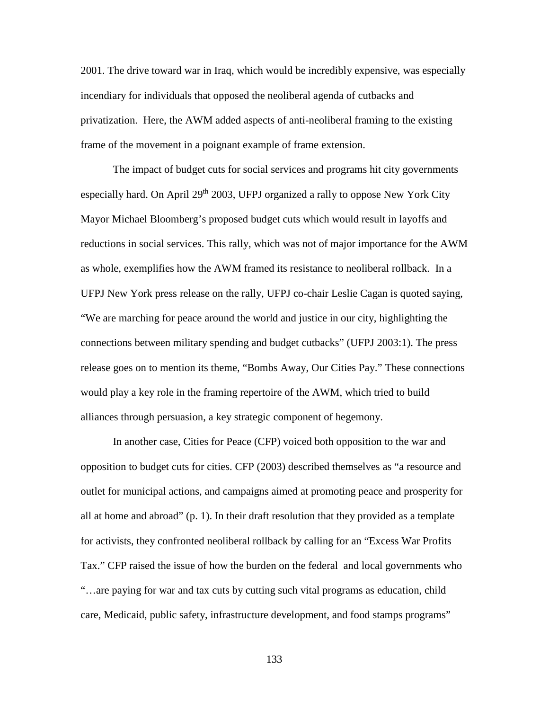2001. The drive toward war in Iraq, which would be incredibly expensive, was especially incendiary for individuals that opposed the neoliberal agenda of cutbacks and privatization. Here, the AWM added aspects of anti-neoliberal framing to the existing frame of the movement in a poignant example of frame extension.

The impact of budget cuts for social services and programs hit city governments especially hard. On April  $29<sup>th</sup> 2003$ , UFPJ organized a rally to oppose New York City Mayor Michael Bloomberg's proposed budget cuts which would result in layoffs and reductions in social services. This rally, which was not of major importance for the AWM as whole, exemplifies how the AWM framed its resistance to neoliberal rollback. In a UFPJ New York press release on the rally, UFPJ co-chair Leslie Cagan is quoted saying, "We are marching for peace around the world and justice in our city, highlighting the connections between military spending and budget cutbacks" (UFPJ 2003:1). The press release goes on to mention its theme, "Bombs Away, Our Cities Pay." These connections would play a key role in the framing repertoire of the AWM, which tried to build alliances through persuasion, a key strategic component of hegemony.

In another case, Cities for Peace (CFP) voiced both opposition to the war and opposition to budget cuts for cities. CFP (2003) described themselves as "a resource and outlet for municipal actions, and campaigns aimed at promoting peace and prosperity for all at home and abroad" (p. 1). In their draft resolution that they provided as a template for activists, they confronted neoliberal rollback by calling for an "Excess War Profits Tax." CFP raised the issue of how the burden on the federal and local governments who "…are paying for war and tax cuts by cutting such vital programs as education, child care, Medicaid, public safety, infrastructure development, and food stamps programs"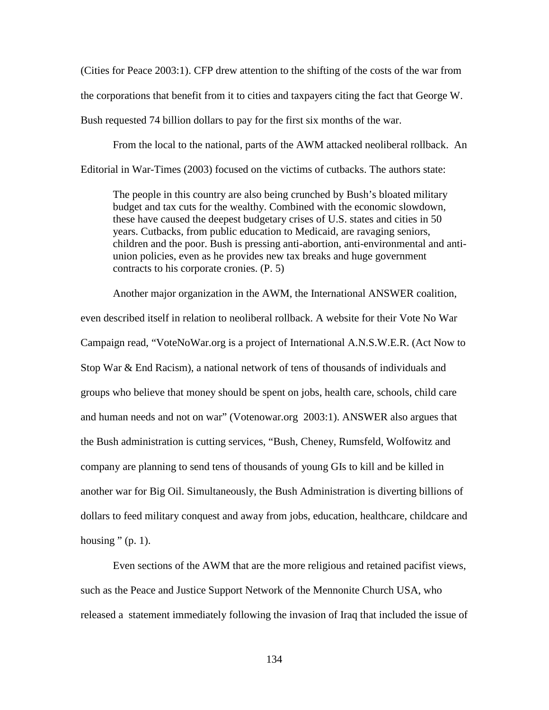(Cities for Peace 2003:1). CFP drew attention to the shifting of the costs of the war from the corporations that benefit from it to cities and taxpayers citing the fact that George W. Bush requested 74 billion dollars to pay for the first six months of the war.

From the local to the national, parts of the AWM attacked neoliberal rollback. An Editorial in War-Times (2003) focused on the victims of cutbacks. The authors state:

The people in this country are also being crunched by Bush's bloated military budget and tax cuts for the wealthy. Combined with the economic slowdown, these have caused the deepest budgetary crises of U.S. states and cities in 50 years. Cutbacks, from public education to Medicaid, are ravaging seniors, children and the poor. Bush is pressing anti-abortion, anti-environmental and antiunion policies, even as he provides new tax breaks and huge government contracts to his corporate cronies. (P. 5)

Another major organization in the AWM, the International ANSWER coalition, even described itself in relation to neoliberal rollback. A website for their Vote No War Campaign read, "VoteNoWar.org is a project of International A.N.S.W.E.R. (Act Now to Stop War & End Racism), a national network of tens of thousands of individuals and groups who believe that money should be spent on jobs, health care, schools, child care and human needs and not on war" (Votenowar.org 2003:1). ANSWER also argues that the Bush administration is cutting services, "Bush, Cheney, Rumsfeld, Wolfowitz and company are planning to send tens of thousands of young GIs to kill and be killed in another war for Big Oil. Simultaneously, the Bush Administration is diverting billions of dollars to feed military conquest and away from jobs, education, healthcare, childcare and housing  $"$  (p. 1).

Even sections of the AWM that are the more religious and retained pacifist views, such as the Peace and Justice Support Network of the Mennonite Church USA, who released a statement immediately following the invasion of Iraq that included the issue of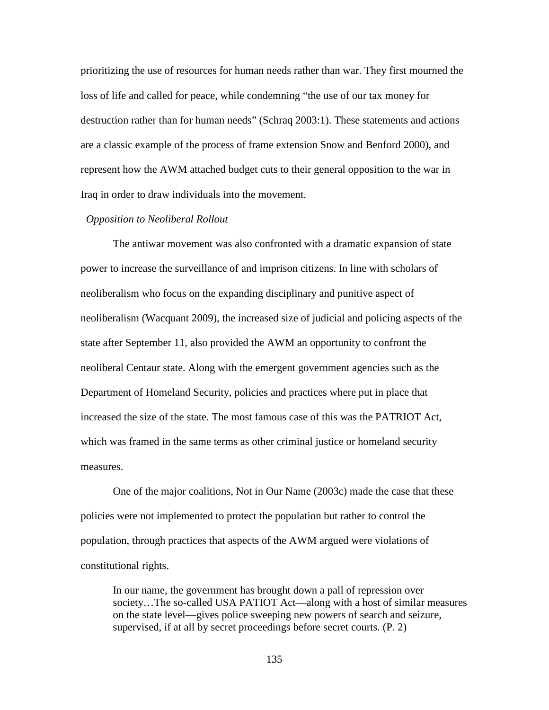prioritizing the use of resources for human needs rather than war. They first mourned the loss of life and called for peace, while condemning "the use of our tax money for destruction rather than for human needs" (Schraq 2003:1). These statements and actions are a classic example of the process of frame extension Snow and Benford 2000), and represent how the AWM attached budget cuts to their general opposition to the war in Iraq in order to draw individuals into the movement.

# *Opposition to Neoliberal Rollout*

The antiwar movement was also confronted with a dramatic expansion of state power to increase the surveillance of and imprison citizens. In line with scholars of neoliberalism who focus on the expanding disciplinary and punitive aspect of neoliberalism (Wacquant 2009), the increased size of judicial and policing aspects of the state after September 11, also provided the AWM an opportunity to confront the neoliberal Centaur state. Along with the emergent government agencies such as the Department of Homeland Security, policies and practices where put in place that increased the size of the state. The most famous case of this was the PATRIOT Act, which was framed in the same terms as other criminal justice or homeland security measures.

One of the major coalitions, Not in Our Name (2003c) made the case that these policies were not implemented to protect the population but rather to control the population, through practices that aspects of the AWM argued were violations of constitutional rights.

In our name, the government has brought down a pall of repression over society…The so-called USA PATIOT Act—along with a host of similar measures on the state level—gives police sweeping new powers of search and seizure, supervised, if at all by secret proceedings before secret courts. (P. 2)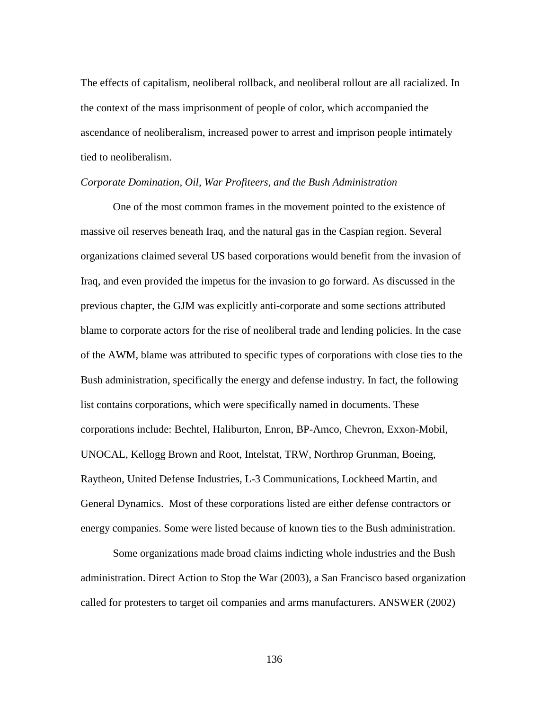The effects of capitalism, neoliberal rollback, and neoliberal rollout are all racialized. In the context of the mass imprisonment of people of color, which accompanied the ascendance of neoliberalism, increased power to arrest and imprison people intimately tied to neoliberalism.

## *Corporate Domination, Oil, War Profiteers, and the Bush Administration*

One of the most common frames in the movement pointed to the existence of massive oil reserves beneath Iraq, and the natural gas in the Caspian region. Several organizations claimed several US based corporations would benefit from the invasion of Iraq, and even provided the impetus for the invasion to go forward. As discussed in the previous chapter, the GJM was explicitly anti-corporate and some sections attributed blame to corporate actors for the rise of neoliberal trade and lending policies. In the case of the AWM, blame was attributed to specific types of corporations with close ties to the Bush administration, specifically the energy and defense industry. In fact, the following list contains corporations, which were specifically named in documents. These corporations include: Bechtel, Haliburton, Enron, BP-Amco, Chevron, Exxon-Mobil, UNOCAL, Kellogg Brown and Root, Intelstat, TRW, Northrop Grunman, Boeing, Raytheon, United Defense Industries, L-3 Communications, Lockheed Martin, and General Dynamics. Most of these corporations listed are either defense contractors or energy companies. Some were listed because of known ties to the Bush administration.

Some organizations made broad claims indicting whole industries and the Bush administration. Direct Action to Stop the War (2003), a San Francisco based organization called for protesters to target oil companies and arms manufacturers. ANSWER (2002)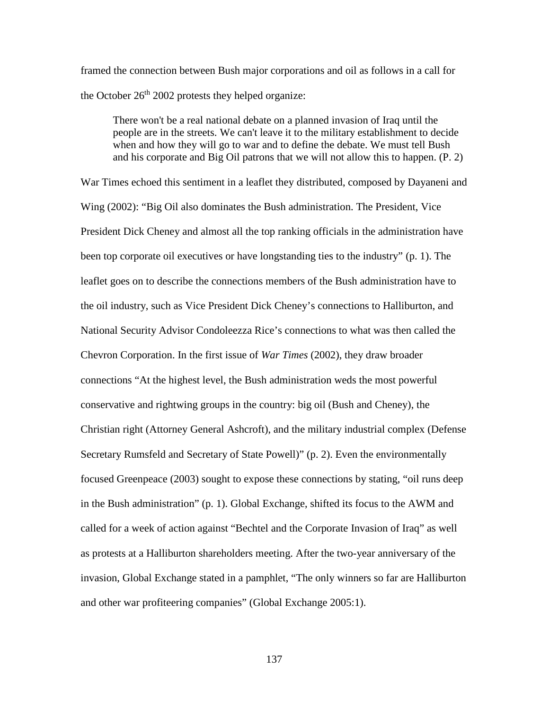framed the connection between Bush major corporations and oil as follows in a call for the October  $26<sup>th</sup> 2002$  protests they helped organize:

There won't be a real national debate on a planned invasion of Iraq until the people are in the streets. We can't leave it to the military establishment to decide when and how they will go to war and to define the debate. We must tell Bush and his corporate and Big Oil patrons that we will not allow this to happen. (P. 2)

War Times echoed this sentiment in a leaflet they distributed, composed by Dayaneni and Wing (2002): "Big Oil also dominates the Bush administration. The President, Vice President Dick Cheney and almost all the top ranking officials in the administration have been top corporate oil executives or have longstanding ties to the industry" (p. 1). The leaflet goes on to describe the connections members of the Bush administration have to the oil industry, such as Vice President Dick Cheney's connections to Halliburton, and National Security Advisor Condoleezza Rice's connections to what was then called the Chevron Corporation. In the first issue of *War Times* (2002), they draw broader connections "At the highest level, the Bush administration weds the most powerful conservative and rightwing groups in the country: big oil (Bush and Cheney), the Christian right (Attorney General Ashcroft), and the military industrial complex (Defense Secretary Rumsfeld and Secretary of State Powell)" (p. 2). Even the environmentally focused Greenpeace (2003) sought to expose these connections by stating, "oil runs deep in the Bush administration" (p. 1). Global Exchange, shifted its focus to the AWM and called for a week of action against "Bechtel and the Corporate Invasion of Iraq" as well as protests at a Halliburton shareholders meeting. After the two-year anniversary of the invasion, Global Exchange stated in a pamphlet, "The only winners so far are Halliburton and other war profiteering companies" (Global Exchange 2005:1).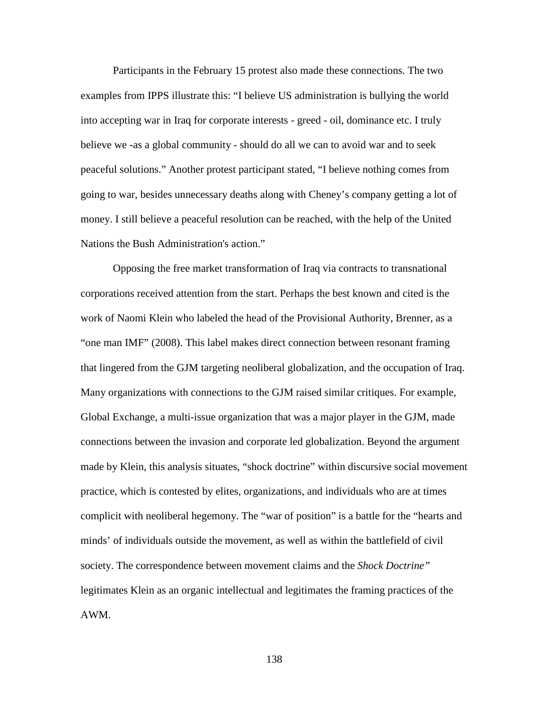Participants in the February 15 protest also made these connections. The two examples from IPPS illustrate this: "I believe US administration is bullying the world into accepting war in Iraq for corporate interests - greed - oil, dominance etc. I truly believe we -as a global community - should do all we can to avoid war and to seek peaceful solutions." Another protest participant stated, "I believe nothing comes from going to war, besides unnecessary deaths along with Cheney's company getting a lot of money. I still believe a peaceful resolution can be reached, with the help of the United Nations the Bush Administration's action."

Opposing the free market transformation of Iraq via contracts to transnational corporations received attention from the start. Perhaps the best known and cited is the work of Naomi Klein who labeled the head of the Provisional Authority, Brenner, as a "one man IMF" (2008). This label makes direct connection between resonant framing that lingered from the GJM targeting neoliberal globalization, and the occupation of Iraq. Many organizations with connections to the GJM raised similar critiques. For example, Global Exchange, a multi-issue organization that was a major player in the GJM, made connections between the invasion and corporate led globalization. Beyond the argument made by Klein, this analysis situates, "shock doctrine" within discursive social movement practice, which is contested by elites, organizations, and individuals who are at times complicit with neoliberal hegemony. The "war of position" is a battle for the "hearts and minds' of individuals outside the movement, as well as within the battlefield of civil society. The correspondence between movement claims and the *Shock Doctrine"*  legitimates Klein as an organic intellectual and legitimates the framing practices of the AWM.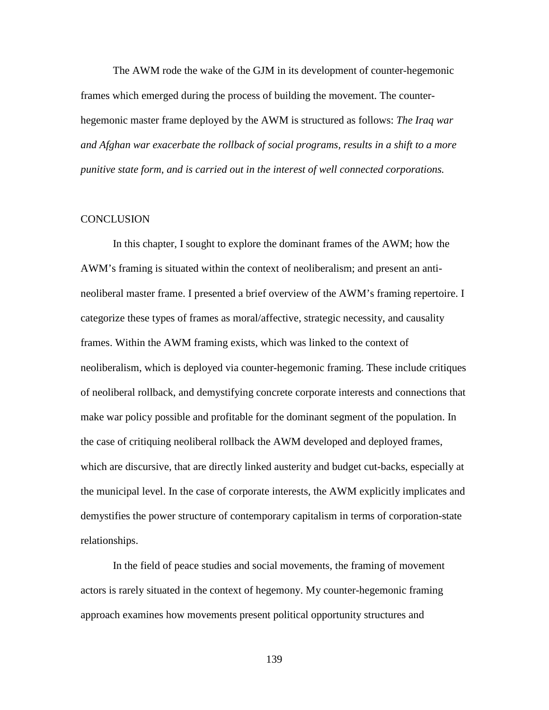The AWM rode the wake of the GJM in its development of counter-hegemonic frames which emerged during the process of building the movement. The counterhegemonic master frame deployed by the AWM is structured as follows: *The Iraq war and Afghan war exacerbate the rollback of social programs, results in a shift to a more punitive state form, and is carried out in the interest of well connected corporations.*

# **CONCLUSION**

In this chapter, I sought to explore the dominant frames of the AWM; how the AWM's framing is situated within the context of neoliberalism; and present an antineoliberal master frame. I presented a brief overview of the AWM's framing repertoire. I categorize these types of frames as moral/affective, strategic necessity, and causality frames. Within the AWM framing exists, which was linked to the context of neoliberalism, which is deployed via counter-hegemonic framing. These include critiques of neoliberal rollback, and demystifying concrete corporate interests and connections that make war policy possible and profitable for the dominant segment of the population. In the case of critiquing neoliberal rollback the AWM developed and deployed frames, which are discursive, that are directly linked austerity and budget cut-backs, especially at the municipal level. In the case of corporate interests, the AWM explicitly implicates and demystifies the power structure of contemporary capitalism in terms of corporation-state relationships.

In the field of peace studies and social movements, the framing of movement actors is rarely situated in the context of hegemony. My counter-hegemonic framing approach examines how movements present political opportunity structures and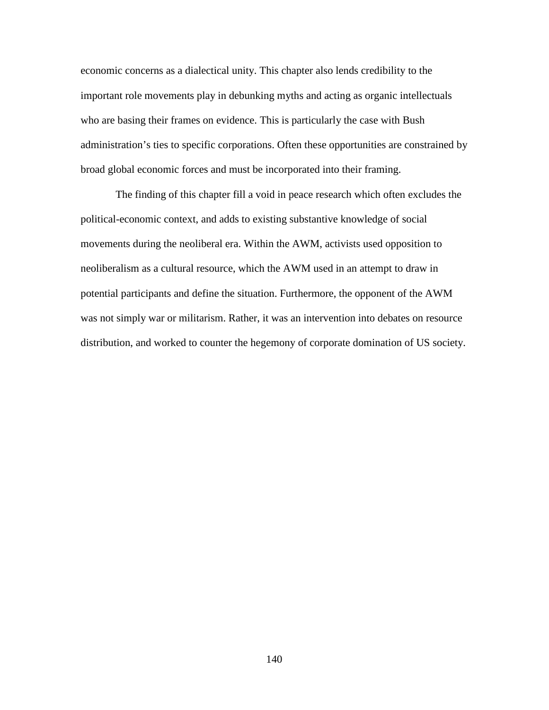economic concerns as a dialectical unity. This chapter also lends credibility to the important role movements play in debunking myths and acting as organic intellectuals who are basing their frames on evidence. This is particularly the case with Bush administration's ties to specific corporations. Often these opportunities are constrained by broad global economic forces and must be incorporated into their framing.

The finding of this chapter fill a void in peace research which often excludes the political-economic context, and adds to existing substantive knowledge of social movements during the neoliberal era. Within the AWM, activists used opposition to neoliberalism as a cultural resource, which the AWM used in an attempt to draw in potential participants and define the situation. Furthermore, the opponent of the AWM was not simply war or militarism. Rather, it was an intervention into debates on resource distribution, and worked to counter the hegemony of corporate domination of US society.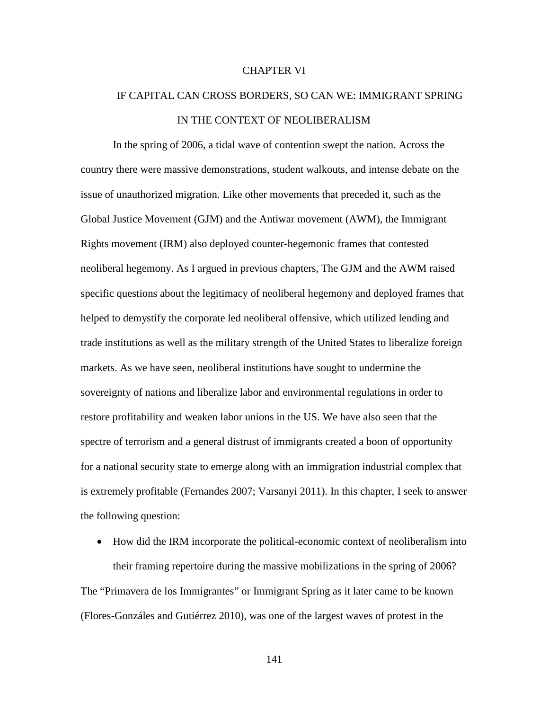## CHAPTER VI

# IF CAPITAL CAN CROSS BORDERS, SO CAN WE: IMMIGRANT SPRING IN THE CONTEXT OF NEOLIBERALISM

In the spring of 2006, a tidal wave of contention swept the nation. Across the country there were massive demonstrations, student walkouts, and intense debate on the issue of unauthorized migration. Like other movements that preceded it, such as the Global Justice Movement (GJM) and the Antiwar movement (AWM), the Immigrant Rights movement (IRM) also deployed counter-hegemonic frames that contested neoliberal hegemony. As I argued in previous chapters, The GJM and the AWM raised specific questions about the legitimacy of neoliberal hegemony and deployed frames that helped to demystify the corporate led neoliberal offensive, which utilized lending and trade institutions as well as the military strength of the United States to liberalize foreign markets. As we have seen, neoliberal institutions have sought to undermine the sovereignty of nations and liberalize labor and environmental regulations in order to restore profitability and weaken labor unions in the US. We have also seen that the spectre of terrorism and a general distrust of immigrants created a boon of opportunity for a national security state to emerge along with an immigration industrial complex that is extremely profitable (Fernandes 2007; Varsanyi 2011). In this chapter, I seek to answer the following question:

• How did the IRM incorporate the political-economic context of neoliberalism into their framing repertoire during the massive mobilizations in the spring of 2006? The "Primavera de los Immigrantes" or Immigrant Spring as it later came to be known (Flores-Gonzáles and Gutiérrez 2010), was one of the largest waves of protest in the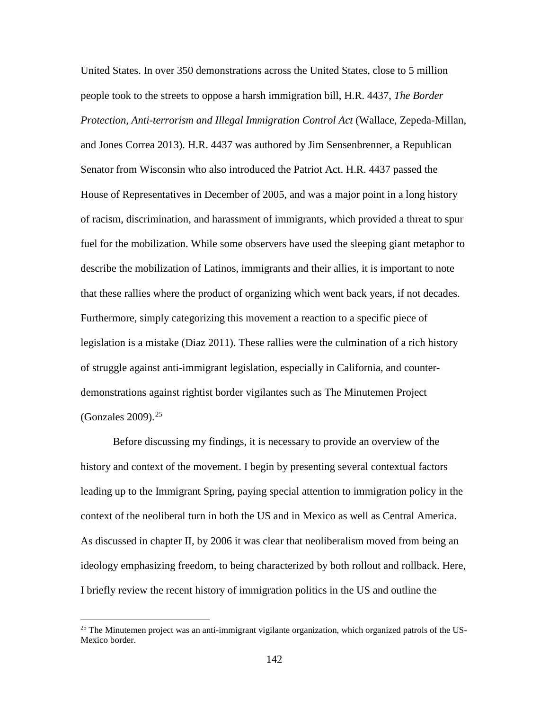United States. In over 350 demonstrations across the United States, close to 5 million people took to the streets to oppose a harsh immigration bill, H.R. 4437, *The Border Protection, Anti-terrorism and Illegal Immigration Control Act* (Wallace, Zepeda-Millan, and Jones Correa 2013). H.R. 4437 was authored by Jim Sensenbrenner, a Republican Senator from Wisconsin who also introduced the Patriot Act. H.R. 4437 passed the House of Representatives in December of 2005, and was a major point in a long history of racism, discrimination, and harassment of immigrants, which provided a threat to spur fuel for the mobilization. While some observers have used the sleeping giant metaphor to describe the mobilization of Latinos, immigrants and their allies, it is important to note that these rallies where the product of organizing which went back years, if not decades. Furthermore, simply categorizing this movement a reaction to a specific piece of legislation is a mistake (Diaz 2011). These rallies were the culmination of a rich history of struggle against anti-immigrant legislation, especially in California, and counterdemonstrations against rightist border vigilantes such as The Minutemen Project (Gonzales 2009). $25$ 

Before discussing my findings, it is necessary to provide an overview of the history and context of the movement. I begin by presenting several contextual factors leading up to the Immigrant Spring, paying special attention to immigration policy in the context of the neoliberal turn in both the US and in Mexico as well as Central America. As discussed in chapter II, by 2006 it was clear that neoliberalism moved from being an ideology emphasizing freedom, to being characterized by both rollout and rollback. Here, I briefly review the recent history of immigration politics in the US and outline the

l

<span id="page-158-0"></span><sup>&</sup>lt;sup>25</sup> The Minutemen project was an anti-immigrant vigilante organization, which organized patrols of the US-Mexico border.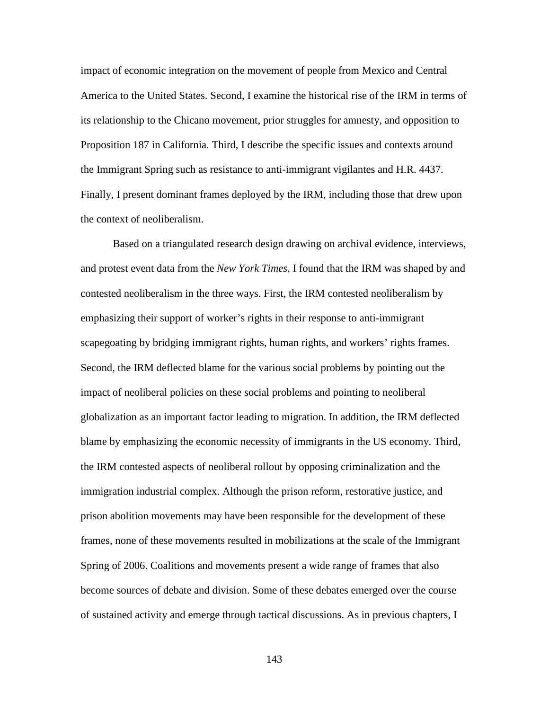impact of economic integration on the movement of people from Mexico and Central America to the United States. Second, I examine the historical rise of the IRM in terms of its relationship to the Chicano movement, prior struggles for amnesty, and opposition to Proposition 187 in California. Third, I describe the specific issues and contexts around the Immigrant Spring such as resistance to anti-immigrant vigilantes and H.R. 4437. Finally, I present dominant frames deployed by the IRM, including those that drew upon the context of neoliberalism.

Based on a triangulated research design drawing on archival evidence, interviews, and protest event data from the *New York Times*, I found that the IRM was shaped by and contested neoliberalism in the three ways. First, the IRM contested neoliberalism by emphasizing their support of worker's rights in their response to anti-immigrant scapegoating by bridging immigrant rights, human rights, and workers' rights frames. Second, the IRM deflected blame for the various social problems by pointing out the impact of neoliberal policies on these social problems and pointing to neoliberal globalization as an important factor leading to migration. In addition, the IRM deflected blame by emphasizing the economic necessity of immigrants in the US economy. Third, the IRM contested aspects of neoliberal rollout by opposing criminalization and the immigration industrial complex. Although the prison reform, restorative justice, and prison abolition movements may have been responsible for the development of these frames, none of these movements resulted in mobilizations at the scale of the Immigrant Spring of 2006. Coalitions and movements present a wide range of frames that also become sources of debate and division. Some of these debates emerged over the course of sustained activity and emerge through tactical discussions. As in previous chapters, I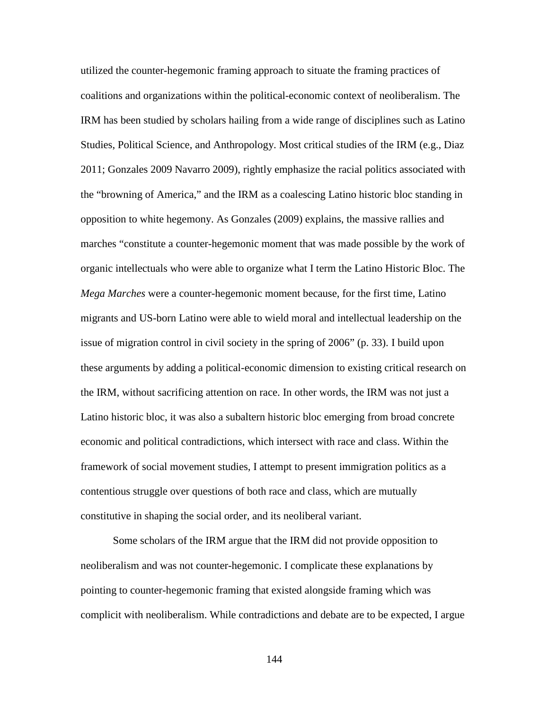utilized the counter-hegemonic framing approach to situate the framing practices of coalitions and organizations within the political-economic context of neoliberalism. The IRM has been studied by scholars hailing from a wide range of disciplines such as Latino Studies, Political Science, and Anthropology. Most critical studies of the IRM (e.g., Diaz 2011; Gonzales 2009 Navarro 2009), rightly emphasize the racial politics associated with the "browning of America," and the IRM as a coalescing Latino historic bloc standing in opposition to white hegemony. As Gonzales (2009) explains, the massive rallies and marches "constitute a counter-hegemonic moment that was made possible by the work of organic intellectuals who were able to organize what I term the Latino Historic Bloc. The *Mega Marches* were a counter-hegemonic moment because, for the first time, Latino migrants and US-born Latino were able to wield moral and intellectual leadership on the issue of migration control in civil society in the spring of 2006" (p. 33). I build upon these arguments by adding a political-economic dimension to existing critical research on the IRM, without sacrificing attention on race. In other words, the IRM was not just a Latino historic bloc, it was also a subaltern historic bloc emerging from broad concrete economic and political contradictions, which intersect with race and class. Within the framework of social movement studies, I attempt to present immigration politics as a contentious struggle over questions of both race and class, which are mutually constitutive in shaping the social order, and its neoliberal variant.

Some scholars of the IRM argue that the IRM did not provide opposition to neoliberalism and was not counter-hegemonic. I complicate these explanations by pointing to counter-hegemonic framing that existed alongside framing which was complicit with neoliberalism. While contradictions and debate are to be expected, I argue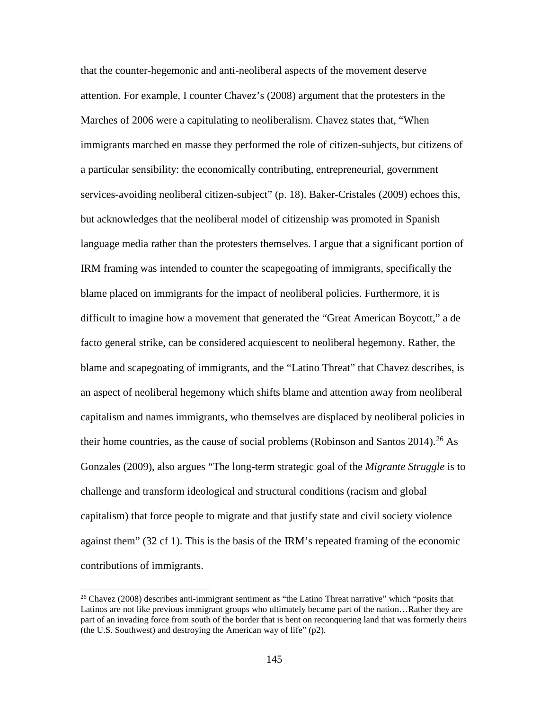that the counter-hegemonic and anti-neoliberal aspects of the movement deserve attention. For example, I counter Chavez's (2008) argument that the protesters in the Marches of 2006 were a capitulating to neoliberalism. Chavez states that, "When immigrants marched en masse they performed the role of citizen-subjects, but citizens of a particular sensibility: the economically contributing, entrepreneurial, government services-avoiding neoliberal citizen-subject" (p. 18). Baker-Cristales (2009) echoes this, but acknowledges that the neoliberal model of citizenship was promoted in Spanish language media rather than the protesters themselves. I argue that a significant portion of IRM framing was intended to counter the scapegoating of immigrants, specifically the blame placed on immigrants for the impact of neoliberal policies. Furthermore, it is difficult to imagine how a movement that generated the "Great American Boycott," a de facto general strike, can be considered acquiescent to neoliberal hegemony. Rather, the blame and scapegoating of immigrants, and the "Latino Threat" that Chavez describes, is an aspect of neoliberal hegemony which shifts blame and attention away from neoliberal capitalism and names immigrants, who themselves are displaced by neoliberal policies in their home countries, as the cause of social problems (Robinson and Santos  $2014$ ).<sup>[26](#page-161-0)</sup> As Gonzales (2009), also argues "The long-term strategic goal of the *Migrante Struggle* is to challenge and transform ideological and structural conditions (racism and global capitalism) that force people to migrate and that justify state and civil society violence against them" (32 cf 1). This is the basis of the IRM's repeated framing of the economic contributions of immigrants.

 $\overline{\phantom{a}}$ 

<span id="page-161-0"></span><sup>&</sup>lt;sup>26</sup> Chavez (2008) describes anti-immigrant sentiment as "the Latino Threat narrative" which "posits that Latinos are not like previous immigrant groups who ultimately became part of the nation…Rather they are part of an invading force from south of the border that is bent on reconquering land that was formerly theirs (the U.S. Southwest) and destroying the American way of life" (p2).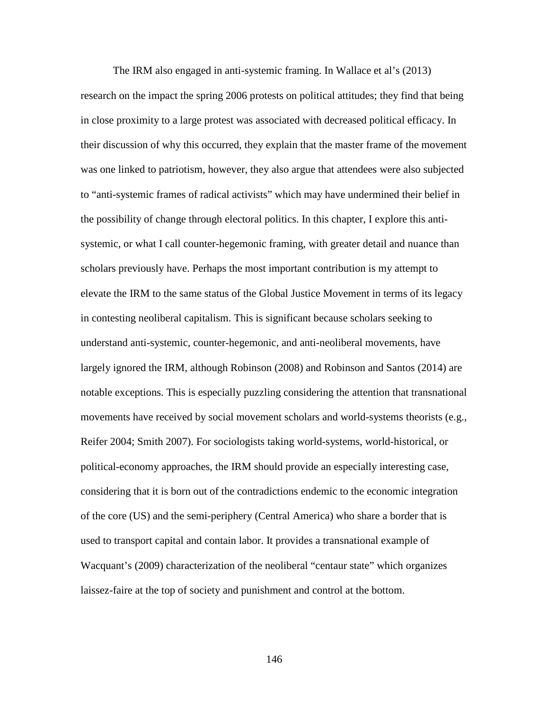The IRM also engaged in anti-systemic framing. In Wallace et al's (2013) research on the impact the spring 2006 protests on political attitudes; they find that being in close proximity to a large protest was associated with decreased political efficacy. In their discussion of why this occurred, they explain that the master frame of the movement was one linked to patriotism, however, they also argue that attendees were also subjected to "anti-systemic frames of radical activists" which may have undermined their belief in the possibility of change through electoral politics. In this chapter, I explore this antisystemic, or what I call counter-hegemonic framing, with greater detail and nuance than scholars previously have. Perhaps the most important contribution is my attempt to elevate the IRM to the same status of the Global Justice Movement in terms of its legacy in contesting neoliberal capitalism. This is significant because scholars seeking to understand anti-systemic, counter-hegemonic, and anti-neoliberal movements, have largely ignored the IRM, although Robinson (2008) and Robinson and Santos (2014) are notable exceptions. This is especially puzzling considering the attention that transnational movements have received by social movement scholars and world-systems theorists (e.g., Reifer 2004; Smith 2007). For sociologists taking world-systems, world-historical, or political-economy approaches, the IRM should provide an especially interesting case, considering that it is born out of the contradictions endemic to the economic integration of the core (US) and the semi-periphery (Central America) who share a border that is used to transport capital and contain labor. It provides a transnational example of Wacquant's (2009) characterization of the neoliberal "centaur state" which organizes laissez-faire at the top of society and punishment and control at the bottom.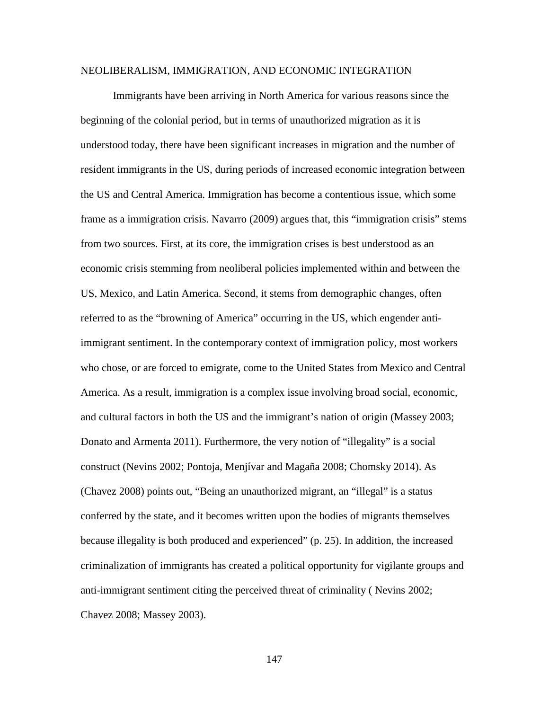## NEOLIBERALISM, IMMIGRATION, AND ECONOMIC INTEGRATION

Immigrants have been arriving in North America for various reasons since the beginning of the colonial period, but in terms of unauthorized migration as it is understood today, there have been significant increases in migration and the number of resident immigrants in the US, during periods of increased economic integration between the US and Central America. Immigration has become a contentious issue, which some frame as a immigration crisis. Navarro (2009) argues that, this "immigration crisis" stems from two sources. First, at its core, the immigration crises is best understood as an economic crisis stemming from neoliberal policies implemented within and between the US, Mexico, and Latin America. Second, it stems from demographic changes, often referred to as the "browning of America" occurring in the US, which engender antiimmigrant sentiment. In the contemporary context of immigration policy, most workers who chose, or are forced to emigrate, come to the United States from Mexico and Central America. As a result, immigration is a complex issue involving broad social, economic, and cultural factors in both the US and the immigrant's nation of origin (Massey 2003; Donato and Armenta 2011). Furthermore, the very notion of "illegality" is a social construct (Nevins 2002; Pontoja, Menjívar and Magaña 2008; Chomsky 2014). As (Chavez 2008) points out, "Being an unauthorized migrant, an "illegal" is a status conferred by the state, and it becomes written upon the bodies of migrants themselves because illegality is both produced and experienced" (p. 25). In addition, the increased criminalization of immigrants has created a political opportunity for vigilante groups and anti-immigrant sentiment citing the perceived threat of criminality ( Nevins 2002; Chavez 2008; Massey 2003).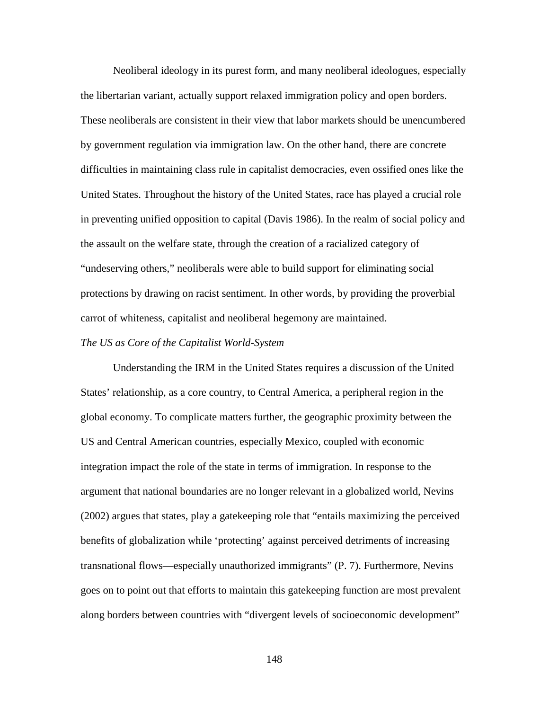Neoliberal ideology in its purest form, and many neoliberal ideologues, especially the libertarian variant, actually support relaxed immigration policy and open borders. These neoliberals are consistent in their view that labor markets should be unencumbered by government regulation via immigration law. On the other hand, there are concrete difficulties in maintaining class rule in capitalist democracies, even ossified ones like the United States. Throughout the history of the United States, race has played a crucial role in preventing unified opposition to capital (Davis 1986). In the realm of social policy and the assault on the welfare state, through the creation of a racialized category of "undeserving others," neoliberals were able to build support for eliminating social protections by drawing on racist sentiment. In other words, by providing the proverbial carrot of whiteness, capitalist and neoliberal hegemony are maintained.

### *The US as Core of the Capitalist World-System*

Understanding the IRM in the United States requires a discussion of the United States' relationship, as a core country, to Central America, a peripheral region in the global economy. To complicate matters further, the geographic proximity between the US and Central American countries, especially Mexico, coupled with economic integration impact the role of the state in terms of immigration. In response to the argument that national boundaries are no longer relevant in a globalized world, Nevins (2002) argues that states, play a gatekeeping role that "entails maximizing the perceived benefits of globalization while 'protecting' against perceived detriments of increasing transnational flows—especially unauthorized immigrants" (P. 7). Furthermore, Nevins goes on to point out that efforts to maintain this gatekeeping function are most prevalent along borders between countries with "divergent levels of socioeconomic development"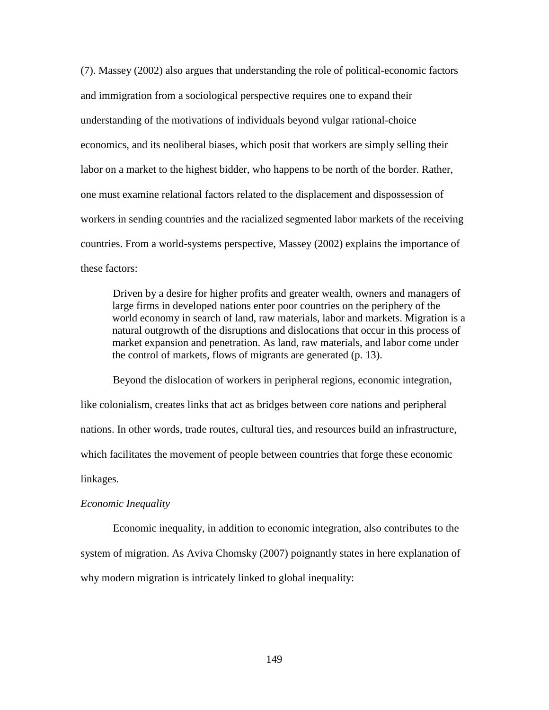(7). Massey (2002) also argues that understanding the role of political-economic factors and immigration from a sociological perspective requires one to expand their understanding of the motivations of individuals beyond vulgar rational-choice economics, and its neoliberal biases, which posit that workers are simply selling their labor on a market to the highest bidder, who happens to be north of the border. Rather, one must examine relational factors related to the displacement and dispossession of workers in sending countries and the racialized segmented labor markets of the receiving countries. From a world-systems perspective, Massey (2002) explains the importance of these factors:

Driven by a desire for higher profits and greater wealth, owners and managers of large firms in developed nations enter poor countries on the periphery of the world economy in search of land, raw materials, labor and markets. Migration is a natural outgrowth of the disruptions and dislocations that occur in this process of market expansion and penetration. As land, raw materials, and labor come under the control of markets, flows of migrants are generated (p. 13).

Beyond the dislocation of workers in peripheral regions, economic integration, like colonialism, creates links that act as bridges between core nations and peripheral nations. In other words, trade routes, cultural ties, and resources build an infrastructure, which facilitates the movement of people between countries that forge these economic linkages.

# *Economic Inequality*

Economic inequality, in addition to economic integration, also contributes to the system of migration. As Aviva Chomsky (2007) poignantly states in here explanation of why modern migration is intricately linked to global inequality: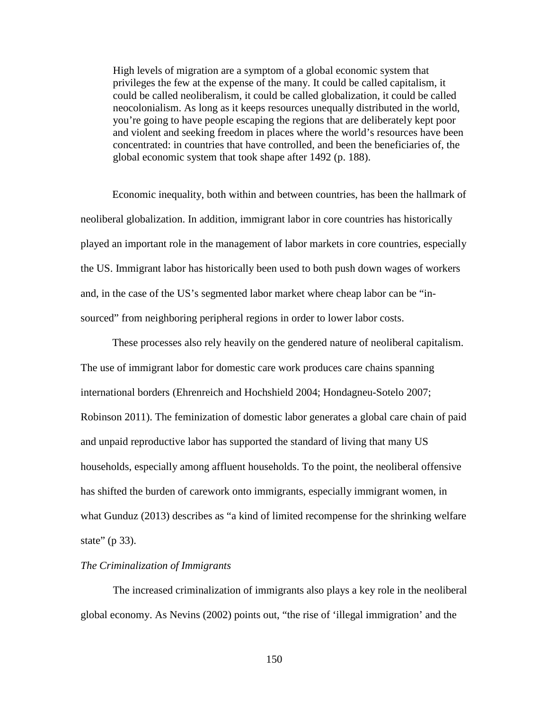High levels of migration are a symptom of a global economic system that privileges the few at the expense of the many. It could be called capitalism, it could be called neoliberalism, it could be called globalization, it could be called neocolonialism. As long as it keeps resources unequally distributed in the world, you're going to have people escaping the regions that are deliberately kept poor and violent and seeking freedom in places where the world's resources have been concentrated: in countries that have controlled, and been the beneficiaries of, the global economic system that took shape after 1492 (p. 188).

Economic inequality, both within and between countries, has been the hallmark of neoliberal globalization. In addition, immigrant labor in core countries has historically played an important role in the management of labor markets in core countries, especially the US. Immigrant labor has historically been used to both push down wages of workers and, in the case of the US's segmented labor market where cheap labor can be "insourced" from neighboring peripheral regions in order to lower labor costs.

These processes also rely heavily on the gendered nature of neoliberal capitalism. The use of immigrant labor for domestic care work produces care chains spanning international borders (Ehrenreich and Hochshield 2004; Hondagneu-Sotelo 2007; Robinson 2011). The feminization of domestic labor generates a global care chain of paid and unpaid reproductive labor has supported the standard of living that many US households, especially among affluent households. To the point, the neoliberal offensive has shifted the burden of carework onto immigrants, especially immigrant women, in what Gunduz (2013) describes as "a kind of limited recompense for the shrinking welfare state" (p 33).

## *The Criminalization of Immigrants*

The increased criminalization of immigrants also plays a key role in the neoliberal global economy. As Nevins (2002) points out, "the rise of 'illegal immigration' and the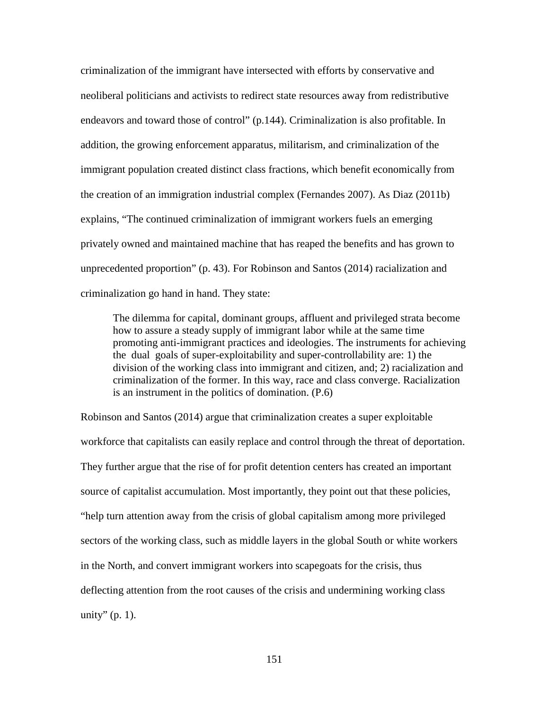criminalization of the immigrant have intersected with efforts by conservative and neoliberal politicians and activists to redirect state resources away from redistributive endeavors and toward those of control" (p.144). Criminalization is also profitable. In addition, the growing enforcement apparatus, militarism, and criminalization of the immigrant population created distinct class fractions, which benefit economically from the creation of an immigration industrial complex (Fernandes 2007). As Diaz (2011b) explains, "The continued criminalization of immigrant workers fuels an emerging privately owned and maintained machine that has reaped the benefits and has grown to unprecedented proportion" (p. 43). For Robinson and Santos (2014) racialization and criminalization go hand in hand. They state:

The dilemma for capital, dominant groups, affluent and privileged strata become how to assure a steady supply of immigrant labor while at the same time promoting anti-immigrant practices and ideologies. The instruments for achieving the dual goals of super-exploitability and super-controllability are: 1) the division of the working class into immigrant and citizen, and; 2) racialization and criminalization of the former. In this way, race and class converge. Racialization is an instrument in the politics of domination. (P.6)

Robinson and Santos (2014) argue that criminalization creates a super exploitable workforce that capitalists can easily replace and control through the threat of deportation. They further argue that the rise of for profit detention centers has created an important source of capitalist accumulation. Most importantly, they point out that these policies, "help turn attention away from the crisis of global capitalism among more privileged sectors of the working class, such as middle layers in the global South or white workers in the North, and convert immigrant workers into scapegoats for the crisis, thus deflecting attention from the root causes of the crisis and undermining working class unity"  $(p. 1)$ .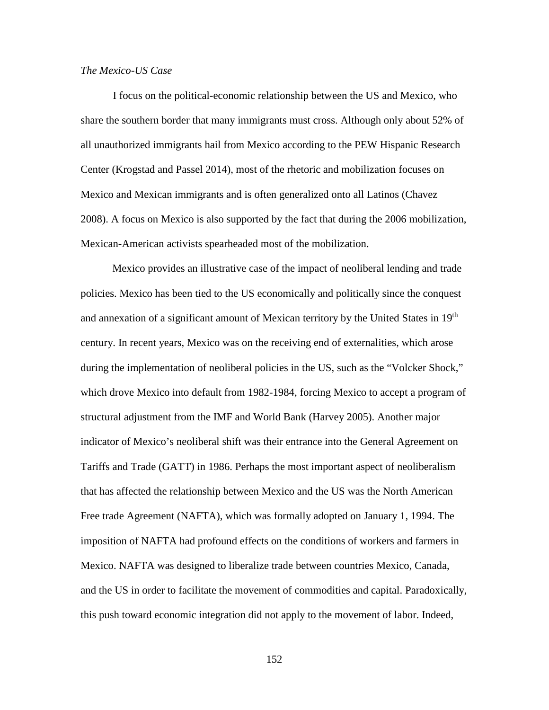# *The Mexico-US Case*

I focus on the political-economic relationship between the US and Mexico, who share the southern border that many immigrants must cross. Although only about 52% of all unauthorized immigrants hail from Mexico according to the PEW Hispanic Research Center (Krogstad and Passel 2014), most of the rhetoric and mobilization focuses on Mexico and Mexican immigrants and is often generalized onto all Latinos (Chavez 2008). A focus on Mexico is also supported by the fact that during the 2006 mobilization, Mexican-American activists spearheaded most of the mobilization.

Mexico provides an illustrative case of the impact of neoliberal lending and trade policies. Mexico has been tied to the US economically and politically since the conquest and annexation of a significant amount of Mexican territory by the United States in 19<sup>th</sup> century. In recent years, Mexico was on the receiving end of externalities, which arose during the implementation of neoliberal policies in the US, such as the "Volcker Shock," which drove Mexico into default from 1982-1984, forcing Mexico to accept a program of structural adjustment from the IMF and World Bank (Harvey 2005). Another major indicator of Mexico's neoliberal shift was their entrance into the General Agreement on Tariffs and Trade (GATT) in 1986. Perhaps the most important aspect of neoliberalism that has affected the relationship between Mexico and the US was the North American Free trade Agreement (NAFTA), which was formally adopted on January 1, 1994. The imposition of NAFTA had profound effects on the conditions of workers and farmers in Mexico. NAFTA was designed to liberalize trade between countries Mexico, Canada, and the US in order to facilitate the movement of commodities and capital. Paradoxically, this push toward economic integration did not apply to the movement of labor. Indeed,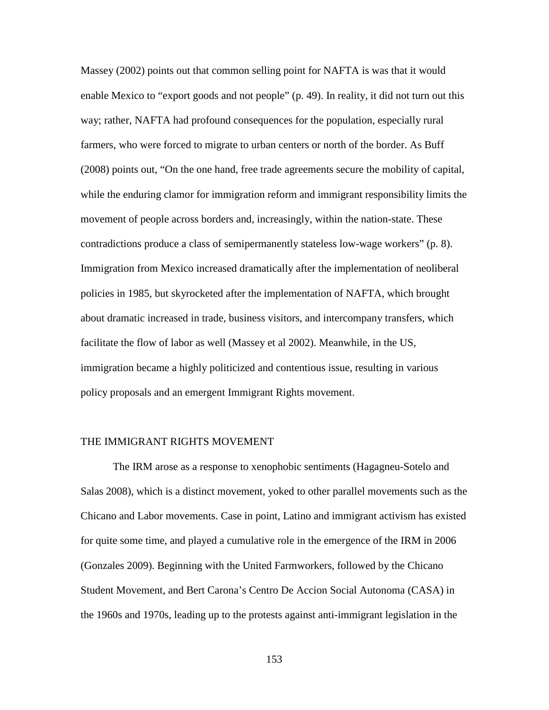Massey (2002) points out that common selling point for NAFTA is was that it would enable Mexico to "export goods and not people" (p. 49). In reality, it did not turn out this way; rather, NAFTA had profound consequences for the population, especially rural farmers, who were forced to migrate to urban centers or north of the border. As Buff (2008) points out, "On the one hand, free trade agreements secure the mobility of capital, while the enduring clamor for immigration reform and immigrant responsibility limits the movement of people across borders and, increasingly, within the nation-state. These contradictions produce a class of semipermanently stateless low-wage workers" (p. 8). Immigration from Mexico increased dramatically after the implementation of neoliberal policies in 1985, but skyrocketed after the implementation of NAFTA, which brought about dramatic increased in trade, business visitors, and intercompany transfers, which facilitate the flow of labor as well (Massey et al 2002). Meanwhile, in the US, immigration became a highly politicized and contentious issue, resulting in various policy proposals and an emergent Immigrant Rights movement.

# THE IMMIGRANT RIGHTS MOVEMENT

The IRM arose as a response to xenophobic sentiments (Hagagneu-Sotelo and Salas 2008), which is a distinct movement, yoked to other parallel movements such as the Chicano and Labor movements. Case in point, Latino and immigrant activism has existed for quite some time, and played a cumulative role in the emergence of the IRM in 2006 (Gonzales 2009). Beginning with the United Farmworkers, followed by the Chicano Student Movement, and Bert Carona's Centro De Accion Social Autonoma (CASA) in the 1960s and 1970s, leading up to the protests against anti-immigrant legislation in the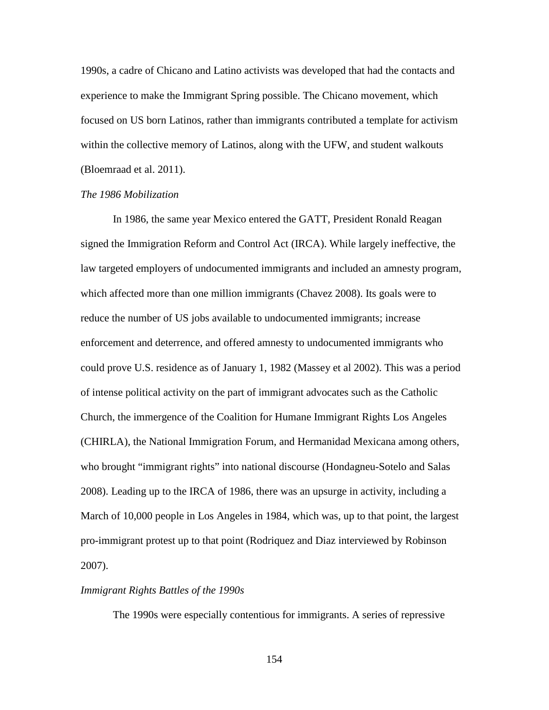1990s, a cadre of Chicano and Latino activists was developed that had the contacts and experience to make the Immigrant Spring possible. The Chicano movement, which focused on US born Latinos, rather than immigrants contributed a template for activism within the collective memory of Latinos, along with the UFW, and student walkouts (Bloemraad et al. 2011).

# *The 1986 Mobilization*

In 1986, the same year Mexico entered the GATT, President Ronald Reagan signed the Immigration Reform and Control Act (IRCA). While largely ineffective, the law targeted employers of undocumented immigrants and included an amnesty program, which affected more than one million immigrants (Chavez 2008). Its goals were to reduce the number of US jobs available to undocumented immigrants; increase enforcement and deterrence, and offered amnesty to undocumented immigrants who could prove U.S. residence as of January 1, 1982 (Massey et al 2002). This was a period of intense political activity on the part of immigrant advocates such as the Catholic Church, the immergence of the Coalition for Humane Immigrant Rights Los Angeles (CHIRLA), the National Immigration Forum, and Hermanidad Mexicana among others, who brought "immigrant rights" into national discourse (Hondagneu-Sotelo and Salas 2008). Leading up to the IRCA of 1986, there was an upsurge in activity, including a March of 10,000 people in Los Angeles in 1984, which was, up to that point, the largest pro-immigrant protest up to that point (Rodriquez and Diaz interviewed by Robinson 2007).

# *Immigrant Rights Battles of the 1990s*

The 1990s were especially contentious for immigrants. A series of repressive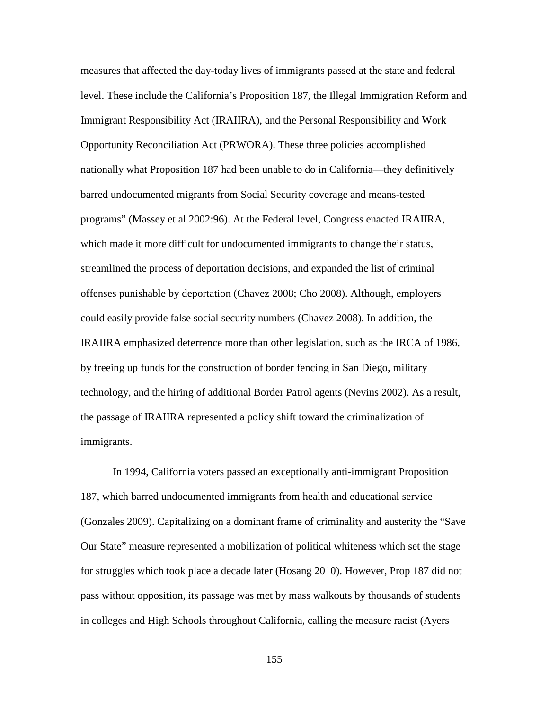measures that affected the day-today lives of immigrants passed at the state and federal level. These include the California's Proposition 187, the Illegal Immigration Reform and Immigrant Responsibility Act (IRAIIRA), and the Personal Responsibility and Work Opportunity Reconciliation Act (PRWORA). These three policies accomplished nationally what Proposition 187 had been unable to do in California—they definitively barred undocumented migrants from Social Security coverage and means-tested programs" (Massey et al 2002:96). At the Federal level, Congress enacted IRAIIRA, which made it more difficult for undocumented immigrants to change their status, streamlined the process of deportation decisions, and expanded the list of criminal offenses punishable by deportation (Chavez 2008; Cho 2008). Although, employers could easily provide false social security numbers (Chavez 2008). In addition, the IRAIIRA emphasized deterrence more than other legislation, such as the IRCA of 1986, by freeing up funds for the construction of border fencing in San Diego, military technology, and the hiring of additional Border Patrol agents (Nevins 2002). As a result, the passage of IRAIIRA represented a policy shift toward the criminalization of immigrants.

In 1994, California voters passed an exceptionally anti-immigrant Proposition 187, which barred undocumented immigrants from health and educational service (Gonzales 2009). Capitalizing on a dominant frame of criminality and austerity the "Save Our State" measure represented a mobilization of political whiteness which set the stage for struggles which took place a decade later (Hosang 2010). However, Prop 187 did not pass without opposition, its passage was met by mass walkouts by thousands of students in colleges and High Schools throughout California, calling the measure racist (Ayers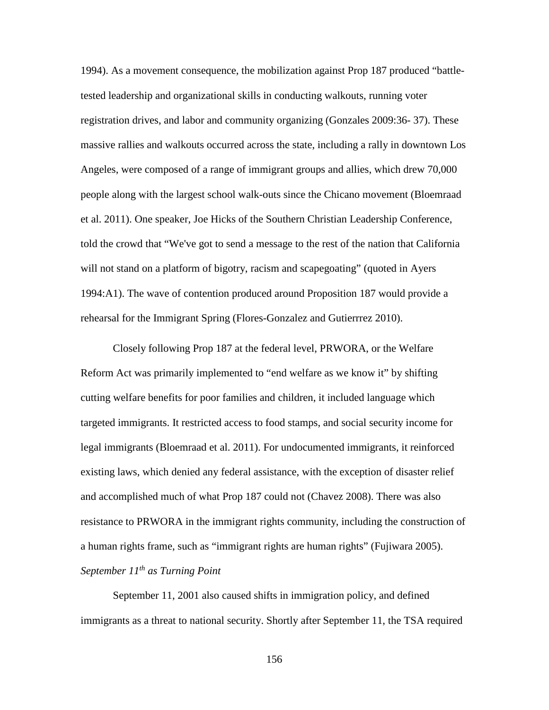1994). As a movement consequence, the mobilization against Prop 187 produced "battletested leadership and organizational skills in conducting walkouts, running voter registration drives, and labor and community organizing (Gonzales 2009:36- 37). These massive rallies and walkouts occurred across the state, including a rally in downtown Los Angeles, were composed of a range of immigrant groups and allies, which drew 70,000 people along with the largest school walk-outs since the Chicano movement (Bloemraad et al. 2011). One speaker, Joe Hicks of the Southern Christian Leadership Conference, told the crowd that "We've got to send a message to the rest of the nation that California will not stand on a platform of bigotry, racism and scapegoating" (quoted in Ayers 1994:A1). The wave of contention produced around Proposition 187 would provide a rehearsal for the Immigrant Spring (Flores-Gonzalez and Gutierrrez 2010).

Closely following Prop 187 at the federal level, PRWORA, or the Welfare Reform Act was primarily implemented to "end welfare as we know it" by shifting cutting welfare benefits for poor families and children, it included language which targeted immigrants. It restricted access to food stamps, and social security income for legal immigrants (Bloemraad et al. 2011). For undocumented immigrants, it reinforced existing laws, which denied any federal assistance, with the exception of disaster relief and accomplished much of what Prop 187 could not (Chavez 2008). There was also resistance to PRWORA in the immigrant rights community, including the construction of a human rights frame, such as "immigrant rights are human rights" (Fujiwara 2005). *September 11th as Turning Point*

September 11, 2001 also caused shifts in immigration policy, and defined immigrants as a threat to national security. Shortly after September 11, the TSA required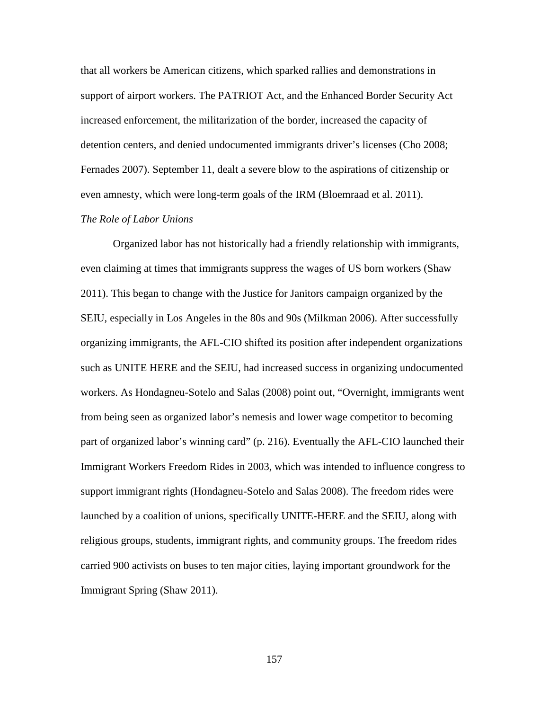that all workers be American citizens, which sparked rallies and demonstrations in support of airport workers. The PATRIOT Act, and the Enhanced Border Security Act increased enforcement, the militarization of the border, increased the capacity of detention centers, and denied undocumented immigrants driver's licenses (Cho 2008; Fernades 2007). September 11, dealt a severe blow to the aspirations of citizenship or even amnesty, which were long-term goals of the IRM (Bloemraad et al. 2011).

# *The Role of Labor Unions*

Organized labor has not historically had a friendly relationship with immigrants, even claiming at times that immigrants suppress the wages of US born workers (Shaw 2011). This began to change with the Justice for Janitors campaign organized by the SEIU, especially in Los Angeles in the 80s and 90s (Milkman 2006). After successfully organizing immigrants, the AFL-CIO shifted its position after independent organizations such as UNITE HERE and the SEIU, had increased success in organizing undocumented workers. As Hondagneu-Sotelo and Salas (2008) point out, "Overnight, immigrants went from being seen as organized labor's nemesis and lower wage competitor to becoming part of organized labor's winning card" (p. 216). Eventually the AFL-CIO launched their Immigrant Workers Freedom Rides in 2003, which was intended to influence congress to support immigrant rights (Hondagneu-Sotelo and Salas 2008). The freedom rides were launched by a coalition of unions, specifically UNITE-HERE and the SEIU, along with religious groups, students, immigrant rights, and community groups. The freedom rides carried 900 activists on buses to ten major cities, laying important groundwork for the Immigrant Spring (Shaw 2011).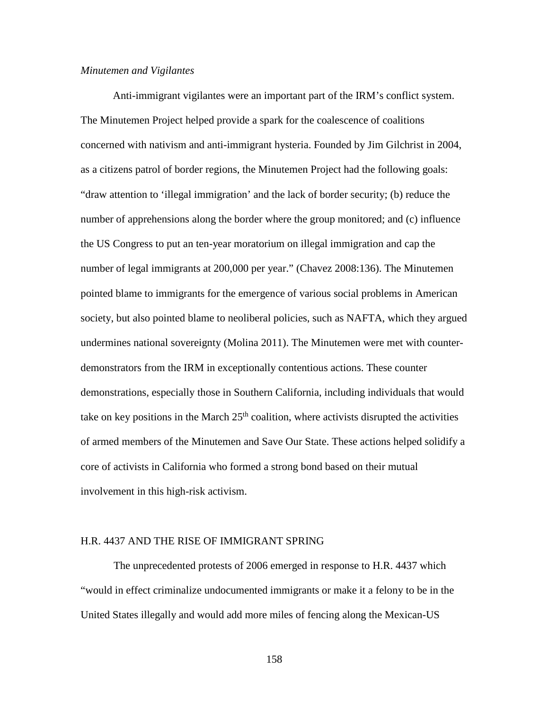# *Minutemen and Vigilantes*

Anti-immigrant vigilantes were an important part of the IRM's conflict system. The Minutemen Project helped provide a spark for the coalescence of coalitions concerned with nativism and anti-immigrant hysteria. Founded by Jim Gilchrist in 2004, as a citizens patrol of border regions, the Minutemen Project had the following goals: "draw attention to 'illegal immigration' and the lack of border security; (b) reduce the number of apprehensions along the border where the group monitored; and (c) influence the US Congress to put an ten-year moratorium on illegal immigration and cap the number of legal immigrants at 200,000 per year." (Chavez 2008:136). The Minutemen pointed blame to immigrants for the emergence of various social problems in American society, but also pointed blame to neoliberal policies, such as NAFTA, which they argued undermines national sovereignty (Molina 2011). The Minutemen were met with counterdemonstrators from the IRM in exceptionally contentious actions. These counter demonstrations, especially those in Southern California, including individuals that would take on key positions in the March  $25<sup>th</sup>$  coalition, where activists disrupted the activities of armed members of the Minutemen and Save Our State. These actions helped solidify a core of activists in California who formed a strong bond based on their mutual involvement in this high-risk activism.

## H.R. 4437 AND THE RISE OF IMMIGRANT SPRING

The unprecedented protests of 2006 emerged in response to H.R. 4437 which "would in effect criminalize undocumented immigrants or make it a felony to be in the United States illegally and would add more miles of fencing along the Mexican-US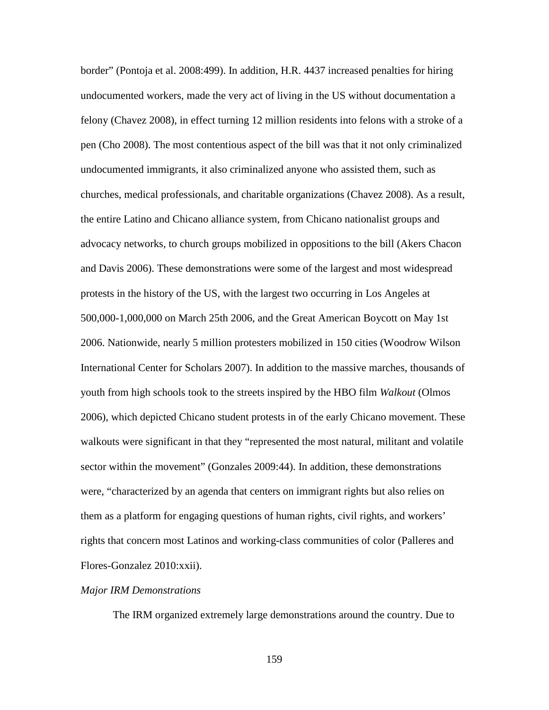border" (Pontoja et al. 2008:499). In addition, H.R. 4437 increased penalties for hiring undocumented workers, made the very act of living in the US without documentation a felony (Chavez 2008), in effect turning 12 million residents into felons with a stroke of a pen (Cho 2008). The most contentious aspect of the bill was that it not only criminalized undocumented immigrants, it also criminalized anyone who assisted them, such as churches, medical professionals, and charitable organizations (Chavez 2008). As a result, the entire Latino and Chicano alliance system, from Chicano nationalist groups and advocacy networks, to church groups mobilized in oppositions to the bill (Akers Chacon and Davis 2006). These demonstrations were some of the largest and most widespread protests in the history of the US, with the largest two occurring in Los Angeles at 500,000-1,000,000 on March 25th 2006, and the Great American Boycott on May 1st 2006. Nationwide, nearly 5 million protesters mobilized in 150 cities (Woodrow Wilson International Center for Scholars 2007). In addition to the massive marches, thousands of youth from high schools took to the streets inspired by the HBO film *Walkout* (Olmos 2006), which depicted Chicano student protests in of the early Chicano movement. These walkouts were significant in that they "represented the most natural, militant and volatile sector within the movement" (Gonzales 2009:44). In addition, these demonstrations were, "characterized by an agenda that centers on immigrant rights but also relies on them as a platform for engaging questions of human rights, civil rights, and workers' rights that concern most Latinos and working-class communities of color (Palleres and Flores-Gonzalez 2010:xxii).

#### *Major IRM Demonstrations*

The IRM organized extremely large demonstrations around the country. Due to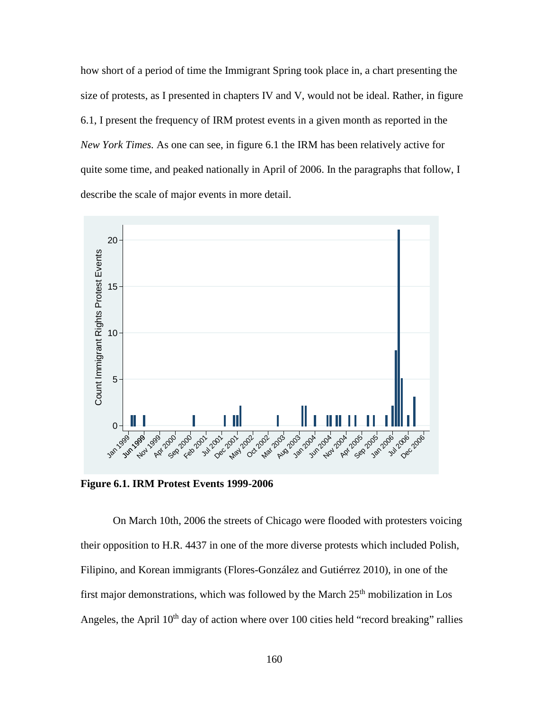how short of a period of time the Immigrant Spring took place in, a chart presenting the size of protests, as I presented in chapters IV and V, would not be ideal. Rather, in figure 6.1, I present the frequency of IRM protest events in a given month as reported in the *New York Times.* As one can see, in figure 6.1 the IRM has been relatively active for quite some time, and peaked nationally in April of 2006. In the paragraphs that follow, I describe the scale of major events in more detail.



**Figure 6.1. IRM Protest Events 1999-2006**

On March 10th, 2006 the streets of Chicago were flooded with protesters voicing their opposition to H.R. 4437 in one of the more diverse protests which included Polish, Filipino, and Korean immigrants (Flores-González and Gutiérrez 2010), in one of the first major demonstrations, which was followed by the March  $25<sup>th</sup>$  mobilization in Los Angeles, the April  $10<sup>th</sup>$  day of action where over 100 cities held "record breaking" rallies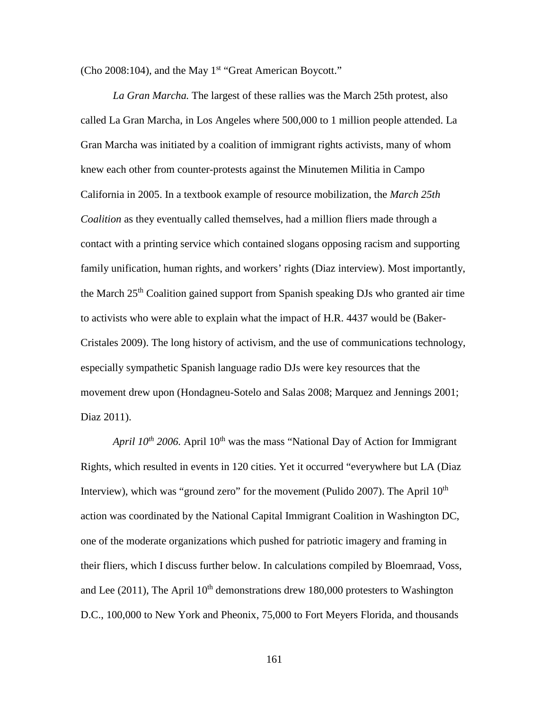(Cho 2008:104), and the May 1<sup>st</sup> "Great American Boycott."

*La Gran Marcha.* The largest of these rallies was the March 25th protest, also called La Gran Marcha, in Los Angeles where 500,000 to 1 million people attended. La Gran Marcha was initiated by a coalition of immigrant rights activists, many of whom knew each other from counter-protests against the Minutemen Militia in Campo California in 2005. In a textbook example of resource mobilization, the *March 25th Coalition* as they eventually called themselves, had a million fliers made through a contact with a printing service which contained slogans opposing racism and supporting family unification, human rights, and workers' rights (Diaz interview). Most importantly, the March 25<sup>th</sup> Coalition gained support from Spanish speaking DJs who granted air time to activists who were able to explain what the impact of H.R. 4437 would be (Baker-Cristales 2009). The long history of activism, and the use of communications technology, especially sympathetic Spanish language radio DJs were key resources that the movement drew upon (Hondagneu-Sotelo and Salas 2008; Marquez and Jennings 2001; Diaz 2011).

*April*  $10^{th}$  *2006.* April  $10^{th}$  was the mass "National Day of Action for Immigrant Rights, which resulted in events in 120 cities. Yet it occurred "everywhere but LA (Diaz Interview), which was "ground zero" for the movement (Pulido 2007). The April  $10<sup>th</sup>$ action was coordinated by the National Capital Immigrant Coalition in Washington DC, one of the moderate organizations which pushed for patriotic imagery and framing in their fliers, which I discuss further below. In calculations compiled by Bloemraad, Voss, and Lee (2011), The April  $10<sup>th</sup>$  demonstrations drew 180,000 protesters to Washington D.C., 100,000 to New York and Pheonix, 75,000 to Fort Meyers Florida, and thousands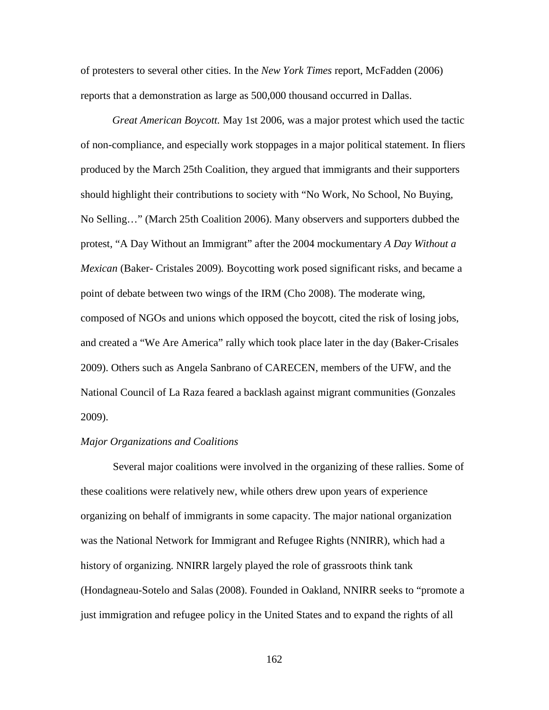of protesters to several other cities. In the *New York Times* report, McFadden (2006) reports that a demonstration as large as 500,000 thousand occurred in Dallas.

*Great American Boycott.* May 1st 2006, was a major protest which used the tactic of non-compliance, and especially work stoppages in a major political statement. In fliers produced by the March 25th Coalition, they argued that immigrants and their supporters should highlight their contributions to society with "No Work, No School, No Buying, No Selling…" (March 25th Coalition 2006). Many observers and supporters dubbed the protest, "A Day Without an Immigrant" after the 2004 mockumentary *A Day Without a Mexican* (Baker- Cristales 2009)*.* Boycotting work posed significant risks, and became a point of debate between two wings of the IRM (Cho 2008). The moderate wing, composed of NGOs and unions which opposed the boycott, cited the risk of losing jobs, and created a "We Are America" rally which took place later in the day (Baker-Crisales 2009). Others such as Angela Sanbrano of CARECEN, members of the UFW, and the National Council of La Raza feared a backlash against migrant communities (Gonzales 2009).

## *Major Organizations and Coalitions*

Several major coalitions were involved in the organizing of these rallies. Some of these coalitions were relatively new, while others drew upon years of experience organizing on behalf of immigrants in some capacity. The major national organization was the National Network for Immigrant and Refugee Rights (NNIRR), which had a history of organizing. NNIRR largely played the role of grassroots think tank (Hondagneau-Sotelo and Salas (2008). Founded in Oakland, NNIRR seeks to "promote a just immigration and refugee policy in the United States and to expand the rights of all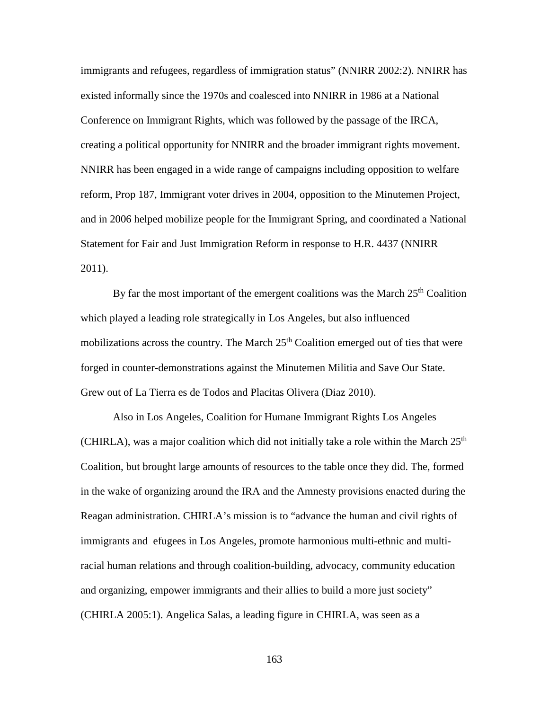immigrants and refugees, regardless of immigration status" (NNIRR 2002:2). NNIRR has existed informally since the 1970s and coalesced into NNIRR in 1986 at a National Conference on Immigrant Rights, which was followed by the passage of the IRCA, creating a political opportunity for NNIRR and the broader immigrant rights movement. NNIRR has been engaged in a wide range of campaigns including opposition to welfare reform, Prop 187, Immigrant voter drives in 2004, opposition to the Minutemen Project, and in 2006 helped mobilize people for the Immigrant Spring, and coordinated a National Statement for Fair and Just Immigration Reform in response to H.R. 4437 (NNIRR 2011).

By far the most important of the emergent coalitions was the March  $25<sup>th</sup>$  Coalition which played a leading role strategically in Los Angeles, but also influenced mobilizations across the country. The March  $25<sup>th</sup>$  Coalition emerged out of ties that were forged in counter-demonstrations against the Minutemen Militia and Save Our State. Grew out of La Tierra es de Todos and Placitas Olivera (Diaz 2010).

Also in Los Angeles, Coalition for Humane Immigrant Rights Los Angeles (CHIRLA), was a major coalition which did not initially take a role within the March  $25<sup>th</sup>$ Coalition, but brought large amounts of resources to the table once they did. The, formed in the wake of organizing around the IRA and the Amnesty provisions enacted during the Reagan administration. CHIRLA's mission is to "advance the human and civil rights of immigrants and efugees in Los Angeles, promote harmonious multi-ethnic and multiracial human relations and through coalition-building, advocacy, community education and organizing, empower immigrants and their allies to build a more just society" (CHIRLA 2005:1). Angelica Salas, a leading figure in CHIRLA, was seen as a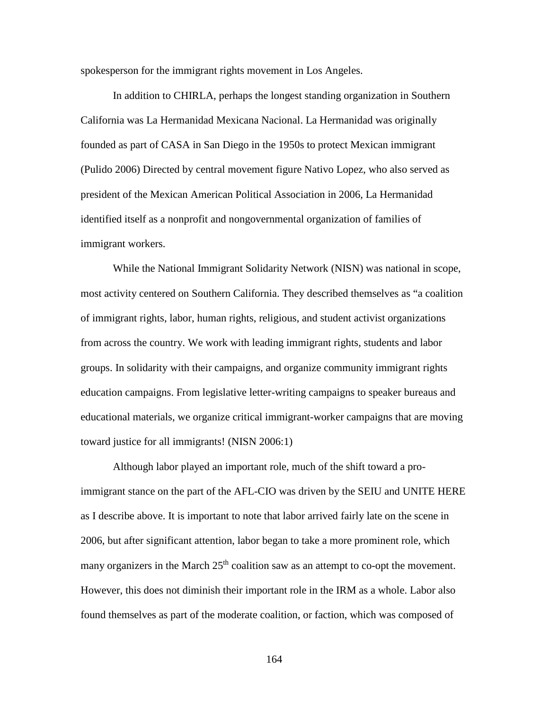spokesperson for the immigrant rights movement in Los Angeles.

In addition to CHIRLA, perhaps the longest standing organization in Southern California was La Hermanidad Mexicana Nacional. La Hermanidad was originally founded as part of CASA in San Diego in the 1950s to protect Mexican immigrant (Pulido 2006) Directed by central movement figure Nativo Lopez, who also served as president of the Mexican American Political Association in 2006, La Hermanidad identified itself as a nonprofit and nongovernmental organization of families of immigrant workers.

While the National Immigrant Solidarity Network (NISN) was national in scope, most activity centered on Southern California. They described themselves as "a coalition of immigrant rights, labor, human rights, religious, and student activist organizations from across the country. We work with leading immigrant rights, students and labor groups. In solidarity with their campaigns, and organize community immigrant rights education campaigns. From legislative letter-writing campaigns to speaker bureaus and educational materials, we organize critical immigrant-worker campaigns that are moving toward justice for all immigrants! (NISN 2006:1)

Although labor played an important role, much of the shift toward a proimmigrant stance on the part of the AFL-CIO was driven by the SEIU and UNITE HERE as I describe above. It is important to note that labor arrived fairly late on the scene in 2006, but after significant attention, labor began to take a more prominent role, which many organizers in the March  $25<sup>th</sup>$  coalition saw as an attempt to co-opt the movement. However, this does not diminish their important role in the IRM as a whole. Labor also found themselves as part of the moderate coalition, or faction, which was composed of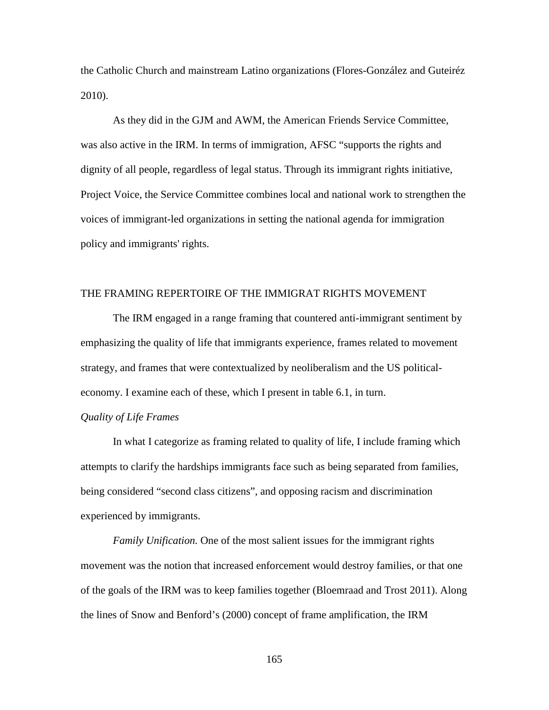the Catholic Church and mainstream Latino organizations (Flores-González and Guteiréz 2010).

As they did in the GJM and AWM, the American Friends Service Committee, was also active in the IRM. In terms of immigration, AFSC "supports the rights and dignity of all people, regardless of legal status. Through its immigrant rights initiative, Project Voice, the Service Committee combines local and national work to strengthen the voices of immigrant-led organizations in setting the national agenda for immigration policy and immigrants' rights.

## THE FRAMING REPERTOIRE OF THE IMMIGRAT RIGHTS MOVEMENT

The IRM engaged in a range framing that countered anti-immigrant sentiment by emphasizing the quality of life that immigrants experience, frames related to movement strategy, and frames that were contextualized by neoliberalism and the US politicaleconomy. I examine each of these, which I present in table 6.1, in turn.

## *Quality of Life Frames*

In what I categorize as framing related to quality of life, I include framing which attempts to clarify the hardships immigrants face such as being separated from families, being considered "second class citizens", and opposing racism and discrimination experienced by immigrants.

*Family Unification.* One of the most salient issues for the immigrant rights movement was the notion that increased enforcement would destroy families, or that one of the goals of the IRM was to keep families together (Bloemraad and Trost 2011). Along the lines of Snow and Benford's (2000) concept of frame amplification, the IRM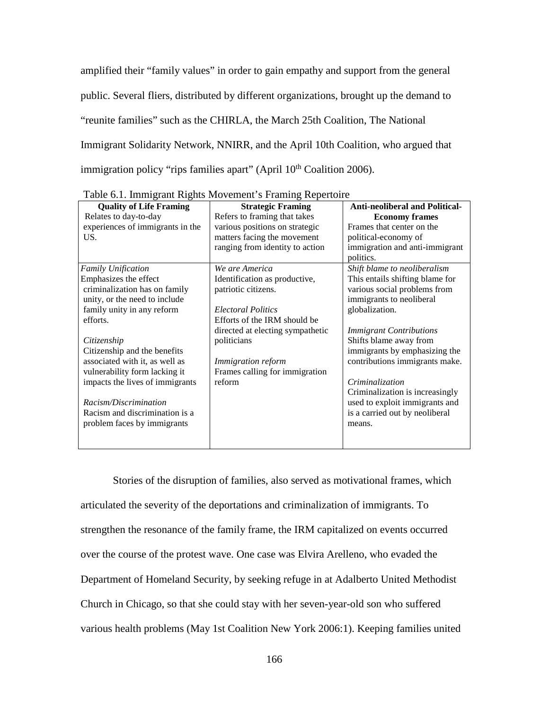amplified their "family values" in order to gain empathy and support from the general public. Several fliers, distributed by different organizations, brought up the demand to "reunite families" such as the CHIRLA, the March 25th Coalition, The National Immigrant Solidarity Network, NNIRR, and the April 10th Coalition, who argued that immigration policy "rips families apart" (April 10<sup>th</sup> Coalition 2006).

| <b>Quality of Life Framing</b>   | <b>Strategic Framing</b>         | <b>Anti-neoliberal and Political-</b> |
|----------------------------------|----------------------------------|---------------------------------------|
| Relates to day-to-day            | Refers to framing that takes     | <b>Economy frames</b>                 |
| experiences of immigrants in the | various positions on strategic   | Frames that center on the             |
| US.                              | matters facing the movement      | political-economy of                  |
|                                  | ranging from identity to action  | immigration and anti-immigrant        |
|                                  |                                  | politics.                             |
| <b>Family Unification</b>        | We are America                   | Shift blame to neoliberalism          |
| Emphasizes the effect            | Identification as productive,    | This entails shifting blame for       |
| criminalization has on family    | patriotic citizens.              | various social problems from          |
| unity, or the need to include    |                                  | immigrants to neoliberal              |
| family unity in any reform       | <b>Electoral Politics</b>        | globalization.                        |
| efforts.                         | Efforts of the IRM should be     |                                       |
|                                  | directed at electing sympathetic | <b>Immigrant Contributions</b>        |
| Citizenship                      | politicians                      | Shifts blame away from                |
| Citizenship and the benefits     |                                  | immigrants by emphasizing the         |
| associated with it, as well as   | <i>Immigration reform</i>        | contributions immigrants make.        |
| vulnerability form lacking it    | Frames calling for immigration   |                                       |
| impacts the lives of immigrants  | reform                           | Criminalization                       |
|                                  |                                  | Criminalization is increasingly       |
| Racism/Discrimination            |                                  | used to exploit immigrants and        |
| Racism and discrimination is a   |                                  | is a carried out by neoliberal        |
| problem faces by immigrants      |                                  | means.                                |
|                                  |                                  |                                       |
|                                  |                                  |                                       |

Table 6.1. Immigrant Rights Movement's Framing Repertoire

Stories of the disruption of families, also served as motivational frames, which articulated the severity of the deportations and criminalization of immigrants. To strengthen the resonance of the family frame, the IRM capitalized on events occurred over the course of the protest wave. One case was Elvira Arelleno, who evaded the Department of Homeland Security, by seeking refuge in at Adalberto United Methodist Church in Chicago, so that she could stay with her seven-year-old son who suffered various health problems (May 1st Coalition New York 2006:1). Keeping families united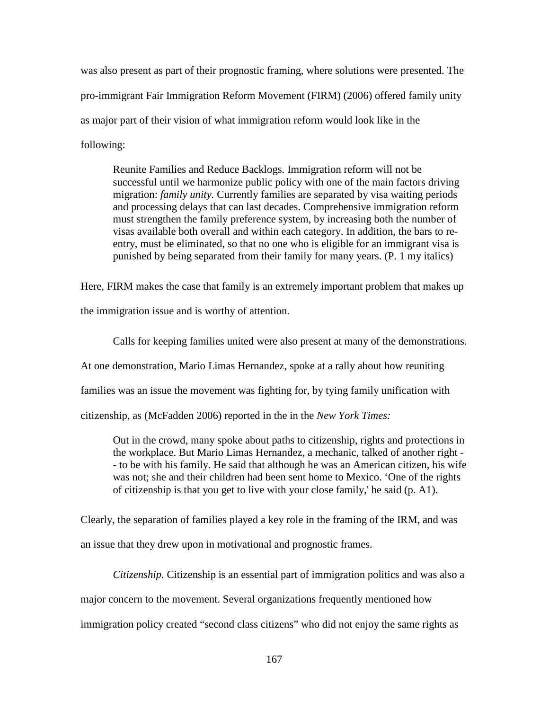was also present as part of their prognostic framing, where solutions were presented. The pro-immigrant Fair Immigration Reform Movement (FIRM) (2006) offered family unity as major part of their vision of what immigration reform would look like in the following:

Reunite Families and Reduce Backlogs. Immigration reform will not be successful until we harmonize public policy with one of the main factors driving migration: *family unity.* Currently families are separated by visa waiting periods and processing delays that can last decades. Comprehensive immigration reform must strengthen the family preference system, by increasing both the number of visas available both overall and within each category. In addition, the bars to reentry, must be eliminated, so that no one who is eligible for an immigrant visa is punished by being separated from their family for many years. (P. 1 my italics)

Here, FIRM makes the case that family is an extremely important problem that makes up the immigration issue and is worthy of attention.

Calls for keeping families united were also present at many of the demonstrations. At one demonstration, Mario Limas Hernandez, spoke at a rally about how reuniting families was an issue the movement was fighting for, by tying family unification with citizenship, as (McFadden 2006) reported in the in the *New York Times:* 

Out in the crowd, many spoke about paths to citizenship, rights and protections in the workplace. But Mario Limas Hernandez, a mechanic, talked of another right - - to be with his family. He said that although he was an American citizen, his wife was not; she and their children had been sent home to Mexico. 'One of the rights

of citizenship is that you get to live with your close family,' he said (p. A1).

Clearly, the separation of families played a key role in the framing of the IRM, and was an issue that they drew upon in motivational and prognostic frames.

*Citizenship.* Citizenship is an essential part of immigration politics and was also a major concern to the movement. Several organizations frequently mentioned how immigration policy created "second class citizens" who did not enjoy the same rights as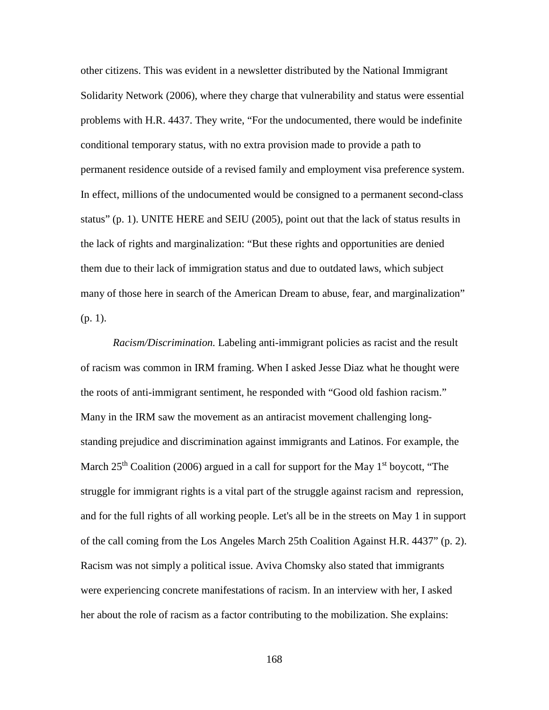other citizens. This was evident in a newsletter distributed by the National Immigrant Solidarity Network (2006), where they charge that vulnerability and status were essential problems with H.R. 4437. They write, "For the undocumented, there would be indefinite conditional temporary status, with no extra provision made to provide a path to permanent residence outside of a revised family and employment visa preference system. In effect, millions of the undocumented would be consigned to a permanent second-class status" (p. 1). UNITE HERE and SEIU (2005), point out that the lack of status results in the lack of rights and marginalization: "But these rights and opportunities are denied them due to their lack of immigration status and due to outdated laws, which subject many of those here in search of the American Dream to abuse, fear, and marginalization" (p. 1).

*Racism/Discrimination.* Labeling anti-immigrant policies as racist and the result of racism was common in IRM framing. When I asked Jesse Diaz what he thought were the roots of anti-immigrant sentiment, he responded with "Good old fashion racism." Many in the IRM saw the movement as an antiracist movement challenging longstanding prejudice and discrimination against immigrants and Latinos. For example, the March  $25<sup>th</sup>$  Coalition (2006) argued in a call for support for the May 1<sup>st</sup> boycott, "The struggle for immigrant rights is a vital part of the struggle against racism and repression, and for the full rights of all working people. Let's all be in the streets on May 1 in support of the call coming from the Los Angeles March 25th Coalition Against H.R. 4437" (p. 2). Racism was not simply a political issue. Aviva Chomsky also stated that immigrants were experiencing concrete manifestations of racism. In an interview with her, I asked her about the role of racism as a factor contributing to the mobilization. She explains: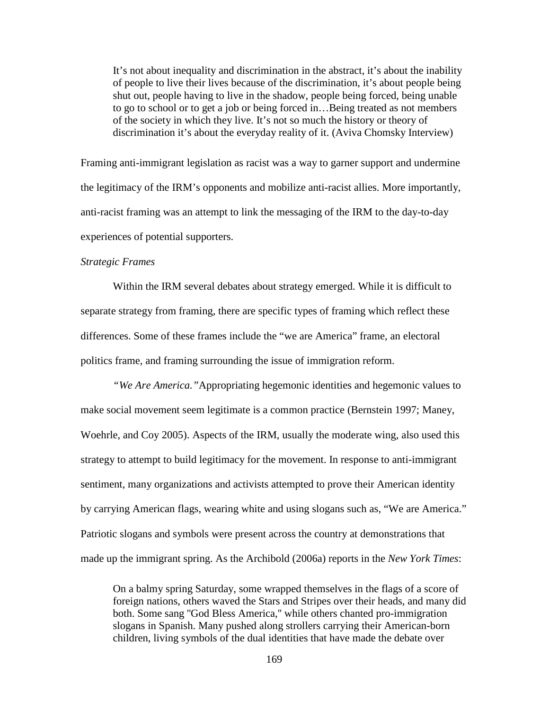It's not about inequality and discrimination in the abstract, it's about the inability of people to live their lives because of the discrimination, it's about people being shut out, people having to live in the shadow, people being forced, being unable to go to school or to get a job or being forced in…Being treated as not members of the society in which they live. It's not so much the history or theory of discrimination it's about the everyday reality of it. (Aviva Chomsky Interview)

Framing anti-immigrant legislation as racist was a way to garner support and undermine the legitimacy of the IRM's opponents and mobilize anti-racist allies. More importantly, anti-racist framing was an attempt to link the messaging of the IRM to the day-to-day experiences of potential supporters.

### *Strategic Frames*

Within the IRM several debates about strategy emerged. While it is difficult to separate strategy from framing, there are specific types of framing which reflect these differences. Some of these frames include the "we are America" frame, an electoral politics frame, and framing surrounding the issue of immigration reform.

*"We Are America."*Appropriating hegemonic identities and hegemonic values to make social movement seem legitimate is a common practice (Bernstein 1997; Maney, Woehrle, and Coy 2005). Aspects of the IRM, usually the moderate wing, also used this strategy to attempt to build legitimacy for the movement. In response to anti-immigrant sentiment, many organizations and activists attempted to prove their American identity by carrying American flags, wearing white and using slogans such as, "We are America." Patriotic slogans and symbols were present across the country at demonstrations that made up the immigrant spring. As the Archibold (2006a) reports in the *New York Times*:

On a balmy spring Saturday, some wrapped themselves in the flags of a score of foreign nations, others waved the Stars and Stripes over their heads, and many did both. Some sang ''God Bless America,'' while others chanted pro-immigration slogans in Spanish. Many pushed along strollers carrying their American-born children, living symbols of the dual identities that have made the debate over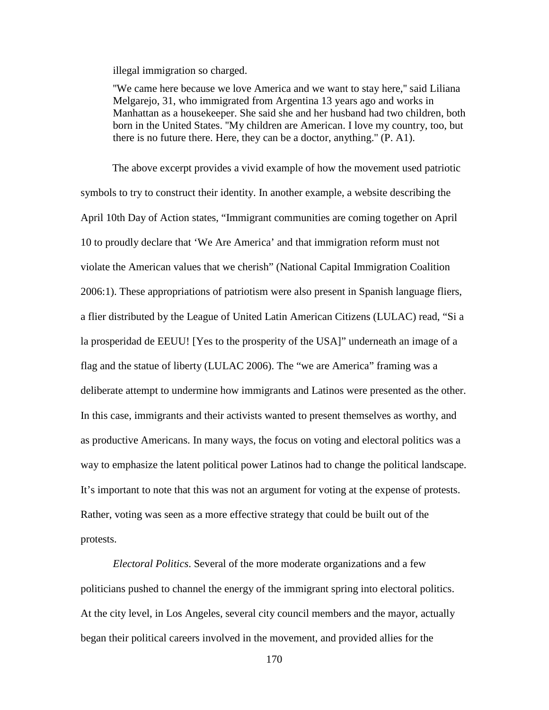illegal immigration so charged.

''We came here because we love America and we want to stay here,'' said Liliana Melgarejo, 31, who immigrated from Argentina 13 years ago and works in Manhattan as a housekeeper. She said she and her husband had two children, both born in the United States. ''My children are American. I love my country, too, but there is no future there. Here, they can be a doctor, anything.'' (P. A1).

The above excerpt provides a vivid example of how the movement used patriotic symbols to try to construct their identity. In another example, a website describing the April 10th Day of Action states, "Immigrant communities are coming together on April 10 to proudly declare that 'We Are America' and that immigration reform must not violate the American values that we cherish" (National Capital Immigration Coalition 2006:1). These appropriations of patriotism were also present in Spanish language fliers, a flier distributed by the League of United Latin American Citizens (LULAC) read, "Si a la prosperidad de EEUU! [Yes to the prosperity of the USA]" underneath an image of a flag and the statue of liberty (LULAC 2006). The "we are America" framing was a deliberate attempt to undermine how immigrants and Latinos were presented as the other. In this case, immigrants and their activists wanted to present themselves as worthy, and as productive Americans. In many ways, the focus on voting and electoral politics was a way to emphasize the latent political power Latinos had to change the political landscape. It's important to note that this was not an argument for voting at the expense of protests. Rather, voting was seen as a more effective strategy that could be built out of the protests.

*Electoral Politics*. Several of the more moderate organizations and a few politicians pushed to channel the energy of the immigrant spring into electoral politics. At the city level, in Los Angeles, several city council members and the mayor, actually began their political careers involved in the movement, and provided allies for the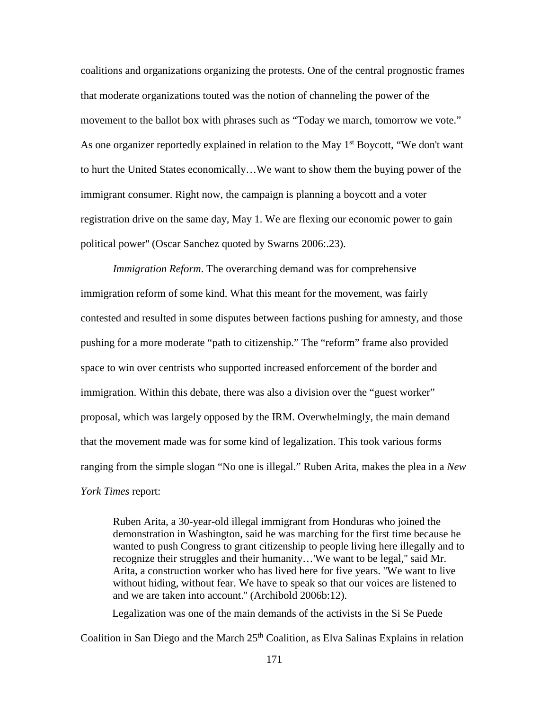coalitions and organizations organizing the protests. One of the central prognostic frames that moderate organizations touted was the notion of channeling the power of the movement to the ballot box with phrases such as "Today we march, tomorrow we vote." As one organizer reportedly explained in relation to the May  $1<sup>st</sup>$  Boycott, "We don't want to hurt the United States economically…We want to show them the buying power of the immigrant consumer. Right now, the campaign is planning a boycott and a voter registration drive on the same day, May 1. We are flexing our economic power to gain political power'' (Oscar Sanchez quoted by Swarns 2006:.23).

*Immigration Reform*. The overarching demand was for comprehensive immigration reform of some kind. What this meant for the movement, was fairly contested and resulted in some disputes between factions pushing for amnesty, and those pushing for a more moderate "path to citizenship." The "reform" frame also provided space to win over centrists who supported increased enforcement of the border and immigration. Within this debate, there was also a division over the "guest worker" proposal, which was largely opposed by the IRM. Overwhelmingly, the main demand that the movement made was for some kind of legalization. This took various forms ranging from the simple slogan "No one is illegal." Ruben Arita, makes the plea in a *New York Times* report:

Ruben Arita, a 30-year-old illegal immigrant from Honduras who joined the demonstration in Washington, said he was marching for the first time because he wanted to push Congress to grant citizenship to people living here illegally and to recognize their struggles and their humanity…'We want to be legal,'' said Mr. Arita, a construction worker who has lived here for five years. ''We want to live without hiding, without fear. We have to speak so that our voices are listened to and we are taken into account.'' (Archibold 2006b:12).

Legalization was one of the main demands of the activists in the Si Se Puede Coalition in San Diego and the March  $25<sup>th</sup>$  Coalition, as Elva Salinas Explains in relation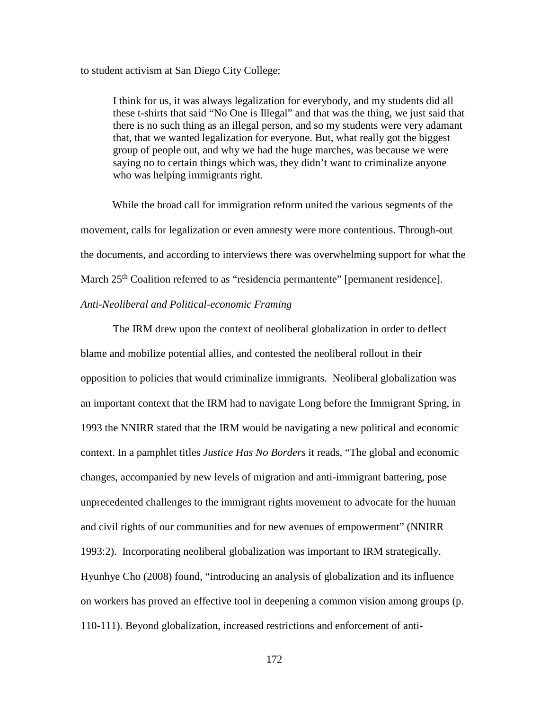#### to student activism at San Diego City College:

I think for us, it was always legalization for everybody, and my students did all these t-shirts that said "No One is Illegal" and that was the thing, we just said that there is no such thing as an illegal person, and so my students were very adamant that, that we wanted legalization for everyone. But, what really got the biggest group of people out, and why we had the huge marches, was because we were saying no to certain things which was, they didn't want to criminalize anyone who was helping immigrants right.

While the broad call for immigration reform united the various segments of the movement, calls for legalization or even amnesty were more contentious. Through-out the documents, and according to interviews there was overwhelming support for what the March 25<sup>th</sup> Coalition referred to as "residencia permantente" [permanent residence]. *Anti-Neoliberal and Political-economic Framing*

The IRM drew upon the context of neoliberal globalization in order to deflect blame and mobilize potential allies, and contested the neoliberal rollout in their opposition to policies that would criminalize immigrants. Neoliberal globalization was an important context that the IRM had to navigate Long before the Immigrant Spring, in 1993 the NNIRR stated that the IRM would be navigating a new political and economic context. In a pamphlet titles *Justice Has No Borders* it reads, "The global and economic changes, accompanied by new levels of migration and anti-immigrant battering, pose unprecedented challenges to the immigrant rights movement to advocate for the human and civil rights of our communities and for new avenues of empowerment" (NNIRR 1993:2). Incorporating neoliberal globalization was important to IRM strategically. Hyunhye Cho (2008) found, "introducing an analysis of globalization and its influence on workers has proved an effective tool in deepening a common vision among groups (p. 110-111). Beyond globalization, increased restrictions and enforcement of anti-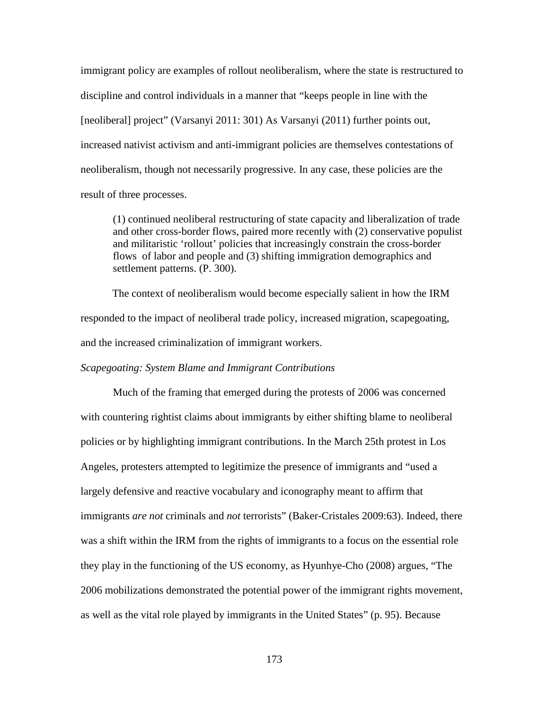immigrant policy are examples of rollout neoliberalism, where the state is restructured to discipline and control individuals in a manner that "keeps people in line with the [neoliberal] project" (Varsanyi 2011: 301) As Varsanyi (2011) further points out, increased nativist activism and anti-immigrant policies are themselves contestations of neoliberalism, though not necessarily progressive. In any case, these policies are the result of three processes.

(1) continued neoliberal restructuring of state capacity and liberalization of trade and other cross-border flows, paired more recently with (2) conservative populist and militaristic 'rollout' policies that increasingly constrain the cross-border flows of labor and people and (3) shifting immigration demographics and settlement patterns. (P. 300).

The context of neoliberalism would become especially salient in how the IRM responded to the impact of neoliberal trade policy, increased migration, scapegoating, and the increased criminalization of immigrant workers.

## *Scapegoating: System Blame and Immigrant Contributions*

Much of the framing that emerged during the protests of 2006 was concerned with countering rightist claims about immigrants by either shifting blame to neoliberal policies or by highlighting immigrant contributions. In the March 25th protest in Los Angeles, protesters attempted to legitimize the presence of immigrants and "used a largely defensive and reactive vocabulary and iconography meant to affirm that immigrants *are not* criminals and *not* terrorists" (Baker-Cristales 2009:63). Indeed, there was a shift within the IRM from the rights of immigrants to a focus on the essential role they play in the functioning of the US economy, as Hyunhye-Cho (2008) argues, "The 2006 mobilizations demonstrated the potential power of the immigrant rights movement, as well as the vital role played by immigrants in the United States" (p. 95). Because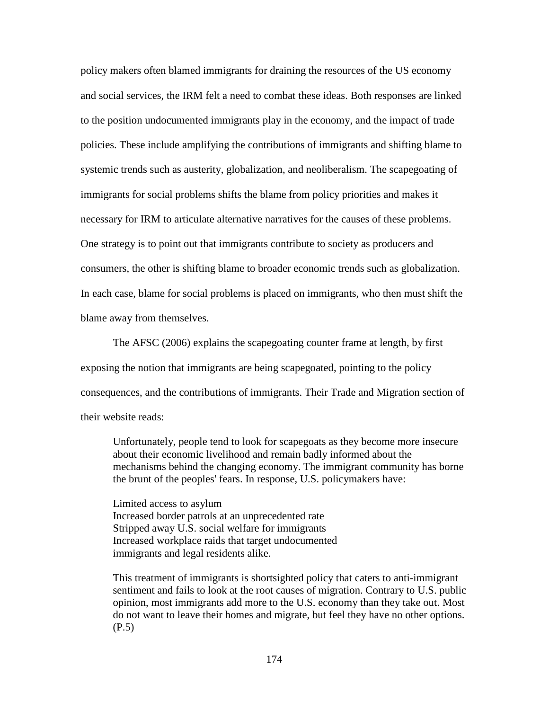policy makers often blamed immigrants for draining the resources of the US economy and social services, the IRM felt a need to combat these ideas. Both responses are linked to the position undocumented immigrants play in the economy, and the impact of trade policies. These include amplifying the contributions of immigrants and shifting blame to systemic trends such as austerity, globalization, and neoliberalism. The scapegoating of immigrants for social problems shifts the blame from policy priorities and makes it necessary for IRM to articulate alternative narratives for the causes of these problems. One strategy is to point out that immigrants contribute to society as producers and consumers, the other is shifting blame to broader economic trends such as globalization. In each case, blame for social problems is placed on immigrants, who then must shift the blame away from themselves.

The AFSC (2006) explains the scapegoating counter frame at length, by first exposing the notion that immigrants are being scapegoated, pointing to the policy consequences, and the contributions of immigrants. Their Trade and Migration section of their website reads:

Unfortunately, people tend to look for scapegoats as they become more insecure about their economic livelihood and remain badly informed about the mechanisms behind the changing economy. The immigrant community has borne the brunt of the peoples' fears. In response, U.S. policymakers have:

Limited access to asylum Increased border patrols at an unprecedented rate Stripped away U.S. social welfare for immigrants Increased workplace raids that target undocumented immigrants and legal residents alike.

This treatment of immigrants is shortsighted policy that caters to anti-immigrant sentiment and fails to look at the root causes of migration. Contrary to U.S. public opinion, most immigrants add more to the U.S. economy than they take out. Most do not want to leave their homes and migrate, but feel they have no other options. (P.5)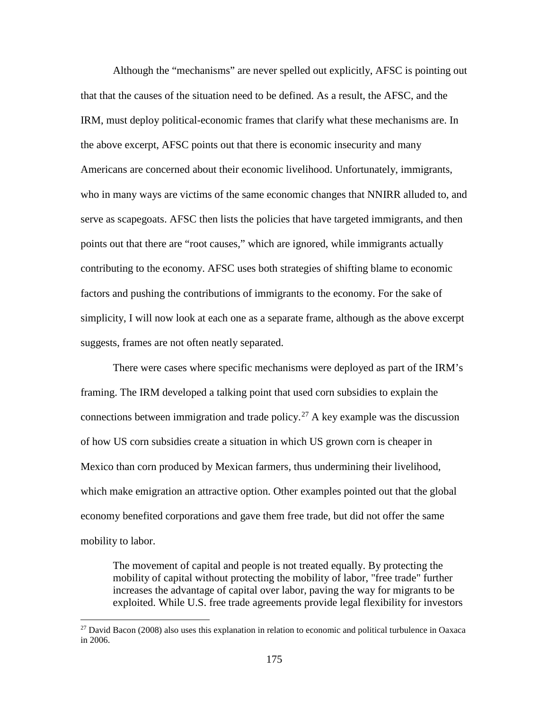Although the "mechanisms" are never spelled out explicitly, AFSC is pointing out that that the causes of the situation need to be defined. As a result, the AFSC, and the IRM, must deploy political-economic frames that clarify what these mechanisms are. In the above excerpt, AFSC points out that there is economic insecurity and many Americans are concerned about their economic livelihood. Unfortunately, immigrants, who in many ways are victims of the same economic changes that NNIRR alluded to, and serve as scapegoats. AFSC then lists the policies that have targeted immigrants, and then points out that there are "root causes," which are ignored, while immigrants actually contributing to the economy. AFSC uses both strategies of shifting blame to economic factors and pushing the contributions of immigrants to the economy. For the sake of simplicity, I will now look at each one as a separate frame, although as the above excerpt suggests, frames are not often neatly separated.

There were cases where specific mechanisms were deployed as part of the IRM's framing. The IRM developed a talking point that used corn subsidies to explain the connections between immigration and trade policy.<sup>[27](#page-191-0)</sup> A key example was the discussion of how US corn subsidies create a situation in which US grown corn is cheaper in Mexico than corn produced by Mexican farmers, thus undermining their livelihood, which make emigration an attractive option. Other examples pointed out that the global economy benefited corporations and gave them free trade, but did not offer the same mobility to labor.

The movement of capital and people is not treated equally. By protecting the mobility of capital without protecting the mobility of labor, "free trade" further increases the advantage of capital over labor, paving the way for migrants to be exploited. While U.S. free trade agreements provide legal flexibility for investors

l

<span id="page-191-0"></span><sup>&</sup>lt;sup>27</sup> David Bacon (2008) also uses this explanation in relation to economic and political turbulence in Oaxaca in 2006.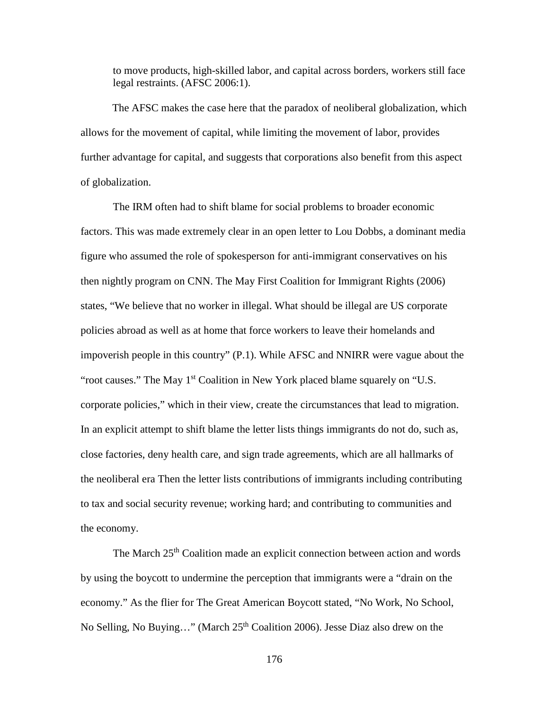to move products, high-skilled labor, and capital across borders, workers still face legal restraints. (AFSC 2006:1).

The AFSC makes the case here that the paradox of neoliberal globalization, which allows for the movement of capital, while limiting the movement of labor, provides further advantage for capital, and suggests that corporations also benefit from this aspect of globalization.

The IRM often had to shift blame for social problems to broader economic factors. This was made extremely clear in an open letter to Lou Dobbs, a dominant media figure who assumed the role of spokesperson for anti-immigrant conservatives on his then nightly program on CNN. The May First Coalition for Immigrant Rights (2006) states, "We believe that no worker in illegal. What should be illegal are US corporate policies abroad as well as at home that force workers to leave their homelands and impoverish people in this country" (P.1). While AFSC and NNIRR were vague about the "root causes." The May 1<sup>st</sup> Coalition in New York placed blame squarely on "U.S." corporate policies," which in their view, create the circumstances that lead to migration. In an explicit attempt to shift blame the letter lists things immigrants do not do, such as, close factories, deny health care, and sign trade agreements, which are all hallmarks of the neoliberal era Then the letter lists contributions of immigrants including contributing to tax and social security revenue; working hard; and contributing to communities and the economy.

The March 25<sup>th</sup> Coalition made an explicit connection between action and words by using the boycott to undermine the perception that immigrants were a "drain on the economy." As the flier for The Great American Boycott stated, "No Work, No School, No Selling, No Buying..." (March  $25<sup>th</sup>$  Coalition 2006). Jesse Diaz also drew on the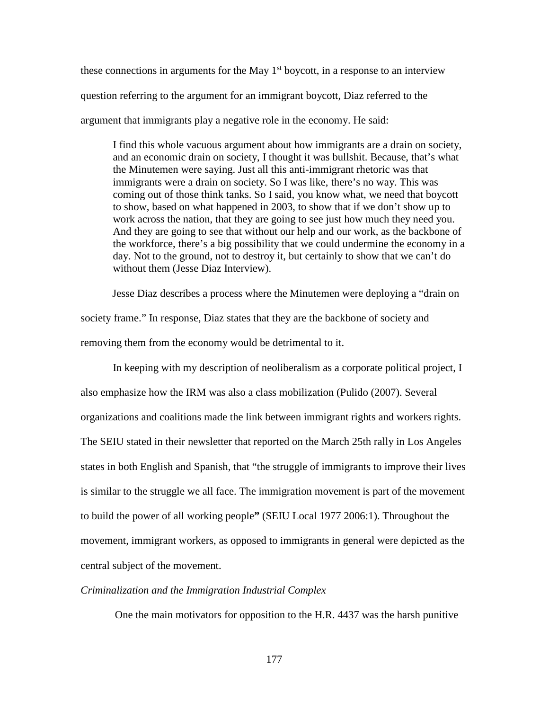these connections in arguments for the May  $1<sup>st</sup>$  boycott, in a response to an interview question referring to the argument for an immigrant boycott, Diaz referred to the argument that immigrants play a negative role in the economy. He said:

I find this whole vacuous argument about how immigrants are a drain on society, and an economic drain on society, I thought it was bullshit. Because, that's what the Minutemen were saying. Just all this anti-immigrant rhetoric was that immigrants were a drain on society. So I was like, there's no way. This was coming out of those think tanks. So I said, you know what, we need that boycott to show, based on what happened in 2003, to show that if we don't show up to work across the nation, that they are going to see just how much they need you. And they are going to see that without our help and our work, as the backbone of the workforce, there's a big possibility that we could undermine the economy in a day. Not to the ground, not to destroy it, but certainly to show that we can't do without them (Jesse Diaz Interview).

Jesse Diaz describes a process where the Minutemen were deploying a "drain on society frame." In response, Diaz states that they are the backbone of society and removing them from the economy would be detrimental to it.

In keeping with my description of neoliberalism as a corporate political project, I also emphasize how the IRM was also a class mobilization (Pulido (2007). Several organizations and coalitions made the link between immigrant rights and workers rights. The SEIU stated in their newsletter that reported on the March 25th rally in Los Angeles states in both English and Spanish, that "the struggle of immigrants to improve their lives is similar to the struggle we all face. The immigration movement is part of the movement to build the power of all working people**"** (SEIU Local 1977 2006:1). Throughout the movement, immigrant workers, as opposed to immigrants in general were depicted as the central subject of the movement.

#### *Criminalization and the Immigration Industrial Complex*

One the main motivators for opposition to the H.R. 4437 was the harsh punitive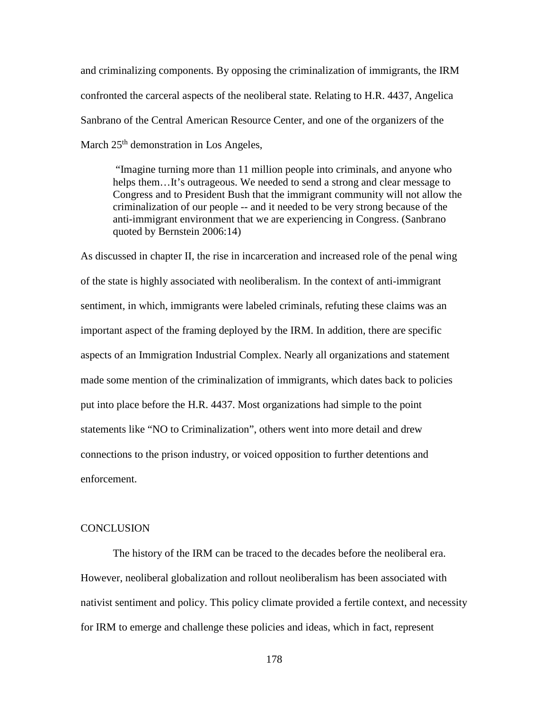and criminalizing components. By opposing the criminalization of immigrants, the IRM confronted the carceral aspects of the neoliberal state. Relating to H.R. 4437, Angelica Sanbrano of the Central American Resource Center, and one of the organizers of the March  $25<sup>th</sup>$  demonstration in Los Angeles,

"Imagine turning more than 11 million people into criminals, and anyone who helps them...It's outrageous. We needed to send a strong and clear message to Congress and to President Bush that the immigrant community will not allow the criminalization of our people -- and it needed to be very strong because of the anti-immigrant environment that we are experiencing in Congress. (Sanbrano quoted by Bernstein 2006:14)

As discussed in chapter II, the rise in incarceration and increased role of the penal wing of the state is highly associated with neoliberalism. In the context of anti-immigrant sentiment, in which, immigrants were labeled criminals, refuting these claims was an important aspect of the framing deployed by the IRM. In addition, there are specific aspects of an Immigration Industrial Complex. Nearly all organizations and statement made some mention of the criminalization of immigrants, which dates back to policies put into place before the H.R. 4437. Most organizations had simple to the point statements like "NO to Criminalization", others went into more detail and drew connections to the prison industry, or voiced opposition to further detentions and enforcement.

#### CONCLUSION

The history of the IRM can be traced to the decades before the neoliberal era. However, neoliberal globalization and rollout neoliberalism has been associated with nativist sentiment and policy. This policy climate provided a fertile context, and necessity for IRM to emerge and challenge these policies and ideas, which in fact, represent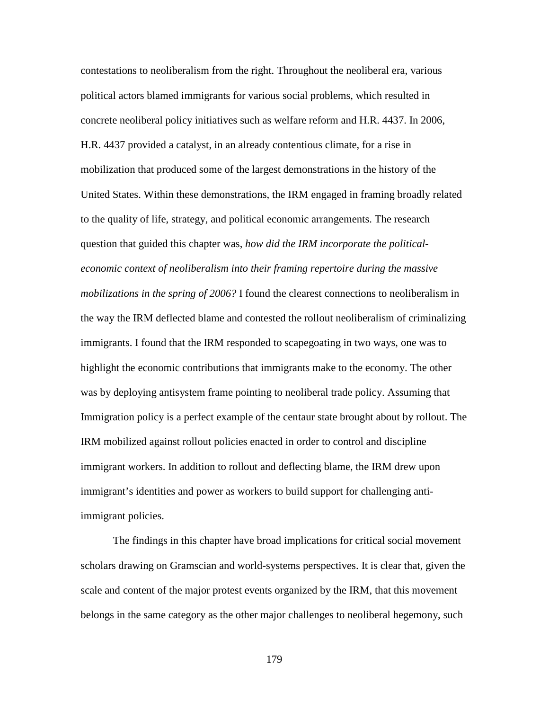contestations to neoliberalism from the right. Throughout the neoliberal era, various political actors blamed immigrants for various social problems, which resulted in concrete neoliberal policy initiatives such as welfare reform and H.R. 4437. In 2006, H.R. 4437 provided a catalyst, in an already contentious climate, for a rise in mobilization that produced some of the largest demonstrations in the history of the United States. Within these demonstrations, the IRM engaged in framing broadly related to the quality of life, strategy, and political economic arrangements. The research question that guided this chapter was, *how did the IRM incorporate the politicaleconomic context of neoliberalism into their framing repertoire during the massive mobilizations in the spring of 2006?* I found the clearest connections to neoliberalism in the way the IRM deflected blame and contested the rollout neoliberalism of criminalizing immigrants. I found that the IRM responded to scapegoating in two ways, one was to highlight the economic contributions that immigrants make to the economy. The other was by deploying antisystem frame pointing to neoliberal trade policy. Assuming that Immigration policy is a perfect example of the centaur state brought about by rollout. The IRM mobilized against rollout policies enacted in order to control and discipline immigrant workers. In addition to rollout and deflecting blame, the IRM drew upon immigrant's identities and power as workers to build support for challenging antiimmigrant policies.

The findings in this chapter have broad implications for critical social movement scholars drawing on Gramscian and world-systems perspectives. It is clear that, given the scale and content of the major protest events organized by the IRM, that this movement belongs in the same category as the other major challenges to neoliberal hegemony, such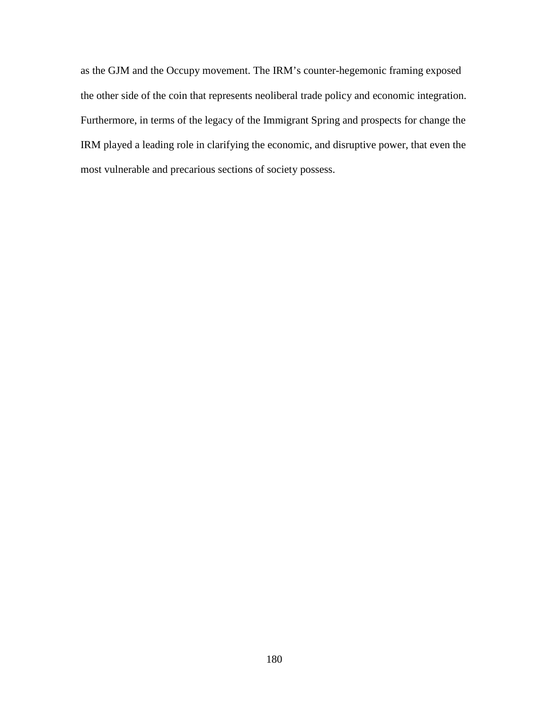as the GJM and the Occupy movement. The IRM's counter-hegemonic framing exposed the other side of the coin that represents neoliberal trade policy and economic integration. Furthermore, in terms of the legacy of the Immigrant Spring and prospects for change the IRM played a leading role in clarifying the economic, and disruptive power, that even the most vulnerable and precarious sections of society possess.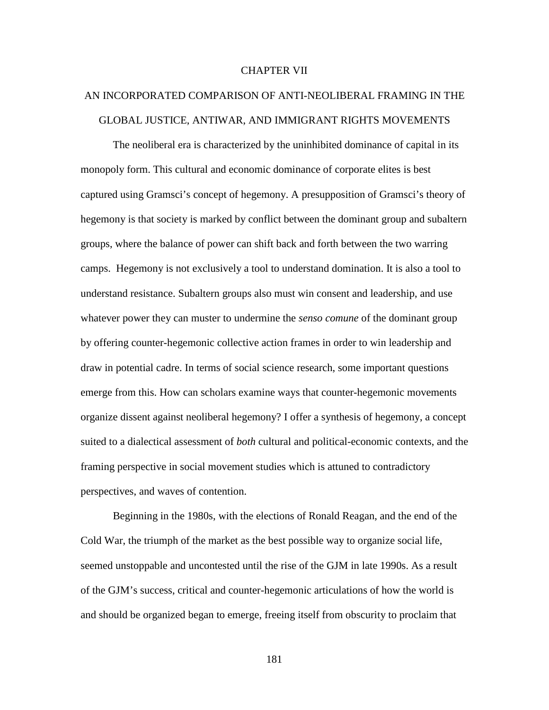## CHAPTER VII

# AN INCORPORATED COMPARISON OF ANTI-NEOLIBERAL FRAMING IN THE GLOBAL JUSTICE, ANTIWAR, AND IMMIGRANT RIGHTS MOVEMENTS

The neoliberal era is characterized by the uninhibited dominance of capital in its monopoly form. This cultural and economic dominance of corporate elites is best captured using Gramsci's concept of hegemony. A presupposition of Gramsci's theory of hegemony is that society is marked by conflict between the dominant group and subaltern groups, where the balance of power can shift back and forth between the two warring camps. Hegemony is not exclusively a tool to understand domination. It is also a tool to understand resistance. Subaltern groups also must win consent and leadership, and use whatever power they can muster to undermine the *senso comune* of the dominant group by offering counter-hegemonic collective action frames in order to win leadership and draw in potential cadre. In terms of social science research, some important questions emerge from this. How can scholars examine ways that counter-hegemonic movements organize dissent against neoliberal hegemony? I offer a synthesis of hegemony, a concept suited to a dialectical assessment of *both* cultural and political-economic contexts, and the framing perspective in social movement studies which is attuned to contradictory perspectives, and waves of contention.

Beginning in the 1980s, with the elections of Ronald Reagan, and the end of the Cold War, the triumph of the market as the best possible way to organize social life, seemed unstoppable and uncontested until the rise of the GJM in late 1990s. As a result of the GJM's success, critical and counter-hegemonic articulations of how the world is and should be organized began to emerge, freeing itself from obscurity to proclaim that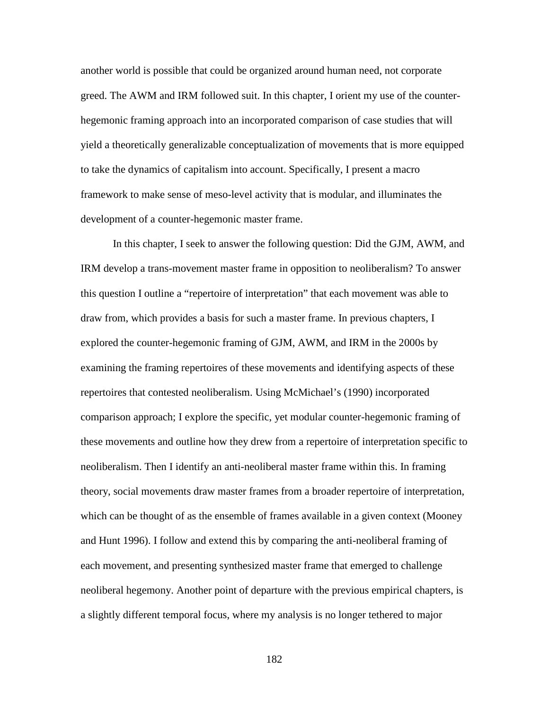another world is possible that could be organized around human need, not corporate greed. The AWM and IRM followed suit. In this chapter, I orient my use of the counterhegemonic framing approach into an incorporated comparison of case studies that will yield a theoretically generalizable conceptualization of movements that is more equipped to take the dynamics of capitalism into account. Specifically, I present a macro framework to make sense of meso-level activity that is modular, and illuminates the development of a counter-hegemonic master frame.

In this chapter, I seek to answer the following question: Did the GJM, AWM, and IRM develop a trans-movement master frame in opposition to neoliberalism? To answer this question I outline a "repertoire of interpretation" that each movement was able to draw from, which provides a basis for such a master frame. In previous chapters, I explored the counter-hegemonic framing of GJM, AWM, and IRM in the 2000s by examining the framing repertoires of these movements and identifying aspects of these repertoires that contested neoliberalism. Using McMichael's (1990) incorporated comparison approach; I explore the specific, yet modular counter-hegemonic framing of these movements and outline how they drew from a repertoire of interpretation specific to neoliberalism. Then I identify an anti-neoliberal master frame within this. In framing theory, social movements draw master frames from a broader repertoire of interpretation, which can be thought of as the ensemble of frames available in a given context (Mooney and Hunt 1996). I follow and extend this by comparing the anti-neoliberal framing of each movement, and presenting synthesized master frame that emerged to challenge neoliberal hegemony. Another point of departure with the previous empirical chapters, is a slightly different temporal focus, where my analysis is no longer tethered to major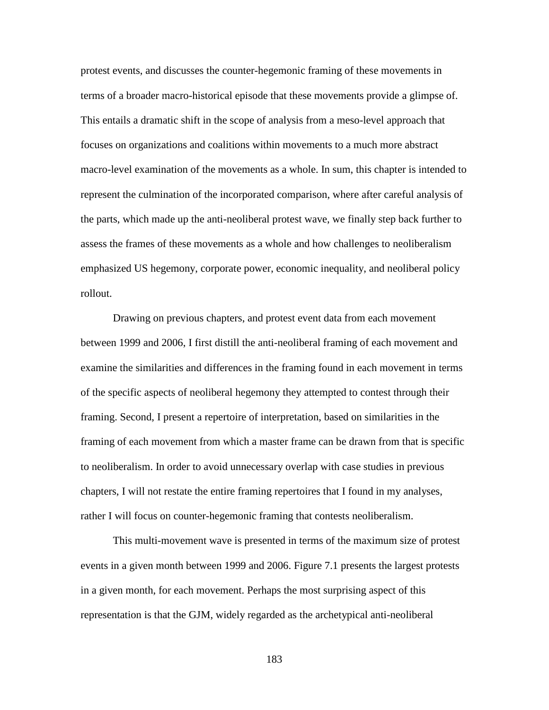protest events, and discusses the counter-hegemonic framing of these movements in terms of a broader macro-historical episode that these movements provide a glimpse of. This entails a dramatic shift in the scope of analysis from a meso-level approach that focuses on organizations and coalitions within movements to a much more abstract macro-level examination of the movements as a whole. In sum, this chapter is intended to represent the culmination of the incorporated comparison, where after careful analysis of the parts, which made up the anti-neoliberal protest wave, we finally step back further to assess the frames of these movements as a whole and how challenges to neoliberalism emphasized US hegemony, corporate power, economic inequality, and neoliberal policy rollout.

Drawing on previous chapters, and protest event data from each movement between 1999 and 2006, I first distill the anti-neoliberal framing of each movement and examine the similarities and differences in the framing found in each movement in terms of the specific aspects of neoliberal hegemony they attempted to contest through their framing. Second, I present a repertoire of interpretation, based on similarities in the framing of each movement from which a master frame can be drawn from that is specific to neoliberalism. In order to avoid unnecessary overlap with case studies in previous chapters, I will not restate the entire framing repertoires that I found in my analyses, rather I will focus on counter-hegemonic framing that contests neoliberalism.

This multi-movement wave is presented in terms of the maximum size of protest events in a given month between 1999 and 2006. Figure 7.1 presents the largest protests in a given month, for each movement. Perhaps the most surprising aspect of this representation is that the GJM, widely regarded as the archetypical anti-neoliberal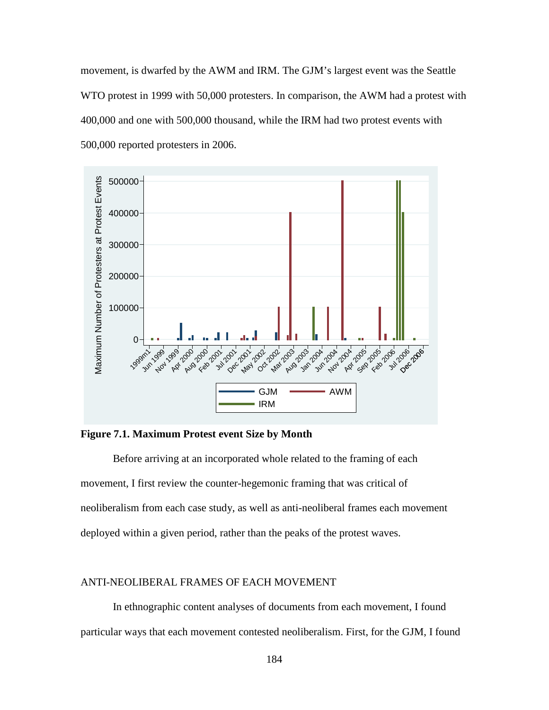movement, is dwarfed by the AWM and IRM. The GJM's largest event was the Seattle WTO protest in 1999 with 50,000 protesters. In comparison, the AWM had a protest with 400,000 and one with 500,000 thousand, while the IRM had two protest events with 500,000 reported protesters in 2006.



**Figure 7.1. Maximum Protest event Size by Month**

Before arriving at an incorporated whole related to the framing of each movement, I first review the counter-hegemonic framing that was critical of neoliberalism from each case study, as well as anti-neoliberal frames each movement deployed within a given period, rather than the peaks of the protest waves.

# ANTI-NEOLIBERAL FRAMES OF EACH MOVEMENT

In ethnographic content analyses of documents from each movement, I found particular ways that each movement contested neoliberalism. First, for the GJM, I found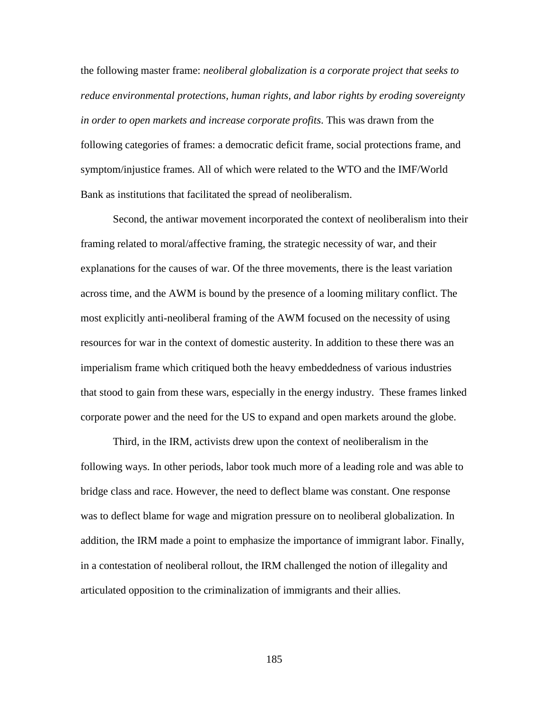the following master frame: *neoliberal globalization is a corporate project that seeks to reduce environmental protections, human rights, and labor rights by eroding sovereignty in order to open markets and increase corporate profits*. This was drawn from the following categories of frames: a democratic deficit frame, social protections frame, and symptom/injustice frames. All of which were related to the WTO and the IMF/World Bank as institutions that facilitated the spread of neoliberalism.

Second, the antiwar movement incorporated the context of neoliberalism into their framing related to moral/affective framing, the strategic necessity of war, and their explanations for the causes of war. Of the three movements, there is the least variation across time, and the AWM is bound by the presence of a looming military conflict. The most explicitly anti-neoliberal framing of the AWM focused on the necessity of using resources for war in the context of domestic austerity. In addition to these there was an imperialism frame which critiqued both the heavy embeddedness of various industries that stood to gain from these wars, especially in the energy industry. These frames linked corporate power and the need for the US to expand and open markets around the globe.

Third, in the IRM, activists drew upon the context of neoliberalism in the following ways. In other periods, labor took much more of a leading role and was able to bridge class and race. However, the need to deflect blame was constant. One response was to deflect blame for wage and migration pressure on to neoliberal globalization. In addition, the IRM made a point to emphasize the importance of immigrant labor. Finally, in a contestation of neoliberal rollout, the IRM challenged the notion of illegality and articulated opposition to the criminalization of immigrants and their allies.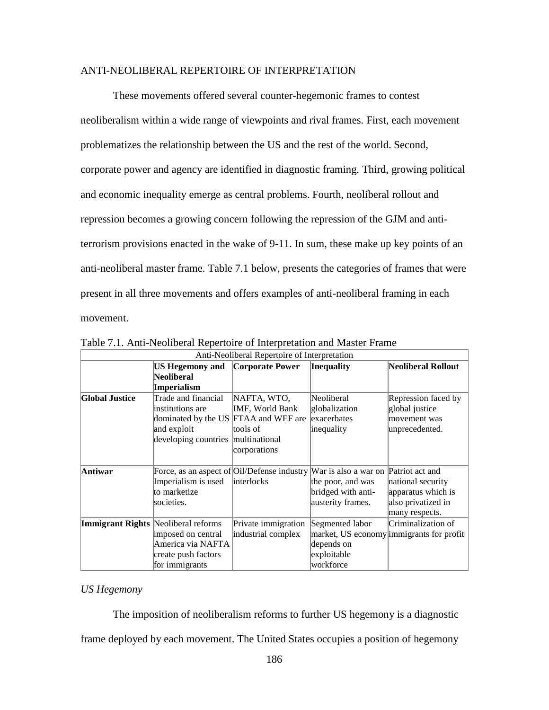## ANTI-NEOLIBERAL REPERTOIRE OF INTERPRETATION

These movements offered several counter-hegemonic frames to contest neoliberalism within a wide range of viewpoints and rival frames. First, each movement problematizes the relationship between the US and the rest of the world. Second, corporate power and agency are identified in diagnostic framing. Third, growing political and economic inequality emerge as central problems. Fourth, neoliberal rollout and repression becomes a growing concern following the repression of the GJM and antiterrorism provisions enacted in the wake of 9-11. In sum, these make up key points of an anti-neoliberal master frame. Table 7.1 below, presents the categories of frames that were present in all three movements and offers examples of anti-neoliberal framing in each movement.

| Anti-Neoliberal Repertoire of Interpretation |                                                                                  |                     |                    |                                          |  |  |
|----------------------------------------------|----------------------------------------------------------------------------------|---------------------|--------------------|------------------------------------------|--|--|
|                                              | <b>US Hegemony and</b>                                                           | Corporate Power     | <b>Inequality</b>  | Neoliberal Rollout                       |  |  |
|                                              | Neoliberal                                                                       |                     |                    |                                          |  |  |
|                                              | Imperialism                                                                      |                     |                    |                                          |  |  |
| <b>Global Justice</b>                        | Trade and financial                                                              | NAFTA, WTO,         | Neoliberal         | Repression faced by                      |  |  |
|                                              | linstitutions are                                                                | IMF, World Bank     | globalization      | global justice                           |  |  |
|                                              | dominated by the US FTAA and WEF are                                             |                     | exacerbates        | movement was                             |  |  |
|                                              | and exploit                                                                      | tools of            | inequality         | unprecedented.                           |  |  |
|                                              | developing countries multinational                                               |                     |                    |                                          |  |  |
|                                              |                                                                                  | corporations        |                    |                                          |  |  |
|                                              |                                                                                  |                     |                    |                                          |  |  |
| Antiwar                                      | Force, as an aspect of Oil/Defense industry War is also a war on Patriot act and |                     |                    |                                          |  |  |
|                                              | Imperialism is used                                                              | interlocks          | the poor, and was  | national security                        |  |  |
|                                              | to marketize                                                                     |                     | bridged with anti- | apparatus which is                       |  |  |
|                                              | societies.                                                                       |                     | austerity frames.  | also privatized in                       |  |  |
|                                              |                                                                                  |                     |                    | many respects.                           |  |  |
| <b>Immigrant Rights Neoliberal reforms</b>   |                                                                                  | Private immigration | Segmented labor    | Criminalization of                       |  |  |
|                                              | imposed on central                                                               | industrial complex  |                    | market, US economy immigrants for profit |  |  |
|                                              | America via NAFTA                                                                |                     | depends on         |                                          |  |  |
|                                              | create push factors                                                              |                     | exploitable        |                                          |  |  |
|                                              | for immigrants                                                                   |                     | workforce          |                                          |  |  |

Table 7.1. Anti-Neoliberal Repertoire of Interpretation and Master Frame

# *US Hegemony*

The imposition of neoliberalism reforms to further US hegemony is a diagnostic frame deployed by each movement. The United States occupies a position of hegemony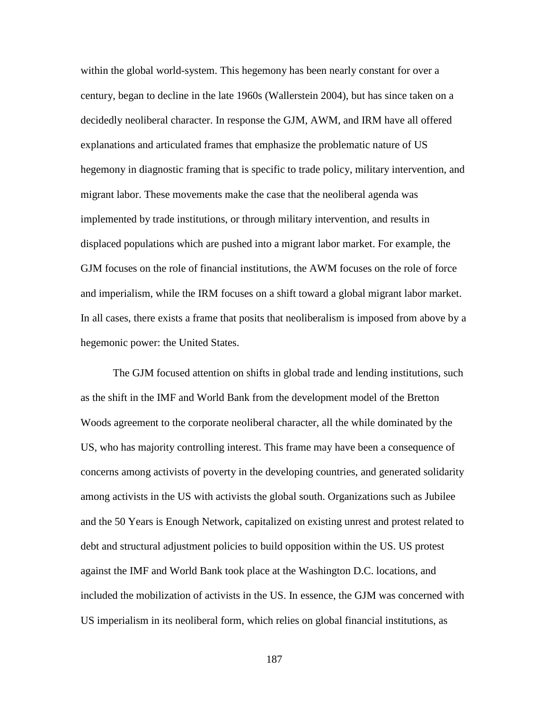within the global world-system. This hegemony has been nearly constant for over a century, began to decline in the late 1960s (Wallerstein 2004), but has since taken on a decidedly neoliberal character. In response the GJM, AWM, and IRM have all offered explanations and articulated frames that emphasize the problematic nature of US hegemony in diagnostic framing that is specific to trade policy, military intervention, and migrant labor. These movements make the case that the neoliberal agenda was implemented by trade institutions, or through military intervention, and results in displaced populations which are pushed into a migrant labor market. For example, the GJM focuses on the role of financial institutions, the AWM focuses on the role of force and imperialism, while the IRM focuses on a shift toward a global migrant labor market. In all cases, there exists a frame that posits that neoliberalism is imposed from above by a hegemonic power: the United States.

The GJM focused attention on shifts in global trade and lending institutions, such as the shift in the IMF and World Bank from the development model of the Bretton Woods agreement to the corporate neoliberal character, all the while dominated by the US, who has majority controlling interest. This frame may have been a consequence of concerns among activists of poverty in the developing countries, and generated solidarity among activists in the US with activists the global south. Organizations such as Jubilee and the 50 Years is Enough Network, capitalized on existing unrest and protest related to debt and structural adjustment policies to build opposition within the US. US protest against the IMF and World Bank took place at the Washington D.C. locations, and included the mobilization of activists in the US. In essence, the GJM was concerned with US imperialism in its neoliberal form, which relies on global financial institutions, as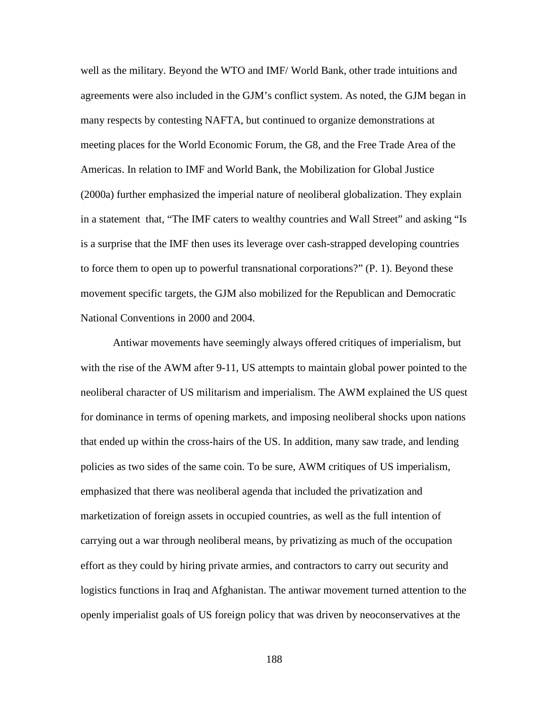well as the military. Beyond the WTO and IMF/ World Bank, other trade intuitions and agreements were also included in the GJM's conflict system. As noted, the GJM began in many respects by contesting NAFTA, but continued to organize demonstrations at meeting places for the World Economic Forum, the G8, and the Free Trade Area of the Americas. In relation to IMF and World Bank, the Mobilization for Global Justice (2000a) further emphasized the imperial nature of neoliberal globalization. They explain in a statement that, "The IMF caters to wealthy countries and Wall Street" and asking "Is is a surprise that the IMF then uses its leverage over cash-strapped developing countries to force them to open up to powerful transnational corporations?" (P. 1). Beyond these movement specific targets, the GJM also mobilized for the Republican and Democratic National Conventions in 2000 and 2004.

Antiwar movements have seemingly always offered critiques of imperialism, but with the rise of the AWM after 9-11, US attempts to maintain global power pointed to the neoliberal character of US militarism and imperialism. The AWM explained the US quest for dominance in terms of opening markets, and imposing neoliberal shocks upon nations that ended up within the cross-hairs of the US. In addition, many saw trade, and lending policies as two sides of the same coin. To be sure, AWM critiques of US imperialism, emphasized that there was neoliberal agenda that included the privatization and marketization of foreign assets in occupied countries, as well as the full intention of carrying out a war through neoliberal means, by privatizing as much of the occupation effort as they could by hiring private armies, and contractors to carry out security and logistics functions in Iraq and Afghanistan. The antiwar movement turned attention to the openly imperialist goals of US foreign policy that was driven by neoconservatives at the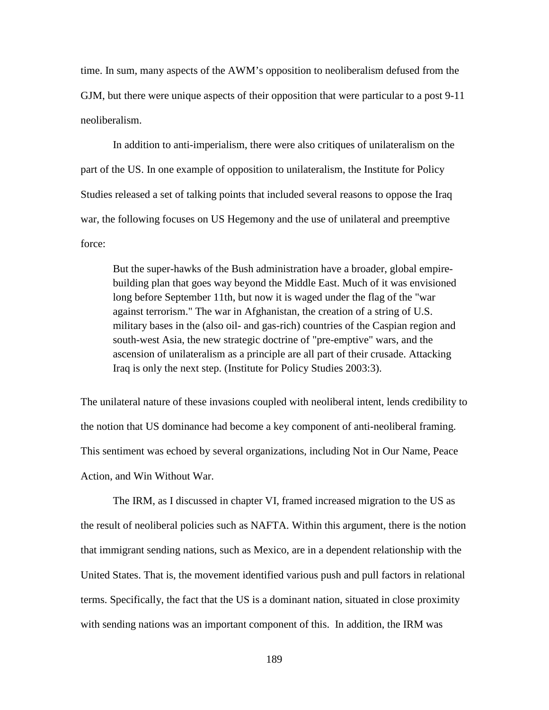time. In sum, many aspects of the AWM's opposition to neoliberalism defused from the GJM, but there were unique aspects of their opposition that were particular to a post 9-11 neoliberalism.

In addition to anti-imperialism, there were also critiques of unilateralism on the part of the US. In one example of opposition to unilateralism, the Institute for Policy Studies released a set of talking points that included several reasons to oppose the Iraq war, the following focuses on US Hegemony and the use of unilateral and preemptive force:

But the super-hawks of the Bush administration have a broader, global empirebuilding plan that goes way beyond the Middle East. Much of it was envisioned long before September 11th, but now it is waged under the flag of the "war against terrorism." The war in Afghanistan, the creation of a string of U.S. military bases in the (also oil- and gas-rich) countries of the Caspian region and south-west Asia, the new strategic doctrine of "pre-emptive" wars, and the ascension of unilateralism as a principle are all part of their crusade. Attacking Iraq is only the next step. (Institute for Policy Studies 2003:3).

The unilateral nature of these invasions coupled with neoliberal intent, lends credibility to the notion that US dominance had become a key component of anti-neoliberal framing. This sentiment was echoed by several organizations, including Not in Our Name, Peace Action, and Win Without War.

The IRM, as I discussed in chapter VI, framed increased migration to the US as the result of neoliberal policies such as NAFTA. Within this argument, there is the notion that immigrant sending nations, such as Mexico, are in a dependent relationship with the United States. That is, the movement identified various push and pull factors in relational terms. Specifically, the fact that the US is a dominant nation, situated in close proximity with sending nations was an important component of this. In addition, the IRM was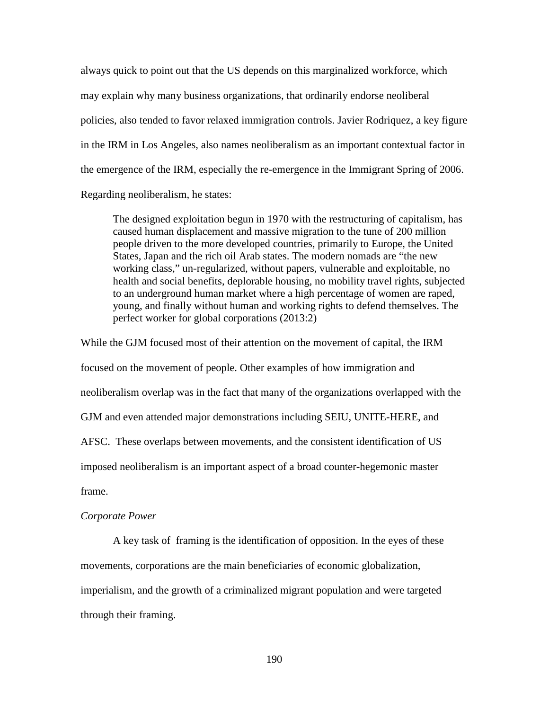always quick to point out that the US depends on this marginalized workforce, which may explain why many business organizations, that ordinarily endorse neoliberal policies, also tended to favor relaxed immigration controls. Javier Rodriquez, a key figure in the IRM in Los Angeles, also names neoliberalism as an important contextual factor in the emergence of the IRM, especially the re-emergence in the Immigrant Spring of 2006. Regarding neoliberalism, he states:

The designed exploitation begun in 1970 with the restructuring of capitalism, has caused human displacement and massive migration to the tune of 200 million people driven to the more developed countries, primarily to Europe, the United States, Japan and the rich oil Arab states. The modern nomads are "the new working class," un-regularized, without papers, vulnerable and exploitable, no health and social benefits, deplorable housing, no mobility travel rights, subjected to an underground human market where a high percentage of women are raped, young, and finally without human and working rights to defend themselves. The perfect worker for global corporations (2013:2)

While the GJM focused most of their attention on the movement of capital, the IRM focused on the movement of people. Other examples of how immigration and neoliberalism overlap was in the fact that many of the organizations overlapped with the GJM and even attended major demonstrations including SEIU, UNITE-HERE, and AFSC. These overlaps between movements, and the consistent identification of US imposed neoliberalism is an important aspect of a broad counter-hegemonic master frame.

#### *Corporate Power*

A key task of framing is the identification of opposition. In the eyes of these movements, corporations are the main beneficiaries of economic globalization, imperialism, and the growth of a criminalized migrant population and were targeted through their framing.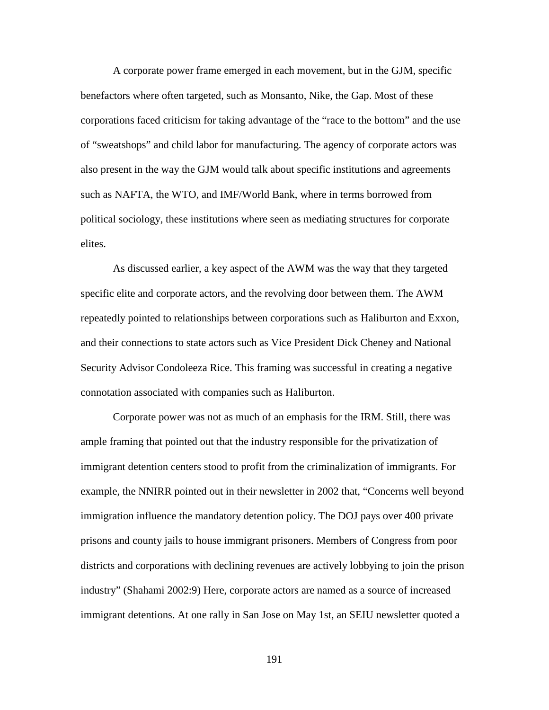A corporate power frame emerged in each movement, but in the GJM, specific benefactors where often targeted, such as Monsanto, Nike, the Gap. Most of these corporations faced criticism for taking advantage of the "race to the bottom" and the use of "sweatshops" and child labor for manufacturing. The agency of corporate actors was also present in the way the GJM would talk about specific institutions and agreements such as NAFTA, the WTO, and IMF/World Bank, where in terms borrowed from political sociology, these institutions where seen as mediating structures for corporate elites.

As discussed earlier, a key aspect of the AWM was the way that they targeted specific elite and corporate actors, and the revolving door between them. The AWM repeatedly pointed to relationships between corporations such as Haliburton and Exxon, and their connections to state actors such as Vice President Dick Cheney and National Security Advisor Condoleeza Rice. This framing was successful in creating a negative connotation associated with companies such as Haliburton.

Corporate power was not as much of an emphasis for the IRM. Still, there was ample framing that pointed out that the industry responsible for the privatization of immigrant detention centers stood to profit from the criminalization of immigrants. For example, the NNIRR pointed out in their newsletter in 2002 that, "Concerns well beyond immigration influence the mandatory detention policy. The DOJ pays over 400 private prisons and county jails to house immigrant prisoners. Members of Congress from poor districts and corporations with declining revenues are actively lobbying to join the prison industry" (Shahami 2002:9) Here, corporate actors are named as a source of increased immigrant detentions. At one rally in San Jose on May 1st, an SEIU newsletter quoted a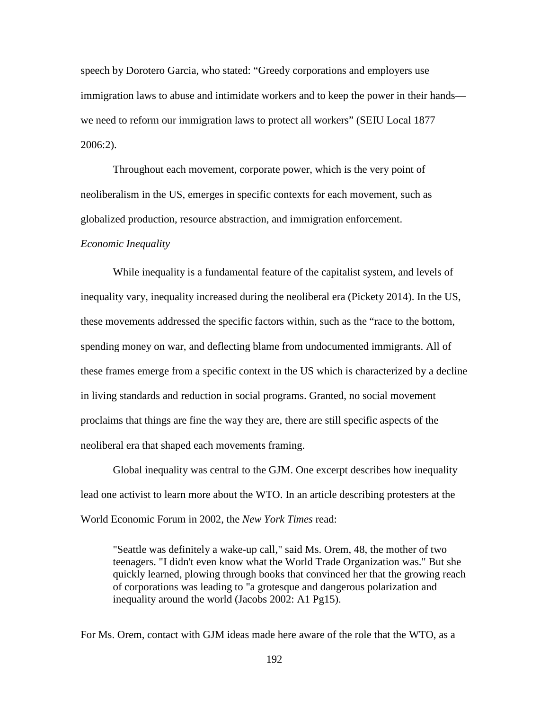speech by Dorotero Garcia, who stated: "Greedy corporations and employers use immigration laws to abuse and intimidate workers and to keep the power in their hands we need to reform our immigration laws to protect all workers" (SEIU Local 1877 2006:2).

Throughout each movement, corporate power, which is the very point of neoliberalism in the US, emerges in specific contexts for each movement, such as globalized production, resource abstraction, and immigration enforcement.

#### *Economic Inequality*

While inequality is a fundamental feature of the capitalist system, and levels of inequality vary, inequality increased during the neoliberal era (Pickety 2014). In the US, these movements addressed the specific factors within, such as the "race to the bottom, spending money on war, and deflecting blame from undocumented immigrants. All of these frames emerge from a specific context in the US which is characterized by a decline in living standards and reduction in social programs. Granted, no social movement proclaims that things are fine the way they are, there are still specific aspects of the neoliberal era that shaped each movements framing.

Global inequality was central to the GJM. One excerpt describes how inequality lead one activist to learn more about the WTO. In an article describing protesters at the World Economic Forum in 2002, the *New York Times* read:

"Seattle was definitely a wake-up call," said Ms. Orem, 48, the mother of two teenagers. "I didn't even know what the World Trade Organization was." But she quickly learned, plowing through books that convinced her that the growing reach of corporations was leading to "a grotesque and dangerous polarization and inequality around the world (Jacobs 2002: A1 Pg15).

For Ms. Orem, contact with GJM ideas made here aware of the role that the WTO, as a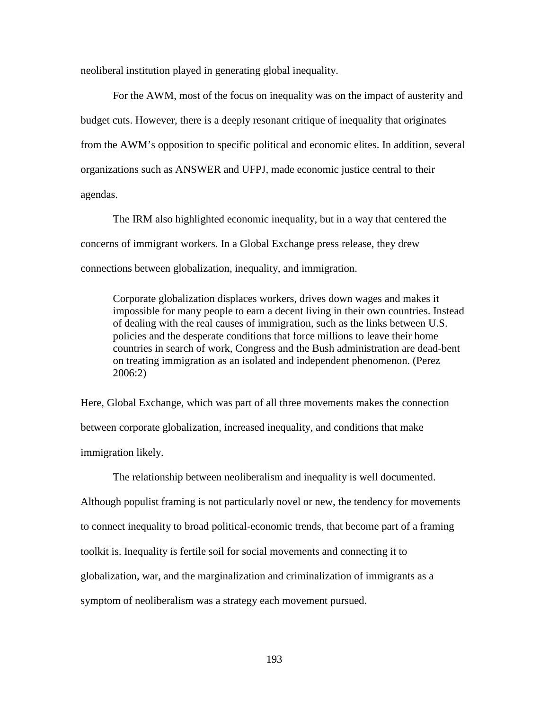neoliberal institution played in generating global inequality.

For the AWM, most of the focus on inequality was on the impact of austerity and budget cuts. However, there is a deeply resonant critique of inequality that originates from the AWM's opposition to specific political and economic elites. In addition, several organizations such as ANSWER and UFPJ, made economic justice central to their agendas.

The IRM also highlighted economic inequality, but in a way that centered the concerns of immigrant workers. In a Global Exchange press release, they drew connections between globalization, inequality, and immigration.

Corporate globalization displaces workers, drives down wages and makes it impossible for many people to earn a decent living in their own countries. Instead of dealing with the real causes of immigration, such as the links between U.S. policies and the desperate conditions that force millions to leave their home countries in search of work, Congress and the Bush administration are dead-bent on treating immigration as an isolated and independent phenomenon. (Perez 2006:2)

Here, Global Exchange, which was part of all three movements makes the connection between corporate globalization, increased inequality, and conditions that make immigration likely.

The relationship between neoliberalism and inequality is well documented. Although populist framing is not particularly novel or new, the tendency for movements to connect inequality to broad political-economic trends, that become part of a framing toolkit is. Inequality is fertile soil for social movements and connecting it to globalization, war, and the marginalization and criminalization of immigrants as a symptom of neoliberalism was a strategy each movement pursued.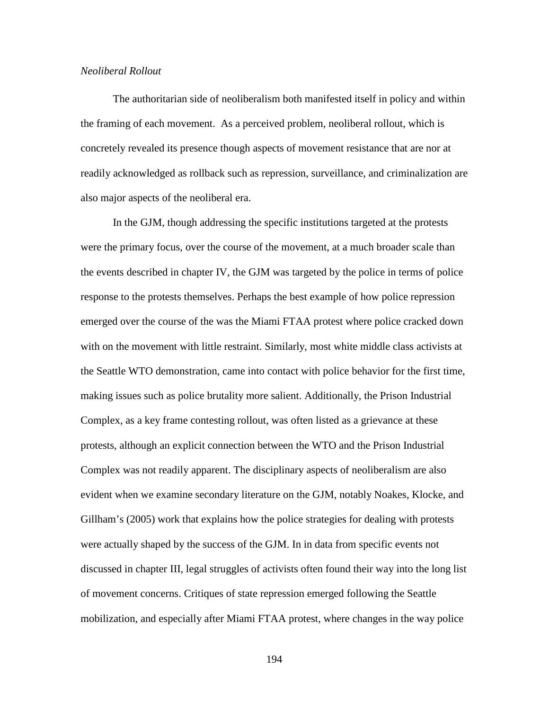## *Neoliberal Rollout*

The authoritarian side of neoliberalism both manifested itself in policy and within the framing of each movement. As a perceived problem, neoliberal rollout, which is concretely revealed its presence though aspects of movement resistance that are nor at readily acknowledged as rollback such as repression, surveillance, and criminalization are also major aspects of the neoliberal era.

In the GJM, though addressing the specific institutions targeted at the protests were the primary focus, over the course of the movement, at a much broader scale than the events described in chapter IV, the GJM was targeted by the police in terms of police response to the protests themselves. Perhaps the best example of how police repression emerged over the course of the was the Miami FTAA protest where police cracked down with on the movement with little restraint. Similarly, most white middle class activists at the Seattle WTO demonstration, came into contact with police behavior for the first time, making issues such as police brutality more salient. Additionally, the Prison Industrial Complex, as a key frame contesting rollout, was often listed as a grievance at these protests, although an explicit connection between the WTO and the Prison Industrial Complex was not readily apparent. The disciplinary aspects of neoliberalism are also evident when we examine secondary literature on the GJM, notably Noakes, Klocke, and Gillham's (2005) work that explains how the police strategies for dealing with protests were actually shaped by the success of the GJM. In in data from specific events not discussed in chapter III, legal struggles of activists often found their way into the long list of movement concerns. Critiques of state repression emerged following the Seattle mobilization, and especially after Miami FTAA protest, where changes in the way police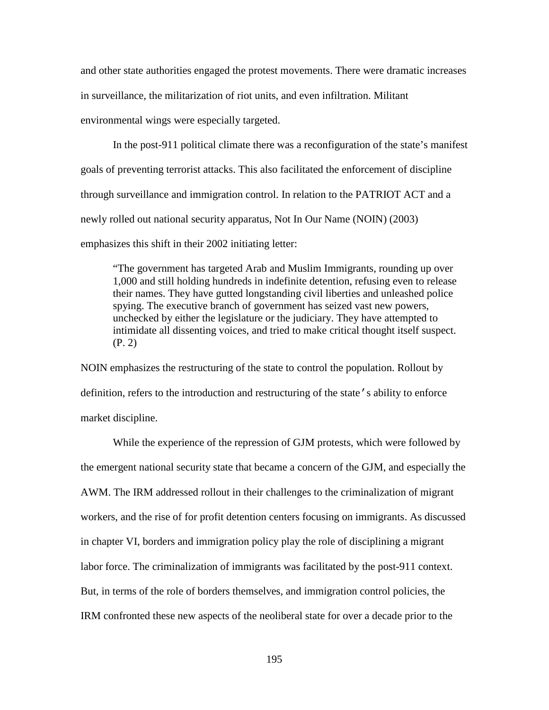and other state authorities engaged the protest movements. There were dramatic increases in surveillance, the militarization of riot units, and even infiltration. Militant environmental wings were especially targeted.

In the post-911 political climate there was a reconfiguration of the state's manifest goals of preventing terrorist attacks. This also facilitated the enforcement of discipline through surveillance and immigration control. In relation to the PATRIOT ACT and a newly rolled out national security apparatus, Not In Our Name (NOIN) (2003) emphasizes this shift in their 2002 initiating letter:

"The government has targeted Arab and Muslim Immigrants, rounding up over 1,000 and still holding hundreds in indefinite detention, refusing even to release their names. They have gutted longstanding civil liberties and unleashed police spying. The executive branch of government has seized vast new powers, unchecked by either the legislature or the judiciary. They have attempted to intimidate all dissenting voices, and tried to make critical thought itself suspect. (P. 2)

NOIN emphasizes the restructuring of the state to control the population. Rollout by definition, refers to the introduction and restructuring of the state's ability to enforce market discipline.

While the experience of the repression of GJM protests, which were followed by the emergent national security state that became a concern of the GJM, and especially the AWM. The IRM addressed rollout in their challenges to the criminalization of migrant workers, and the rise of for profit detention centers focusing on immigrants. As discussed in chapter VI, borders and immigration policy play the role of disciplining a migrant labor force. The criminalization of immigrants was facilitated by the post-911 context. But, in terms of the role of borders themselves, and immigration control policies, the IRM confronted these new aspects of the neoliberal state for over a decade prior to the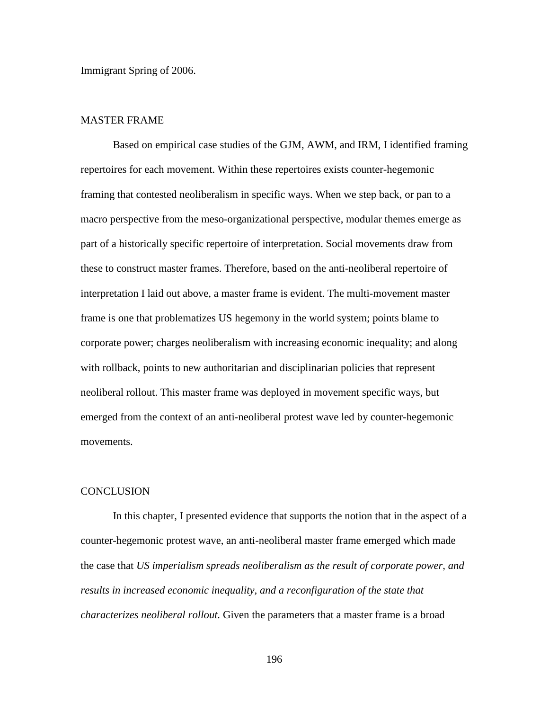Immigrant Spring of 2006.

# MASTER FRAME

Based on empirical case studies of the GJM, AWM, and IRM, I identified framing repertoires for each movement. Within these repertoires exists counter-hegemonic framing that contested neoliberalism in specific ways. When we step back, or pan to a macro perspective from the meso-organizational perspective, modular themes emerge as part of a historically specific repertoire of interpretation. Social movements draw from these to construct master frames. Therefore, based on the anti-neoliberal repertoire of interpretation I laid out above, a master frame is evident. The multi-movement master frame is one that problematizes US hegemony in the world system; points blame to corporate power; charges neoliberalism with increasing economic inequality; and along with rollback, points to new authoritarian and disciplinarian policies that represent neoliberal rollout. This master frame was deployed in movement specific ways, but emerged from the context of an anti-neoliberal protest wave led by counter-hegemonic movements.

#### **CONCLUSION**

In this chapter, I presented evidence that supports the notion that in the aspect of a counter-hegemonic protest wave, an anti-neoliberal master frame emerged which made the case that *US imperialism spreads neoliberalism as the result of corporate power, and results in increased economic inequality, and a reconfiguration of the state that characterizes neoliberal rollout.* Given the parameters that a master frame is a broad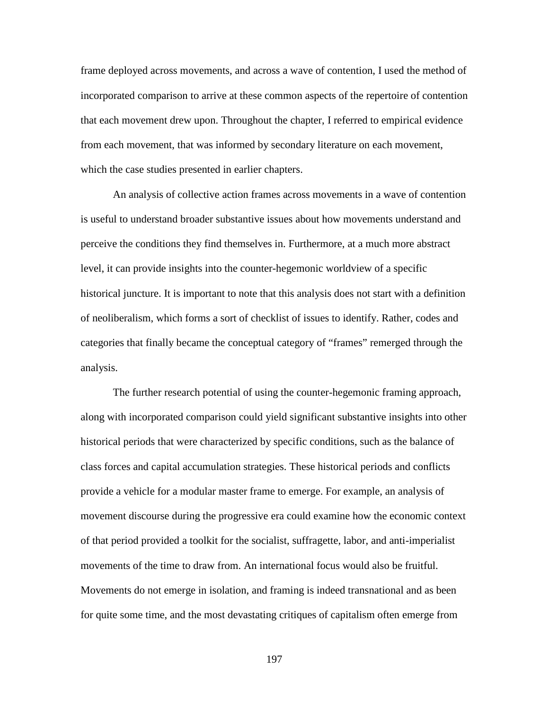frame deployed across movements, and across a wave of contention, I used the method of incorporated comparison to arrive at these common aspects of the repertoire of contention that each movement drew upon. Throughout the chapter, I referred to empirical evidence from each movement, that was informed by secondary literature on each movement, which the case studies presented in earlier chapters.

An analysis of collective action frames across movements in a wave of contention is useful to understand broader substantive issues about how movements understand and perceive the conditions they find themselves in. Furthermore, at a much more abstract level, it can provide insights into the counter-hegemonic worldview of a specific historical juncture. It is important to note that this analysis does not start with a definition of neoliberalism, which forms a sort of checklist of issues to identify. Rather, codes and categories that finally became the conceptual category of "frames" remerged through the analysis.

The further research potential of using the counter-hegemonic framing approach, along with incorporated comparison could yield significant substantive insights into other historical periods that were characterized by specific conditions, such as the balance of class forces and capital accumulation strategies. These historical periods and conflicts provide a vehicle for a modular master frame to emerge. For example, an analysis of movement discourse during the progressive era could examine how the economic context of that period provided a toolkit for the socialist, suffragette, labor, and anti-imperialist movements of the time to draw from. An international focus would also be fruitful. Movements do not emerge in isolation, and framing is indeed transnational and as been for quite some time, and the most devastating critiques of capitalism often emerge from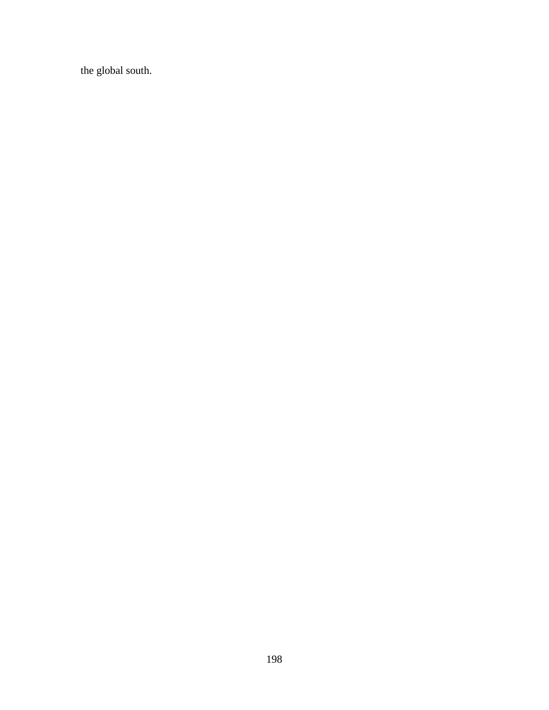the global south.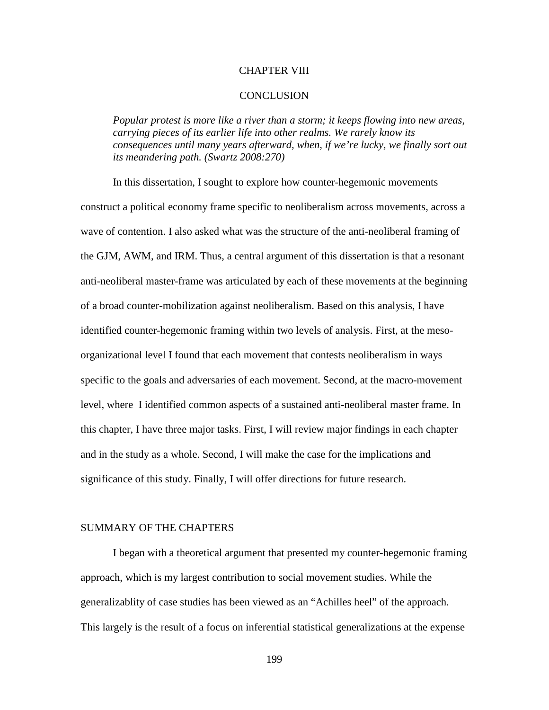### CHAPTER VIII

### **CONCLUSION**

*Popular protest is more like a river than a storm; it keeps flowing into new areas, carrying pieces of its earlier life into other realms. We rarely know its consequences until many years afterward, when, if we're lucky, we finally sort out its meandering path. (Swartz 2008:270)*

In this dissertation, I sought to explore how counter-hegemonic movements construct a political economy frame specific to neoliberalism across movements, across a wave of contention. I also asked what was the structure of the anti-neoliberal framing of the GJM, AWM, and IRM. Thus, a central argument of this dissertation is that a resonant anti-neoliberal master-frame was articulated by each of these movements at the beginning of a broad counter-mobilization against neoliberalism. Based on this analysis, I have identified counter-hegemonic framing within two levels of analysis. First, at the mesoorganizational level I found that each movement that contests neoliberalism in ways specific to the goals and adversaries of each movement. Second, at the macro-movement level, where I identified common aspects of a sustained anti-neoliberal master frame. In this chapter, I have three major tasks. First, I will review major findings in each chapter and in the study as a whole. Second, I will make the case for the implications and significance of this study. Finally, I will offer directions for future research.

# SUMMARY OF THE CHAPTERS

I began with a theoretical argument that presented my counter-hegemonic framing approach, which is my largest contribution to social movement studies. While the generalizablity of case studies has been viewed as an "Achilles heel" of the approach. This largely is the result of a focus on inferential statistical generalizations at the expense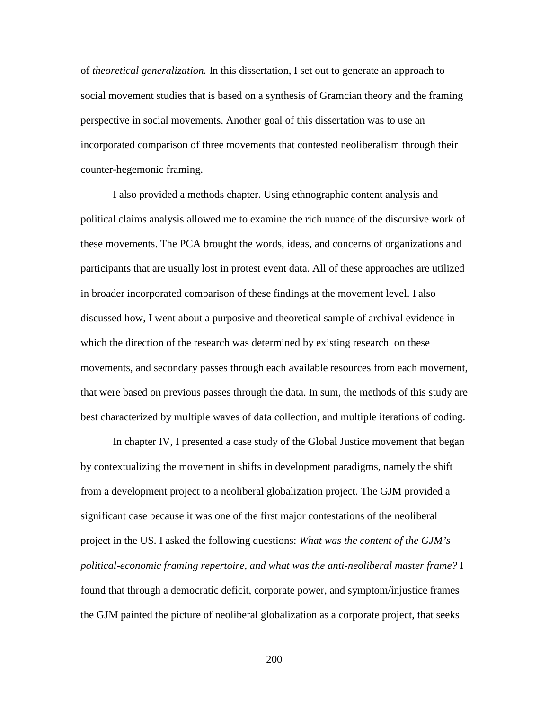of *theoretical generalization.* In this dissertation, I set out to generate an approach to social movement studies that is based on a synthesis of Gramcian theory and the framing perspective in social movements. Another goal of this dissertation was to use an incorporated comparison of three movements that contested neoliberalism through their counter-hegemonic framing.

I also provided a methods chapter. Using ethnographic content analysis and political claims analysis allowed me to examine the rich nuance of the discursive work of these movements. The PCA brought the words, ideas, and concerns of organizations and participants that are usually lost in protest event data. All of these approaches are utilized in broader incorporated comparison of these findings at the movement level. I also discussed how, I went about a purposive and theoretical sample of archival evidence in which the direction of the research was determined by existing research on these movements, and secondary passes through each available resources from each movement, that were based on previous passes through the data. In sum, the methods of this study are best characterized by multiple waves of data collection, and multiple iterations of coding.

In chapter IV, I presented a case study of the Global Justice movement that began by contextualizing the movement in shifts in development paradigms, namely the shift from a development project to a neoliberal globalization project. The GJM provided a significant case because it was one of the first major contestations of the neoliberal project in the US. I asked the following questions: *What was the content of the GJM's political-economic framing repertoire, and what was the anti-neoliberal master frame?* I found that through a democratic deficit, corporate power, and symptom/injustice frames the GJM painted the picture of neoliberal globalization as a corporate project, that seeks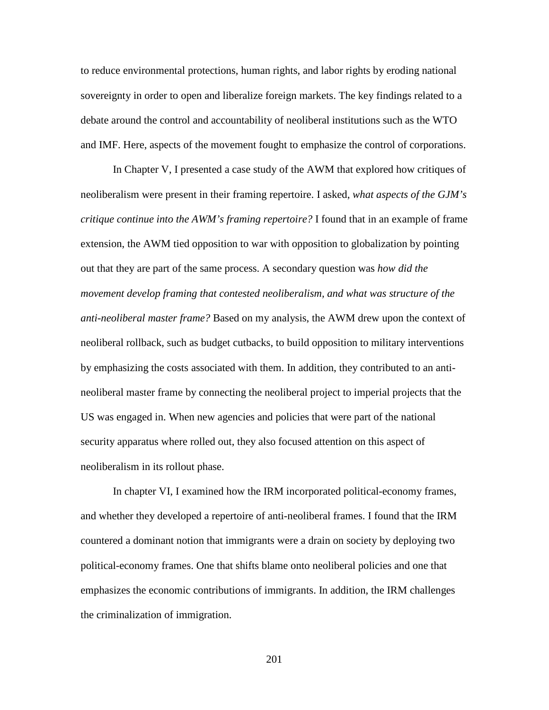to reduce environmental protections, human rights, and labor rights by eroding national sovereignty in order to open and liberalize foreign markets. The key findings related to a debate around the control and accountability of neoliberal institutions such as the WTO and IMF. Here, aspects of the movement fought to emphasize the control of corporations.

In Chapter V, I presented a case study of the AWM that explored how critiques of neoliberalism were present in their framing repertoire. I asked, *what aspects of the GJM's critique continue into the AWM's framing repertoire?* I found that in an example of frame extension, the AWM tied opposition to war with opposition to globalization by pointing out that they are part of the same process. A secondary question was *how did the movement develop framing that contested neoliberalism, and what was structure of the anti-neoliberal master frame?* Based on my analysis, the AWM drew upon the context of neoliberal rollback, such as budget cutbacks, to build opposition to military interventions by emphasizing the costs associated with them. In addition, they contributed to an antineoliberal master frame by connecting the neoliberal project to imperial projects that the US was engaged in. When new agencies and policies that were part of the national security apparatus where rolled out, they also focused attention on this aspect of neoliberalism in its rollout phase.

In chapter VI, I examined how the IRM incorporated political-economy frames, and whether they developed a repertoire of anti-neoliberal frames. I found that the IRM countered a dominant notion that immigrants were a drain on society by deploying two political-economy frames. One that shifts blame onto neoliberal policies and one that emphasizes the economic contributions of immigrants. In addition, the IRM challenges the criminalization of immigration.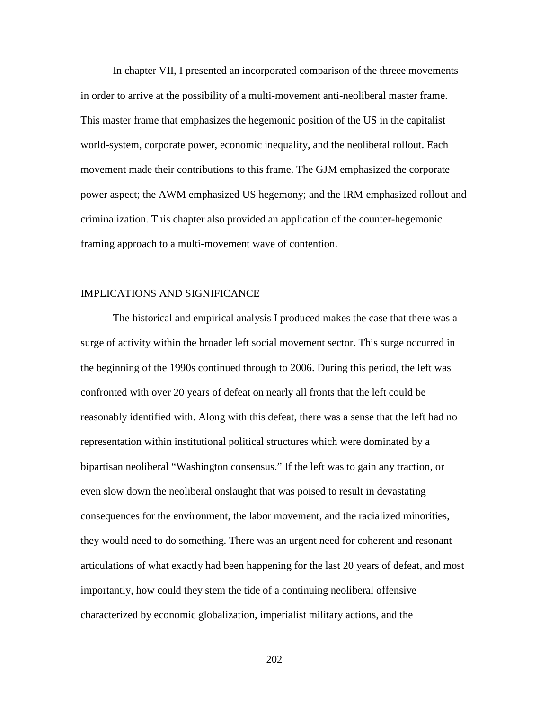In chapter VII, I presented an incorporated comparison of the threee movements in order to arrive at the possibility of a multi-movement anti-neoliberal master frame. This master frame that emphasizes the hegemonic position of the US in the capitalist world-system, corporate power, economic inequality, and the neoliberal rollout. Each movement made their contributions to this frame. The GJM emphasized the corporate power aspect; the AWM emphasized US hegemony; and the IRM emphasized rollout and criminalization. This chapter also provided an application of the counter-hegemonic framing approach to a multi-movement wave of contention.

### IMPLICATIONS AND SIGNIFICANCE

The historical and empirical analysis I produced makes the case that there was a surge of activity within the broader left social movement sector. This surge occurred in the beginning of the 1990s continued through to 2006. During this period, the left was confronted with over 20 years of defeat on nearly all fronts that the left could be reasonably identified with. Along with this defeat, there was a sense that the left had no representation within institutional political structures which were dominated by a bipartisan neoliberal "Washington consensus." If the left was to gain any traction, or even slow down the neoliberal onslaught that was poised to result in devastating consequences for the environment, the labor movement, and the racialized minorities, they would need to do something. There was an urgent need for coherent and resonant articulations of what exactly had been happening for the last 20 years of defeat, and most importantly, how could they stem the tide of a continuing neoliberal offensive characterized by economic globalization, imperialist military actions, and the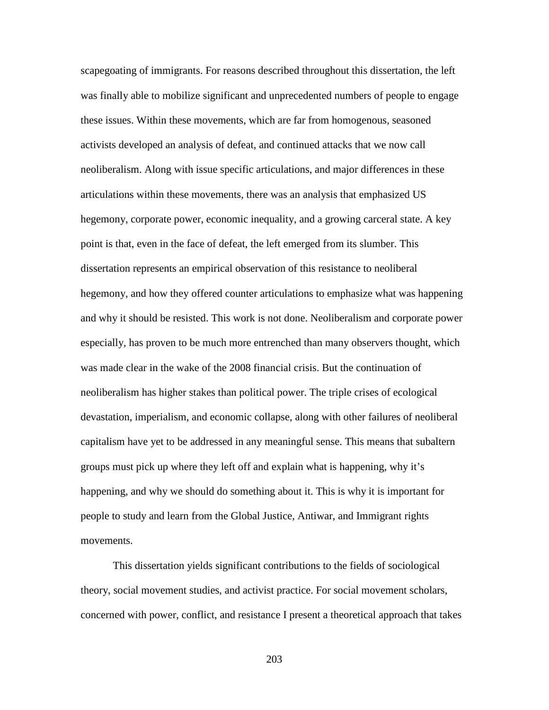scapegoating of immigrants. For reasons described throughout this dissertation, the left was finally able to mobilize significant and unprecedented numbers of people to engage these issues. Within these movements, which are far from homogenous, seasoned activists developed an analysis of defeat, and continued attacks that we now call neoliberalism. Along with issue specific articulations, and major differences in these articulations within these movements, there was an analysis that emphasized US hegemony, corporate power, economic inequality, and a growing carceral state. A key point is that, even in the face of defeat, the left emerged from its slumber. This dissertation represents an empirical observation of this resistance to neoliberal hegemony, and how they offered counter articulations to emphasize what was happening and why it should be resisted. This work is not done. Neoliberalism and corporate power especially, has proven to be much more entrenched than many observers thought, which was made clear in the wake of the 2008 financial crisis. But the continuation of neoliberalism has higher stakes than political power. The triple crises of ecological devastation, imperialism, and economic collapse, along with other failures of neoliberal capitalism have yet to be addressed in any meaningful sense. This means that subaltern groups must pick up where they left off and explain what is happening, why it's happening, and why we should do something about it. This is why it is important for people to study and learn from the Global Justice, Antiwar, and Immigrant rights movements.

This dissertation yields significant contributions to the fields of sociological theory, social movement studies, and activist practice. For social movement scholars, concerned with power, conflict, and resistance I present a theoretical approach that takes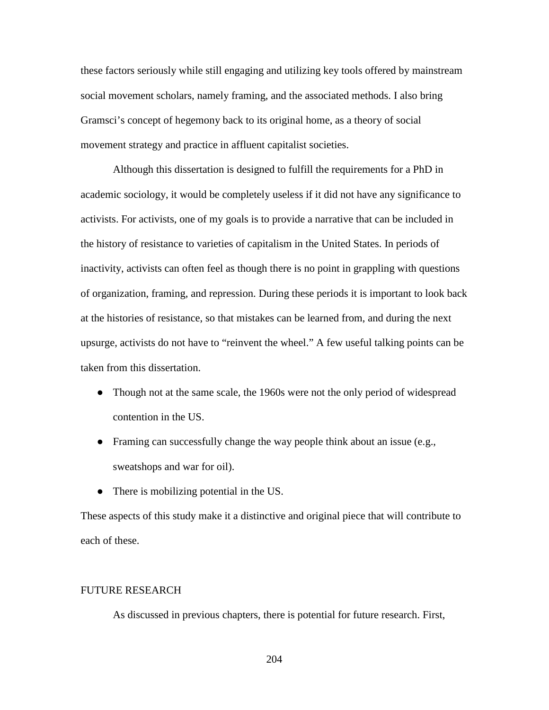these factors seriously while still engaging and utilizing key tools offered by mainstream social movement scholars, namely framing, and the associated methods. I also bring Gramsci's concept of hegemony back to its original home, as a theory of social movement strategy and practice in affluent capitalist societies.

Although this dissertation is designed to fulfill the requirements for a PhD in academic sociology, it would be completely useless if it did not have any significance to activists. For activists, one of my goals is to provide a narrative that can be included in the history of resistance to varieties of capitalism in the United States. In periods of inactivity, activists can often feel as though there is no point in grappling with questions of organization, framing, and repression. During these periods it is important to look back at the histories of resistance, so that mistakes can be learned from, and during the next upsurge, activists do not have to "reinvent the wheel." A few useful talking points can be taken from this dissertation.

- Though not at the same scale, the 1960s were not the only period of widespread contention in the US.
- Framing can successfully change the way people think about an issue (e.g., sweatshops and war for oil).
- There is mobilizing potential in the US.

These aspects of this study make it a distinctive and original piece that will contribute to each of these.

### FUTURE RESEARCH

As discussed in previous chapters, there is potential for future research. First,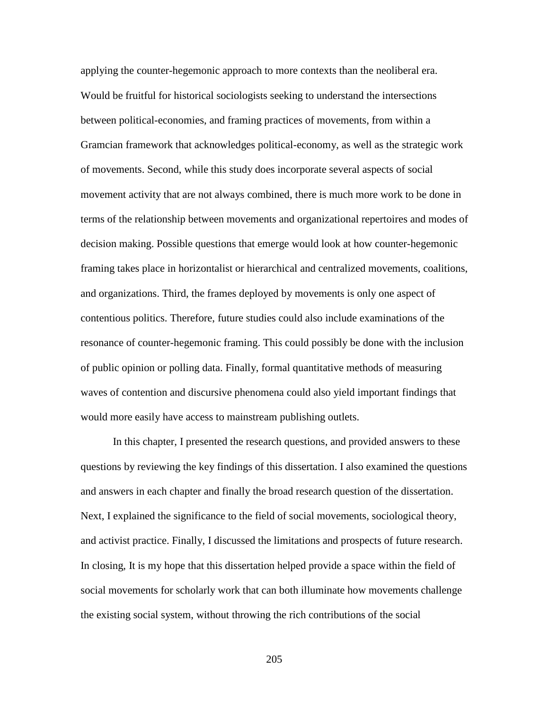applying the counter-hegemonic approach to more contexts than the neoliberal era. Would be fruitful for historical sociologists seeking to understand the intersections between political-economies, and framing practices of movements, from within a Gramcian framework that acknowledges political-economy, as well as the strategic work of movements. Second, while this study does incorporate several aspects of social movement activity that are not always combined, there is much more work to be done in terms of the relationship between movements and organizational repertoires and modes of decision making. Possible questions that emerge would look at how counter-hegemonic framing takes place in horizontalist or hierarchical and centralized movements, coalitions, and organizations. Third, the frames deployed by movements is only one aspect of contentious politics. Therefore, future studies could also include examinations of the resonance of counter-hegemonic framing. This could possibly be done with the inclusion of public opinion or polling data. Finally, formal quantitative methods of measuring waves of contention and discursive phenomena could also yield important findings that would more easily have access to mainstream publishing outlets.

In this chapter, I presented the research questions, and provided answers to these questions by reviewing the key findings of this dissertation. I also examined the questions and answers in each chapter and finally the broad research question of the dissertation. Next, I explained the significance to the field of social movements, sociological theory, and activist practice. Finally, I discussed the limitations and prospects of future research. In closing, It is my hope that this dissertation helped provide a space within the field of social movements for scholarly work that can both illuminate how movements challenge the existing social system, without throwing the rich contributions of the social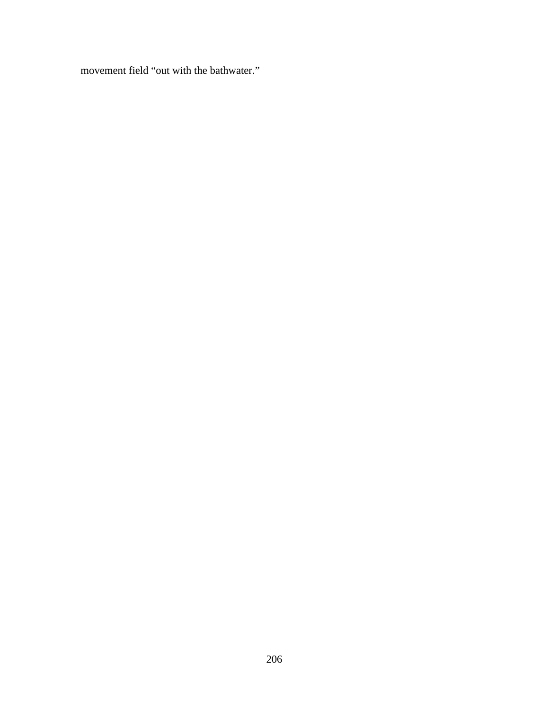movement field "out with the bathwater."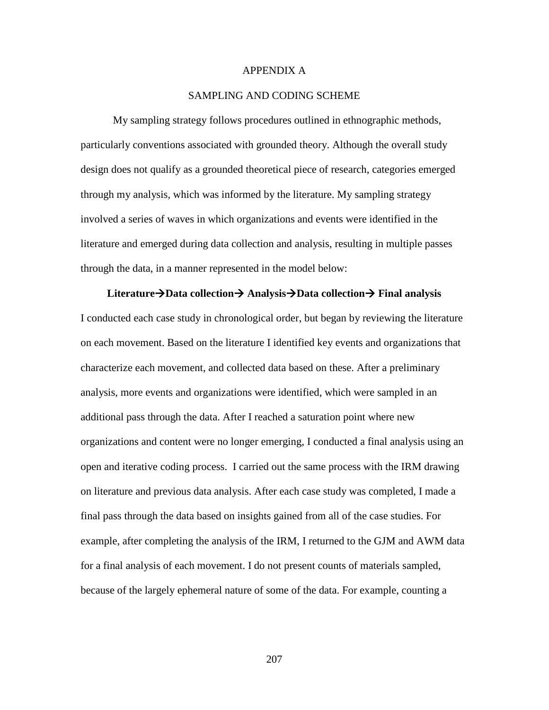### APPENDIX A

### SAMPLING AND CODING SCHEME

My sampling strategy follows procedures outlined in ethnographic methods, particularly conventions associated with grounded theory. Although the overall study design does not qualify as a grounded theoretical piece of research, categories emerged through my analysis, which was informed by the literature. My sampling strategy involved a series of waves in which organizations and events were identified in the literature and emerged during data collection and analysis, resulting in multiple passes through the data, in a manner represented in the model below:

### **LiteratureData collection AnalysisData collection Final analysis**

I conducted each case study in chronological order, but began by reviewing the literature on each movement. Based on the literature I identified key events and organizations that characterize each movement, and collected data based on these. After a preliminary analysis, more events and organizations were identified, which were sampled in an additional pass through the data. After I reached a saturation point where new organizations and content were no longer emerging, I conducted a final analysis using an open and iterative coding process. I carried out the same process with the IRM drawing on literature and previous data analysis. After each case study was completed, I made a final pass through the data based on insights gained from all of the case studies. For example, after completing the analysis of the IRM, I returned to the GJM and AWM data for a final analysis of each movement. I do not present counts of materials sampled, because of the largely ephemeral nature of some of the data. For example, counting a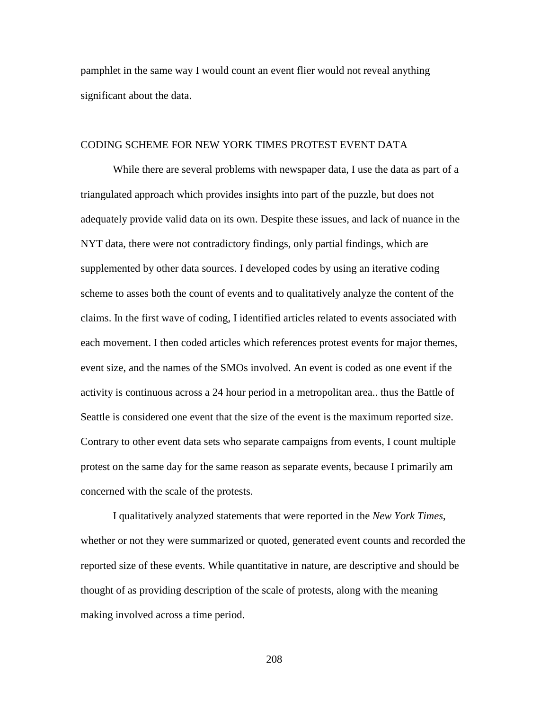pamphlet in the same way I would count an event flier would not reveal anything significant about the data.

### CODING SCHEME FOR NEW YORK TIMES PROTEST EVENT DATA

While there are several problems with newspaper data, I use the data as part of a triangulated approach which provides insights into part of the puzzle, but does not adequately provide valid data on its own. Despite these issues, and lack of nuance in the NYT data, there were not contradictory findings, only partial findings, which are supplemented by other data sources. I developed codes by using an iterative coding scheme to asses both the count of events and to qualitatively analyze the content of the claims. In the first wave of coding, I identified articles related to events associated with each movement. I then coded articles which references protest events for major themes, event size, and the names of the SMOs involved. An event is coded as one event if the activity is continuous across a 24 hour period in a metropolitan area.. thus the Battle of Seattle is considered one event that the size of the event is the maximum reported size. Contrary to other event data sets who separate campaigns from events, I count multiple protest on the same day for the same reason as separate events, because I primarily am concerned with the scale of the protests.

I qualitatively analyzed statements that were reported in the *New York Times*, whether or not they were summarized or quoted, generated event counts and recorded the reported size of these events. While quantitative in nature, are descriptive and should be thought of as providing description of the scale of protests, along with the meaning making involved across a time period.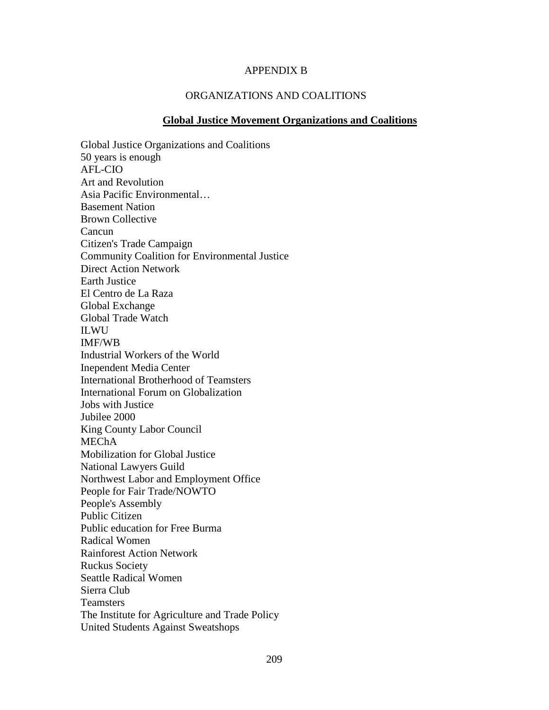## APPENDIX B

# ORGANIZATIONS AND COALITIONS

#### **Global Justice Movement Organizations and Coalitions**

Global Justice Organizations and Coalitions 50 years is enough AFL-CIO Art and Revolution Asia Pacific Environmental… Basement Nation Brown Collective Cancun Citizen's Trade Campaign Community Coalition for Environmental Justice Direct Action Network Earth Justice El Centro de La Raza Global Exchange Global Trade Watch ILWU IMF/WB Industrial Workers of the World Inependent Media Center International Brotherhood of Teamsters International Forum on Globalization Jobs with Justice Jubilee 2000 King County Labor Council MEChA Mobilization for Global Justice National Lawyers Guild Northwest Labor and Employment Office People for Fair Trade/NOWTO People's Assembly Public Citizen Public education for Free Burma Radical Women Rainforest Action Network Ruckus Society Seattle Radical Women Sierra Club Teamsters The Institute for Agriculture and Trade Policy United Students Against Sweatshops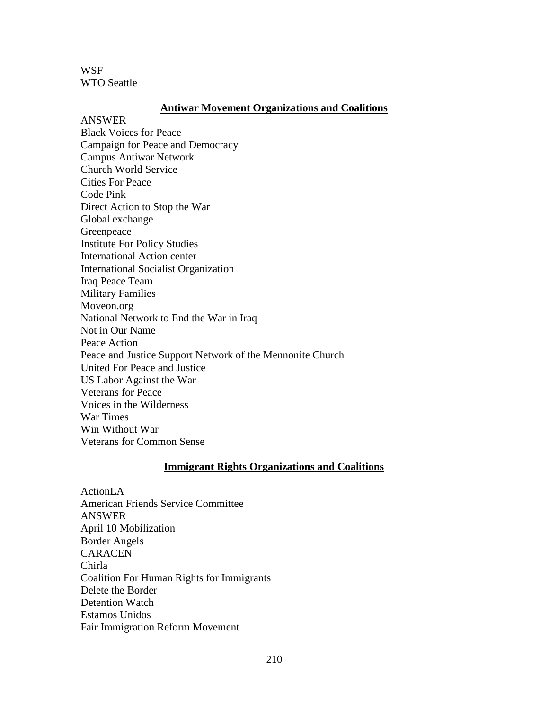**WSF** WTO Seattle

### **Antiwar Movement Organizations and Coalitions**

ANSWER Black Voices for Peace Campaign for Peace and Democracy Campus Antiwar Network Church World Service Cities For Peace Code Pink Direct Action to Stop the War Global exchange Greenpeace Institute For Policy Studies International Action center International Socialist Organization Iraq Peace Team Military Families Moveon.org National Network to End the War in Iraq Not in Our Name Peace Action Peace and Justice Support Network of the Mennonite Church United For Peace and Justice US Labor Against the War Veterans for Peace Voices in the Wilderness War Times Win Without War Veterans for Common Sense

### **Immigrant Rights Organizations and Coalitions**

ActionLA American Friends Service Committee ANSWER April 10 Mobilization Border Angels CARACEN Chirla Coalition For Human Rights for Immigrants Delete the Border Detention Watch Estamos Unidos Fair Immigration Reform Movement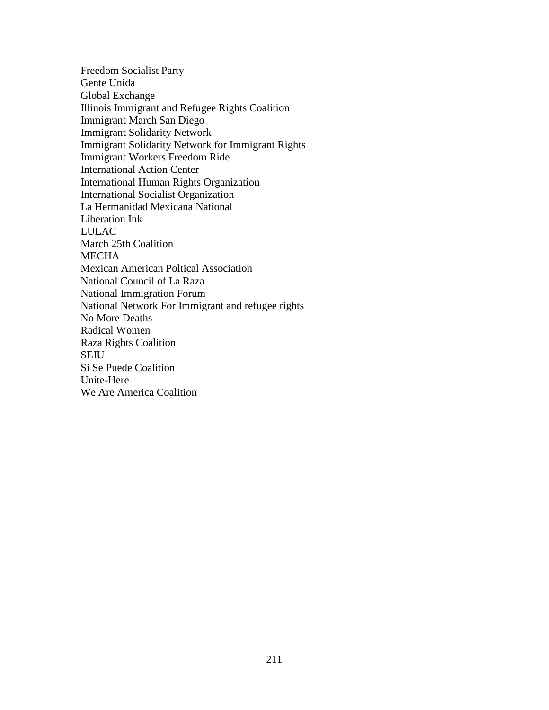Freedom Socialist Party Gente Unida Global Exchange Illinois Immigrant and Refugee Rights Coalition Immigrant March San Diego Immigrant Solidarity Network Immigrant Solidarity Network for Immigrant Rights Immigrant Workers Freedom Ride International Action Center International Human Rights Organization International Socialist Organization La Hermanidad Mexicana National Liberation Ink LULAC March 25th Coalition **MECHA** Mexican American Poltical Association National Council of La Raza National Immigration Forum National Network For Immigrant and refugee rights No More Deaths Radical Women Raza Rights Coalition SEIU Si Se Puede Coalition Unite-Here We Are America Coalition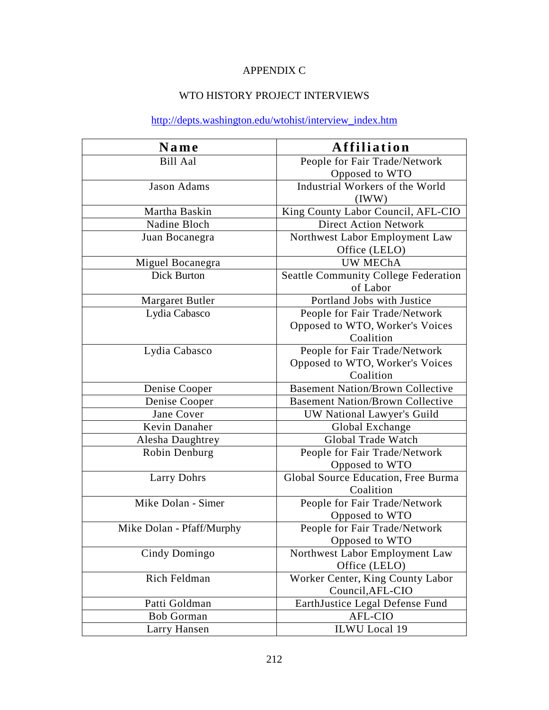# APPENDIX C

# WTO HISTORY PROJECT INTERVIEWS

# [http://depts.washington.edu/wtohist/interview\\_index.htm](http://depts.washington.edu/wtohist/interview_index.htm)

| Name                      | Affiliation                                 |
|---------------------------|---------------------------------------------|
| <b>Bill Aal</b>           | People for Fair Trade/Network               |
|                           | Opposed to WTO                              |
| Jason Adams               | Industrial Workers of the World             |
|                           | (IWW)                                       |
| Martha Baskin             | King County Labor Council, AFL-CIO          |
| Nadine Bloch              | <b>Direct Action Network</b>                |
| Juan Bocanegra            | Northwest Labor Employment Law              |
|                           | Office (LELO)                               |
| Miguel Bocanegra          | <b>UW MEChA</b>                             |
| <b>Dick Burton</b>        | <b>Seattle Community College Federation</b> |
|                           | of Labor                                    |
| Margaret Butler           | Portland Jobs with Justice                  |
| Lydia Cabasco             | People for Fair Trade/Network               |
|                           | Opposed to WTO, Worker's Voices             |
|                           | Coalition                                   |
| Lydia Cabasco             | People for Fair Trade/Network               |
|                           | Opposed to WTO, Worker's Voices             |
|                           | Coalition                                   |
| Denise Cooper             | <b>Basement Nation/Brown Collective</b>     |
| Denise Cooper             | <b>Basement Nation/Brown Collective</b>     |
| Jane Cover                | UW National Lawyer's Guild                  |
| Kevin Danaher             | Global Exchange                             |
| Alesha Daughtrey          | Global Trade Watch                          |
| Robin Denburg             | People for Fair Trade/Network               |
|                           | Opposed to WTO                              |
| <b>Larry Dohrs</b>        | Global Source Education, Free Burma         |
|                           | Coalition                                   |
| Mike Dolan - Simer        | People for Fair Trade/Network               |
|                           | Opposed to WTO                              |
| Mike Dolan - Pfaff/Murphy | People for Fair Trade/Network               |
|                           | Opposed to WTO                              |
| Cindy Domingo             | Northwest Labor Employment Law              |
|                           | Office (LELO)                               |
| Rich Feldman              | Worker Center, King County Labor            |
|                           | Council, AFL-CIO                            |
| Patti Goldman             | EarthJustice Legal Defense Fund             |
| <b>Bob Gorman</b>         | AFL-CIO                                     |
| Larry Hansen              | <b>ILWU</b> Local 19                        |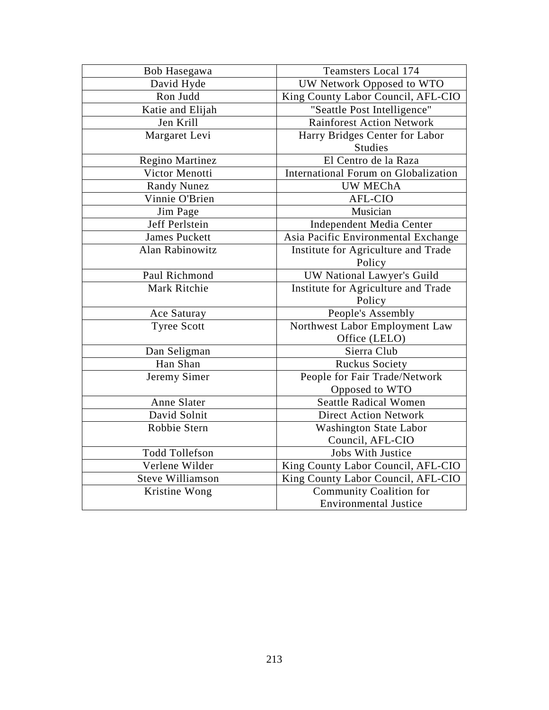| Bob Hasegawa            | <b>Teamsters Local 174</b>           |
|-------------------------|--------------------------------------|
| David Hyde              | UW Network Opposed to WTO            |
| Ron Judd                | King County Labor Council, AFL-CIO   |
| Katie and Elijah        | "Seattle Post Intelligence"          |
| Jen Krill               | <b>Rainforest Action Network</b>     |
| Margaret Levi           | Harry Bridges Center for Labor       |
|                         | <b>Studies</b>                       |
| Regino Martinez         | El Centro de la Raza                 |
| Victor Menotti          | International Forum on Globalization |
| <b>Randy Nunez</b>      | <b>UW MEChA</b>                      |
| Vinnie O'Brien          | <b>AFL-CIO</b>                       |
| Jim Page                | Musician                             |
| Jeff Perlstein          | Independent Media Center             |
| <b>James Puckett</b>    | Asia Pacific Environmental Exchange  |
| Alan Rabinowitz         | Institute for Agriculture and Trade  |
|                         | Policy                               |
| Paul Richmond           | UW National Lawyer's Guild           |
| Mark Ritchie            | Institute for Agriculture and Trade  |
|                         | Policy                               |
| Ace Saturay             | People's Assembly                    |
| <b>Tyree Scott</b>      | Northwest Labor Employment Law       |
|                         | Office (LELO)                        |
| Dan Seligman            | Sierra Club                          |
| Han Shan                | <b>Ruckus Society</b>                |
| Jeremy Simer            | People for Fair Trade/Network        |
|                         | Opposed to WTO                       |
| Anne Slater             | <b>Seattle Radical Women</b>         |
| David Solnit            | <b>Direct Action Network</b>         |
| Robbie Stern            | <b>Washington State Labor</b>        |
|                         | Council, AFL-CIO                     |
| <b>Todd Tollefson</b>   | <b>Jobs With Justice</b>             |
| Verlene Wilder          | King County Labor Council, AFL-CIO   |
| <b>Steve Williamson</b> | King County Labor Council, AFL-CIO   |
| Kristine Wong           | <b>Community Coalition for</b>       |
|                         | <b>Environmental Justice</b>         |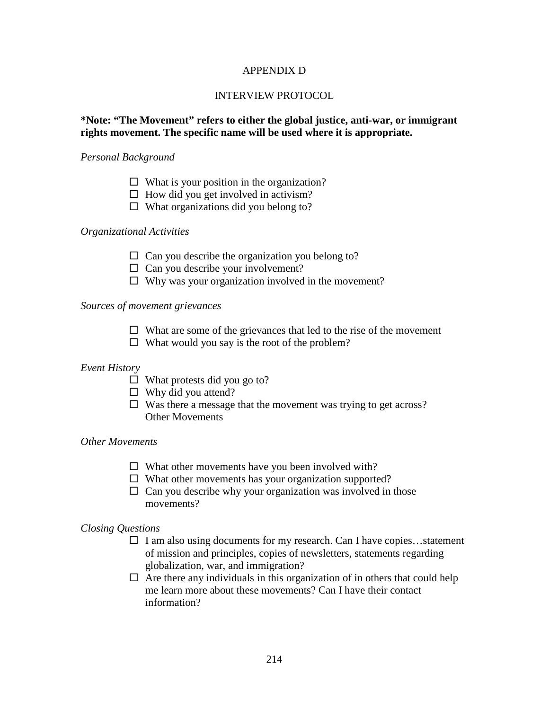## APPENDIX D

## INTERVIEW PROTOCOL

# **\*Note: "The Movement" refers to either the global justice, anti-war, or immigrant rights movement. The specific name will be used where it is appropriate.**

### *Personal Background*

- $\Box$  What is your position in the organization?
- $\Box$  How did you get involved in activism?
- $\Box$  What organizations did you belong to?

# *Organizational Activities*

- $\Box$  Can you describe the organization you belong to?
- $\Box$  Can you describe your involvement?
- $\Box$  Why was your organization involved in the movement?

## *Sources of movement grievances*

- $\Box$  What are some of the grievances that led to the rise of the movement
- $\Box$  What would you say is the root of the problem?

# *Event History*

- $\Box$  What protests did you go to?
- $\Box$  Why did you attend?
- $\Box$  Was there a message that the movement was trying to get across? Other Movements

### *Other Movements*

- $\Box$  What other movements have you been involved with?
- $\Box$  What other movements has your organization supported?
- $\Box$  Can you describe why your organization was involved in those movements?

# *Closing Questions*

- $\Box$  I am also using documents for my research. Can I have copies...statement of mission and principles, copies of newsletters, statements regarding globalization, war, and immigration?
- $\Box$  Are there any individuals in this organization of in others that could help me learn more about these movements? Can I have their contact information?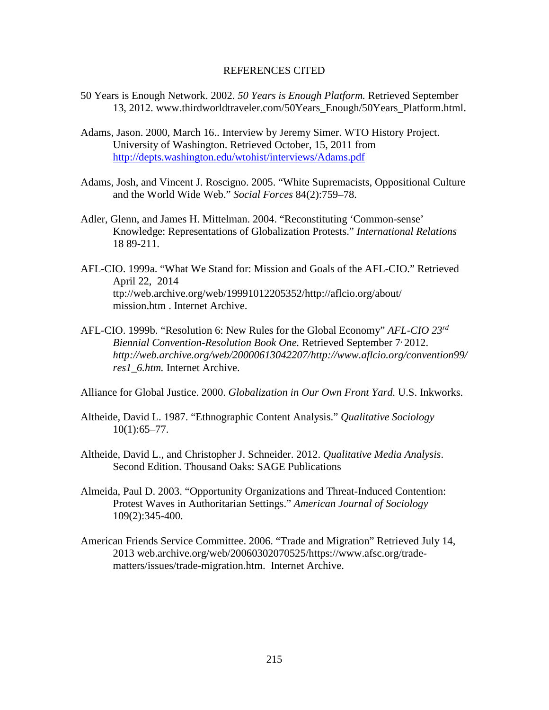### REFERENCES CITED

- 50 Years is Enough Network. 2002. *50 Years is Enough Platform.* Retrieved September 13, 2012. www.thirdworldtraveler.com/50Years\_Enough/50Years\_Platform.html.
- Adams, Jason. 2000, March 16.. Interview by Jeremy Simer. WTO History Project. University of Washington. Retrieved October, 15, 2011 from <http://depts.washington.edu/wtohist/interviews/Adams.pdf>
- Adams, Josh, and Vincent J. Roscigno. 2005. "White Supremacists, Oppositional Culture and the World Wide Web." *Social Forces* 84(2):759–78.
- Adler, Glenn, and James H. Mittelman. 2004. "Reconstituting 'Common-sense' Knowledge: Representations of Globalization Protests." *International Relations* 18 89-211.
- AFL-CIO. 1999a. "What We Stand for: Mission and Goals of the AFL-CIO." Retrieved April 22, 2014 ttp://web.archive.org/web/19991012205352/http://aflcio.org/about/ mission.htm . Internet Archive.
- AFL-CIO. 1999b. "Resolution 6: New Rules for the Global Economy" *AFL-CIO 23rd Biennial Convention-Resolution Book One.* Retrieved September 7, 2012. *http://web.archive.org/web/20000613042207/http://www.aflcio.org/convention99/ res1\_6.htm.* Internet Archive.

Alliance for Global Justice. 2000. *Globalization in Our Own Front Yard.* U.S. Inkworks.

- Altheide, David L. 1987. "Ethnographic Content Analysis." *Qualitative Sociology*  $10(1):65-77.$
- Altheide, David L., and Christopher J. Schneider. 2012. *Qualitative Media Analysis*. Second Edition. Thousand Oaks: SAGE Publications
- Almeida, Paul D. 2003. "Opportunity Organizations and Threat-Induced Contention: Protest Waves in Authoritarian Settings." *American Journal of Sociology* 109(2):345-400.
- American Friends Service Committee. 2006. "Trade and Migration" Retrieved July 14, 2013 web.archive.org/web/20060302070525/https://www.afsc.org/tradematters/issues/trade-migration.htm. Internet Archive.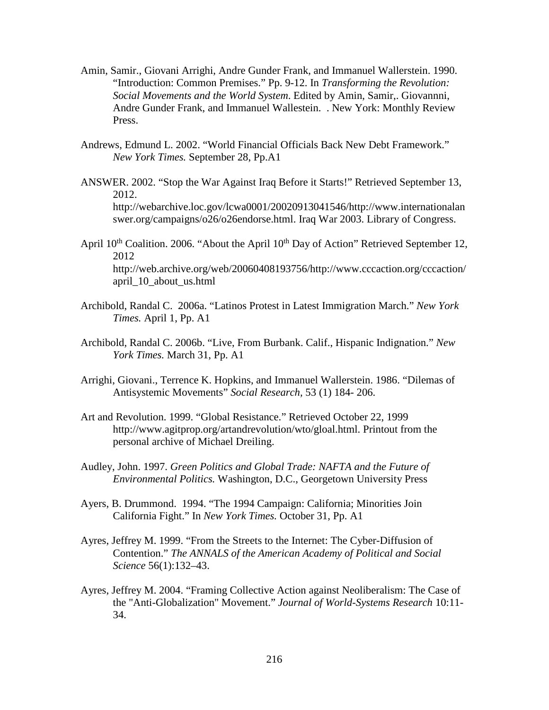- Amin, Samir., Giovani Arrighi, Andre Gunder Frank, and Immanuel Wallerstein. 1990. "Introduction: Common Premises." Pp. 9-12. In *Transforming the Revolution: Social Movements and the World System*. Edited by Amin, Samir,. Giovannni, Andre Gunder Frank, and Immanuel Wallestein. . New York: Monthly Review Press.
- Andrews, Edmund L. 2002. "World Financial Officials Back New Debt Framework." *New York Times.* September 28, Pp.A1
- ANSWER. 2002. "Stop the War Against Iraq Before it Starts!" Retrieved September 13, 2012. http://webarchive.loc.gov/lcwa0001/20020913041546/http://www.internationalan swer.org/campaigns/o26/o26endorse.html. Iraq War 2003. Library of Congress.
- April  $10<sup>th</sup>$  Coalition. 2006. "About the April  $10<sup>th</sup>$  Day of Action" Retrieved September 12, 2012 http://web.archive.org/web/20060408193756/http://www.cccaction.org/cccaction/ april\_10\_about\_us.html
- Archibold, Randal C. 2006a. "Latinos Protest in Latest Immigration March." *New York Times.* April 1, Pp. A1
- Archibold, Randal C. 2006b. "Live, From Burbank. Calif., Hispanic Indignation." *New York Times.* March 31, Pp. A1
- Arrighi, Giovani., Terrence K. Hopkins, and Immanuel Wallerstein. 1986. "Dilemas of Antisystemic Movements" *Social Research,* 53 (1) 184- 206.
- Art and Revolution. 1999. "Global Resistance." Retrieved October 22, 1999 http://www.agitprop.org/artandrevolution/wto/gloal.html. Printout from the personal archive of Michael Dreiling.
- Audley, John. 1997. *Green Politics and Global Trade: NAFTA and the Future of Environmental Politics.* Washington, D.C., Georgetown University Press
- Ayers, B. Drummond. 1994. "The 1994 Campaign: California; Minorities Join California Fight." In *New York Times.* October 31, Pp. A1
- Ayres, Jeffrey M. 1999. "From the Streets to the Internet: The Cyber-Diffusion of Contention." *The ANNALS of the American Academy of Political and Social Science* 56(1):132–43.
- Ayres, Jeffrey M. 2004. "Framing Collective Action against Neoliberalism: The Case of the "Anti-Globalization" Movement." *Journal of World-Systems Research* 10:11- 34.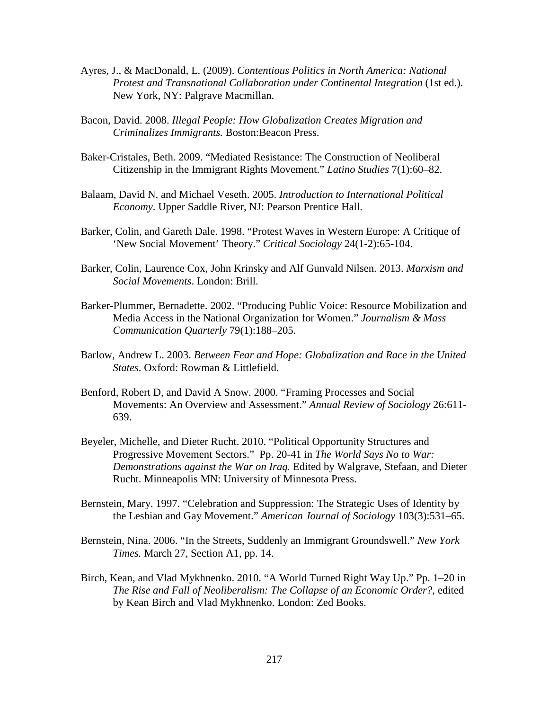- Ayres, J., & MacDonald, L. (2009). *Contentious Politics in North America: National Protest and Transnational Collaboration under Continental Integration* (1st ed.). New York, NY: Palgrave Macmillan.
- Bacon, David. 2008. *Illegal People: How Globalization Creates Migration and Criminalizes Immigrants.* Boston:Beacon Press.
- Baker-Cristales, Beth. 2009. "Mediated Resistance: The Construction of Neoliberal Citizenship in the Immigrant Rights Movement." *Latino Studies* 7(1):60–82.
- Balaam, David N. and Michael Veseth. 2005. *Introduction to International Political Economy*. Upper Saddle River, NJ: Pearson Prentice Hall.
- Barker, Colin, and Gareth Dale. 1998. "Protest Waves in Western Europe: A Critique of 'New Social Movement' Theory." *Critical Sociology* 24(1-2):65-104.
- Barker, Colin, Laurence Cox, John Krinsky and Alf Gunvald Nilsen. 2013. *Marxism and Social Movements*. London: Brill.
- Barker-Plummer, Bernadette. 2002. "Producing Public Voice: Resource Mobilization and Media Access in the National Organization for Women." *Journalism & Mass Communication Quarterly* 79(1):188–205.
- Barlow, Andrew L. 2003. *Between Fear and Hope: Globalization and Race in the United States*. Oxford: Rowman & Littlefield.
- Benford, Robert D, and David A Snow. 2000. "Framing Processes and Social Movements: An Overview and Assessment." *Annual Review of Sociology* 26:611- 639.
- Beyeler, Michelle, and Dieter Rucht. 2010. "Political Opportunity Structures and Progressive Movement Sectors." Pp. 20-41 in *The World Says No to War: Demonstrations against the War on Iraq.* Edited by Walgrave, Stefaan, and Dieter Rucht. Minneapolis MN: University of Minnesota Press.
- Bernstein, Mary. 1997. "Celebration and Suppression: The Strategic Uses of Identity by the Lesbian and Gay Movement." *American Journal of Sociology* 103(3):531–65.
- Bernstein, Nina. 2006. "In the Streets, Suddenly an Immigrant Groundswell." *New York Times.* March 27, Section A1, pp. 14.
- Birch, Kean, and Vlad Mykhnenko. 2010. "A World Turned Right Way Up." Pp. 1–20 in *The Rise and Fall of Neoliberalism: The Collapse of an Economic Order?*, edited by Kean Birch and Vlad Mykhnenko. London: Zed Books.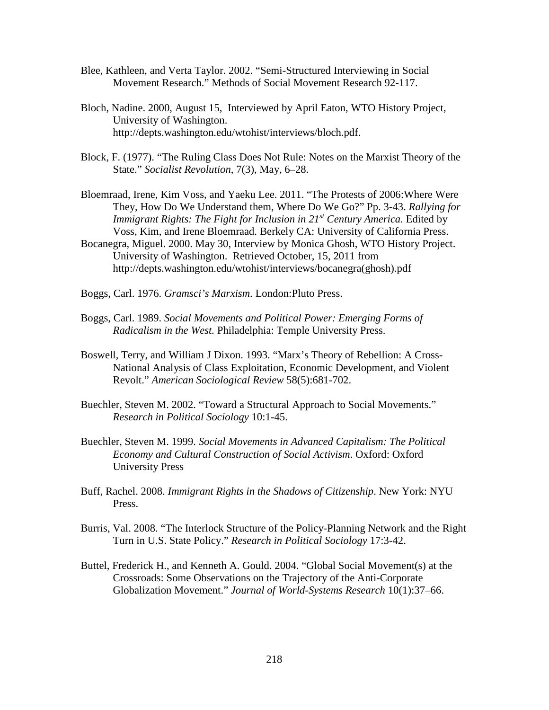- Blee, Kathleen, and Verta Taylor. 2002. "Semi-Structured Interviewing in Social Movement Research." Methods of Social Movement Research 92-117.
- Bloch, Nadine. 2000, August 15, Interviewed by April Eaton, WTO History Project, University of Washington. http://depts.washington.edu/wtohist/interviews/bloch.pdf.
- Block, F. (1977). "The Ruling Class Does Not Rule: Notes on the Marxist Theory of the State." *Socialist Revolution*, 7(3), May, 6–28.
- Bloemraad, Irene, Kim Voss, and Yaeku Lee. 2011. "The Protests of 2006:Where Were They, How Do We Understand them, Where Do We Go?" Pp. 3-43. *Rallying for Immigrant Rights: The Fight for Inclusion in 21<sup>st</sup> Century America. Edited by* Voss, Kim, and Irene Bloemraad. Berkely CA: University of California Press.
- Bocanegra, Miguel. 2000. May 30, Interview by Monica Ghosh, WTO History Project. University of Washington. Retrieved October, 15, 2011 from http://depts.washington.edu/wtohist/interviews/bocanegra(ghosh).pdf
- Boggs, Carl. 1976. *Gramsci's Marxism*. London:Pluto Press.
- Boggs, Carl. 1989. *Social Movements and Political Power: Emerging Forms of Radicalism in the West.* Philadelphia: Temple University Press.
- Boswell, Terry, and William J Dixon. 1993. "Marx's Theory of Rebellion: A Cross-National Analysis of Class Exploitation, Economic Development, and Violent Revolt." *American Sociological Review* 58(5):681-702.
- Buechler, Steven M. 2002. "Toward a Structural Approach to Social Movements." *Research in Political Sociology* 10:1-45.
- Buechler, Steven M. 1999. *Social Movements in Advanced Capitalism: The Political Economy and Cultural Construction of Social Activism*. Oxford: Oxford University Press
- Buff, Rachel. 2008. *Immigrant Rights in the Shadows of Citizenship*. New York: NYU Press.
- Burris, Val. 2008. "The Interlock Structure of the Policy-Planning Network and the Right Turn in U.S. State Policy." *Research in Political Sociology* 17:3-42.
- Buttel, Frederick H., and Kenneth A. Gould. 2004. "Global Social Movement(s) at the Crossroads: Some Observations on the Trajectory of the Anti-Corporate Globalization Movement." *Journal of World-Systems Research* 10(1):37–66.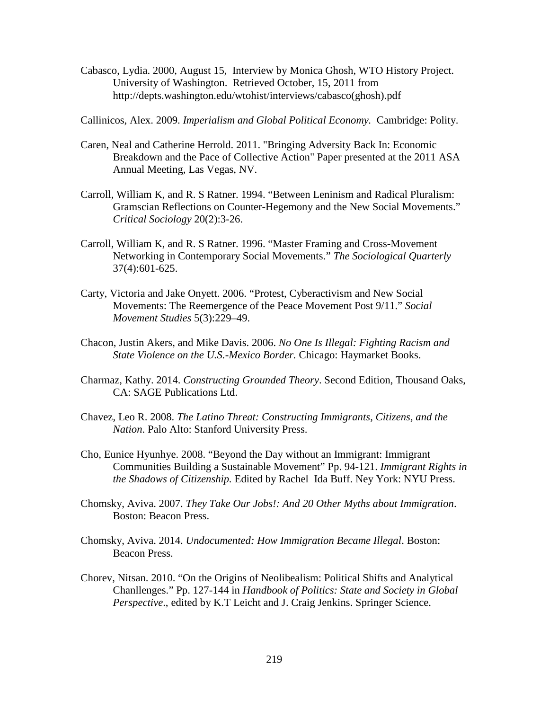Cabasco, Lydia. 2000, August 15, Interview by Monica Ghosh, WTO History Project. University of Washington. Retrieved October, 15, 2011 from http://depts.washington.edu/wtohist/interviews/cabasco(ghosh).pdf

Callinicos, Alex. 2009. *Imperialism and Global Political Economy.* Cambridge: Polity.

- Caren, Neal and Catherine Herrold. 2011. "Bringing Adversity Back In: Economic Breakdown and the Pace of Collective Action" Paper presented at the 2011 ASA Annual Meeting, Las Vegas, NV.
- Carroll, William K, and R. S Ratner. 1994. "Between Leninism and Radical Pluralism: Gramscian Reflections on Counter-Hegemony and the New Social Movements." *Critical Sociology* 20(2):3-26.
- Carroll, William K, and R. S Ratner. 1996. "Master Framing and Cross-Movement Networking in Contemporary Social Movements." *The Sociological Quarterly* 37(4):601-625.
- Carty, Victoria and Jake Onyett. 2006. "Protest, Cyberactivism and New Social Movements: The Reemergence of the Peace Movement Post 9/11." *Social Movement Studies* 5(3):229–49.
- Chacon, Justin Akers, and Mike Davis. 2006. *No One Is Illegal: Fighting Racism and State Violence on the U.S.-Mexico Border.* Chicago: Haymarket Books.
- Charmaz, Kathy. 2014. *Constructing Grounded Theory*. Second Edition, Thousand Oaks, CA: SAGE Publications Ltd.
- Chavez, Leo R. 2008. *The Latino Threat: Constructing Immigrants, Citizens, and the Nation*. Palo Alto: Stanford University Press.
- Cho, Eunice Hyunhye. 2008. "Beyond the Day without an Immigrant: Immigrant Communities Building a Sustainable Movement" Pp. 94-121. *Immigrant Rights in the Shadows of Citizenship.* Edited by Rachel Ida Buff. Ney York: NYU Press.
- Chomsky, Aviva. 2007. *They Take Our Jobs!: And 20 Other Myths about Immigration*. Boston: Beacon Press.
- Chomsky, Aviva. 2014. *Undocumented: How Immigration Became Illegal*. Boston: Beacon Press.
- Chorev, Nitsan. 2010. "On the Origins of Neolibealism: Political Shifts and Analytical Chanllenges." Pp. 127-144 in *Handbook of Politics: State and Society in Global Perspective*., edited by K.T Leicht and J. Craig Jenkins. Springer Science.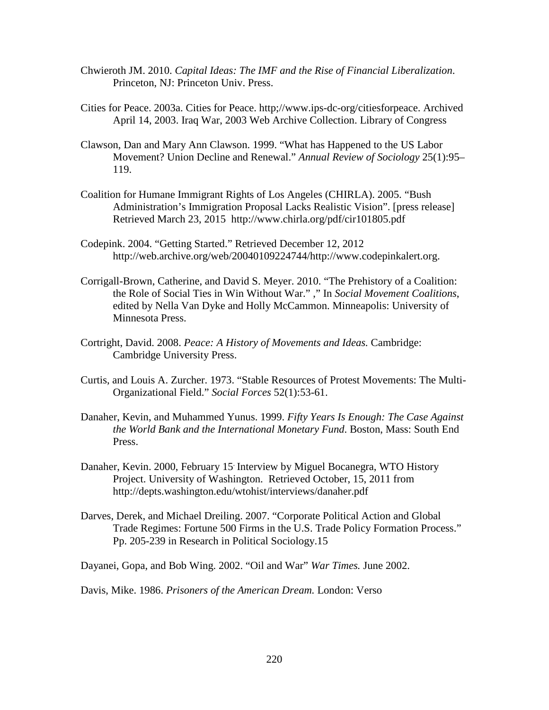- Chwieroth JM. 2010. *Capital Ideas: The IMF and the Rise of Financial Liberalization*. Princeton, NJ: Princeton Univ. Press.
- Cities for Peace. 2003a. Cities for Peace. http;//www.ips-dc-org/citiesforpeace. Archived April 14, 2003. Iraq War, 2003 Web Archive Collection. Library of Congress
- Clawson, Dan and Mary Ann Clawson. 1999. "What has Happened to the US Labor Movement? Union Decline and Renewal." *Annual Review of Sociology* 25(1):95– 119.
- Coalition for Humane Immigrant Rights of Los Angeles (CHIRLA). 2005. "Bush Administration's Immigration Proposal Lacks Realistic Vision". [press release] Retrieved March 23, 2015 http://www.chirla.org/pdf/cir101805.pdf
- Codepink. 2004. "Getting Started." Retrieved December 12, 2012 http://web.archive.org/web/20040109224744/http://www.codepinkalert.org.
- Corrigall-Brown, Catherine, and David S. Meyer. 2010. "The Prehistory of a Coalition: the Role of Social Ties in Win Without War." ," In *Social Movement Coalitions*, edited by Nella Van Dyke and Holly McCammon. Minneapolis: University of Minnesota Press.
- Cortright, David. 2008. *Peace: A History of Movements and Ideas.* Cambridge: Cambridge University Press.
- Curtis, and Louis A. Zurcher. 1973. "Stable Resources of Protest Movements: The Multi-Organizational Field." *Social Forces* 52(1):53-61.
- Danaher, Kevin, and Muhammed Yunus. 1999. *Fifty Years Is Enough: The Case Against the World Bank and the International Monetary Fund*. Boston, Mass: South End Press.
- Danaher, Kevin. 2000, February 15. Interview by Miguel Bocanegra, WTO History Project. University of Washington. Retrieved October, 15, 2011 from http://depts.washington.edu/wtohist/interviews/danaher.pdf
- Darves, Derek, and Michael Dreiling. 2007. "Corporate Political Action and Global Trade Regimes: Fortune 500 Firms in the U.S. Trade Policy Formation Process." Pp. 205-239 in Research in Political Sociology.15

Dayanei, Gopa, and Bob Wing. 2002. "Oil and War" *War Times.* June 2002.

Davis, Mike. 1986. *Prisoners of the American Dream.* London: Verso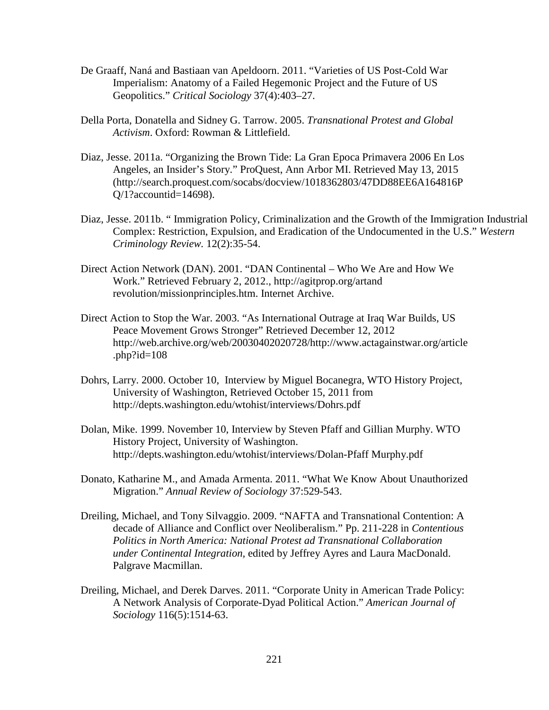- De Graaff, Naná and Bastiaan van Apeldoorn. 2011. "Varieties of US Post-Cold War Imperialism: Anatomy of a Failed Hegemonic Project and the Future of US Geopolitics." *Critical Sociology* 37(4):403–27.
- Della Porta, Donatella and Sidney G. Tarrow. 2005. *Transnational Protest and Global Activism*. Oxford: Rowman & Littlefield.
- Diaz, Jesse. 2011a. "Organizing the Brown Tide: La Gran Epoca Primavera 2006 En Los Angeles, an Insider's Story." ProQuest, Ann Arbor MI. Retrieved May 13, 2015 (http://search.proquest.com/socabs/docview/1018362803/47DD88EE6A164816P Q/1?accountid=14698).
- Diaz, Jesse. 2011b. " Immigration Policy, Criminalization and the Growth of the Immigration Industrial Complex: Restriction, Expulsion, and Eradication of the Undocumented in the U.S." *Western Criminology Review.* 12(2):35-54.
- Direct Action Network (DAN). 2001. "DAN Continental Who We Are and How We Work." Retrieved February 2, 2012., http://agitprop.org/artand revolution/missionprinciples.htm. Internet Archive.
- Direct Action to Stop the War. 2003. "As International Outrage at Iraq War Builds, US Peace Movement Grows Stronger" Retrieved December 12, 2012 http://web.archive.org/web/20030402020728/http://www.actagainstwar.org/article .php?id=108
- Dohrs, Larry. 2000. October 10, Interview by Miguel Bocanegra, WTO History Project, University of Washington, Retrieved October 15, 2011 from http://depts.washington.edu/wtohist/interviews/Dohrs.pdf
- Dolan, Mike. 1999. November 10, Interview by Steven Pfaff and Gillian Murphy. WTO History Project, University of Washington. http://depts.washington.edu/wtohist/interviews/Dolan-Pfaff Murphy.pdf
- Donato, Katharine M., and Amada Armenta. 2011. "What We Know About Unauthorized Migration." *Annual Review of Sociology* 37:529-543.
- Dreiling, Michael, and Tony Silvaggio. 2009. "NAFTA and Transnational Contention: A decade of Alliance and Conflict over Neoliberalism." Pp. 211-228 in *Contentious Politics in North America: National Protest ad Transnational Collaboration under Continental Integration,* edited by Jeffrey Ayres and Laura MacDonald. Palgrave Macmillan.
- Dreiling, Michael, and Derek Darves. 2011. "Corporate Unity in American Trade Policy: A Network Analysis of Corporate-Dyad Political Action." *American Journal of Sociology* 116(5):1514-63.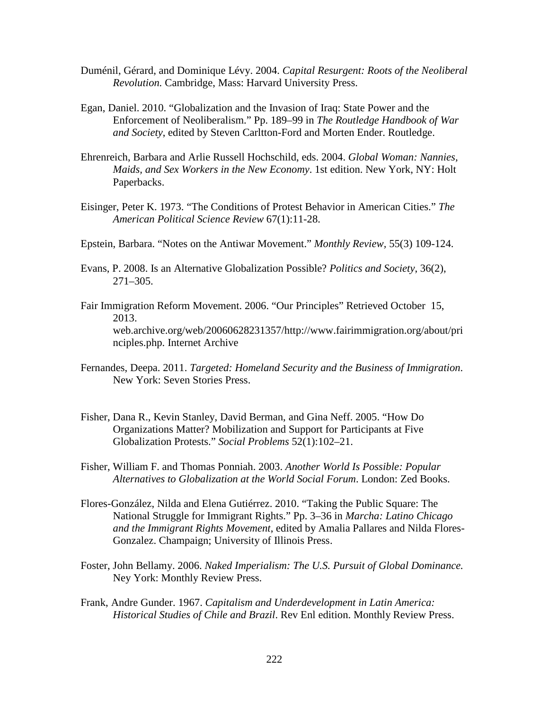- Duménil, Gérard, and Dominique Lévy. 2004. *Capital Resurgent: Roots of the Neoliberal Revolution.* Cambridge, Mass: Harvard University Press.
- Egan, Daniel. 2010. "Globalization and the Invasion of Iraq: State Power and the Enforcement of Neoliberalism." Pp. 189–99 in *The Routledge Handbook of War and Society*, edited by Steven Carltton-Ford and Morten Ender. Routledge.
- Ehrenreich, Barbara and Arlie Russell Hochschild, eds. 2004. *Global Woman: Nannies, Maids, and Sex Workers in the New Economy*. 1st edition. New York, NY: Holt Paperbacks.
- Eisinger, Peter K. 1973. "The Conditions of Protest Behavior in American Cities." *The American Political Science Review* 67(1):11-28.
- Epstein, Barbara. "Notes on the Antiwar Movement." *Monthly Review,* 55(3) 109-124.
- Evans, P. 2008. Is an Alternative Globalization Possible? *Politics and Society*, 36(2), 271–305.
- Fair Immigration Reform Movement. 2006. "Our Principles" Retrieved October 15, 2013. web.archive.org/web/20060628231357/http://www.fairimmigration.org/about/pri nciples.php. Internet Archive
- Fernandes, Deepa. 2011. *Targeted: Homeland Security and the Business of Immigration*. New York: Seven Stories Press.
- Fisher, Dana R., Kevin Stanley, David Berman, and Gina Neff. 2005. "How Do Organizations Matter? Mobilization and Support for Participants at Five Globalization Protests." *Social Problems* 52(1):102–21.
- Fisher, William F. and Thomas Ponniah. 2003. *Another World Is Possible: Popular Alternatives to Globalization at the World Social Forum*. London: Zed Books.
- Flores-González, Nilda and Elena Gutiérrez. 2010. "Taking the Public Square: The National Struggle for Immigrant Rights." Pp. 3–36 in *Marcha: Latino Chicago and the Immigrant Rights Movement*, edited by Amalia Pallares and Nilda Flores-Gonzalez. Champaign; University of Illinois Press.
- Foster, John Bellamy. 2006. *Naked Imperialism: The U.S. Pursuit of Global Dominance.* Ney York: Monthly Review Press.
- Frank, Andre Gunder. 1967. *Capitalism and Underdevelopment in Latin America: Historical Studies of Chile and Brazil*. Rev Enl edition. Monthly Review Press.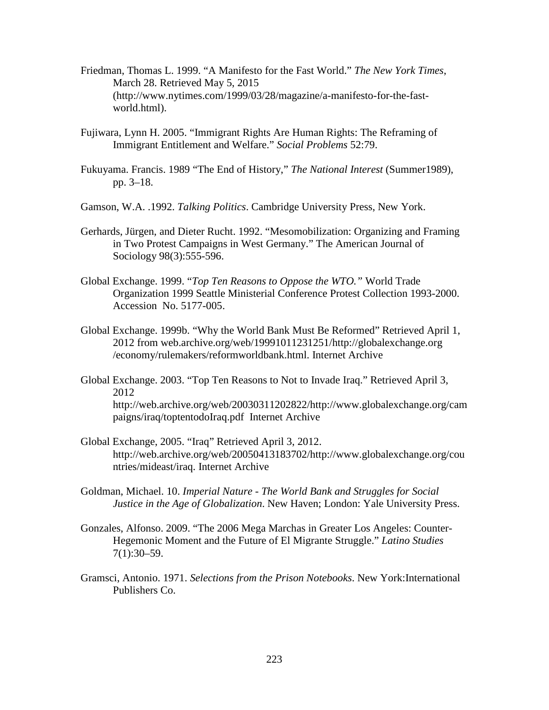- Friedman, Thomas L. 1999. "A Manifesto for the Fast World." *The New York Times*, March 28. Retrieved May 5, 2015 (http://www.nytimes.com/1999/03/28/magazine/a-manifesto-for-the-fastworld.html).
- Fujiwara, Lynn H. 2005. "Immigrant Rights Are Human Rights: The Reframing of Immigrant Entitlement and Welfare." *Social Problems* 52:79.
- Fukuyama. Francis. 1989 "The End of History," *The National Interest* (Summer1989), pp. 3–18.
- Gamson, W.A. .1992. *Talking Politics*. Cambridge University Press, New York.
- Gerhards, Jürgen, and Dieter Rucht. 1992. "Mesomobilization: Organizing and Framing in Two Protest Campaigns in West Germany." The American Journal of Sociology 98(3):555-596.
- Global Exchange. 1999. "*Top Ten Reasons to Oppose the WTO."* World Trade Organization 1999 Seattle Ministerial Conference Protest Collection 1993-2000. Accession No. 5177-005.
- Global Exchange. 1999b. "Why the World Bank Must Be Reformed" Retrieved April 1, 2012 from web.archive.org/web/19991011231251/http://globalexchange.org /economy/rulemakers/reformworldbank.html. Internet Archive
- Global Exchange. 2003. "Top Ten Reasons to Not to Invade Iraq." Retrieved April 3, 2012 http://web.archive.org/web/20030311202822/http://www.globalexchange.org/cam paigns/iraq/toptentodoIraq.pdf Internet Archive
- Global Exchange, 2005. "Iraq" Retrieved April 3, 2012. http://web.archive.org/web/20050413183702/http://www.globalexchange.org/cou ntries/mideast/iraq. Internet Archive
- Goldman, Michael. 10. *Imperial Nature - The World Bank and Struggles for Social Justice in the Age of Globalization*. New Haven; London: Yale University Press.
- Gonzales, Alfonso. 2009. "The 2006 Mega Marchas in Greater Los Angeles: Counter-Hegemonic Moment and the Future of El Migrante Struggle." *Latino Studies* 7(1):30–59.
- Gramsci, Antonio. 1971. *Selections from the Prison Notebooks*. New York:International Publishers Co.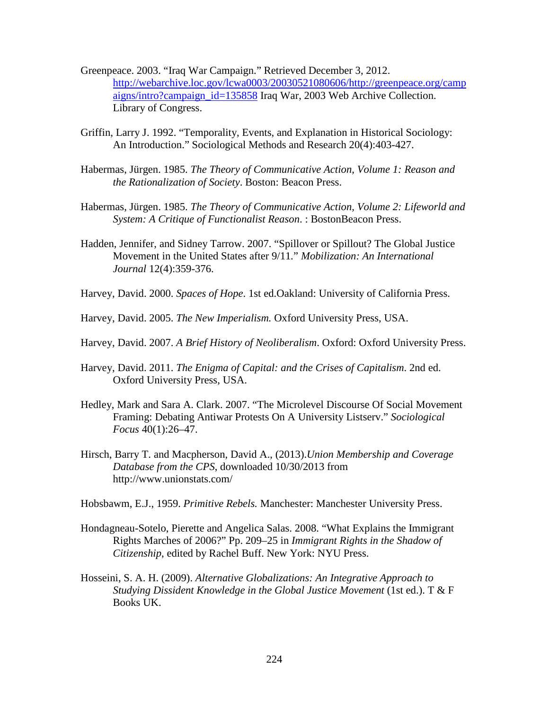- Greenpeace. 2003. "Iraq War Campaign." Retrieved December 3, 2012. [http://webarchive.loc.gov/lcwa0003/20030521080606/http://greenpeace.org/camp](http://webarchive.loc.gov/lcwa0003/20030521080606/http:/greenpeace.org/campaigns/intro?campaign_id=135858) [aigns/intro?campaign\\_id=135858](http://webarchive.loc.gov/lcwa0003/20030521080606/http:/greenpeace.org/campaigns/intro?campaign_id=135858) Iraq War, 2003 Web Archive Collection. Library of Congress.
- Griffin, Larry J. 1992. "Temporality, Events, and Explanation in Historical Sociology: An Introduction." Sociological Methods and Research 20(4):403-427.
- Habermas, Jürgen. 1985. *The Theory of Communicative Action, Volume 1: Reason and the Rationalization of Society*. Boston: Beacon Press.
- Habermas, Jürgen. 1985. *The Theory of Communicative Action, Volume 2: Lifeworld and System: A Critique of Functionalist Reason*. : BostonBeacon Press.
- Hadden, Jennifer, and Sidney Tarrow. 2007. "Spillover or Spillout? The Global Justice Movement in the United States after 9/11*.*" *Mobilization: An International Journal* 12(4):359-376.
- Harvey, David. 2000. *Spaces of Hope*. 1st ed.Oakland: University of California Press.
- Harvey, David. 2005. *The New Imperialism.* Oxford University Press, USA.
- Harvey, David. 2007. *A Brief History of Neoliberalism*. Oxford: Oxford University Press.
- Harvey, David. 2011. *The Enigma of Capital: and the Crises of Capitalism*. 2nd ed. Oxford University Press, USA.
- Hedley, Mark and Sara A. Clark. 2007. "The Microlevel Discourse Of Social Movement Framing: Debating Antiwar Protests On A University Listserv." *Sociological Focus* 40(1):26–47.
- Hirsch, Barry T. and Macpherson, David A., (2013).*Union Membership and Coverage Database from the CPS*, downloaded 10/30/2013 from http://www.unionstats.com/

Hobsbawm, E.J., 1959. *Primitive Rebels.* Manchester: Manchester University Press.

- Hondagneau-Sotelo, Pierette and Angelica Salas. 2008. "What Explains the Immigrant Rights Marches of 2006?" Pp. 209–25 in *Immigrant Rights in the Shadow of Citizenship*, edited by Rachel Buff. New York: NYU Press.
- Hosseini, S. A. H. (2009). *Alternative Globalizations: An Integrative Approach to Studying Dissident Knowledge in the Global Justice Movement* (1st ed.). T & F Books UK.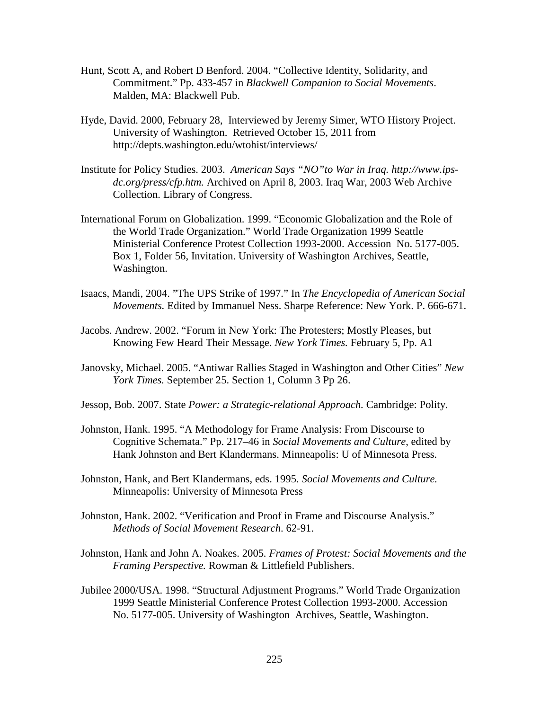- Hunt, Scott A, and Robert D Benford. 2004. "Collective Identity, Solidarity, and Commitment." Pp. 433-457 in *Blackwell Companion to Social Movements*. Malden, MA: Blackwell Pub.
- Hyde, David. 2000, February 28, Interviewed by Jeremy Simer, WTO History Project. University of Washington. Retrieved October 15, 2011 from http://depts.washington.edu/wtohist/interviews/
- Institute for Policy Studies. 2003. *American Says "NO"to War in Iraq. http://www.ipsdc.org/press/cfp.htm.* Archived on April 8, 2003. Iraq War, 2003 Web Archive Collection. Library of Congress.
- International Forum on Globalization. 1999. "Economic Globalization and the Role of the World Trade Organization." World Trade Organization 1999 Seattle Ministerial Conference Protest Collection 1993-2000. Accession No. 5177-005. Box 1, Folder 56, Invitation. University of Washington Archives, Seattle, Washington.
- Isaacs, Mandi, 2004. "The UPS Strike of 1997." In *The Encyclopedia of American Social Movements.* Edited by Immanuel Ness. Sharpe Reference: New York. P. 666-671.
- Jacobs. Andrew. 2002. "Forum in New York: The Protesters; Mostly Pleases, but Knowing Few Heard Their Message. *New York Times.* February 5, Pp. A1
- Janovsky, Michael. 2005. "Antiwar Rallies Staged in Washington and Other Cities" *New York Times.* September 25. Section 1, Column 3 Pp 26.
- Jessop, Bob. 2007. State *Power: a Strategic-relational Approach.* Cambridge: Polity.
- Johnston, Hank. 1995. "A Methodology for Frame Analysis: From Discourse to Cognitive Schemata." Pp. 217–46 in *Social Movements and Culture*, edited by Hank Johnston and Bert Klandermans. Minneapolis: U of Minnesota Press.
- Johnston, Hank, and Bert Klandermans, eds. 1995. *Social Movements and Culture.* Minneapolis: University of Minnesota Press
- Johnston, Hank. 2002. "Verification and Proof in Frame and Discourse Analysis." *Methods of Social Movement Research*. 62-91.
- Johnston, Hank and John A. Noakes. 2005*. Frames of Protest: Social Movements and the Framing Perspective.* Rowman & Littlefield Publishers.
- Jubilee 2000/USA. 1998. "Structural Adjustment Programs." World Trade Organization 1999 Seattle Ministerial Conference Protest Collection 1993-2000. Accession No. 5177-005. University of Washington Archives, Seattle, Washington.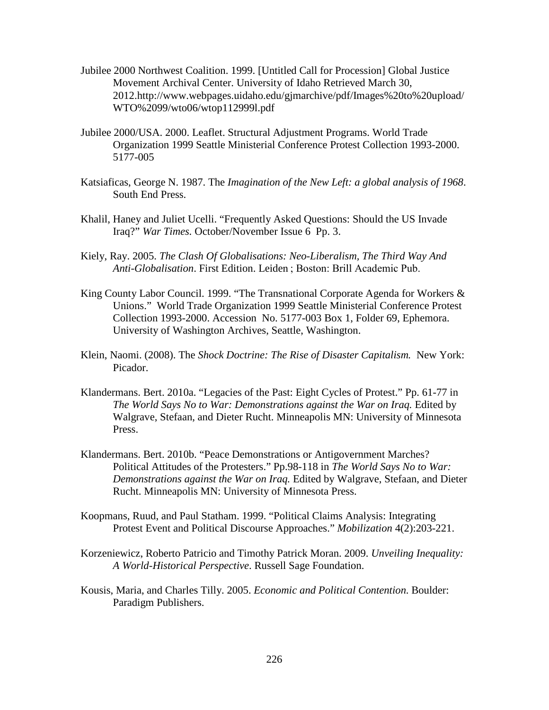- Jubilee 2000 Northwest Coalition. 1999. [Untitled Call for Procession] Global Justice Movement Archival Center. University of Idaho Retrieved March 30, 2012.http://www.webpages.uidaho.edu/gjmarchive/pdf/Images%20to%20upload/ WTO%2099/wto06/wtop112999l.pdf
- Jubilee 2000/USA. 2000. Leaflet. Structural Adjustment Programs. World Trade Organization 1999 Seattle Ministerial Conference Protest Collection 1993-2000. 5177-005
- Katsiaficas, George N. 1987. The *Imagination of the New Left: a global analysis of 1968*. South End Press.
- Khalil, Haney and Juliet Ucelli. "Frequently Asked Questions: Should the US Invade Iraq?" *War Times.* October/November Issue 6 Pp. 3.
- Kiely, Ray. 2005. *The Clash Of Globalisations: Neo-Liberalism, The Third Way And Anti-Globalisation*. First Edition. Leiden ; Boston: Brill Academic Pub.
- King County Labor Council. 1999. "The Transnational Corporate Agenda for Workers & Unions." World Trade Organization 1999 Seattle Ministerial Conference Protest Collection 1993-2000. Accession No. 5177-003 Box 1, Folder 69, Ephemora. University of Washington Archives, Seattle, Washington.
- Klein, Naomi. (2008). The *Shock Doctrine: The Rise of Disaster Capitalism.* New York: Picador.
- Klandermans. Bert. 2010a. "Legacies of the Past: Eight Cycles of Protest." Pp. 61-77 in *The World Says No to War: Demonstrations against the War on Iraq.* Edited by Walgrave, Stefaan, and Dieter Rucht. Minneapolis MN: University of Minnesota Press.
- Klandermans. Bert. 2010b. "Peace Demonstrations or Antigovernment Marches? Political Attitudes of the Protesters." Pp.98-118 in *The World Says No to War: Demonstrations against the War on Iraq.* Edited by Walgrave, Stefaan, and Dieter Rucht. Minneapolis MN: University of Minnesota Press.
- Koopmans, Ruud, and Paul Statham. 1999. "Political Claims Analysis: Integrating Protest Event and Political Discourse Approaches." *Mobilization* 4(2):203-221.
- Korzeniewicz, Roberto Patricio and Timothy Patrick Moran. 2009. *Unveiling Inequality: A World-Historical Perspective*. Russell Sage Foundation.
- Kousis, Maria, and Charles Tilly. 2005. *Economic and Political Contention*. Boulder: Paradigm Publishers.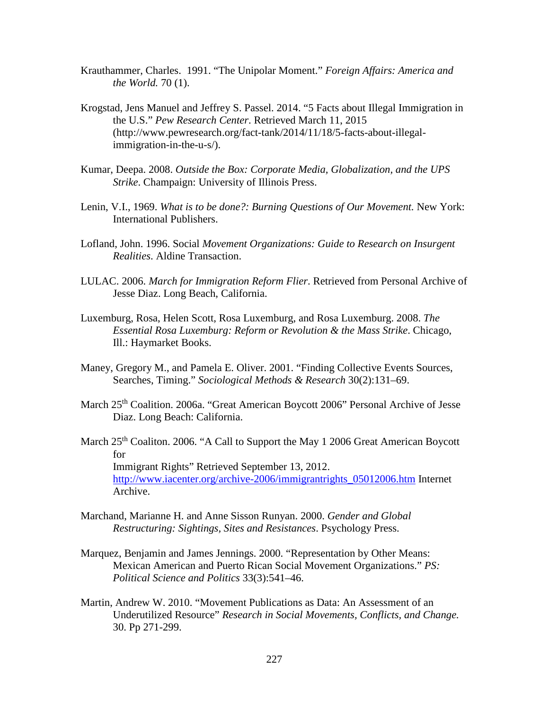- Krauthammer, Charles. 1991. "The Unipolar Moment." *Foreign Affairs: America and the World.* 70 (1).
- Krogstad, Jens Manuel and Jeffrey S. Passel. 2014. "5 Facts about Illegal Immigration in the U.S." *Pew Research Center*. Retrieved March 11, 2015 (http://www.pewresearch.org/fact-tank/2014/11/18/5-facts-about-illegalimmigration-in-the-u-s/).
- Kumar, Deepa. 2008. *Outside the Box: Corporate Media, Globalization, and the UPS Strike*. Champaign: University of Illinois Press.
- Lenin, V.I., 1969. *What is to be done?: Burning Questions of Our Movement*. New York: International Publishers.
- Lofland, John. 1996. Social *Movement Organizations: Guide to Research on Insurgent Realities*. Aldine Transaction.
- LULAC. 2006. *March for Immigration Reform Flier*. Retrieved from Personal Archive of Jesse Diaz. Long Beach, California.
- Luxemburg, Rosa, Helen Scott, Rosa Luxemburg, and Rosa Luxemburg. 2008. *The Essential Rosa Luxemburg: Reform or Revolution & the Mass Strike*. Chicago, Ill.: Haymarket Books.
- Maney, Gregory M., and Pamela E. Oliver. 2001. "Finding Collective Events Sources, Searches, Timing." *Sociological Methods & Research* 30(2):131–69.
- March 25<sup>th</sup> Coalition. 2006a. "Great American Boycott 2006" Personal Archive of Jesse Diaz. Long Beach: California.
- March 25<sup>th</sup> Coaliton. 2006. "A Call to Support the May 1 2006 Great American Boycott for Immigrant Rights" Retrieved September 13, 2012. [http://www.iacenter.org/archive-2006/immigrantrights\\_05012006.htm](http://www.iacenter.org/archive-2006/immigrantrights_05012006.htm) Internet Archive.
- Marchand, Marianne H. and Anne Sisson Runyan. 2000. *Gender and Global Restructuring: Sightings, Sites and Resistances*. Psychology Press.
- Marquez, Benjamin and James Jennings. 2000. "Representation by Other Means: Mexican American and Puerto Rican Social Movement Organizations." *PS: Political Science and Politics* 33(3):541–46.
- Martin, Andrew W. 2010. "Movement Publications as Data: An Assessment of an Underutilized Resource" *Research in Social Movements, Conflicts, and Change.*  30. Pp 271-299.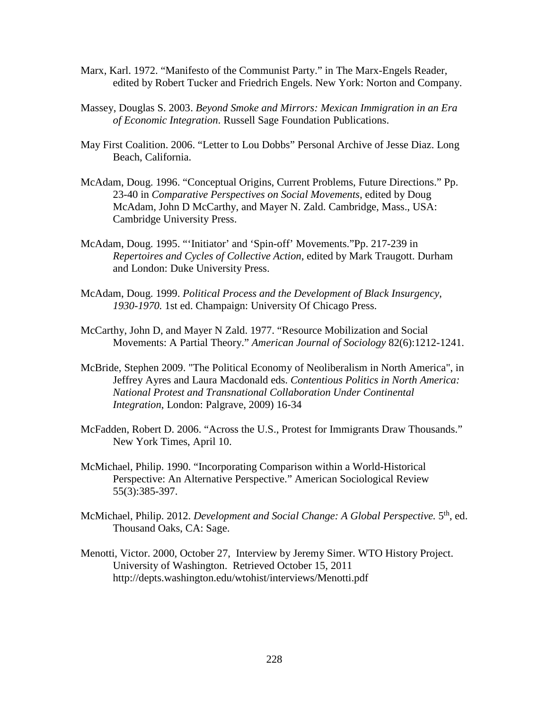- Marx, Karl. 1972. "Manifesto of the Communist Party." in The Marx-Engels Reader, edited by Robert Tucker and Friedrich Engels. New York: Norton and Company.
- Massey, Douglas S. 2003. *Beyond Smoke and Mirrors: Mexican Immigration in an Era of Economic Integration*. Russell Sage Foundation Publications.
- May First Coalition. 2006. "Letter to Lou Dobbs" Personal Archive of Jesse Diaz. Long Beach, California.
- McAdam, Doug. 1996. "Conceptual Origins, Current Problems, Future Directions." Pp. 23-40 in *Comparative Perspectives on Social Movements*, edited by Doug McAdam, John D McCarthy, and Mayer N. Zald. Cambridge, Mass., USA: Cambridge University Press.
- McAdam, Doug. 1995. "'Initiator' and 'Spin-off' Movements."Pp. 217-239 in *Repertoires and Cycles of Collective Action*, edited by Mark Traugott. Durham and London: Duke University Press.
- McAdam, Doug. 1999. *Political Process and the Development of Black Insurgency, 1930-1970.* 1st ed. Champaign: University Of Chicago Press.
- McCarthy, John D, and Mayer N Zald. 1977. "Resource Mobilization and Social Movements: A Partial Theory." *American Journal of Sociology* 82(6):1212-1241.
- McBride, Stephen 2009. "The Political Economy of Neoliberalism in North America", in Jeffrey Ayres and Laura Macdonald eds. *Contentious Politics in North America: National Protest and Transnational Collaboration Under Continental Integration*, London: Palgrave, 2009) 16-34
- McFadden, Robert D. 2006. "Across the U.S., Protest for Immigrants Draw Thousands." New York Times, April 10.
- McMichael, Philip. 1990. "Incorporating Comparison within a World-Historical Perspective: An Alternative Perspective." American Sociological Review 55(3):385-397.
- McMichael, Philip. 2012. *Development and Social Change: A Global Perspective.* 5<sup>th</sup>, ed. Thousand Oaks, CA: Sage.
- Menotti, Victor. 2000, October 27, Interview by Jeremy Simer. WTO History Project. University of Washington. Retrieved October 15, 2011 http://depts.washington.edu/wtohist/interviews/Menotti.pdf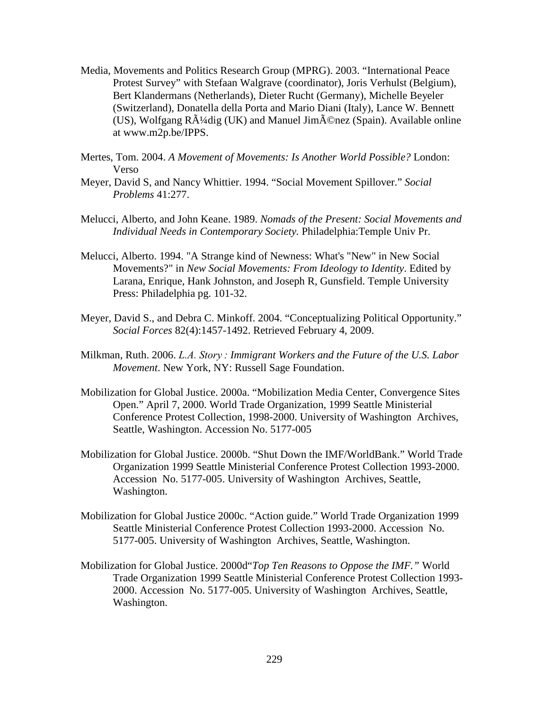- Media, Movements and Politics Research Group (MPRG). 2003. "International Peace Protest Survey" with Stefaan Walgrave (coordinator), Joris Verhulst (Belgium), Bert Klandermans (Netherlands), Dieter Rucht (Germany), Michelle Beyeler (Switzerland), Donatella della Porta and Mario Diani (Italy), Lance W. Bennett (US), Wolfgang  $R\tilde{A}^{1}/4$ dig (UK) and Manuel Jim $\tilde{A}$ ©nez (Spain). Available online at www.m2p.be/IPPS.
- Mertes, Tom. 2004. *A Movement of Movements: Is Another World Possible?* London: Verso
- Meyer, David S, and Nancy Whittier. 1994. "Social Movement Spillover." *Social Problems* 41:277.
- Melucci, Alberto, and John Keane. 1989. *Nomads of the Present: Social Movements and Individual Needs in Contemporary Society.* Philadelphia:Temple Univ Pr.
- Melucci, Alberto. 1994. "A Strange kind of Newness: What's "New" in New Social Movements?" in *New Social Movements: From Ideology to Identity*. Edited by Larana, Enrique, Hank Johnston, and Joseph R, Gunsfield. Temple University Press: Philadelphia pg. 101-32.
- Meyer, David S., and Debra C. Minkoff. 2004. "Conceptualizing Political Opportunity." *Social Forces* 82(4):1457-1492. Retrieved February 4, 2009.
- Milkman, Ruth. 2006. *L.A. Story : Immigrant Workers and the Future of the U.S. Labor Movement*. New York, NY: Russell Sage Foundation.
- Mobilization for Global Justice. 2000a. "Mobilization Media Center, Convergence Sites Open." April 7, 2000. World Trade Organization, 1999 Seattle Ministerial Conference Protest Collection, 1998-2000. University of Washington Archives, Seattle, Washington. Accession No. 5177-005
- Mobilization for Global Justice. 2000b. "Shut Down the IMF/WorldBank." World Trade Organization 1999 Seattle Ministerial Conference Protest Collection 1993-2000. Accession No. 5177-005. University of Washington Archives, Seattle, Washington.
- Mobilization for Global Justice 2000c. "Action guide." World Trade Organization 1999 Seattle Ministerial Conference Protest Collection 1993-2000. Accession No. 5177-005. University of Washington Archives, Seattle, Washington.
- Mobilization for Global Justice. 2000d"*Top Ten Reasons to Oppose the IMF."* World Trade Organization 1999 Seattle Ministerial Conference Protest Collection 1993- 2000. Accession No. 5177-005. University of Washington Archives, Seattle, Washington.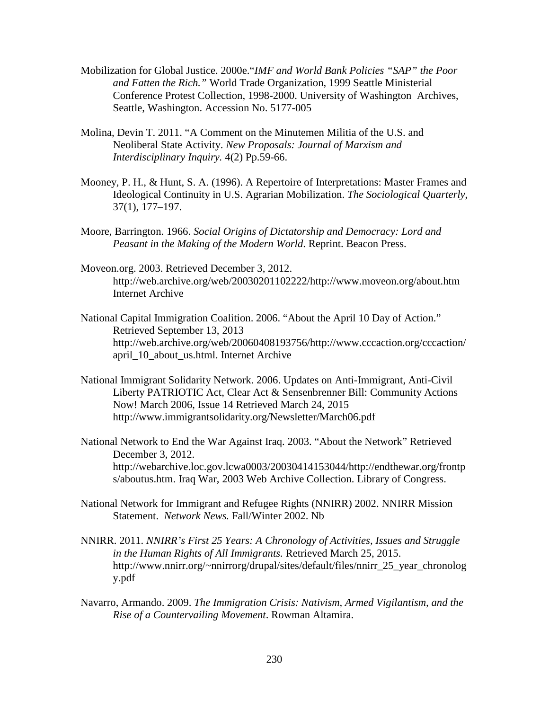- Mobilization for Global Justice. 2000e."*IMF and World Bank Policies "SAP" the Poor and Fatten the Rich."* World Trade Organization, 1999 Seattle Ministerial Conference Protest Collection, 1998-2000. University of Washington Archives, Seattle, Washington. Accession No. 5177-005
- Molina, Devin T. 2011. "A Comment on the Minutemen Militia of the U.S. and Neoliberal State Activity. *New Proposals: Journal of Marxism and Interdisciplinary Inquiry.* 4(2) Pp.59-66.
- Mooney, P. H., & Hunt, S. A. (1996). A Repertoire of Interpretations: Master Frames and Ideological Continuity in U.S. Agrarian Mobilization. *The Sociological Quarterly*, 37(1), 177–197.
- Moore, Barrington. 1966. *Social Origins of Dictatorship and Democracy: Lord and Peasant in the Making of the Modern World*. Reprint. Beacon Press.
- Moveon.org. 2003. Retrieved December 3, 2012. http://web.archive.org/web/20030201102222/http://www.moveon.org/about.htm Internet Archive
- National Capital Immigration Coalition. 2006. "About the April 10 Day of Action." Retrieved September 13, 2013 http://web.archive.org/web/20060408193756/http://www.cccaction.org/cccaction/ april\_10\_about\_us.html. Internet Archive
- National Immigrant Solidarity Network. 2006. Updates on Anti-Immigrant, Anti-Civil Liberty PATRIOTIC Act, Clear Act & Sensenbrenner Bill: Community Actions Now! March 2006, Issue 14 Retrieved March 24, 2015 http://www.immigrantsolidarity.org/Newsletter/March06.pdf
- National Network to End the War Against Iraq. 2003. "About the Network" Retrieved December 3, 2012. http://webarchive.loc.gov.lcwa0003/20030414153044/http://endthewar.org/frontp s/aboutus.htm. Iraq War, 2003 Web Archive Collection. Library of Congress.
- National Network for Immigrant and Refugee Rights (NNIRR) 2002. NNIRR Mission Statement. *Network News.* Fall/Winter 2002. Nb
- NNIRR. 2011. *NNIRR's First 25 Years: A Chronology of Activities, Issues and Struggle in the Human Rights of All Immigrants.* Retrieved March 25, 2015. http://www.nnirr.org/~nnirrorg/drupal/sites/default/files/nnirr\_25\_year\_chronolog y.pdf
- Navarro, Armando. 2009. *The Immigration Crisis: Nativism, Armed Vigilantism, and the Rise of a Countervailing Movement*. Rowman Altamira.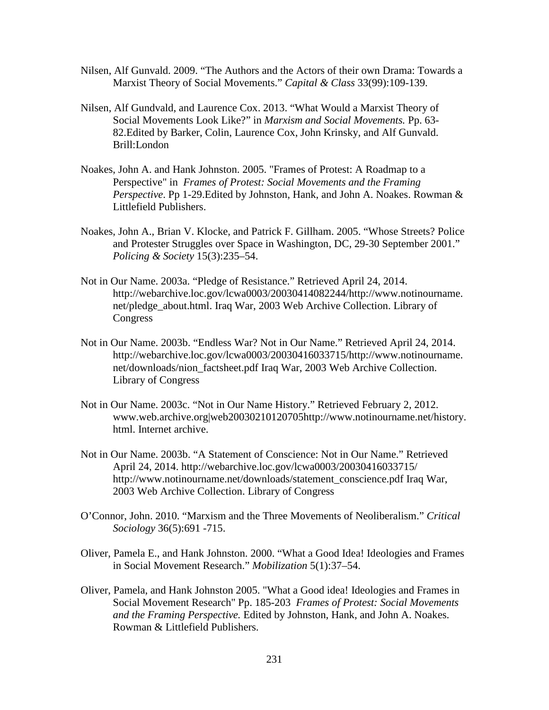- Nilsen, Alf Gunvald. 2009. "The Authors and the Actors of their own Drama: Towards a Marxist Theory of Social Movements." *Capital & Class* 33(99):109-139.
- Nilsen, Alf Gundvald, and Laurence Cox. 2013. "What Would a Marxist Theory of Social Movements Look Like?" in *Marxism and Social Movements.* Pp. 63- 82.Edited by Barker, Colin, Laurence Cox, John Krinsky, and Alf Gunvald. Brill:London
- Noakes, John A. and Hank Johnston. 2005. "Frames of Protest: A Roadmap to a Perspective" in *Frames of Protest: Social Movements and the Framing Perspective*. Pp 1-29.Edited by Johnston, Hank, and John A. Noakes. Rowman & Littlefield Publishers.
- Noakes, John A., Brian V. Klocke, and Patrick F. Gillham. 2005. "Whose Streets? Police and Protester Struggles over Space in Washington, DC, 29-30 September 2001." *Policing & Society* 15(3):235–54.
- Not in Our Name. 2003a. "Pledge of Resistance." Retrieved April 24, 2014. http://webarchive.loc.gov/lcwa0003/20030414082244/http://www.notinourname. net/pledge\_about.html. Iraq War, 2003 Web Archive Collection. Library of Congress
- Not in Our Name. 2003b. "Endless War? Not in Our Name." Retrieved April 24, 2014. http://webarchive.loc.gov/lcwa0003/20030416033715/http://www.notinourname. net/downloads/nion\_factsheet.pdf Iraq War, 2003 Web Archive Collection. Library of Congress
- Not in Our Name. 2003c. "Not in Our Name History." Retrieved February 2, 2012. www.web.archive.org|web20030210120705http://www.notinourname.net/history. html. Internet archive.
- Not in Our Name. 2003b. "A Statement of Conscience: Not in Our Name." Retrieved April 24, 2014. http://webarchive.loc.gov/lcwa0003/20030416033715/ http://www.notinourname.net/downloads/statement\_conscience.pdf Iraq War, 2003 Web Archive Collection. Library of Congress
- O'Connor, John. 2010. "Marxism and the Three Movements of Neoliberalism." *Critical Sociology* 36(5):691 -715.
- Oliver, Pamela E., and Hank Johnston. 2000. "What a Good Idea! Ideologies and Frames in Social Movement Research." *Mobilization* 5(1):37–54.
- Oliver, Pamela, and Hank Johnston 2005. "What a Good idea! Ideologies and Frames in Social Movement Research" Pp. 185-203 *Frames of Protest: Social Movements and the Framing Perspective.* Edited by Johnston, Hank, and John A. Noakes. Rowman & Littlefield Publishers.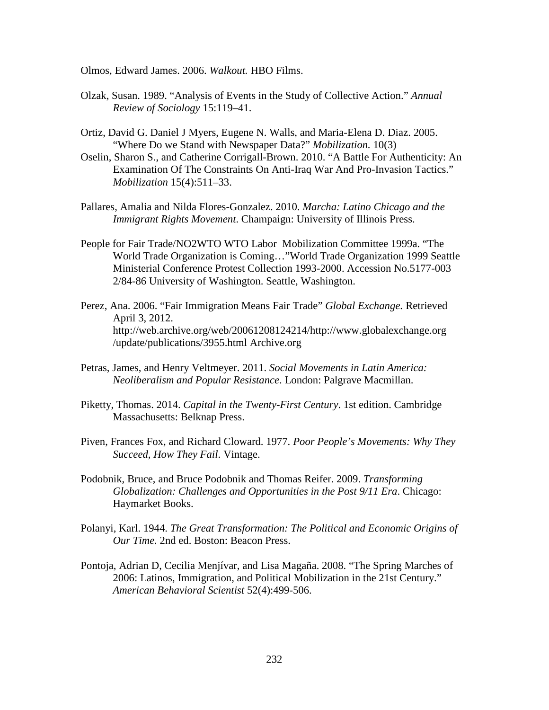Olmos, Edward James. 2006. *Walkout.* HBO Films.

- Olzak, Susan. 1989. "Analysis of Events in the Study of Collective Action." *Annual Review of Sociology* 15:119–41.
- Ortiz, David G. Daniel J Myers, Eugene N. Walls, and Maria-Elena D. Diaz. 2005. "Where Do we Stand with Newspaper Data?" *Mobilization.* 10(3)
- Oselin, Sharon S., and Catherine Corrigall-Brown. 2010. "A Battle For Authenticity: An Examination Of The Constraints On Anti-Iraq War And Pro-Invasion Tactics." *Mobilization* 15(4):511–33.
- Pallares, Amalia and Nilda Flores-Gonzalez. 2010. *Marcha: Latino Chicago and the Immigrant Rights Movement*. Champaign: University of Illinois Press.
- People for Fair Trade/NO2WTO WTO Labor Mobilization Committee 1999a. "The World Trade Organization is Coming…"World Trade Organization 1999 Seattle Ministerial Conference Protest Collection 1993-2000. Accession No.5177-003 2/84-86 University of Washington. Seattle, Washington.
- Perez, Ana. 2006. "Fair Immigration Means Fair Trade" *Global Exchange.* Retrieved April 3, 2012. http://web.archive.org/web/20061208124214/http://www.globalexchange.org /update/publications/3955.html Archive.org
- Petras, James, and Henry Veltmeyer. 2011. *Social Movements in Latin America: Neoliberalism and Popular Resistance*. London: Palgrave Macmillan.
- Piketty, Thomas. 2014. *Capital in the Twenty-First Century*. 1st edition. Cambridge Massachusetts: Belknap Press.
- Piven, Frances Fox, and Richard Cloward. 1977. *Poor People's Movements: Why They Succeed, How They Fail*. Vintage.
- Podobnik, Bruce, and Bruce Podobnik and Thomas Reifer. 2009. *Transforming Globalization: Challenges and Opportunities in the Post 9/11 Era*. Chicago: Haymarket Books.
- Polanyi, Karl. 1944. *The Great Transformation: The Political and Economic Origins of Our Time.* 2nd ed. Boston: Beacon Press.
- Pontoja, Adrian D, Cecilia Menjívar, and Lisa Magaña. 2008. "The Spring Marches of 2006: Latinos, Immigration, and Political Mobilization in the 21st Century." *American Behavioral Scientist* 52(4):499-506.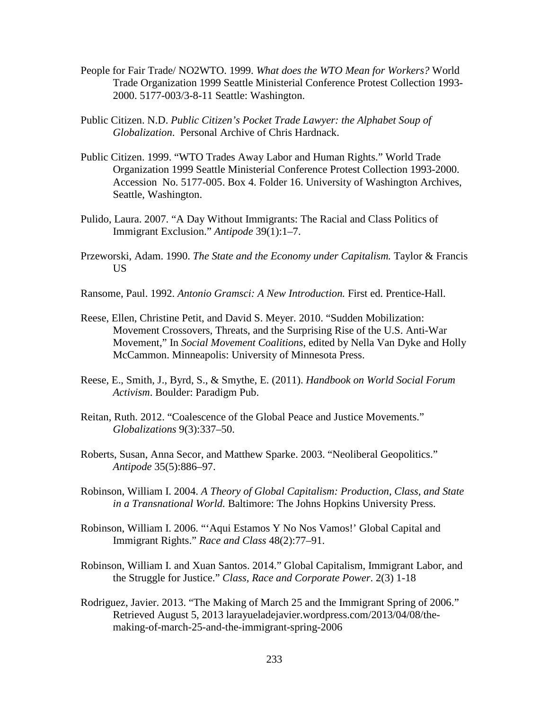- People for Fair Trade/ NO2WTO. 1999. *What does the WTO Mean for Workers?* World Trade Organization 1999 Seattle Ministerial Conference Protest Collection 1993- 2000. 5177-003/3-8-11 Seattle: Washington.
- Public Citizen. N.D. *Public Citizen's Pocket Trade Lawyer: the Alphabet Soup of Globalization*. Personal Archive of Chris Hardnack.
- Public Citizen. 1999. "WTO Trades Away Labor and Human Rights." World Trade Organization 1999 Seattle Ministerial Conference Protest Collection 1993-2000. Accession No. 5177-005. Box 4. Folder 16. University of Washington Archives, Seattle, Washington.
- Pulido, Laura. 2007. "A Day Without Immigrants: The Racial and Class Politics of Immigrant Exclusion." *Antipode* 39(1):1–7.
- Przeworski, Adam. 1990. *The State and the Economy under Capitalism.* Taylor & Francis US
- Ransome, Paul. 1992. *Antonio Gramsci: A New Introduction.* First ed. Prentice-Hall.
- Reese, Ellen, Christine Petit, and David S. Meyer. 2010. "Sudden Mobilization: Movement Crossovers, Threats, and the Surprising Rise of the U.S. Anti-War Movement," In *Social Movement Coalitions*, edited by Nella Van Dyke and Holly McCammon. Minneapolis: University of Minnesota Press.
- Reese, E., Smith, J., Byrd, S., & Smythe, E. (2011). *Handbook on World Social Forum Activism*. Boulder: Paradigm Pub.
- Reitan, Ruth. 2012. "Coalescence of the Global Peace and Justice Movements." *Globalizations* 9(3):337–50.
- Roberts, Susan, Anna Secor, and Matthew Sparke. 2003. "Neoliberal Geopolitics." *Antipode* 35(5):886–97.
- Robinson, William I. 2004. *A Theory of Global Capitalism: Production, Class, and State in a Transnational World.* Baltimore: The Johns Hopkins University Press.
- Robinson, William I. 2006. "'Aqui Estamos Y No Nos Vamos!' Global Capital and Immigrant Rights." *Race and Class* 48(2):77–91.
- Robinson, William I. and Xuan Santos. 2014." Global Capitalism, Immigrant Labor, and the Struggle for Justice." *Class, Race and Corporate Power*. 2(3) 1-18
- Rodriguez, Javier. 2013. "The Making of March 25 and the Immigrant Spring of 2006." Retrieved August 5, 2013 larayueladejavier.wordpress.com/2013/04/08/themaking-of-march-25-and-the-immigrant-spring-2006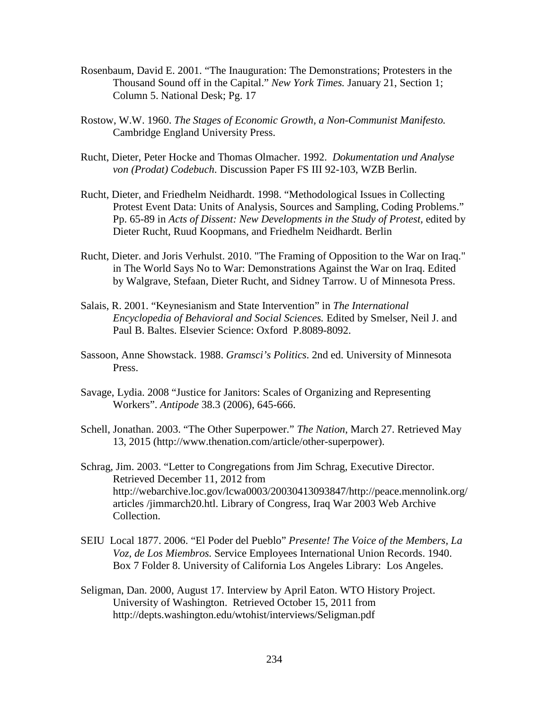- Rosenbaum, David E. 2001. "The Inauguration: The Demonstrations; Protesters in the Thousand Sound off in the Capital." *New York Times.* January 21, Section 1; Column 5. National Desk; Pg. 17
- Rostow, W.W. 1960. *The Stages of Economic Growth, a Non-Communist Manifesto.* Cambridge England University Press.
- Rucht, Dieter, Peter Hocke and Thomas Olmacher. 1992. *Dokumentation und Analyse von (Prodat) Codebuch*. Discussion Paper FS III 92-103, WZB Berlin.
- Rucht, Dieter, and Friedhelm Neidhardt. 1998. "Methodological Issues in Collecting Protest Event Data: Units of Analysis, Sources and Sampling, Coding Problems." Pp. 65-89 in *Acts of Dissent: New Developments in the Study of Protest,* edited by Dieter Rucht, Ruud Koopmans, and Friedhelm Neidhardt. Berlin
- Rucht, Dieter. and Joris Verhulst. 2010. "The Framing of Opposition to the War on Iraq." in The World Says No to War: Demonstrations Against the War on Iraq. Edited by Walgrave, Stefaan, Dieter Rucht, and Sidney Tarrow. U of Minnesota Press.
- Salais, R. 2001. "Keynesianism and State Intervention" in *The International Encyclopedia of Behavioral and Social Sciences.* Edited by Smelser, Neil J. and Paul B. Baltes. Elsevier Science: Oxford P.8089-8092.
- Sassoon, Anne Showstack. 1988. *Gramsci's Politics*. 2nd ed. University of Minnesota Press.
- Savage, Lydia. 2008 "Justice for Janitors: Scales of Organizing and Representing Workers". *Antipode* 38.3 (2006), 645-666.
- Schell, Jonathan. 2003. "The Other Superpower." *The Nation*, March 27. Retrieved May 13, 2015 (http://www.thenation.com/article/other-superpower).
- Schrag, Jim. 2003. "Letter to Congregations from Jim Schrag, Executive Director. Retrieved December 11, 2012 from http://webarchive.loc.gov/lcwa0003/20030413093847/http://peace.mennolink.org/ articles /jimmarch20.htl. Library of Congress, Iraq War 2003 Web Archive Collection.
- SEIU Local 1877. 2006. "El Poder del Pueblo" *Presente! The Voice of the Members, La Voz, de Los Miembros.* Service Employees International Union Records. 1940. Box 7 Folder 8. University of California Los Angeles Library: Los Angeles.
- Seligman, Dan. 2000, August 17. Interview by April Eaton. WTO History Project. University of Washington. Retrieved October 15, 2011 from http://depts.washington.edu/wtohist/interviews/Seligman.pdf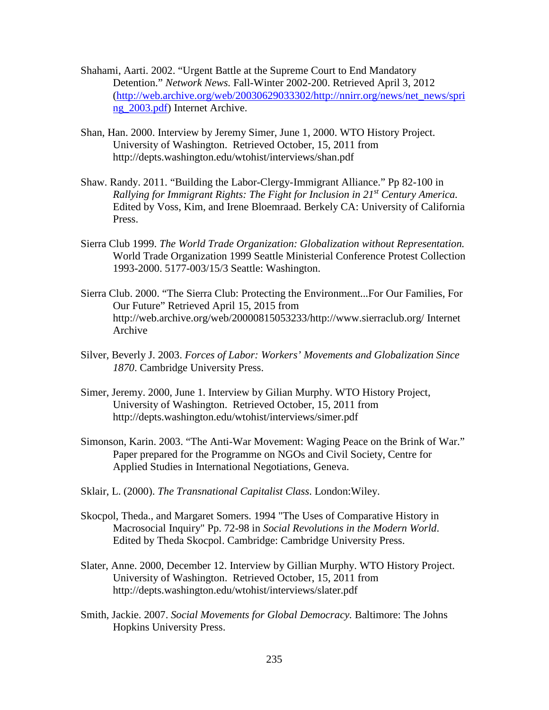- Shahami, Aarti. 2002. "Urgent Battle at the Supreme Court to End Mandatory Detention." *Network News.* Fall-Winter 2002-200. Retrieved April 3, 2012 [\(http://web.archive.org/web/20030629033302/http://nnirr.org/news/net\\_news/spri](http://web.archive.org/web/20030629033302/http:/nnirr.org/news/net_news/spring_2003.pdf) [ng\\_2003.pdf\)](http://web.archive.org/web/20030629033302/http:/nnirr.org/news/net_news/spring_2003.pdf) Internet Archive.
- Shan, Han. 2000. Interview by Jeremy Simer, June 1, 2000. WTO History Project. University of Washington. Retrieved October, 15, 2011 from http://depts.washington.edu/wtohist/interviews/shan.pdf
- Shaw. Randy. 2011. "Building the Labor-Clergy-Immigrant Alliance." Pp 82-100 in *Rallying for Immigrant Rights: The Fight for Inclusion in 21st Century America.*  Edited by Voss, Kim, and Irene Bloemraad. Berkely CA: University of California Press.
- Sierra Club 1999. *The World Trade Organization: Globalization without Representation.* World Trade Organization 1999 Seattle Ministerial Conference Protest Collection 1993-2000. 5177-003/15/3 Seattle: Washington.
- Sierra Club. 2000. "The Sierra Club: Protecting the Environment...For Our Families, For Our Future" Retrieved April 15, 2015 from http://web.archive.org/web/20000815053233/http://www.sierraclub.org/ Internet Archive
- Silver, Beverly J. 2003. *Forces of Labor: Workers' Movements and Globalization Since 1870*. Cambridge University Press.
- Simer, Jeremy. 2000, June 1. Interview by Gilian Murphy. WTO History Project, University of Washington. Retrieved October, 15, 2011 from http://depts.washington.edu/wtohist/interviews/simer.pdf
- Simonson, Karin. 2003. "The Anti-War Movement: Waging Peace on the Brink of War." Paper prepared for the Programme on NGOs and Civil Society, Centre for Applied Studies in International Negotiations, Geneva.
- Sklair, L. (2000). *The Transnational Capitalist Class*. London:Wiley.
- Skocpol, Theda., and Margaret Somers. 1994 "The Uses of Comparative History in Macrosocial Inquiry" Pp. 72-98 in *Social Revolutions in the Modern World*. Edited by Theda Skocpol. Cambridge: Cambridge University Press.
- Slater, Anne. 2000, December 12. Interview by Gillian Murphy. WTO History Project. University of Washington. Retrieved October, 15, 2011 from http://depts.washington.edu/wtohist/interviews/slater.pdf
- Smith, Jackie. 2007. *Social Movements for Global Democracy.* Baltimore: The Johns Hopkins University Press.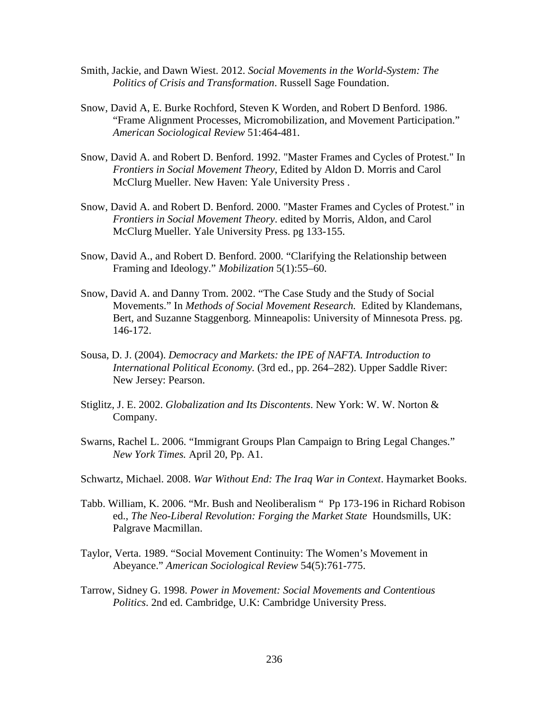- Smith, Jackie, and Dawn Wiest. 2012. *Social Movements in the World-System: The Politics of Crisis and Transformation*. Russell Sage Foundation.
- Snow, David A, E. Burke Rochford, Steven K Worden, and Robert D Benford. 1986. "Frame Alignment Processes, Micromobilization, and Movement Participation." *American Sociological Review* 51:464-481.
- Snow, David A. and Robert D. Benford. 1992. "Master Frames and Cycles of Protest." In *Frontiers in Social Movement Theory*, Edited by Aldon D. Morris and Carol McClurg Mueller. New Haven: Yale University Press .
- Snow, David A. and Robert D. Benford. 2000. "Master Frames and Cycles of Protest." in *Frontiers in Social Movement Theory*. edited by Morris, Aldon, and Carol McClurg Mueller. Yale University Press. pg 133-155.
- Snow, David A., and Robert D. Benford. 2000. "Clarifying the Relationship between Framing and Ideology." *Mobilization* 5(1):55–60.
- Snow, David A. and Danny Trom. 2002. "The Case Study and the Study of Social Movements." In *Methods of Social Movement Research.* Edited by Klandemans, Bert, and Suzanne Staggenborg. Minneapolis: University of Minnesota Press. pg. 146-172.
- Sousa, D. J. (2004). *Democracy and Markets: the IPE of NAFTA. Introduction to International Political Economy.* (3rd ed., pp. 264–282). Upper Saddle River: New Jersey: Pearson.
- Stiglitz, J. E. 2002. *Globalization and Its Discontents*. New York: W. W. Norton & Company.
- Swarns, Rachel L. 2006. "Immigrant Groups Plan Campaign to Bring Legal Changes." *New York Times.* April 20, Pp. A1.
- Schwartz, Michael. 2008. *War Without End: The Iraq War in Context*. Haymarket Books.
- Tabb. William, K. 2006. "Mr. Bush and Neoliberalism " Pp 173-196 in Richard Robison ed., *The Neo-Liberal Revolution: Forging the Market State* Houndsmills, UK: Palgrave Macmillan.
- Taylor, Verta. 1989. "Social Movement Continuity: The Women's Movement in Abeyance." *American Sociological Review* 54(5):761-775.
- Tarrow, Sidney G. 1998. *Power in Movement: Social Movements and Contentious Politics*. 2nd ed. Cambridge, U.K: Cambridge University Press.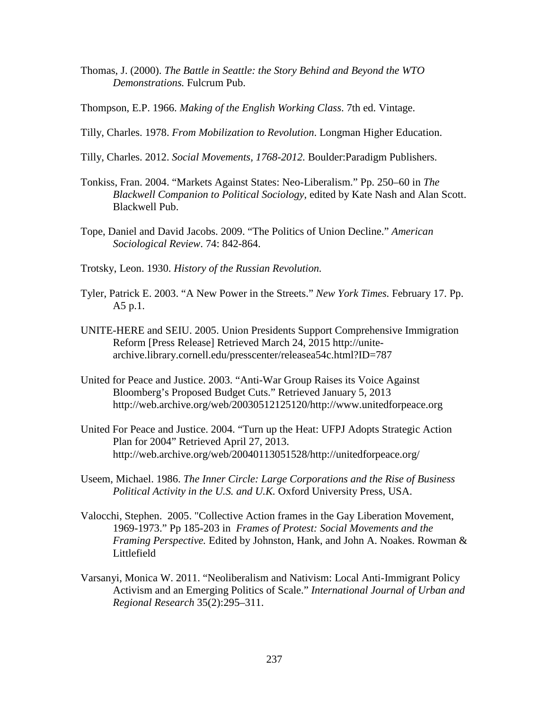- Thomas, J. (2000). *The Battle in Seattle: the Story Behind and Beyond the WTO Demonstrations.* Fulcrum Pub.
- Thompson, E.P. 1966. *Making of the English Working Class*. 7th ed. Vintage.
- Tilly, Charles. 1978. *From Mobilization to Revolution*. Longman Higher Education.
- Tilly, Charles. 2012. *Social Movements, 1768-2012.* Boulder:Paradigm Publishers.
- Tonkiss, Fran. 2004. "Markets Against States: Neo-Liberalism." Pp. 250–60 in *The Blackwell Companion to Political Sociology*, edited by Kate Nash and Alan Scott. Blackwell Pub.
- Tope, Daniel and David Jacobs. 2009. "The Politics of Union Decline." *American Sociological Review*. 74: 842-864.
- Trotsky, Leon. 1930. *History of the Russian Revolution.*
- Tyler, Patrick E. 2003. "A New Power in the Streets." *New York Times.* February 17. Pp. A5 p.1.
- UNITE-HERE and SEIU. 2005. Union Presidents Support Comprehensive Immigration Reform [Press Release] Retrieved March 24, 2015 http://unitearchive.library.cornell.edu/presscenter/releasea54c.html?ID=787
- United for Peace and Justice. 2003. "Anti-War Group Raises its Voice Against Bloomberg's Proposed Budget Cuts." Retrieved January 5, 2013 http://web.archive.org/web/20030512125120/http://www.unitedforpeace.org
- United For Peace and Justice. 2004. "Turn up the Heat: UFPJ Adopts Strategic Action Plan for 2004" Retrieved April 27, 2013. http://web.archive.org/web/20040113051528/http://unitedforpeace.org/
- Useem, Michael. 1986. *The Inner Circle: Large Corporations and the Rise of Business Political Activity in the U.S. and U.K.* Oxford University Press, USA.
- Valocchi, Stephen. 2005. "Collective Action frames in the Gay Liberation Movement, 1969-1973." Pp 185-203 in *Frames of Protest: Social Movements and the Framing Perspective.* Edited by Johnston, Hank, and John A. Noakes. Rowman & Littlefield
- Varsanyi, Monica W. 2011. "Neoliberalism and Nativism: Local Anti-Immigrant Policy Activism and an Emerging Politics of Scale." *International Journal of Urban and Regional Research* 35(2):295–311.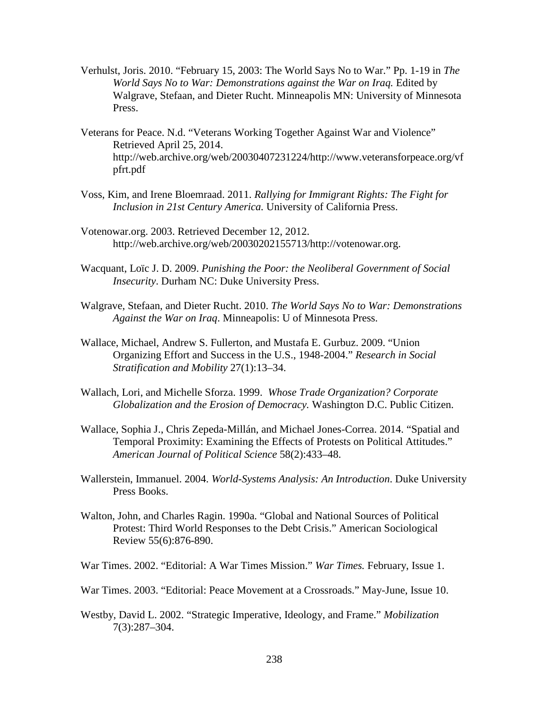- Verhulst, Joris. 2010. "February 15, 2003: The World Says No to War." Pp. 1-19 in *The World Says No to War: Demonstrations against the War on Iraq.* Edited by Walgrave, Stefaan, and Dieter Rucht. Minneapolis MN: University of Minnesota Press.
- Veterans for Peace. N.d. "Veterans Working Together Against War and Violence" Retrieved April 25, 2014. http://web.archive.org/web/20030407231224/http://www.veteransforpeace.org/vf pfrt.pdf
- Voss, Kim, and Irene Bloemraad. 2011. *Rallying for Immigrant Rights: The Fight for Inclusion in 21st Century America.* University of California Press.
- Votenowar.org. 2003. Retrieved December 12, 2012. http://web.archive.org/web/20030202155713/http://votenowar.org.
- Wacquant, Loïc J. D. 2009. *Punishing the Poor: the Neoliberal Government of Social Insecurity*. Durham NC: Duke University Press.
- Walgrave, Stefaan, and Dieter Rucht. 2010. *The World Says No to War: Demonstrations Against the War on Iraq*. Minneapolis: U of Minnesota Press.
- Wallace, Michael, Andrew S. Fullerton, and Mustafa E. Gurbuz. 2009. "Union Organizing Effort and Success in the U.S., 1948-2004." *Research in Social Stratification and Mobility* 27(1):13–34.
- Wallach, Lori, and Michelle Sforza. 1999. *Whose Trade Organization? Corporate Globalization and the Erosion of Democracy.* Washington D.C. Public Citizen.
- Wallace, Sophia J., Chris Zepeda-Millán, and Michael Jones-Correa. 2014. "Spatial and Temporal Proximity: Examining the Effects of Protests on Political Attitudes." *American Journal of Political Science* 58(2):433–48.
- Wallerstein, Immanuel. 2004. *World-Systems Analysis: An Introduction*. Duke University Press Books.
- Walton, John, and Charles Ragin. 1990a. "Global and National Sources of Political Protest: Third World Responses to the Debt Crisis." American Sociological Review 55(6):876-890.
- War Times. 2002. "Editorial: A War Times Mission." *War Times.* February, Issue 1.
- War Times. 2003. "Editorial: Peace Movement at a Crossroads." May-June, Issue 10.
- Westby, David L. 2002. "Strategic Imperative, Ideology, and Frame." *Mobilization* 7(3):287–304.